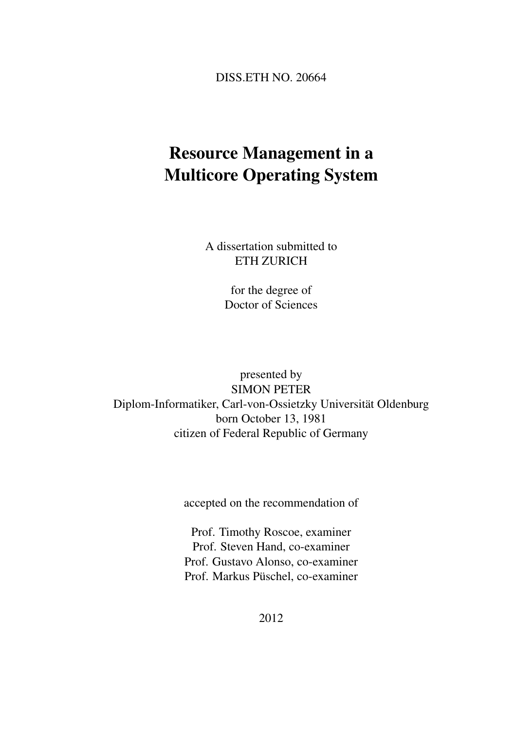DISS.ETH NO. 20664

# Resource Management in a Multicore Operating System

A dissertation submitted to ETH ZURICH

> for the degree of Doctor of Sciences

presented by SIMON PETER Diplom-Informatiker, Carl-von-Ossietzky Universität Oldenburg born October 13, 1981 citizen of Federal Republic of Germany

accepted on the recommendation of

Prof. Timothy Roscoe, examiner Prof. Steven Hand, co-examiner Prof. Gustavo Alonso, co-examiner Prof. Markus Püschel, co-examiner

2012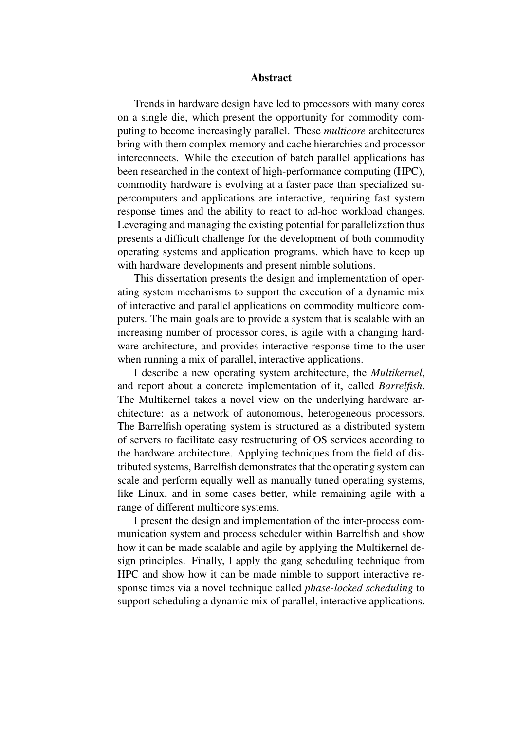#### Abstract

Trends in hardware design have led to processors with many cores on a single die, which present the opportunity for commodity computing to become increasingly parallel. These *multicore* architectures bring with them complex memory and cache hierarchies and processor interconnects. While the execution of batch parallel applications has been researched in the context of high-performance computing (HPC), commodity hardware is evolving at a faster pace than specialized supercomputers and applications are interactive, requiring fast system response times and the ability to react to ad-hoc workload changes. Leveraging and managing the existing potential for parallelization thus presents a difficult challenge for the development of both commodity operating systems and application programs, which have to keep up with hardware developments and present nimble solutions.

This dissertation presents the design and implementation of operating system mechanisms to support the execution of a dynamic mix of interactive and parallel applications on commodity multicore computers. The main goals are to provide a system that is scalable with an increasing number of processor cores, is agile with a changing hardware architecture, and provides interactive response time to the user when running a mix of parallel, interactive applications.

I describe a new operating system architecture, the *Multikernel*, and report about a concrete implementation of it, called *Barrelfish*. The Multikernel takes a novel view on the underlying hardware architecture: as a network of autonomous, heterogeneous processors. The Barrelfish operating system is structured as a distributed system of servers to facilitate easy restructuring of OS services according to the hardware architecture. Applying techniques from the field of distributed systems, Barrelfish demonstrates that the operating system can scale and perform equally well as manually tuned operating systems, like Linux, and in some cases better, while remaining agile with a range of different multicore systems.

I present the design and implementation of the inter-process communication system and process scheduler within Barrelfish and show how it can be made scalable and agile by applying the Multikernel design principles. Finally, I apply the gang scheduling technique from HPC and show how it can be made nimble to support interactive response times via a novel technique called *phase-locked scheduling* to support scheduling a dynamic mix of parallel, interactive applications.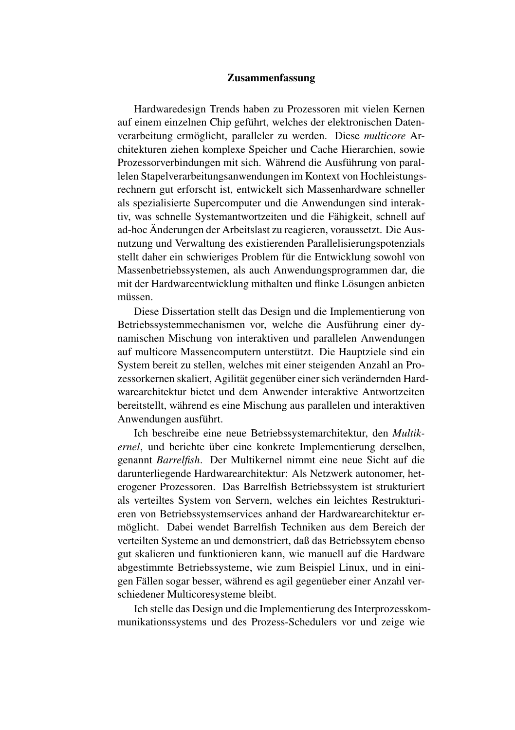#### Zusammenfassung

Hardwaredesign Trends haben zu Prozessoren mit vielen Kernen auf einem einzelnen Chip geführt, welches der elektronischen Datenverarbeitung ermöglicht, paralleler zu werden. Diese *multicore* Architekturen ziehen komplexe Speicher und Cache Hierarchien, sowie Prozessorverbindungen mit sich. Während die Ausführung von parallelen Stapelverarbeitungsanwendungen im Kontext von Hochleistungsrechnern gut erforscht ist, entwickelt sich Massenhardware schneller als spezialisierte Supercomputer und die Anwendungen sind interaktiv, was schnelle Systemantwortzeiten und die Fähigkeit, schnell auf ad-hoc Änderungen der Arbeitslast zu reagieren, voraussetzt. Die Ausnutzung und Verwaltung des existierenden Parallelisierungspotenzials stellt daher ein schwieriges Problem für die Entwicklung sowohl von Massenbetriebssystemen, als auch Anwendungsprogrammen dar, die mit der Hardwareentwicklung mithalten und flinke Lösungen anbieten müssen.

Diese Dissertation stellt das Design und die Implementierung von Betriebssystemmechanismen vor, welche die Ausführung einer dynamischen Mischung von interaktiven und parallelen Anwendungen auf multicore Massencomputern unterstützt. Die Hauptziele sind ein System bereit zu stellen, welches mit einer steigenden Anzahl an Prozessorkernen skaliert, Agilität gegenüber einer sich verändernden Hardwarearchitektur bietet und dem Anwender interaktive Antwortzeiten bereitstellt, während es eine Mischung aus parallelen und interaktiven Anwendungen ausführt.

Ich beschreibe eine neue Betriebssystemarchitektur, den *Multikernel*, und berichte über eine konkrete Implementierung derselben, genannt *Barrelfish*. Der Multikernel nimmt eine neue Sicht auf die darunterliegende Hardwarearchitektur: Als Netzwerk autonomer, heterogener Prozessoren. Das Barrelfish Betriebssystem ist strukturiert als verteiltes System von Servern, welches ein leichtes Restrukturieren von Betriebssystemservices anhand der Hardwarearchitektur ermöglicht. Dabei wendet Barrelfish Techniken aus dem Bereich der verteilten Systeme an und demonstriert, daß das Betriebssytem ebenso gut skalieren und funktionieren kann, wie manuell auf die Hardware abgestimmte Betriebssysteme, wie zum Beispiel Linux, und in einigen Fällen sogar besser, während es agil gegenüeber einer Anzahl verschiedener Multicoresysteme bleibt.

Ich stelle das Design und die Implementierung des Interprozesskommunikationssystems und des Prozess-Schedulers vor und zeige wie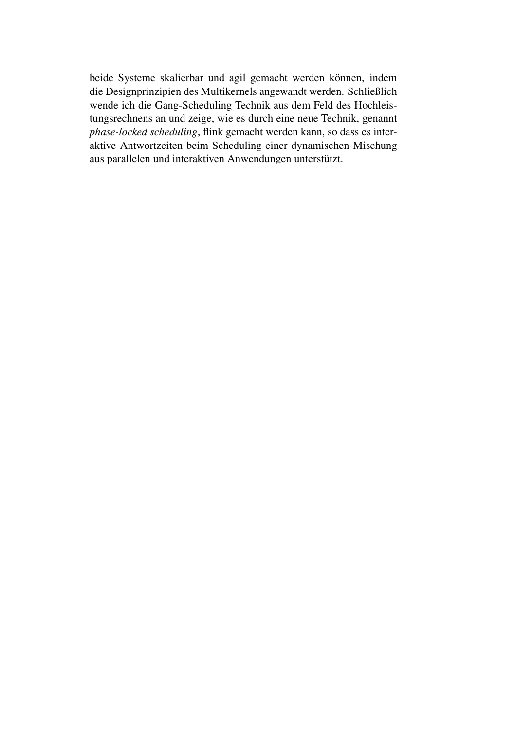beide Systeme skalierbar und agil gemacht werden können, indem die Designprinzipien des Multikernels angewandt werden. Schließlich wende ich die Gang-Scheduling Technik aus dem Feld des Hochleistungsrechnens an und zeige, wie es durch eine neue Technik, genannt *phase-locked scheduling*, flink gemacht werden kann, so dass es interaktive Antwortzeiten beim Scheduling einer dynamischen Mischung aus parallelen und interaktiven Anwendungen unterstützt.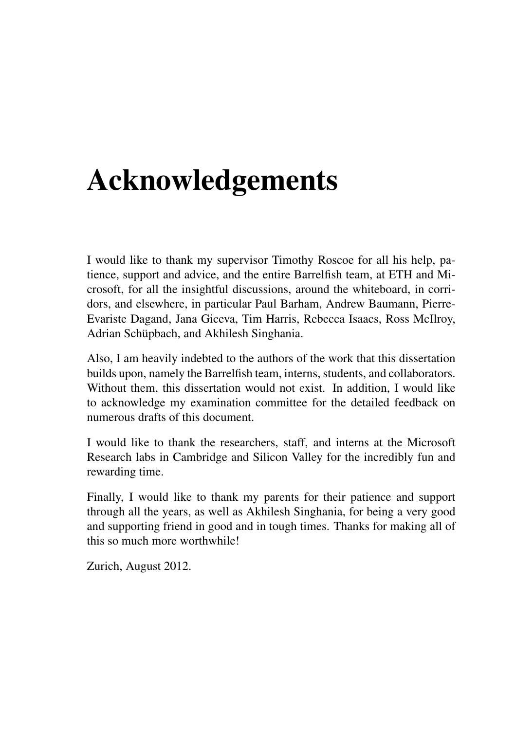# Acknowledgements

I would like to thank my supervisor Timothy Roscoe for all his help, patience, support and advice, and the entire Barrelfish team, at ETH and Microsoft, for all the insightful discussions, around the whiteboard, in corridors, and elsewhere, in particular Paul Barham, Andrew Baumann, Pierre-Evariste Dagand, Jana Giceva, Tim Harris, Rebecca Isaacs, Ross McIlroy, Adrian Schüpbach, and Akhilesh Singhania.

Also, I am heavily indebted to the authors of the work that this dissertation builds upon, namely the Barrelfish team, interns, students, and collaborators. Without them, this dissertation would not exist. In addition, I would like to acknowledge my examination committee for the detailed feedback on numerous drafts of this document.

I would like to thank the researchers, staff, and interns at the Microsoft Research labs in Cambridge and Silicon Valley for the incredibly fun and rewarding time.

Finally, I would like to thank my parents for their patience and support through all the years, as well as Akhilesh Singhania, for being a very good and supporting friend in good and in tough times. Thanks for making all of this so much more worthwhile!

Zurich, August 2012.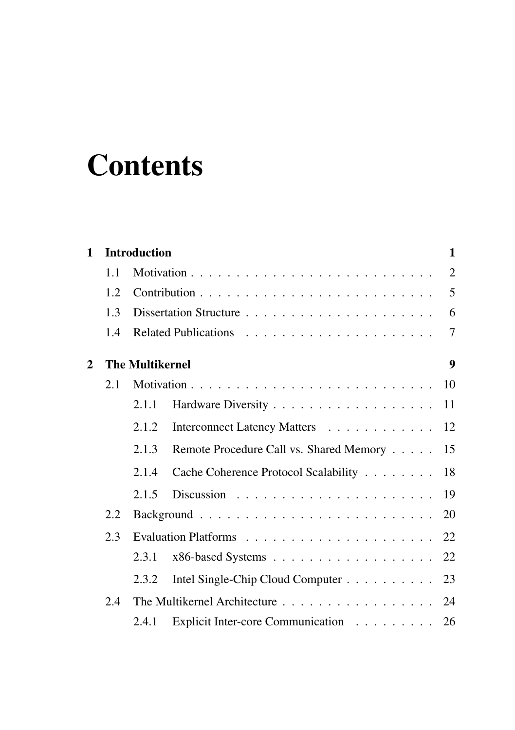# **Contents**

| $\mathbf{1}$ |      | Introduction           |                                         | 1              |
|--------------|------|------------------------|-----------------------------------------|----------------|
|              | 1.1  |                        |                                         | $\overline{2}$ |
|              | 1.2. |                        |                                         | 5              |
|              | 1.3  |                        |                                         | 6              |
|              | 1.4  |                        |                                         | 7              |
| $\mathbf{2}$ |      | <b>The Multikernel</b> |                                         | 9              |
|              | 2.1  |                        |                                         | 10             |
|              |      | 2.1.1                  |                                         | 11             |
|              |      | 2.1.2                  | Interconnect Latency Matters            | 12             |
|              |      | 2.1.3                  | Remote Procedure Call vs. Shared Memory | 15             |
|              |      | 2.1.4                  | Cache Coherence Protocol Scalability    | 18             |
|              |      | 2.1.5                  |                                         | 19             |
| 2.2<br>2.3   |      |                        |                                         | 20             |
|              |      |                        |                                         | 22             |
|              |      | 2.3.1                  | x86-based Systems 22                    |                |
|              |      | 2.3.2                  | Intel Single-Chip Cloud Computer 23     |                |
|              | 2.4  |                        | The Multikernel Architecture            | 24             |
|              |      | 2.4.1                  | Explicit Inter-core Communication 26    |                |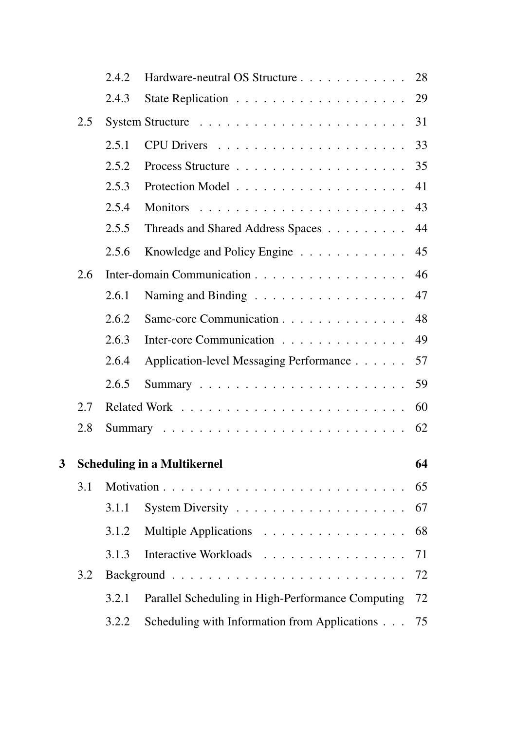|   |     | 2.4.2 | Hardware-neutral OS Structure                          | 28 |
|---|-----|-------|--------------------------------------------------------|----|
|   |     | 2.4.3 |                                                        | 29 |
|   | 2.5 |       |                                                        | 31 |
|   |     | 2.5.1 |                                                        | 33 |
|   |     | 2.5.2 |                                                        | 35 |
|   |     | 2.5.3 |                                                        | 41 |
|   |     | 2.5.4 | <b>Monitors</b>                                        | 43 |
|   |     | 2.5.5 | Threads and Shared Address Spaces                      | 44 |
|   |     | 2.5.6 | Knowledge and Policy Engine                            | 45 |
|   | 2.6 |       | Inter-domain Communication                             | 46 |
|   |     | 2.6.1 | Naming and Binding                                     | 47 |
|   |     | 2.6.2 | Same-core Communication                                | 48 |
|   |     | 2.6.3 | Inter-core Communication                               | 49 |
|   |     | 2.6.4 | Application-level Messaging Performance                | 57 |
|   |     | 2.6.5 |                                                        | 59 |
|   | 2.7 |       |                                                        | 60 |
|   | 2.8 |       |                                                        | 62 |
| 3 |     |       | <b>Scheduling in a Multikernel</b>                     | 64 |
|   | 3.1 |       |                                                        | 65 |
|   |     | 3.1.1 | System Diversity $\dots \dots \dots \dots \dots \dots$ | 67 |
|   |     | 3.1.2 | Multiple Applications                                  | 68 |
|   |     | 3.1.3 | Interactive Workloads                                  | 71 |
|   | 3.2 |       |                                                        | 72 |
|   |     | 3.2.1 | Parallel Scheduling in High-Performance Computing      | 72 |
|   |     | 3.2.2 | Scheduling with Information from Applications          | 75 |
|   |     |       |                                                        |    |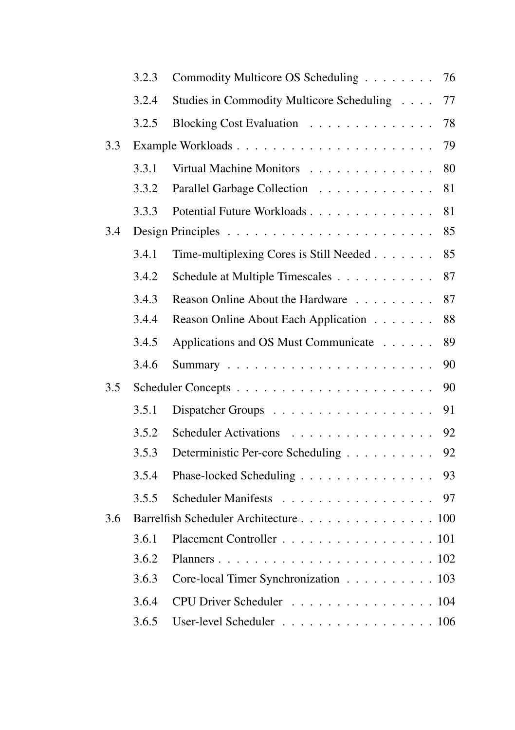|     | 3.2.3 | Commodity Multicore OS Scheduling         | 76 |
|-----|-------|-------------------------------------------|----|
|     | 3.2.4 | Studies in Commodity Multicore Scheduling | 77 |
|     | 3.2.5 | Blocking Cost Evaluation                  | 78 |
| 3.3 |       |                                           | 79 |
|     | 3.3.1 | Virtual Machine Monitors                  | 80 |
|     | 3.3.2 | Parallel Garbage Collection               | 81 |
|     | 3.3.3 | Potential Future Workloads                | 81 |
| 3.4 |       |                                           | 85 |
|     | 3.4.1 | Time-multiplexing Cores is Still Needed   | 85 |
|     | 3.4.2 | Schedule at Multiple Timescales           | 87 |
|     | 3.4.3 | Reason Online About the Hardware          | 87 |
|     | 3.4.4 | Reason Online About Each Application      | 88 |
|     | 3.4.5 | Applications and OS Must Communicate      | 89 |
|     | 3.4.6 |                                           | 90 |
| 3.5 |       |                                           | 90 |
|     | 3.5.1 | Dispatcher Groups                         | 91 |
|     | 3.5.2 | Scheduler Activations                     | 92 |
|     | 3.5.3 | Deterministic Per-core Scheduling         | 92 |
|     | 3.5.4 | Phase-locked Scheduling                   | 93 |
|     | 3.5.5 | Scheduler Manifests                       | 97 |
| 3.6 |       | Barrelfish Scheduler Architecture 100     |    |
|     | 3.6.1 | Placement Controller 101                  |    |
|     | 3.6.2 |                                           |    |
|     | 3.6.3 | Core-local Timer Synchronization 103      |    |
|     | 3.6.4 | CPU Driver Scheduler 104                  |    |
|     | 3.6.5 | User-level Scheduler 106                  |    |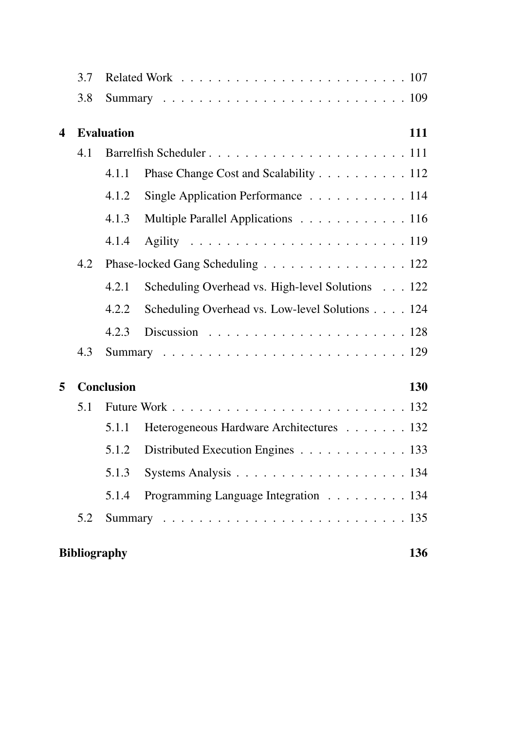|   | 3.7 |                     |                                                  |     |
|---|-----|---------------------|--------------------------------------------------|-----|
|   | 3.8 |                     |                                                  |     |
| 4 |     | <b>Evaluation</b>   |                                                  | 111 |
|   | 4.1 |                     |                                                  |     |
|   |     | 4.1.1               | Phase Change Cost and Scalability 112            |     |
|   |     | 4.1.2               | Single Application Performance 114               |     |
|   |     | 4.1.3               | Multiple Parallel Applications 116               |     |
|   |     | 4.1.4               |                                                  |     |
|   | 4.2 |                     | Phase-locked Gang Scheduling 122                 |     |
|   |     | 4.2.1               | Scheduling Overhead vs. High-level Solutions 122 |     |
|   |     | 4.2.2               | Scheduling Overhead vs. Low-level Solutions 124  |     |
|   |     | 4.2.3               |                                                  |     |
|   | 4.3 |                     |                                                  |     |
| 5 |     | <b>Conclusion</b>   |                                                  | 130 |
|   | 5.1 |                     |                                                  |     |
|   |     | 5.1.1               | Heterogeneous Hardware Architectures 132         |     |
|   |     | 5.1.2               | Distributed Execution Engines 133                |     |
|   |     | 5.1.3               |                                                  |     |
|   |     | 5.1.4               | Programming Language Integration 134             |     |
|   | 5.2 |                     |                                                  |     |
|   |     | <b>Bibliography</b> |                                                  | 136 |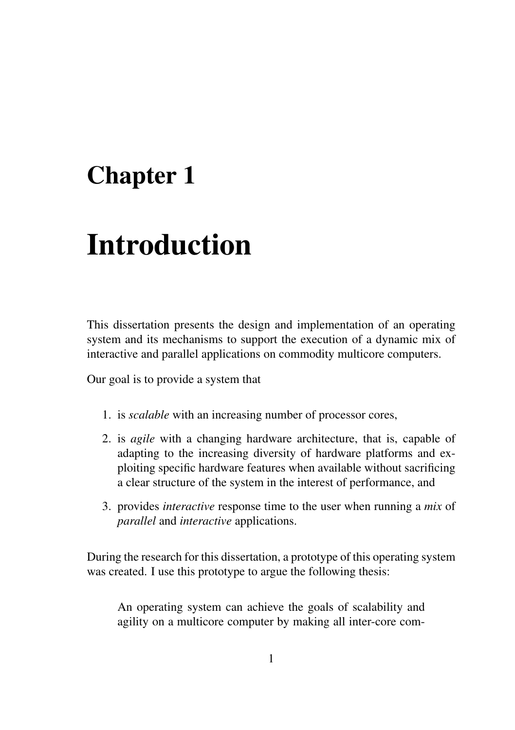# Chapter 1

# Introduction

This dissertation presents the design and implementation of an operating system and its mechanisms to support the execution of a dynamic mix of interactive and parallel applications on commodity multicore computers.

Our goal is to provide a system that

- 1. is *scalable* with an increasing number of processor cores,
- 2. is *agile* with a changing hardware architecture, that is, capable of adapting to the increasing diversity of hardware platforms and exploiting specific hardware features when available without sacrificing a clear structure of the system in the interest of performance, and
- 3. provides *interactive* response time to the user when running a *mix* of *parallel* and *interactive* applications.

During the research for this dissertation, a prototype of this operating system was created. I use this prototype to argue the following thesis:

An operating system can achieve the goals of scalability and agility on a multicore computer by making all inter-core com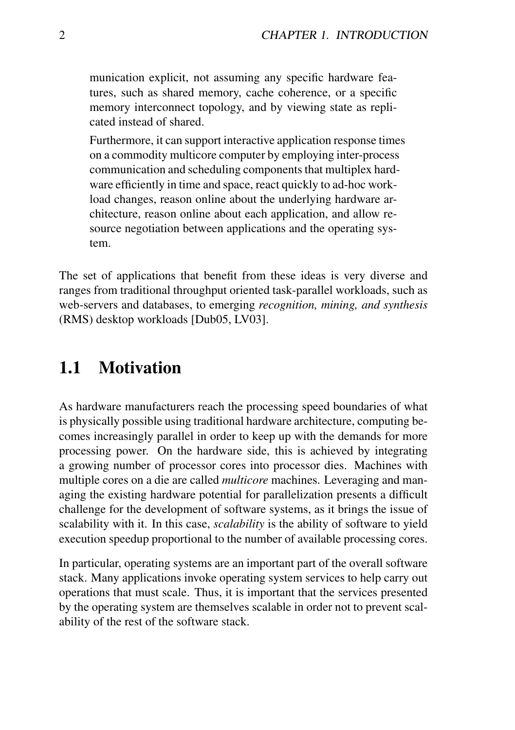munication explicit, not assuming any specific hardware features, such as shared memory, cache coherence, or a specific memory interconnect topology, and by viewing state as replicated instead of shared.

Furthermore, it can support interactive application response times on a commodity multicore computer by employing inter-process communication and scheduling components that multiplex hardware efficiently in time and space, react quickly to ad-hoc workload changes, reason online about the underlying hardware architecture, reason online about each application, and allow resource negotiation between applications and the operating system.

The set of applications that benefit from these ideas is very diverse and ranges from traditional throughput oriented task-parallel workloads, such as web-servers and databases, to emerging *recognition, mining, and synthesis* (RMS) desktop workloads [Dub05, LV03].

# 1.1 Motivation

As hardware manufacturers reach the processing speed boundaries of what is physically possible using traditional hardware architecture, computing becomes increasingly parallel in order to keep up with the demands for more processing power. On the hardware side, this is achieved by integrating a growing number of processor cores into processor dies. Machines with multiple cores on a die are called *multicore* machines. Leveraging and managing the existing hardware potential for parallelization presents a difficult challenge for the development of software systems, as it brings the issue of scalability with it. In this case, *scalability* is the ability of software to yield execution speedup proportional to the number of available processing cores.

In particular, operating systems are an important part of the overall software stack. Many applications invoke operating system services to help carry out operations that must scale. Thus, it is important that the services presented by the operating system are themselves scalable in order not to prevent scalability of the rest of the software stack.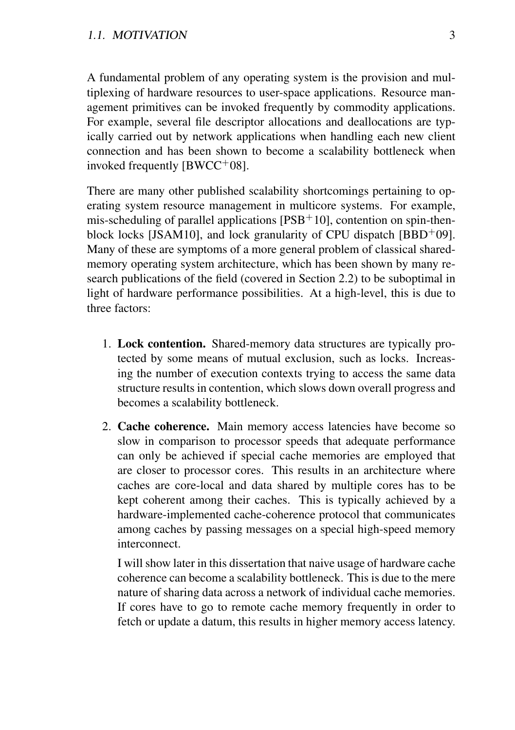A fundamental problem of any operating system is the provision and multiplexing of hardware resources to user-space applications. Resource management primitives can be invoked frequently by commodity applications. For example, several file descriptor allocations and deallocations are typically carried out by network applications when handling each new client connection and has been shown to become a scalability bottleneck when invoked frequently  $[BWCC^+08]$ .

There are many other published scalability shortcomings pertaining to operating system resource management in multicore systems. For example, mis-scheduling of parallel applications  $[PSB<sup>+</sup>10]$ , contention on spin-thenblock locks [JSAM10], and lock granularity of CPU dispatch [BBD+09]. Many of these are symptoms of a more general problem of classical sharedmemory operating system architecture, which has been shown by many research publications of the field (covered in Section 2.2) to be suboptimal in light of hardware performance possibilities. At a high-level, this is due to three factors:

- 1. Lock contention. Shared-memory data structures are typically protected by some means of mutual exclusion, such as locks. Increasing the number of execution contexts trying to access the same data structure results in contention, which slows down overall progress and becomes a scalability bottleneck.
- 2. Cache coherence. Main memory access latencies have become so slow in comparison to processor speeds that adequate performance can only be achieved if special cache memories are employed that are closer to processor cores. This results in an architecture where caches are core-local and data shared by multiple cores has to be kept coherent among their caches. This is typically achieved by a hardware-implemented cache-coherence protocol that communicates among caches by passing messages on a special high-speed memory interconnect.

I will show later in this dissertation that naive usage of hardware cache coherence can become a scalability bottleneck. This is due to the mere nature of sharing data across a network of individual cache memories. If cores have to go to remote cache memory frequently in order to fetch or update a datum, this results in higher memory access latency.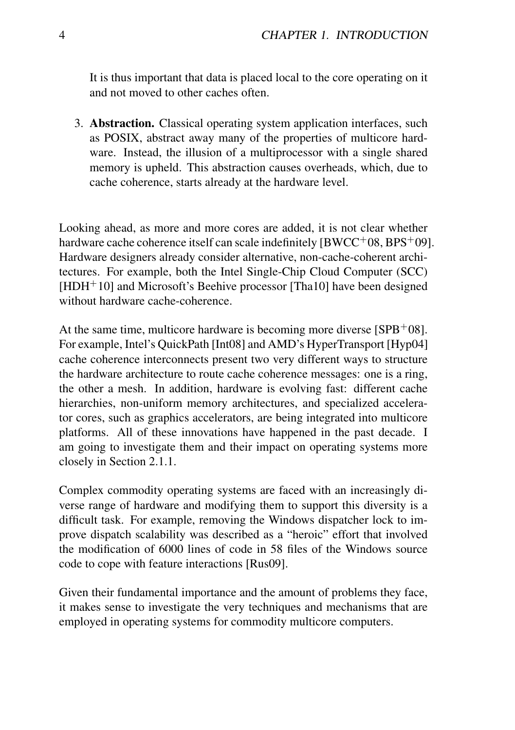It is thus important that data is placed local to the core operating on it and not moved to other caches often.

3. Abstraction. Classical operating system application interfaces, such as POSIX, abstract away many of the properties of multicore hardware. Instead, the illusion of a multiprocessor with a single shared memory is upheld. This abstraction causes overheads, which, due to cache coherence, starts already at the hardware level.

Looking ahead, as more and more cores are added, it is not clear whether hardware cache coherence itself can scale indefinitely  $[BWCC^+08, BPS^+09]$ . Hardware designers already consider alternative, non-cache-coherent architectures. For example, both the Intel Single-Chip Cloud Computer (SCC)  $[HDH<sup>+</sup>10]$  and Microsoft's Beehive processor [Tha10] have been designed without hardware cache-coherence.

At the same time, multicore hardware is becoming more diverse  $[SPB<sup>+</sup>08]$ . For example, Intel's QuickPath [Int08] and AMD's HyperTransport [Hyp04] cache coherence interconnects present two very different ways to structure the hardware architecture to route cache coherence messages: one is a ring, the other a mesh. In addition, hardware is evolving fast: different cache hierarchies, non-uniform memory architectures, and specialized accelerator cores, such as graphics accelerators, are being integrated into multicore platforms. All of these innovations have happened in the past decade. I am going to investigate them and their impact on operating systems more closely in Section 2.1.1.

Complex commodity operating systems are faced with an increasingly diverse range of hardware and modifying them to support this diversity is a difficult task. For example, removing the Windows dispatcher lock to improve dispatch scalability was described as a "heroic" effort that involved the modification of 6000 lines of code in 58 files of the Windows source code to cope with feature interactions [Rus09].

Given their fundamental importance and the amount of problems they face, it makes sense to investigate the very techniques and mechanisms that are employed in operating systems for commodity multicore computers.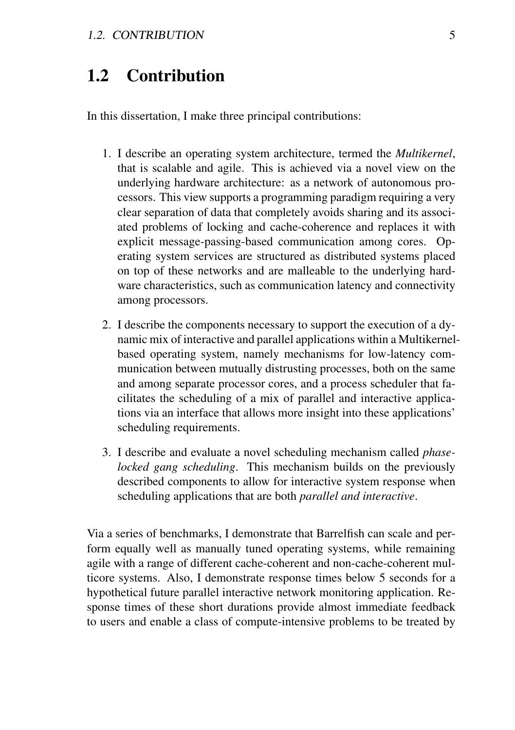# 1.2 Contribution

In this dissertation, I make three principal contributions:

- 1. I describe an operating system architecture, termed the *Multikernel*, that is scalable and agile. This is achieved via a novel view on the underlying hardware architecture: as a network of autonomous processors. This view supports a programming paradigm requiring a very clear separation of data that completely avoids sharing and its associated problems of locking and cache-coherence and replaces it with explicit message-passing-based communication among cores. Operating system services are structured as distributed systems placed on top of these networks and are malleable to the underlying hardware characteristics, such as communication latency and connectivity among processors.
- 2. I describe the components necessary to support the execution of a dynamic mix of interactive and parallel applications within a Multikernelbased operating system, namely mechanisms for low-latency communication between mutually distrusting processes, both on the same and among separate processor cores, and a process scheduler that facilitates the scheduling of a mix of parallel and interactive applications via an interface that allows more insight into these applications' scheduling requirements.
- 3. I describe and evaluate a novel scheduling mechanism called *phaselocked gang scheduling*. This mechanism builds on the previously described components to allow for interactive system response when scheduling applications that are both *parallel and interactive*.

Via a series of benchmarks, I demonstrate that Barrelfish can scale and perform equally well as manually tuned operating systems, while remaining agile with a range of different cache-coherent and non-cache-coherent multicore systems. Also, I demonstrate response times below 5 seconds for a hypothetical future parallel interactive network monitoring application. Response times of these short durations provide almost immediate feedback to users and enable a class of compute-intensive problems to be treated by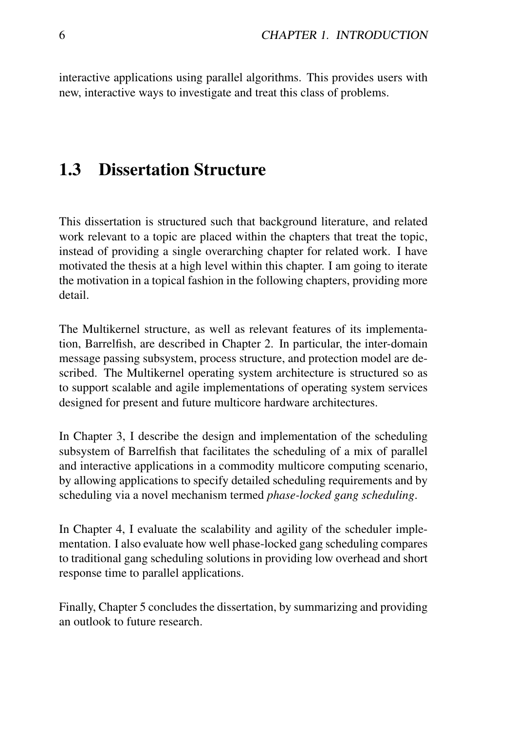interactive applications using parallel algorithms. This provides users with new, interactive ways to investigate and treat this class of problems.

# 1.3 Dissertation Structure

This dissertation is structured such that background literature, and related work relevant to a topic are placed within the chapters that treat the topic, instead of providing a single overarching chapter for related work. I have motivated the thesis at a high level within this chapter. I am going to iterate the motivation in a topical fashion in the following chapters, providing more detail.

The Multikernel structure, as well as relevant features of its implementation, Barrelfish, are described in Chapter 2. In particular, the inter-domain message passing subsystem, process structure, and protection model are described. The Multikernel operating system architecture is structured so as to support scalable and agile implementations of operating system services designed for present and future multicore hardware architectures.

In Chapter 3, I describe the design and implementation of the scheduling subsystem of Barrelfish that facilitates the scheduling of a mix of parallel and interactive applications in a commodity multicore computing scenario, by allowing applications to specify detailed scheduling requirements and by scheduling via a novel mechanism termed *phase-locked gang scheduling*.

In Chapter 4, I evaluate the scalability and agility of the scheduler implementation. I also evaluate how well phase-locked gang scheduling compares to traditional gang scheduling solutions in providing low overhead and short response time to parallel applications.

Finally, Chapter 5 concludes the dissertation, by summarizing and providing an outlook to future research.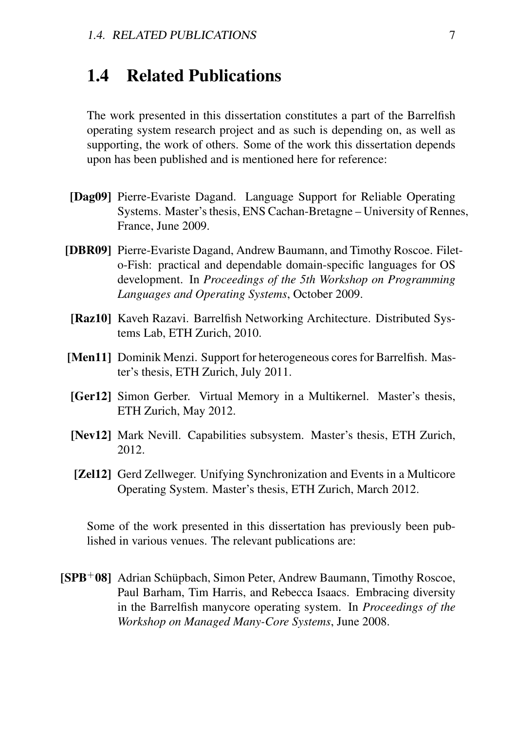# 1.4 Related Publications

The work presented in this dissertation constitutes a part of the Barrelfish operating system research project and as such is depending on, as well as supporting, the work of others. Some of the work this dissertation depends upon has been published and is mentioned here for reference:

- [Dag09] Pierre-Evariste Dagand. Language Support for Reliable Operating Systems. Master's thesis, ENS Cachan-Bretagne – University of Rennes, France, June 2009.
- [DBR09] Pierre-Evariste Dagand, Andrew Baumann, and Timothy Roscoe. Fileto-Fish: practical and dependable domain-specific languages for OS development. In *Proceedings of the 5th Workshop on Programming Languages and Operating Systems*, October 2009.
- [Raz10] Kaveh Razavi. Barrelfish Networking Architecture. Distributed Systems Lab, ETH Zurich, 2010.
- [Men11] Dominik Menzi. Support for heterogeneous cores for Barrelfish. Master's thesis, ETH Zurich, July 2011.
- [Ger12] Simon Gerber. Virtual Memory in a Multikernel. Master's thesis, ETH Zurich, May 2012.
- [Nev12] Mark Nevill. Capabilities subsystem. Master's thesis, ETH Zurich, 2012.
- [**Zel12**] Gerd Zellweger. Unifying Synchronization and Events in a Multicore Operating System. Master's thesis, ETH Zurich, March 2012.

Some of the work presented in this dissertation has previously been published in various venues. The relevant publications are:

[SPB<sup>+</sup>08] Adrian Schüpbach, Simon Peter, Andrew Baumann, Timothy Roscoe, Paul Barham, Tim Harris, and Rebecca Isaacs. Embracing diversity in the Barrelfish manycore operating system. In *Proceedings of the Workshop on Managed Many-Core Systems*, June 2008.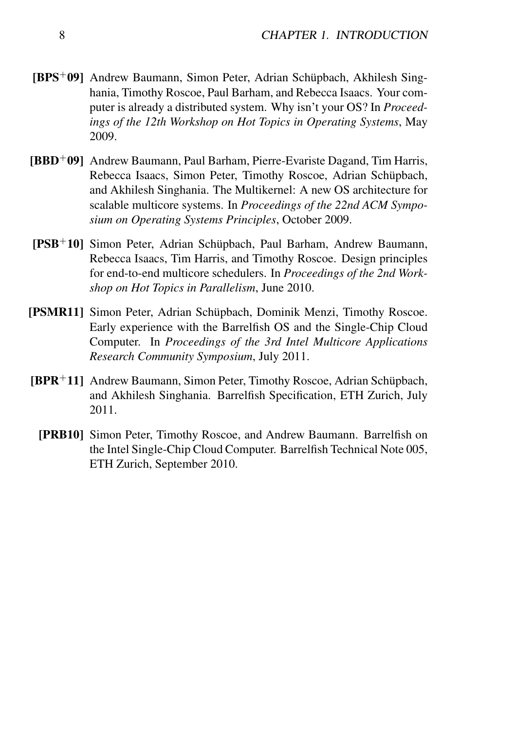- [BPS+09] Andrew Baumann, Simon Peter, Adrian Schüpbach, Akhilesh Singhania, Timothy Roscoe, Paul Barham, and Rebecca Isaacs. Your computer is already a distributed system. Why isn't your OS? In *Proceedings of the 12th Workshop on Hot Topics in Operating Systems*, May 2009.
- [BBD+09] Andrew Baumann, Paul Barham, Pierre-Evariste Dagand, Tim Harris, Rebecca Isaacs, Simon Peter, Timothy Roscoe, Adrian Schüpbach, and Akhilesh Singhania. The Multikernel: A new OS architecture for scalable multicore systems. In *Proceedings of the 22nd ACM Symposium on Operating Systems Principles*, October 2009.
- [PSB+10] Simon Peter, Adrian Schüpbach, Paul Barham, Andrew Baumann, Rebecca Isaacs, Tim Harris, and Timothy Roscoe. Design principles for end-to-end multicore schedulers. In *Proceedings of the 2nd Workshop on Hot Topics in Parallelism*, June 2010.
- [PSMR11] Simon Peter, Adrian Schüpbach, Dominik Menzi, Timothy Roscoe. Early experience with the Barrelfish OS and the Single-Chip Cloud Computer. In *Proceedings of the 3rd Intel Multicore Applications Research Community Symposium*, July 2011.
- [BPR+11] Andrew Baumann, Simon Peter, Timothy Roscoe, Adrian Schüpbach, and Akhilesh Singhania. Barrelfish Specification, ETH Zurich, July 2011.
	- [PRB10] Simon Peter, Timothy Roscoe, and Andrew Baumann. Barrelfish on the Intel Single-Chip Cloud Computer. Barrelfish Technical Note 005, ETH Zurich, September 2010.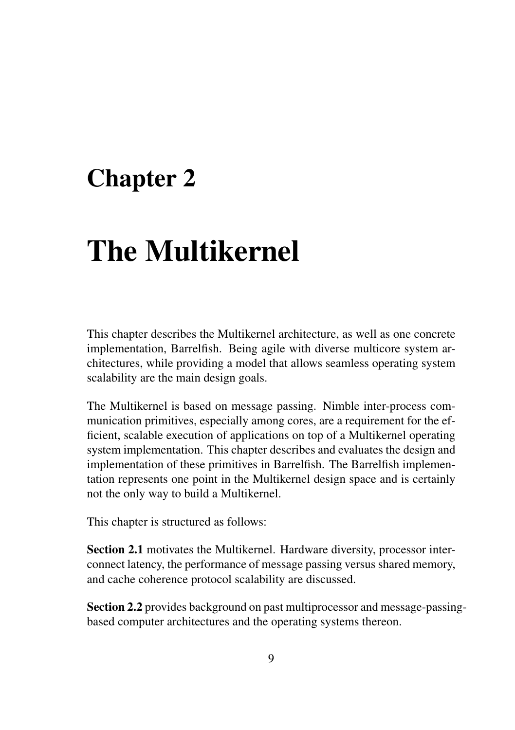# Chapter 2

# The Multikernel

This chapter describes the Multikernel architecture, as well as one concrete implementation, Barrelfish. Being agile with diverse multicore system architectures, while providing a model that allows seamless operating system scalability are the main design goals.

The Multikernel is based on message passing. Nimble inter-process communication primitives, especially among cores, are a requirement for the efficient, scalable execution of applications on top of a Multikernel operating system implementation. This chapter describes and evaluates the design and implementation of these primitives in Barrelfish. The Barrelfish implementation represents one point in the Multikernel design space and is certainly not the only way to build a Multikernel.

This chapter is structured as follows:

Section 2.1 motivates the Multikernel. Hardware diversity, processor interconnect latency, the performance of message passing versus shared memory, and cache coherence protocol scalability are discussed.

Section 2.2 provides background on past multiprocessor and message-passingbased computer architectures and the operating systems thereon.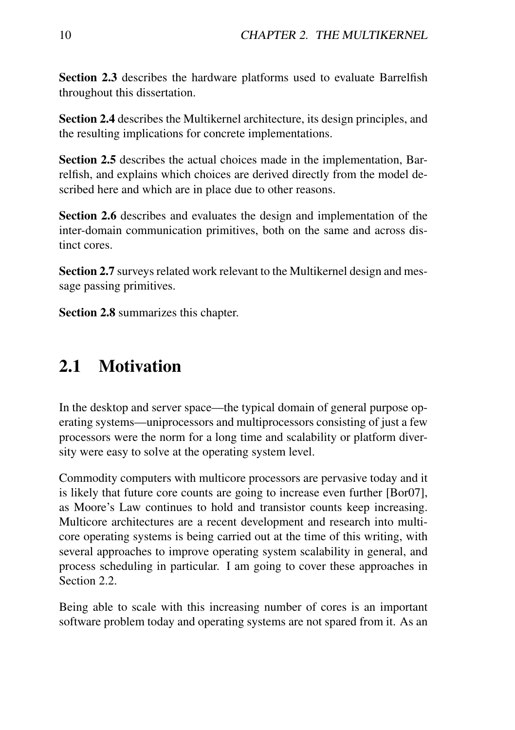Section 2.3 describes the hardware platforms used to evaluate Barrelfish throughout this dissertation.

Section 2.4 describes the Multikernel architecture, its design principles, and the resulting implications for concrete implementations.

Section 2.5 describes the actual choices made in the implementation, Barrelfish, and explains which choices are derived directly from the model described here and which are in place due to other reasons.

Section 2.6 describes and evaluates the design and implementation of the inter-domain communication primitives, both on the same and across distinct cores.

Section 2.7 surveys related work relevant to the Multikernel design and message passing primitives.

Section 2.8 summarizes this chapter.

# 2.1 Motivation

In the desktop and server space—the typical domain of general purpose operating systems—uniprocessors and multiprocessors consisting of just a few processors were the norm for a long time and scalability or platform diversity were easy to solve at the operating system level.

Commodity computers with multicore processors are pervasive today and it is likely that future core counts are going to increase even further [Bor07], as Moore's Law continues to hold and transistor counts keep increasing. Multicore architectures are a recent development and research into multicore operating systems is being carried out at the time of this writing, with several approaches to improve operating system scalability in general, and process scheduling in particular. I am going to cover these approaches in Section 2.2.

Being able to scale with this increasing number of cores is an important software problem today and operating systems are not spared from it. As an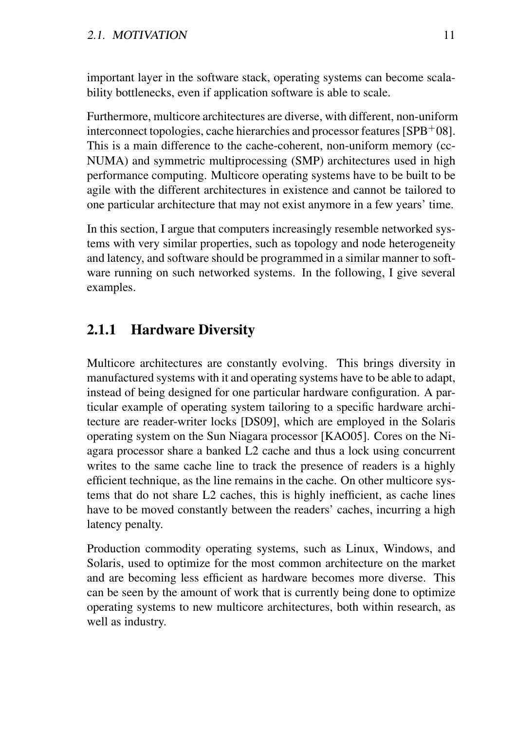important layer in the software stack, operating systems can become scalability bottlenecks, even if application software is able to scale.

Furthermore, multicore architectures are diverse, with different, non-uniform interconnect topologies, cache hierarchies and processor features [SPB+08]. This is a main difference to the cache-coherent, non-uniform memory (cc-NUMA) and symmetric multiprocessing (SMP) architectures used in high performance computing. Multicore operating systems have to be built to be agile with the different architectures in existence and cannot be tailored to one particular architecture that may not exist anymore in a few years' time.

In this section, I argue that computers increasingly resemble networked systems with very similar properties, such as topology and node heterogeneity and latency, and software should be programmed in a similar manner to software running on such networked systems. In the following, I give several examples.

# 2.1.1 Hardware Diversity

Multicore architectures are constantly evolving. This brings diversity in manufactured systems with it and operating systems have to be able to adapt, instead of being designed for one particular hardware configuration. A particular example of operating system tailoring to a specific hardware architecture are reader-writer locks [DS09], which are employed in the Solaris operating system on the Sun Niagara processor [KAO05]. Cores on the Niagara processor share a banked L2 cache and thus a lock using concurrent writes to the same cache line to track the presence of readers is a highly efficient technique, as the line remains in the cache. On other multicore systems that do not share L2 caches, this is highly inefficient, as cache lines have to be moved constantly between the readers' caches, incurring a high latency penalty.

Production commodity operating systems, such as Linux, Windows, and Solaris, used to optimize for the most common architecture on the market and are becoming less efficient as hardware becomes more diverse. This can be seen by the amount of work that is currently being done to optimize operating systems to new multicore architectures, both within research, as well as industry.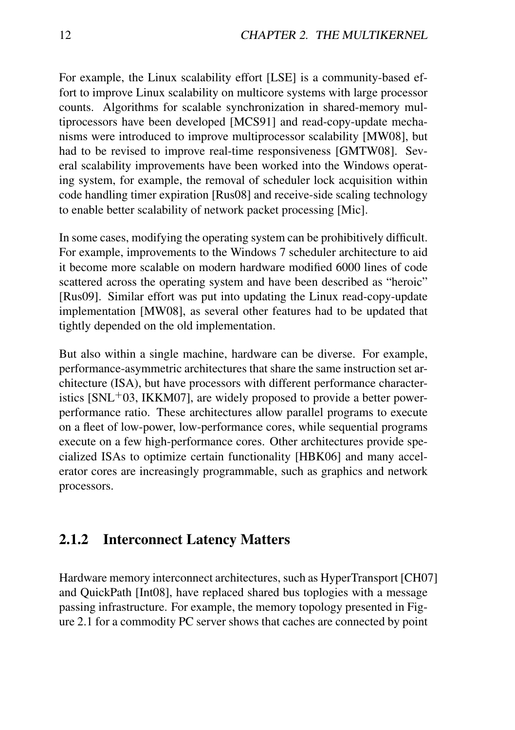For example, the Linux scalability effort [LSE] is a community-based effort to improve Linux scalability on multicore systems with large processor counts. Algorithms for scalable synchronization in shared-memory multiprocessors have been developed [MCS91] and read-copy-update mechanisms were introduced to improve multiprocessor scalability [MW08], but had to be revised to improve real-time responsiveness [GMTW08]. Several scalability improvements have been worked into the Windows operating system, for example, the removal of scheduler lock acquisition within code handling timer expiration [Rus08] and receive-side scaling technology to enable better scalability of network packet processing [Mic].

In some cases, modifying the operating system can be prohibitively difficult. For example, improvements to the Windows 7 scheduler architecture to aid it become more scalable on modern hardware modified 6000 lines of code scattered across the operating system and have been described as "heroic" [Rus09]. Similar effort was put into updating the Linux read-copy-update implementation [MW08], as several other features had to be updated that tightly depended on the old implementation.

But also within a single machine, hardware can be diverse. For example, performance-asymmetric architectures that share the same instruction set architecture (ISA), but have processors with different performance characteristics  $[SNL<sup>+</sup>03, IKKM07]$ , are widely proposed to provide a better powerperformance ratio. These architectures allow parallel programs to execute on a fleet of low-power, low-performance cores, while sequential programs execute on a few high-performance cores. Other architectures provide specialized ISAs to optimize certain functionality [HBK06] and many accelerator cores are increasingly programmable, such as graphics and network processors.

### 2.1.2 Interconnect Latency Matters

Hardware memory interconnect architectures, such as HyperTransport [CH07] and QuickPath [Int08], have replaced shared bus toplogies with a message passing infrastructure. For example, the memory topology presented in Figure 2.1 for a commodity PC server shows that caches are connected by point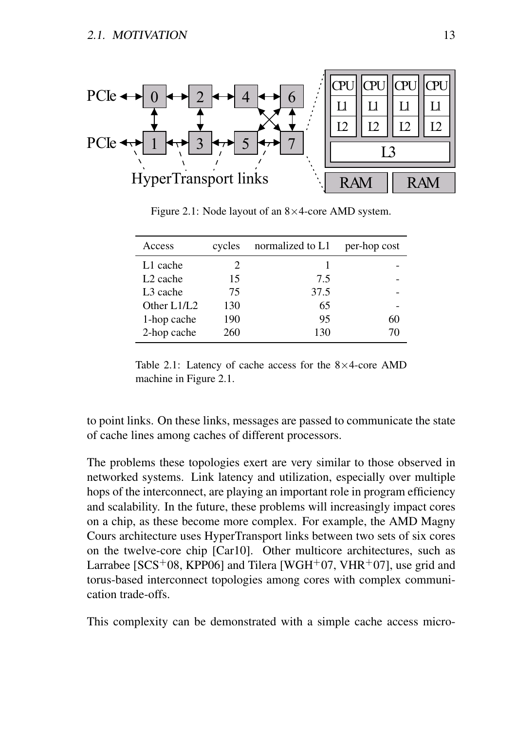

Figure 2.1: Node layout of an 8×4-core AMD system.

| Access               | cycles                        | normalized to L1 | per-hop cost |
|----------------------|-------------------------------|------------------|--------------|
| L1 cache             | $\mathfrak{D}_{\mathfrak{p}}$ |                  |              |
| L <sub>2</sub> cache | 15                            | 7.5              |              |
| L <sub>3</sub> cache | 75                            | 37.5             |              |
| Other L1/L2          | 130                           | 65               |              |
| 1-hop cache          | 190                           | 95               | 60           |
| 2-hop cache          | 260                           | 130              | 70           |

Table 2.1: Latency of cache access for the  $8\times4$ -core AMD machine in Figure 2.1.

to point links. On these links, messages are passed to communicate the state of cache lines among caches of different processors.

The problems these topologies exert are very similar to those observed in networked systems. Link latency and utilization, especially over multiple hops of the interconnect, are playing an important role in program efficiency and scalability. In the future, these problems will increasingly impact cores on a chip, as these become more complex. For example, the AMD Magny Cours architecture uses HyperTransport links between two sets of six cores on the twelve-core chip [Car10]. Other multicore architectures, such as Larrabee [ $SCS<sup>+</sup>08$ , KPP06] and Tilera [WGH<sup>+</sup>07, VHR<sup>+</sup>07], use grid and torus-based interconnect topologies among cores with complex communication trade-offs.

This complexity can be demonstrated with a simple cache access micro-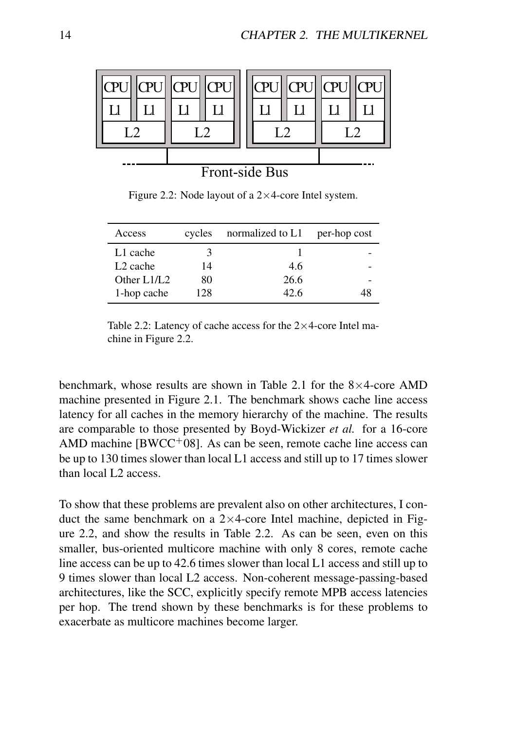

Front-side Bus

Figure 2.2: Node layout of a  $2\times 4$ -core Intel system.

| Access               | cycles | normalized to L1 | per-hop cost |
|----------------------|--------|------------------|--------------|
| L1 cache             |        |                  |              |
| L <sub>2</sub> cache | 14     | 4.6              |              |
| Other L1/L2          | 80     | 26.6             |              |
| 1-hop cache          | 128    | 42.6             | 48           |

Table 2.2: Latency of cache access for the  $2\times 4$ -core Intel machine in Figure 2.2.

benchmark, whose results are shown in Table 2.1 for the  $8\times4$ -core AMD machine presented in Figure 2.1. The benchmark shows cache line access latency for all caches in the memory hierarchy of the machine. The results are comparable to those presented by Boyd-Wickizer *et al.* for a 16-core AMD machine  $BWCC<sup>+</sup>08$ ]. As can be seen, remote cache line access can be up to 130 times slower than local L1 access and still up to 17 times slower than local L2 access.

To show that these problems are prevalent also on other architectures, I conduct the same benchmark on a  $2\times 4$ -core Intel machine, depicted in Figure 2.2, and show the results in Table 2.2. As can be seen, even on this smaller, bus-oriented multicore machine with only 8 cores, remote cache line access can be up to 42.6 times slower than local L1 access and still up to 9 times slower than local L2 access. Non-coherent message-passing-based architectures, like the SCC, explicitly specify remote MPB access latencies per hop. The trend shown by these benchmarks is for these problems to exacerbate as multicore machines become larger.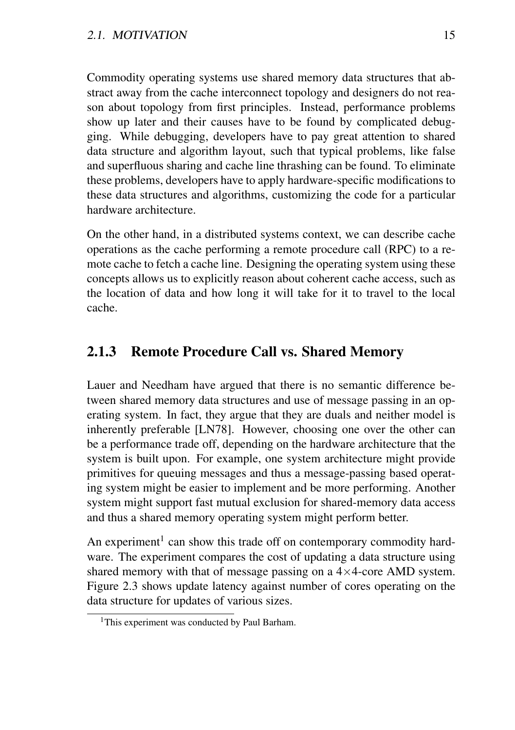Commodity operating systems use shared memory data structures that abstract away from the cache interconnect topology and designers do not reason about topology from first principles. Instead, performance problems show up later and their causes have to be found by complicated debugging. While debugging, developers have to pay great attention to shared data structure and algorithm layout, such that typical problems, like false and superfluous sharing and cache line thrashing can be found. To eliminate these problems, developers have to apply hardware-specific modifications to these data structures and algorithms, customizing the code for a particular hardware architecture.

On the other hand, in a distributed systems context, we can describe cache operations as the cache performing a remote procedure call (RPC) to a remote cache to fetch a cache line. Designing the operating system using these concepts allows us to explicitly reason about coherent cache access, such as the location of data and how long it will take for it to travel to the local cache.

#### 2.1.3 Remote Procedure Call vs. Shared Memory

Lauer and Needham have argued that there is no semantic difference between shared memory data structures and use of message passing in an operating system. In fact, they argue that they are duals and neither model is inherently preferable [LN78]. However, choosing one over the other can be a performance trade off, depending on the hardware architecture that the system is built upon. For example, one system architecture might provide primitives for queuing messages and thus a message-passing based operating system might be easier to implement and be more performing. Another system might support fast mutual exclusion for shared-memory data access and thus a shared memory operating system might perform better.

An experiment<sup>1</sup> can show this trade off on contemporary commodity hardware. The experiment compares the cost of updating a data structure using shared memory with that of message passing on a  $4\times4$ -core AMD system. Figure 2.3 shows update latency against number of cores operating on the data structure for updates of various sizes.

<sup>&</sup>lt;sup>1</sup>This experiment was conducted by Paul Barham.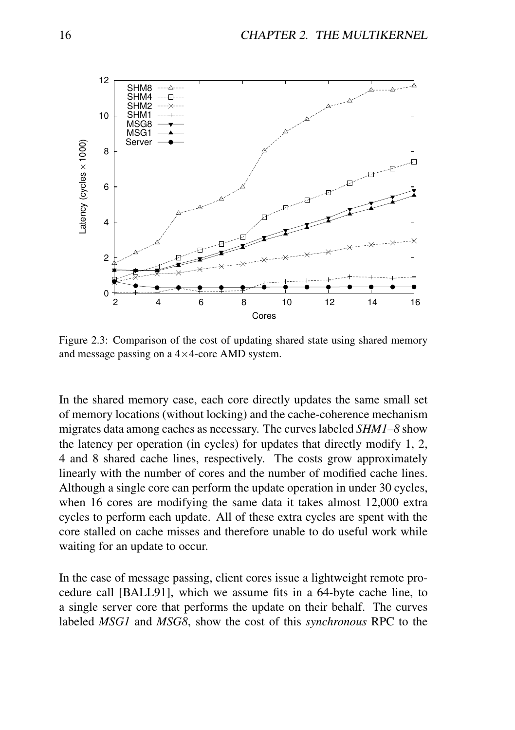

Figure 2.3: Comparison of the cost of updating shared state using shared memory and message passing on a 4×4-core AMD system.

In the shared memory case, each core directly updates the same small set of memory locations (without locking) and the cache-coherence mechanism migrates data among caches as necessary. The curves labeled *SHM1–8* show the latency per operation (in cycles) for updates that directly modify 1, 2, 4 and 8 shared cache lines, respectively. The costs grow approximately linearly with the number of cores and the number of modified cache lines. Although a single core can perform the update operation in under 30 cycles, when 16 cores are modifying the same data it takes almost 12,000 extra cycles to perform each update. All of these extra cycles are spent with the core stalled on cache misses and therefore unable to do useful work while waiting for an update to occur.

In the case of message passing, client cores issue a lightweight remote procedure call [BALL91], which we assume fits in a 64-byte cache line, to a single server core that performs the update on their behalf. The curves labeled *MSG1* and *MSG8*, show the cost of this *synchronous* RPC to the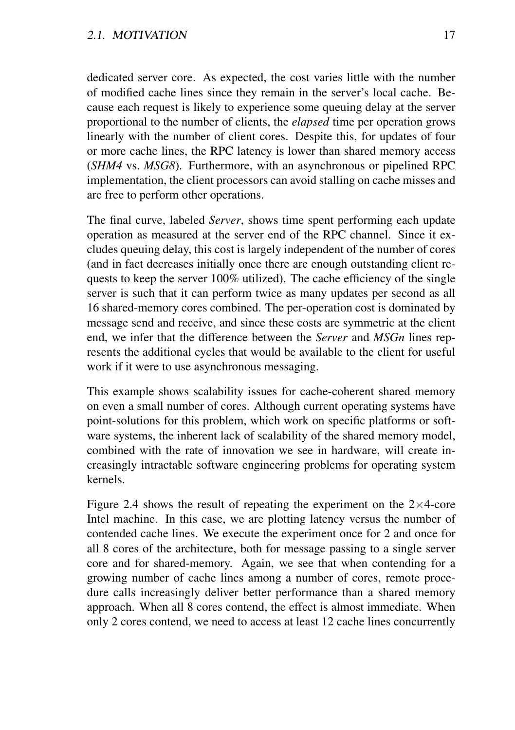dedicated server core. As expected, the cost varies little with the number of modified cache lines since they remain in the server's local cache. Because each request is likely to experience some queuing delay at the server proportional to the number of clients, the *elapsed* time per operation grows linearly with the number of client cores. Despite this, for updates of four or more cache lines, the RPC latency is lower than shared memory access (*SHM4* vs. *MSG8*). Furthermore, with an asynchronous or pipelined RPC implementation, the client processors can avoid stalling on cache misses and are free to perform other operations.

The final curve, labeled *Server*, shows time spent performing each update operation as measured at the server end of the RPC channel. Since it excludes queuing delay, this cost is largely independent of the number of cores (and in fact decreases initially once there are enough outstanding client requests to keep the server  $100\%$  utilized). The cache efficiency of the single server is such that it can perform twice as many updates per second as all 16 shared-memory cores combined. The per-operation cost is dominated by message send and receive, and since these costs are symmetric at the client end, we infer that the difference between the *Server* and *MSGn* lines represents the additional cycles that would be available to the client for useful work if it were to use asynchronous messaging.

This example shows scalability issues for cache-coherent shared memory on even a small number of cores. Although current operating systems have point-solutions for this problem, which work on specific platforms or software systems, the inherent lack of scalability of the shared memory model, combined with the rate of innovation we see in hardware, will create increasingly intractable software engineering problems for operating system kernels.

Figure 2.4 shows the result of repeating the experiment on the  $2\times4$ -core Intel machine. In this case, we are plotting latency versus the number of contended cache lines. We execute the experiment once for 2 and once for all 8 cores of the architecture, both for message passing to a single server core and for shared-memory. Again, we see that when contending for a growing number of cache lines among a number of cores, remote procedure calls increasingly deliver better performance than a shared memory approach. When all 8 cores contend, the effect is almost immediate. When only 2 cores contend, we need to access at least 12 cache lines concurrently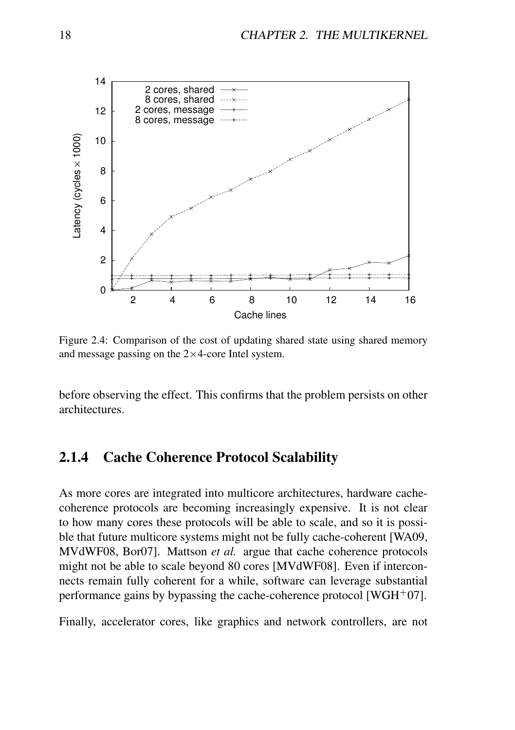

Figure 2.4: Comparison of the cost of updating shared state using shared memory and message passing on the  $2\times4$ -core Intel system.

before observing the effect. This confirms that the problem persists on other architectures.

#### 2.1.4 Cache Coherence Protocol Scalability

As more cores are integrated into multicore architectures, hardware cachecoherence protocols are becoming increasingly expensive. It is not clear to how many cores these protocols will be able to scale, and so it is possible that future multicore systems might not be fully cache-coherent [WA09, MVdWF08, Bor07]. Mattson *et al.* argue that cache coherence protocols might not be able to scale beyond 80 cores [MVdWF08]. Even if interconnects remain fully coherent for a while, software can leverage substantial performance gains by bypassing the cache-coherence protocol [WGH<sup>+</sup>07].

Finally, accelerator cores, like graphics and network controllers, are not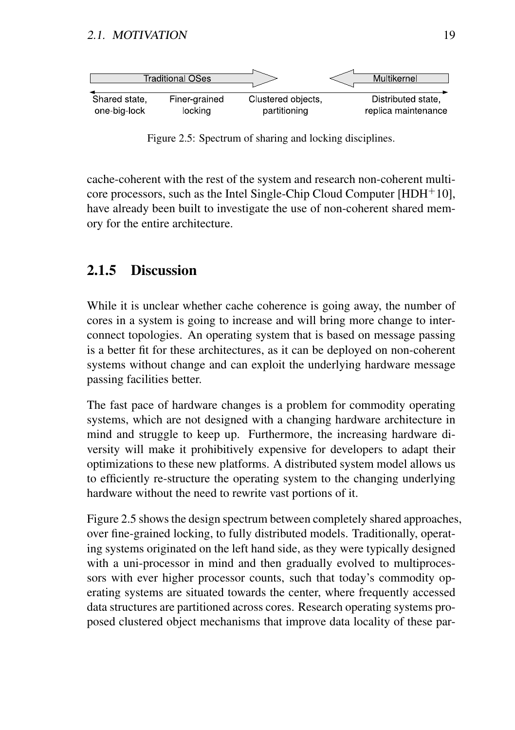

Figure 2.5: Spectrum of sharing and locking disciplines.

cache-coherent with the rest of the system and research non-coherent multicore processors, such as the Intel Single-Chip Cloud Computer [HDH<sup>+</sup>10], have already been built to investigate the use of non-coherent shared memory for the entire architecture.

### 2.1.5 Discussion

While it is unclear whether cache coherence is going away, the number of cores in a system is going to increase and will bring more change to interconnect topologies. An operating system that is based on message passing is a better fit for these architectures, as it can be deployed on non-coherent systems without change and can exploit the underlying hardware message passing facilities better.

The fast pace of hardware changes is a problem for commodity operating systems, which are not designed with a changing hardware architecture in mind and struggle to keep up. Furthermore, the increasing hardware diversity will make it prohibitively expensive for developers to adapt their optimizations to these new platforms. A distributed system model allows us to efficiently re-structure the operating system to the changing underlying hardware without the need to rewrite vast portions of it.

Figure 2.5 shows the design spectrum between completely shared approaches, over fine-grained locking, to fully distributed models. Traditionally, operating systems originated on the left hand side, as they were typically designed with a uni-processor in mind and then gradually evolved to multiprocessors with ever higher processor counts, such that today's commodity operating systems are situated towards the center, where frequently accessed data structures are partitioned across cores. Research operating systems proposed clustered object mechanisms that improve data locality of these par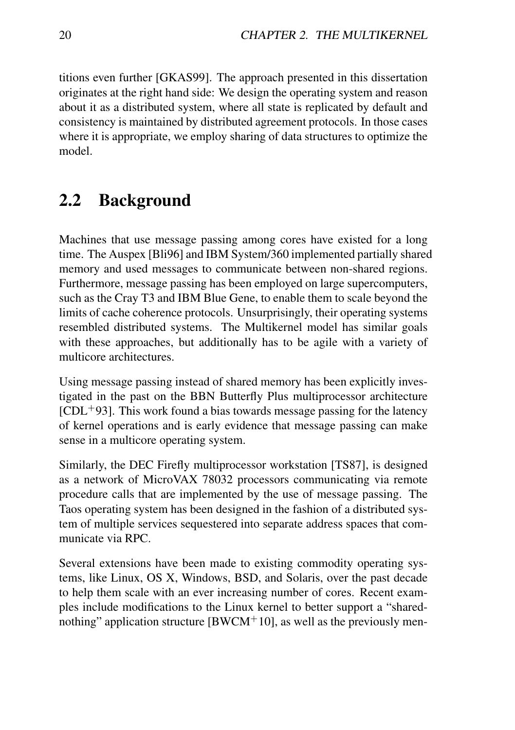titions even further [GKAS99]. The approach presented in this dissertation originates at the right hand side: We design the operating system and reason about it as a distributed system, where all state is replicated by default and consistency is maintained by distributed agreement protocols. In those cases where it is appropriate, we employ sharing of data structures to optimize the model.

# 2.2 Background

Machines that use message passing among cores have existed for a long time. The Auspex [Bli96] and IBM System/360 implemented partially shared memory and used messages to communicate between non-shared regions. Furthermore, message passing has been employed on large supercomputers, such as the Cray T3 and IBM Blue Gene, to enable them to scale beyond the limits of cache coherence protocols. Unsurprisingly, their operating systems resembled distributed systems. The Multikernel model has similar goals with these approaches, but additionally has to be agile with a variety of multicore architectures.

Using message passing instead of shared memory has been explicitly investigated in the past on the BBN Butterfly Plus multiprocessor architecture  $[CDL+93]$ . This work found a bias towards message passing for the latency of kernel operations and is early evidence that message passing can make sense in a multicore operating system.

Similarly, the DEC Firefly multiprocessor workstation [TS87], is designed as a network of MicroVAX 78032 processors communicating via remote procedure calls that are implemented by the use of message passing. The Taos operating system has been designed in the fashion of a distributed system of multiple services sequestered into separate address spaces that communicate via RPC.

Several extensions have been made to existing commodity operating systems, like Linux, OS X, Windows, BSD, and Solaris, over the past decade to help them scale with an ever increasing number of cores. Recent examples include modifications to the Linux kernel to better support a "sharednothing" application structure [BWCM+10], as well as the previously men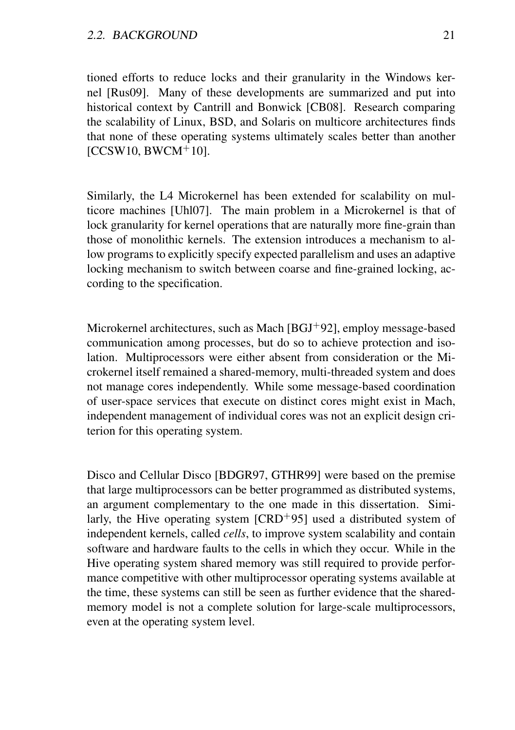tioned efforts to reduce locks and their granularity in the Windows kernel [Rus09]. Many of these developments are summarized and put into historical context by Cantrill and Bonwick [CB08]. Research comparing the scalability of Linux, BSD, and Solaris on multicore architectures finds that none of these operating systems ultimately scales better than another  $[CCSW10, BWCM<sup>+</sup>10]$ .

Similarly, the L4 Microkernel has been extended for scalability on multicore machines [Uhl07]. The main problem in a Microkernel is that of lock granularity for kernel operations that are naturally more fine-grain than those of monolithic kernels. The extension introduces a mechanism to allow programs to explicitly specify expected parallelism and uses an adaptive locking mechanism to switch between coarse and fine-grained locking, according to the specification.

Microkernel architectures, such as Mach [BGJ<sup>+</sup>92], employ message-based communication among processes, but do so to achieve protection and isolation. Multiprocessors were either absent from consideration or the Microkernel itself remained a shared-memory, multi-threaded system and does not manage cores independently. While some message-based coordination of user-space services that execute on distinct cores might exist in Mach, independent management of individual cores was not an explicit design criterion for this operating system.

Disco and Cellular Disco [BDGR97, GTHR99] were based on the premise that large multiprocessors can be better programmed as distributed systems, an argument complementary to the one made in this dissertation. Similarly, the Hive operating system  $[CRD+95]$  used a distributed system of independent kernels, called *cells*, to improve system scalability and contain software and hardware faults to the cells in which they occur. While in the Hive operating system shared memory was still required to provide performance competitive with other multiprocessor operating systems available at the time, these systems can still be seen as further evidence that the sharedmemory model is not a complete solution for large-scale multiprocessors, even at the operating system level.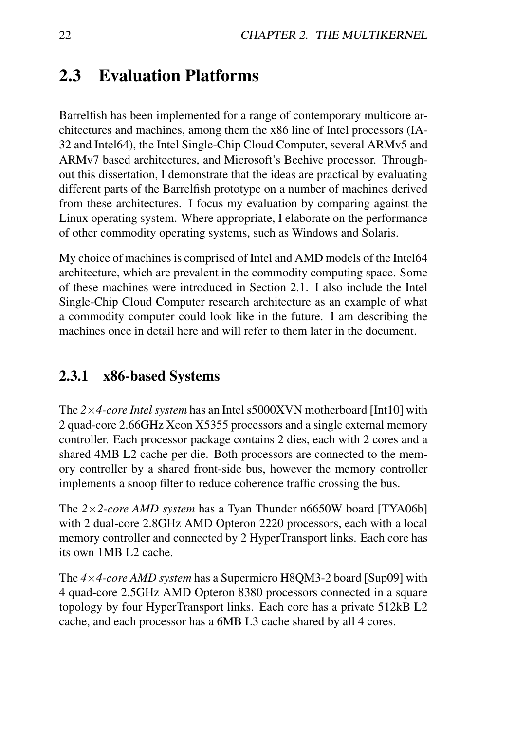# 2.3 Evaluation Platforms

Barrelfish has been implemented for a range of contemporary multicore architectures and machines, among them the x86 line of Intel processors (IA-32 and Intel64), the Intel Single-Chip Cloud Computer, several ARMv5 and ARMv7 based architectures, and Microsoft's Beehive processor. Throughout this dissertation, I demonstrate that the ideas are practical by evaluating different parts of the Barrelfish prototype on a number of machines derived from these architectures. I focus my evaluation by comparing against the Linux operating system. Where appropriate, I elaborate on the performance of other commodity operating systems, such as Windows and Solaris.

My choice of machines is comprised of Intel and AMD models of the Intel64 architecture, which are prevalent in the commodity computing space. Some of these machines were introduced in Section 2.1. I also include the Intel Single-Chip Cloud Computer research architecture as an example of what a commodity computer could look like in the future. I am describing the machines once in detail here and will refer to them later in the document.

### 2.3.1 x86-based Systems

The *2*×*4-core Intel system* has an Intel s5000XVN motherboard [Int10] with 2 quad-core 2.66GHz Xeon X5355 processors and a single external memory controller. Each processor package contains 2 dies, each with 2 cores and a shared 4MB L2 cache per die. Both processors are connected to the memory controller by a shared front-side bus, however the memory controller implements a snoop filter to reduce coherence traffic crossing the bus.

The *2*×*2-core AMD system* has a Tyan Thunder n6650W board [TYA06b] with 2 dual-core 2.8GHz AMD Opteron 2220 processors, each with a local memory controller and connected by 2 HyperTransport links. Each core has its own 1MB L2 cache.

The *4*×*4-core AMD system* has a Supermicro H8QM3-2 board [Sup09] with 4 quad-core 2.5GHz AMD Opteron 8380 processors connected in a square topology by four HyperTransport links. Each core has a private 512kB L2 cache, and each processor has a 6MB L3 cache shared by all 4 cores.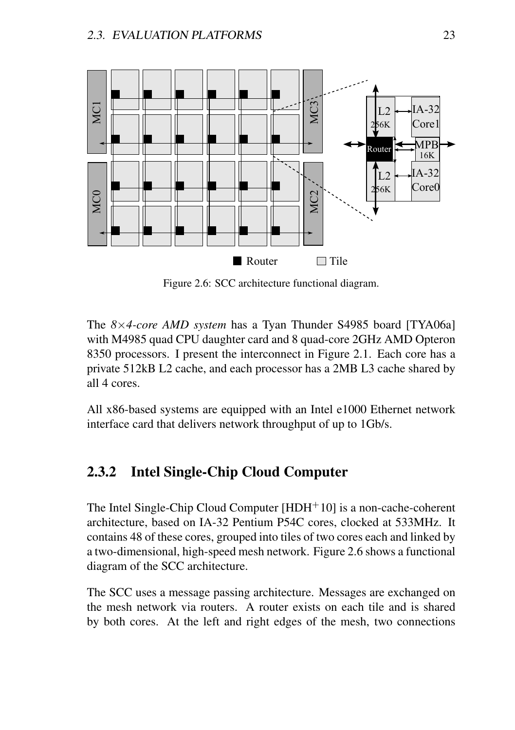

Figure 2.6: SCC architecture functional diagram.

The *8*×*4-core AMD system* has a Tyan Thunder S4985 board [TYA06a] with M4985 quad CPU daughter card and 8 quad-core 2GHz AMD Opteron 8350 processors. I present the interconnect in Figure 2.1. Each core has a private 512kB L2 cache, and each processor has a 2MB L3 cache shared by all 4 cores.

All x86-based systems are equipped with an Intel e1000 Ethernet network interface card that delivers network throughput of up to 1Gb/s.

### 2.3.2 Intel Single-Chip Cloud Computer

The Intel Single-Chip Cloud Computer  $[HDH<sup>+</sup>10]$  is a non-cache-coherent architecture, based on IA-32 Pentium P54C cores, clocked at 533MHz. It contains 48 of these cores, grouped into tiles of two cores each and linked by a two-dimensional, high-speed mesh network. Figure 2.6 shows a functional diagram of the SCC architecture.

The SCC uses a message passing architecture. Messages are exchanged on the mesh network via routers. A router exists on each tile and is shared by both cores. At the left and right edges of the mesh, two connections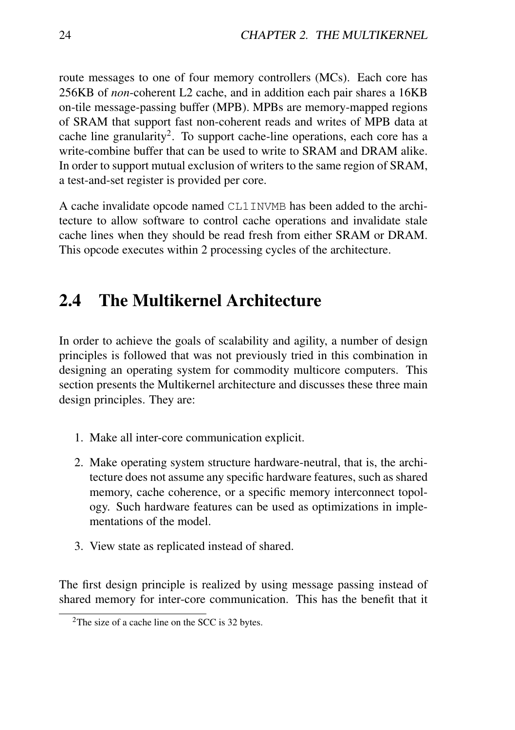route messages to one of four memory controllers (MCs). Each core has 256KB of *non*-coherent L2 cache, and in addition each pair shares a 16KB on-tile message-passing buffer (MPB). MPBs are memory-mapped regions of SRAM that support fast non-coherent reads and writes of MPB data at cache line granularity<sup>2</sup>. To support cache-line operations, each core has a write-combine buffer that can be used to write to SRAM and DRAM alike. In order to support mutual exclusion of writers to the same region of SRAM, a test-and-set register is provided per core.

A cache invalidate opcode named CL1INVMB has been added to the architecture to allow software to control cache operations and invalidate stale cache lines when they should be read fresh from either SRAM or DRAM. This opcode executes within 2 processing cycles of the architecture.

# 2.4 The Multikernel Architecture

In order to achieve the goals of scalability and agility, a number of design principles is followed that was not previously tried in this combination in designing an operating system for commodity multicore computers. This section presents the Multikernel architecture and discusses these three main design principles. They are:

- 1. Make all inter-core communication explicit.
- 2. Make operating system structure hardware-neutral, that is, the architecture does not assume any specific hardware features, such as shared memory, cache coherence, or a specific memory interconnect topology. Such hardware features can be used as optimizations in implementations of the model.
- 3. View state as replicated instead of shared.

The first design principle is realized by using message passing instead of shared memory for inter-core communication. This has the benefit that it

<sup>2</sup>The size of a cache line on the SCC is 32 bytes.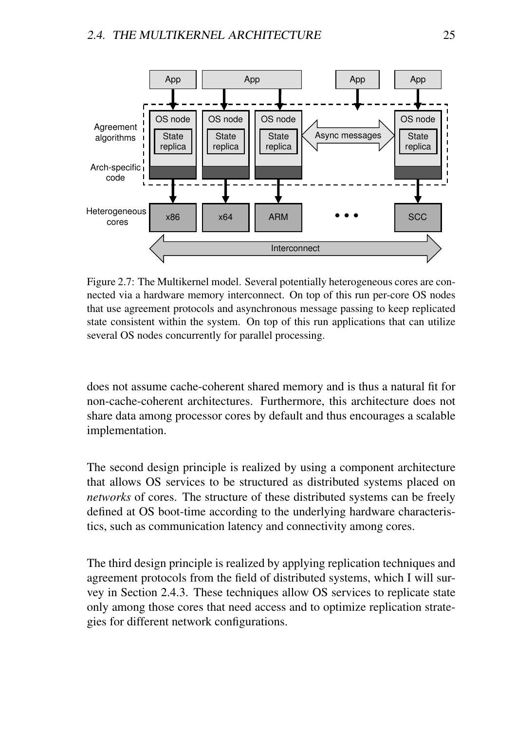

Figure 2.7: The Multikernel model. Several potentially heterogeneous cores are connected via a hardware memory interconnect. On top of this run per-core OS nodes that use agreement protocols and asynchronous message passing to keep replicated state consistent within the system. On top of this run applications that can utilize several OS nodes concurrently for parallel processing.

does not assume cache-coherent shared memory and is thus a natural fit for non-cache-coherent architectures. Furthermore, this architecture does not share data among processor cores by default and thus encourages a scalable implementation.

The second design principle is realized by using a component architecture that allows OS services to be structured as distributed systems placed on *networks* of cores. The structure of these distributed systems can be freely defined at OS boot-time according to the underlying hardware characteristics, such as communication latency and connectivity among cores.

The third design principle is realized by applying replication techniques and agreement protocols from the field of distributed systems, which I will survey in Section 2.4.3. These techniques allow OS services to replicate state only among those cores that need access and to optimize replication strategies for different network configurations.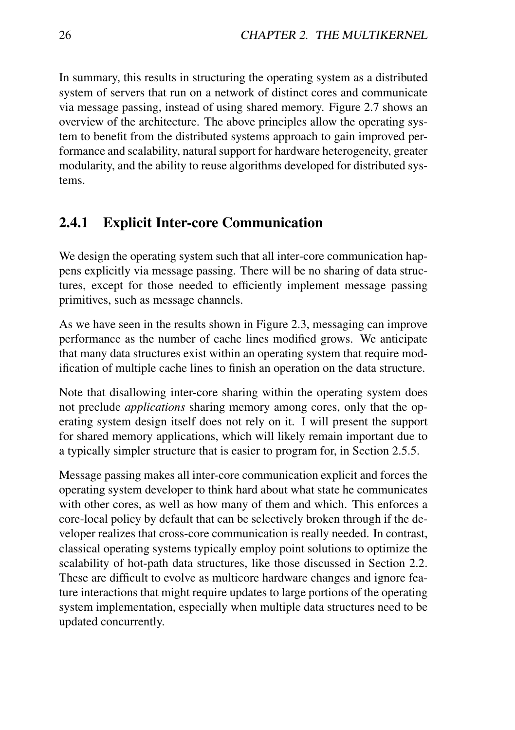In summary, this results in structuring the operating system as a distributed system of servers that run on a network of distinct cores and communicate via message passing, instead of using shared memory. Figure 2.7 shows an overview of the architecture. The above principles allow the operating system to benefit from the distributed systems approach to gain improved performance and scalability, natural support for hardware heterogeneity, greater modularity, and the ability to reuse algorithms developed for distributed systems.

## 2.4.1 Explicit Inter-core Communication

We design the operating system such that all inter-core communication happens explicitly via message passing. There will be no sharing of data structures, except for those needed to efficiently implement message passing primitives, such as message channels.

As we have seen in the results shown in Figure 2.3, messaging can improve performance as the number of cache lines modified grows. We anticipate that many data structures exist within an operating system that require modification of multiple cache lines to finish an operation on the data structure.

Note that disallowing inter-core sharing within the operating system does not preclude *applications* sharing memory among cores, only that the operating system design itself does not rely on it. I will present the support for shared memory applications, which will likely remain important due to a typically simpler structure that is easier to program for, in Section 2.5.5.

Message passing makes all inter-core communication explicit and forces the operating system developer to think hard about what state he communicates with other cores, as well as how many of them and which. This enforces a core-local policy by default that can be selectively broken through if the developer realizes that cross-core communication is really needed. In contrast, classical operating systems typically employ point solutions to optimize the scalability of hot-path data structures, like those discussed in Section 2.2. These are difficult to evolve as multicore hardware changes and ignore feature interactions that might require updates to large portions of the operating system implementation, especially when multiple data structures need to be updated concurrently.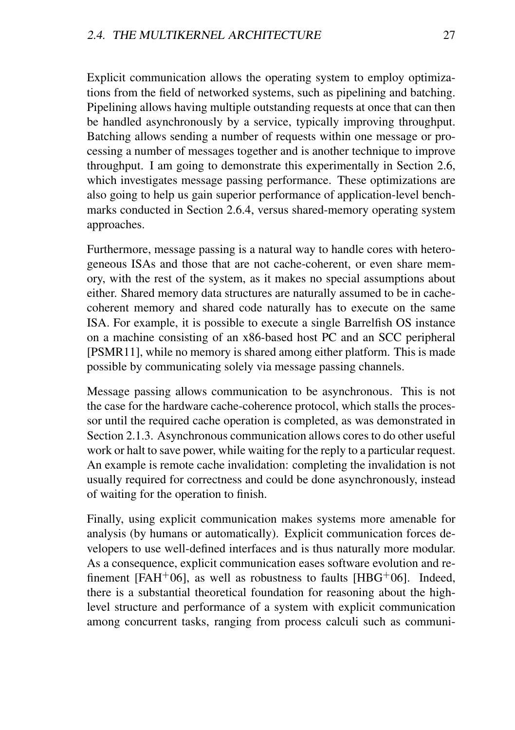Explicit communication allows the operating system to employ optimizations from the field of networked systems, such as pipelining and batching. Pipelining allows having multiple outstanding requests at once that can then be handled asynchronously by a service, typically improving throughput. Batching allows sending a number of requests within one message or processing a number of messages together and is another technique to improve throughput. I am going to demonstrate this experimentally in Section 2.6, which investigates message passing performance. These optimizations are also going to help us gain superior performance of application-level benchmarks conducted in Section 2.6.4, versus shared-memory operating system approaches.

Furthermore, message passing is a natural way to handle cores with heterogeneous ISAs and those that are not cache-coherent, or even share memory, with the rest of the system, as it makes no special assumptions about either. Shared memory data structures are naturally assumed to be in cachecoherent memory and shared code naturally has to execute on the same ISA. For example, it is possible to execute a single Barrelfish OS instance on a machine consisting of an x86-based host PC and an SCC peripheral [PSMR11], while no memory is shared among either platform. This is made possible by communicating solely via message passing channels.

Message passing allows communication to be asynchronous. This is not the case for the hardware cache-coherence protocol, which stalls the processor until the required cache operation is completed, as was demonstrated in Section 2.1.3. Asynchronous communication allows cores to do other useful work or halt to save power, while waiting for the reply to a particular request. An example is remote cache invalidation: completing the invalidation is not usually required for correctness and could be done asynchronously, instead of waiting for the operation to finish.

Finally, using explicit communication makes systems more amenable for analysis (by humans or automatically). Explicit communication forces developers to use well-defined interfaces and is thus naturally more modular. As a consequence, explicit communication eases software evolution and refinement [FAH+06], as well as robustness to faults [HBG+06]. Indeed, there is a substantial theoretical foundation for reasoning about the highlevel structure and performance of a system with explicit communication among concurrent tasks, ranging from process calculi such as communi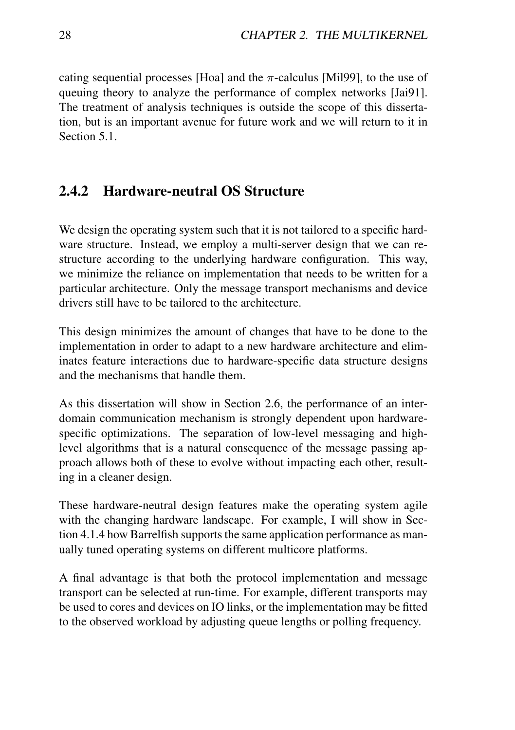cating sequential processes [Hoa] and the  $\pi$ -calculus [Mil99], to the use of queuing theory to analyze the performance of complex networks [Jai91]. The treatment of analysis techniques is outside the scope of this dissertation, but is an important avenue for future work and we will return to it in Section 5.1.

### 2.4.2 Hardware-neutral OS Structure

We design the operating system such that it is not tailored to a specific hardware structure. Instead, we employ a multi-server design that we can restructure according to the underlying hardware configuration. This way, we minimize the reliance on implementation that needs to be written for a particular architecture. Only the message transport mechanisms and device drivers still have to be tailored to the architecture.

This design minimizes the amount of changes that have to be done to the implementation in order to adapt to a new hardware architecture and eliminates feature interactions due to hardware-specific data structure designs and the mechanisms that handle them.

As this dissertation will show in Section 2.6, the performance of an interdomain communication mechanism is strongly dependent upon hardwarespecific optimizations. The separation of low-level messaging and highlevel algorithms that is a natural consequence of the message passing approach allows both of these to evolve without impacting each other, resulting in a cleaner design.

These hardware-neutral design features make the operating system agile with the changing hardware landscape. For example, I will show in Section 4.1.4 how Barrelfish supports the same application performance as manually tuned operating systems on different multicore platforms.

A final advantage is that both the protocol implementation and message transport can be selected at run-time. For example, different transports may be used to cores and devices on IO links, or the implementation may be fitted to the observed workload by adjusting queue lengths or polling frequency.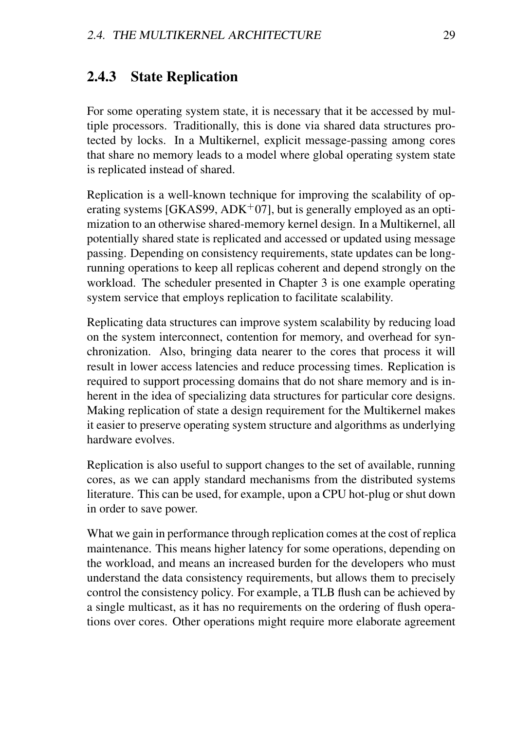### 2.4.3 State Replication

For some operating system state, it is necessary that it be accessed by multiple processors. Traditionally, this is done via shared data structures protected by locks. In a Multikernel, explicit message-passing among cores that share no memory leads to a model where global operating system state is replicated instead of shared.

Replication is a well-known technique for improving the scalability of operating systems [GKAS99,  $ADK<sup>+</sup>07$ ], but is generally employed as an optimization to an otherwise shared-memory kernel design. In a Multikernel, all potentially shared state is replicated and accessed or updated using message passing. Depending on consistency requirements, state updates can be longrunning operations to keep all replicas coherent and depend strongly on the workload. The scheduler presented in Chapter 3 is one example operating system service that employs replication to facilitate scalability.

Replicating data structures can improve system scalability by reducing load on the system interconnect, contention for memory, and overhead for synchronization. Also, bringing data nearer to the cores that process it will result in lower access latencies and reduce processing times. Replication is required to support processing domains that do not share memory and is inherent in the idea of specializing data structures for particular core designs. Making replication of state a design requirement for the Multikernel makes it easier to preserve operating system structure and algorithms as underlying hardware evolves.

Replication is also useful to support changes to the set of available, running cores, as we can apply standard mechanisms from the distributed systems literature. This can be used, for example, upon a CPU hot-plug or shut down in order to save power.

What we gain in performance through replication comes at the cost of replica maintenance. This means higher latency for some operations, depending on the workload, and means an increased burden for the developers who must understand the data consistency requirements, but allows them to precisely control the consistency policy. For example, a TLB flush can be achieved by a single multicast, as it has no requirements on the ordering of flush operations over cores. Other operations might require more elaborate agreement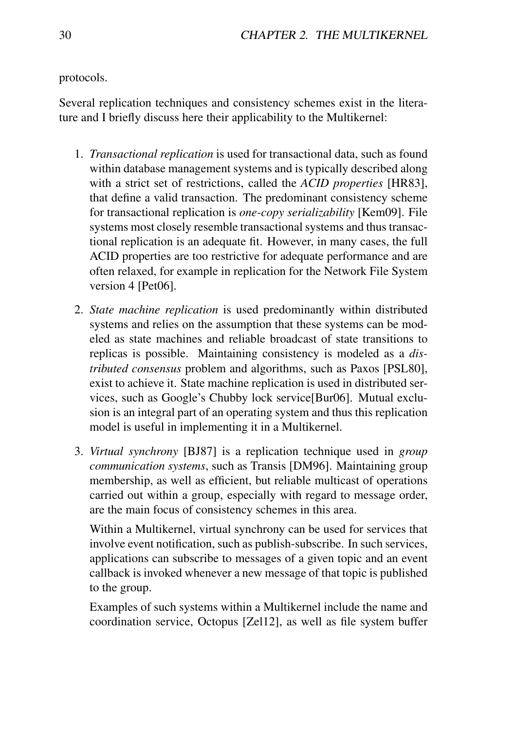protocols.

Several replication techniques and consistency schemes exist in the literature and I briefly discuss here their applicability to the Multikernel:

- 1. *Transactional replication* is used for transactional data, such as found within database management systems and is typically described along with a strict set of restrictions, called the *ACID properties* [HR83], that define a valid transaction. The predominant consistency scheme for transactional replication is *one-copy serializability* [Kem09]. File systems most closely resemble transactional systems and thus transactional replication is an adequate fit. However, in many cases, the full ACID properties are too restrictive for adequate performance and are often relaxed, for example in replication for the Network File System version 4 [Pet06].
- 2. *State machine replication* is used predominantly within distributed systems and relies on the assumption that these systems can be modeled as state machines and reliable broadcast of state transitions to replicas is possible. Maintaining consistency is modeled as a *distributed consensus* problem and algorithms, such as Paxos [PSL80], exist to achieve it. State machine replication is used in distributed services, such as Google's Chubby lock service[Bur06]. Mutual exclusion is an integral part of an operating system and thus this replication model is useful in implementing it in a Multikernel.
- 3. *Virtual synchrony* [BJ87] is a replication technique used in *group communication systems*, such as Transis [DM96]. Maintaining group membership, as well as efficient, but reliable multicast of operations carried out within a group, especially with regard to message order, are the main focus of consistency schemes in this area.

Within a Multikernel, virtual synchrony can be used for services that involve event notification, such as publish-subscribe. In such services, applications can subscribe to messages of a given topic and an event callback is invoked whenever a new message of that topic is published to the group.

Examples of such systems within a Multikernel include the name and coordination service, Octopus [Zel12], as well as file system buffer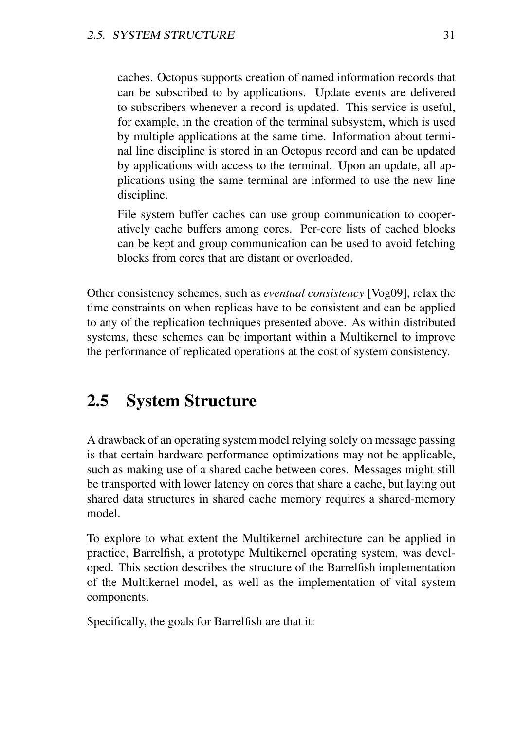caches. Octopus supports creation of named information records that can be subscribed to by applications. Update events are delivered to subscribers whenever a record is updated. This service is useful, for example, in the creation of the terminal subsystem, which is used by multiple applications at the same time. Information about terminal line discipline is stored in an Octopus record and can be updated by applications with access to the terminal. Upon an update, all applications using the same terminal are informed to use the new line discipline.

File system buffer caches can use group communication to cooperatively cache buffers among cores. Per-core lists of cached blocks can be kept and group communication can be used to avoid fetching blocks from cores that are distant or overloaded.

Other consistency schemes, such as *eventual consistency* [Vog09], relax the time constraints on when replicas have to be consistent and can be applied to any of the replication techniques presented above. As within distributed systems, these schemes can be important within a Multikernel to improve the performance of replicated operations at the cost of system consistency.

# 2.5 System Structure

A drawback of an operating system model relying solely on message passing is that certain hardware performance optimizations may not be applicable, such as making use of a shared cache between cores. Messages might still be transported with lower latency on cores that share a cache, but laying out shared data structures in shared cache memory requires a shared-memory model.

To explore to what extent the Multikernel architecture can be applied in practice, Barrelfish, a prototype Multikernel operating system, was developed. This section describes the structure of the Barrelfish implementation of the Multikernel model, as well as the implementation of vital system components.

Specifically, the goals for Barrelfish are that it: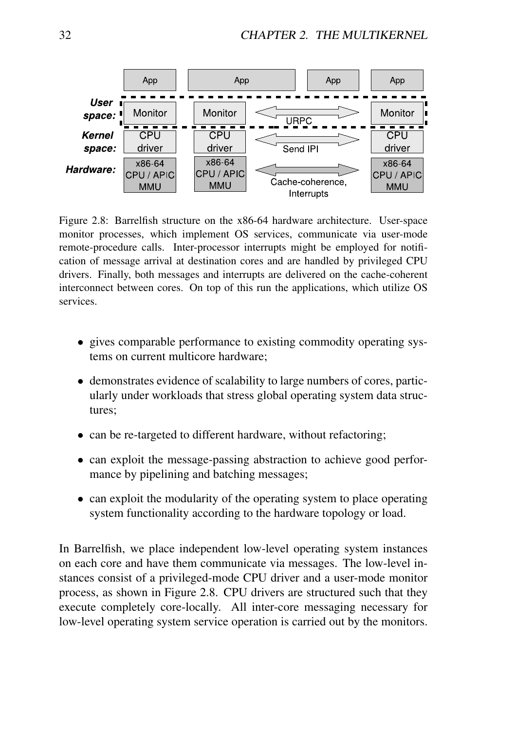

Figure 2.8: Barrelfish structure on the x86-64 hardware architecture. User-space monitor processes, which implement OS services, communicate via user-mode remote-procedure calls. Inter-processor interrupts might be employed for notification of message arrival at destination cores and are handled by privileged CPU drivers. Finally, both messages and interrupts are delivered on the cache-coherent interconnect between cores. On top of this run the applications, which utilize OS services.

- gives comparable performance to existing commodity operating systems on current multicore hardware;
- demonstrates evidence of scalability to large numbers of cores, particularly under workloads that stress global operating system data structures;
- can be re-targeted to different hardware, without refactoring;
- can exploit the message-passing abstraction to achieve good performance by pipelining and batching messages;
- can exploit the modularity of the operating system to place operating system functionality according to the hardware topology or load.

In Barrelfish, we place independent low-level operating system instances on each core and have them communicate via messages. The low-level instances consist of a privileged-mode CPU driver and a user-mode monitor process, as shown in Figure 2.8. CPU drivers are structured such that they execute completely core-locally. All inter-core messaging necessary for low-level operating system service operation is carried out by the monitors.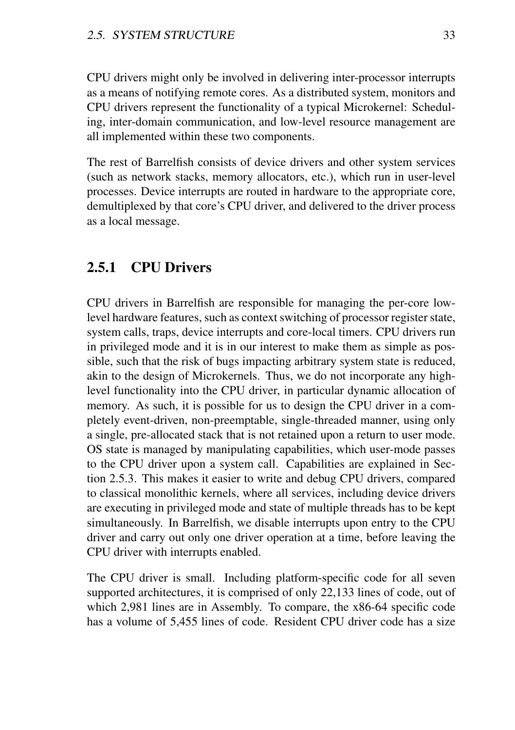CPU drivers might only be involved in delivering inter-processor interrupts as a means of notifying remote cores. As a distributed system, monitors and CPU drivers represent the functionality of a typical Microkernel: Scheduling, inter-domain communication, and low-level resource management are all implemented within these two components.

The rest of Barrelfish consists of device drivers and other system services (such as network stacks, memory allocators, etc.), which run in user-level processes. Device interrupts are routed in hardware to the appropriate core, demultiplexed by that core's CPU driver, and delivered to the driver process as a local message.

### 2.5.1 CPU Drivers

CPU drivers in Barrelfish are responsible for managing the per-core lowlevel hardware features, such as context switching of processor register state, system calls, traps, device interrupts and core-local timers. CPU drivers run in privileged mode and it is in our interest to make them as simple as possible, such that the risk of bugs impacting arbitrary system state is reduced, akin to the design of Microkernels. Thus, we do not incorporate any highlevel functionality into the CPU driver, in particular dynamic allocation of memory. As such, it is possible for us to design the CPU driver in a completely event-driven, non-preemptable, single-threaded manner, using only a single, pre-allocated stack that is not retained upon a return to user mode. OS state is managed by manipulating capabilities, which user-mode passes to the CPU driver upon a system call. Capabilities are explained in Section 2.5.3. This makes it easier to write and debug CPU drivers, compared to classical monolithic kernels, where all services, including device drivers are executing in privileged mode and state of multiple threads has to be kept simultaneously. In Barrelfish, we disable interrupts upon entry to the CPU driver and carry out only one driver operation at a time, before leaving the CPU driver with interrupts enabled.

The CPU driver is small. Including platform-specific code for all seven supported architectures, it is comprised of only 22,133 lines of code, out of which 2,981 lines are in Assembly. To compare, the x86-64 specific code has a volume of 5,455 lines of code. Resident CPU driver code has a size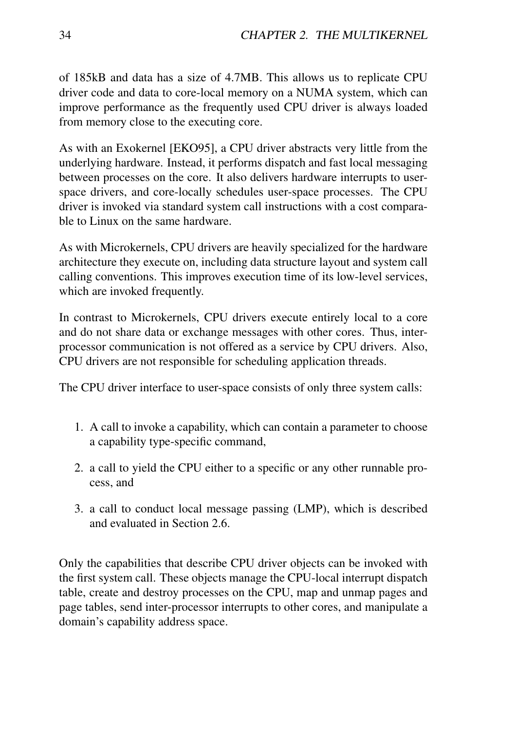of 185kB and data has a size of 4.7MB. This allows us to replicate CPU driver code and data to core-local memory on a NUMA system, which can improve performance as the frequently used CPU driver is always loaded from memory close to the executing core.

As with an Exokernel [EKO95], a CPU driver abstracts very little from the underlying hardware. Instead, it performs dispatch and fast local messaging between processes on the core. It also delivers hardware interrupts to userspace drivers, and core-locally schedules user-space processes. The CPU driver is invoked via standard system call instructions with a cost comparable to Linux on the same hardware.

As with Microkernels, CPU drivers are heavily specialized for the hardware architecture they execute on, including data structure layout and system call calling conventions. This improves execution time of its low-level services, which are invoked frequently.

In contrast to Microkernels, CPU drivers execute entirely local to a core and do not share data or exchange messages with other cores. Thus, interprocessor communication is not offered as a service by CPU drivers. Also, CPU drivers are not responsible for scheduling application threads.

The CPU driver interface to user-space consists of only three system calls:

- 1. A call to invoke a capability, which can contain a parameter to choose a capability type-specific command,
- 2. a call to yield the CPU either to a specific or any other runnable process, and
- 3. a call to conduct local message passing (LMP), which is described and evaluated in Section 2.6.

Only the capabilities that describe CPU driver objects can be invoked with the first system call. These objects manage the CPU-local interrupt dispatch table, create and destroy processes on the CPU, map and unmap pages and page tables, send inter-processor interrupts to other cores, and manipulate a domain's capability address space.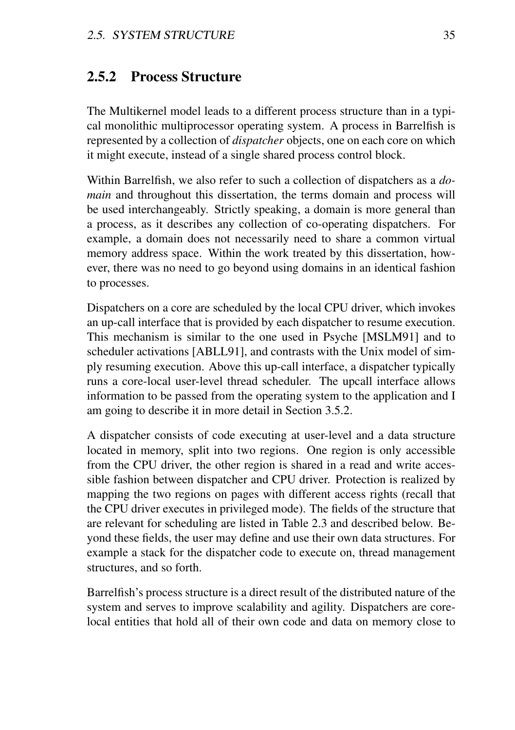### 2.5.2 Process Structure

The Multikernel model leads to a different process structure than in a typical monolithic multiprocessor operating system. A process in Barrelfish is represented by a collection of *dispatcher* objects, one on each core on which it might execute, instead of a single shared process control block.

Within Barrelfish, we also refer to such a collection of dispatchers as a *domain* and throughout this dissertation, the terms domain and process will be used interchangeably. Strictly speaking, a domain is more general than a process, as it describes any collection of co-operating dispatchers. For example, a domain does not necessarily need to share a common virtual memory address space. Within the work treated by this dissertation, however, there was no need to go beyond using domains in an identical fashion to processes.

Dispatchers on a core are scheduled by the local CPU driver, which invokes an up-call interface that is provided by each dispatcher to resume execution. This mechanism is similar to the one used in Psyche [MSLM91] and to scheduler activations [ABLL91], and contrasts with the Unix model of simply resuming execution. Above this up-call interface, a dispatcher typically runs a core-local user-level thread scheduler. The upcall interface allows information to be passed from the operating system to the application and I am going to describe it in more detail in Section 3.5.2.

A dispatcher consists of code executing at user-level and a data structure located in memory, split into two regions. One region is only accessible from the CPU driver, the other region is shared in a read and write accessible fashion between dispatcher and CPU driver. Protection is realized by mapping the two regions on pages with different access rights (recall that the CPU driver executes in privileged mode). The fields of the structure that are relevant for scheduling are listed in Table 2.3 and described below. Beyond these fields, the user may define and use their own data structures. For example a stack for the dispatcher code to execute on, thread management structures, and so forth.

Barrelfish's process structure is a direct result of the distributed nature of the system and serves to improve scalability and agility. Dispatchers are corelocal entities that hold all of their own code and data on memory close to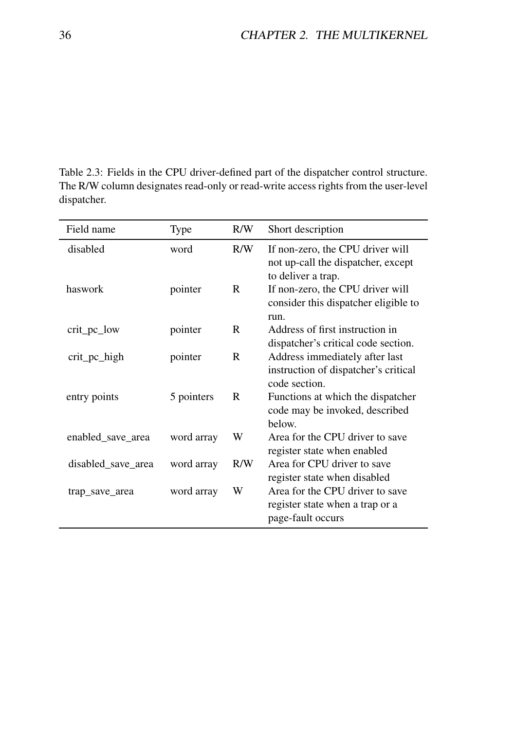Table 2.3: Fields in the CPU driver-defined part of the dispatcher control structure. The R/W column designates read-only or read-write access rights from the user-level dispatcher.

| Field name         | Type       | R/W | Short description                                                                            |
|--------------------|------------|-----|----------------------------------------------------------------------------------------------|
| disabled           | word       | R/W | If non-zero, the CPU driver will<br>not up-call the dispatcher, except<br>to deliver a trap. |
| haswork            | pointer    | R   | If non-zero, the CPU driver will<br>consider this dispatcher eligible to<br>run.             |
| crit_pc_low        | pointer    | R   | Address of first instruction in<br>dispatcher's critical code section.                       |
| crit_pc_high       | pointer    | R   | Address immediately after last<br>instruction of dispatcher's critical<br>code section.      |
| entry points       | 5 pointers | R   | Functions at which the dispatcher<br>code may be invoked, described<br>helow.                |
| enabled save area  | word array | W   | Area for the CPU driver to save<br>register state when enabled                               |
| disabled_save_area | word array | R/W | Area for CPU driver to save<br>register state when disabled                                  |
| trap_save_area     | word array | W   | Area for the CPU driver to save<br>register state when a trap or a<br>page-fault occurs      |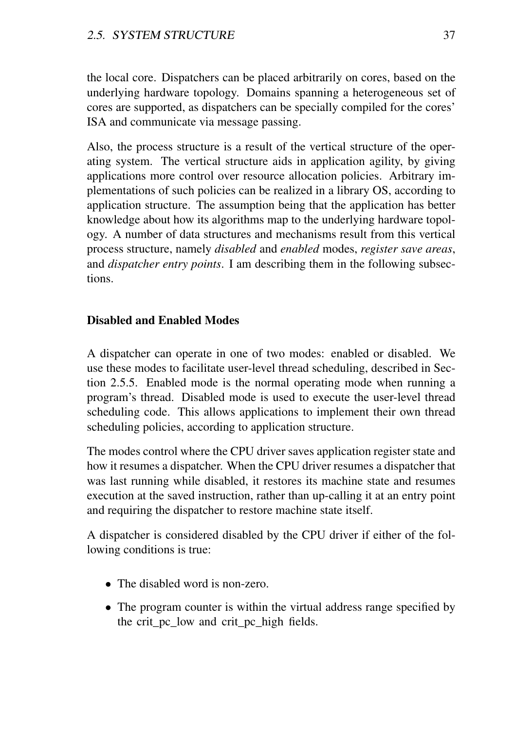the local core. Dispatchers can be placed arbitrarily on cores, based on the underlying hardware topology. Domains spanning a heterogeneous set of cores are supported, as dispatchers can be specially compiled for the cores' ISA and communicate via message passing.

Also, the process structure is a result of the vertical structure of the operating system. The vertical structure aids in application agility, by giving applications more control over resource allocation policies. Arbitrary implementations of such policies can be realized in a library OS, according to application structure. The assumption being that the application has better knowledge about how its algorithms map to the underlying hardware topology. A number of data structures and mechanisms result from this vertical process structure, namely *disabled* and *enabled* modes, *register save areas*, and *dispatcher entry points*. I am describing them in the following subsections.

### Disabled and Enabled Modes

A dispatcher can operate in one of two modes: enabled or disabled. We use these modes to facilitate user-level thread scheduling, described in Section 2.5.5. Enabled mode is the normal operating mode when running a program's thread. Disabled mode is used to execute the user-level thread scheduling code. This allows applications to implement their own thread scheduling policies, according to application structure.

The modes control where the CPU driver saves application register state and how it resumes a dispatcher. When the CPU driver resumes a dispatcher that was last running while disabled, it restores its machine state and resumes execution at the saved instruction, rather than up-calling it at an entry point and requiring the dispatcher to restore machine state itself.

A dispatcher is considered disabled by the CPU driver if either of the following conditions is true:

- The disabled word is non-zero.
- The program counter is within the virtual address range specified by the crit\_pc\_low and crit\_pc\_high fields.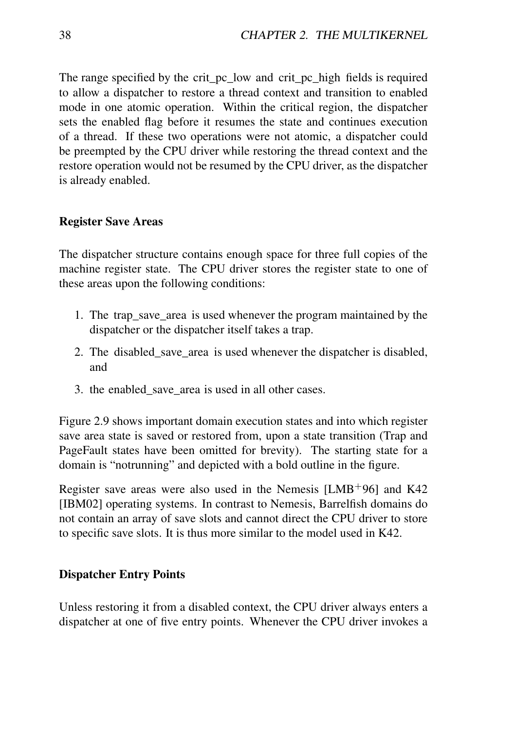The range specified by the crit pc low and crit pc high fields is required to allow a dispatcher to restore a thread context and transition to enabled mode in one atomic operation. Within the critical region, the dispatcher sets the enabled flag before it resumes the state and continues execution of a thread. If these two operations were not atomic, a dispatcher could be preempted by the CPU driver while restoring the thread context and the restore operation would not be resumed by the CPU driver, as the dispatcher is already enabled.

### Register Save Areas

The dispatcher structure contains enough space for three full copies of the machine register state. The CPU driver stores the register state to one of these areas upon the following conditions:

- 1. The trap\_save\_area is used whenever the program maintained by the dispatcher or the dispatcher itself takes a trap.
- 2. The disabled\_save\_area is used whenever the dispatcher is disabled, and
- 3. the enabled\_save\_area is used in all other cases.

Figure 2.9 shows important domain execution states and into which register save area state is saved or restored from, upon a state transition (Trap and PageFault states have been omitted for brevity). The starting state for a domain is "notrunning" and depicted with a bold outline in the figure.

Register save areas were also used in the Nemesis  $[LMB<sup>+</sup>96]$  and K42 [IBM02] operating systems. In contrast to Nemesis, Barrelfish domains do not contain an array of save slots and cannot direct the CPU driver to store to specific save slots. It is thus more similar to the model used in K42.

#### Dispatcher Entry Points

Unless restoring it from a disabled context, the CPU driver always enters a dispatcher at one of five entry points. Whenever the CPU driver invokes a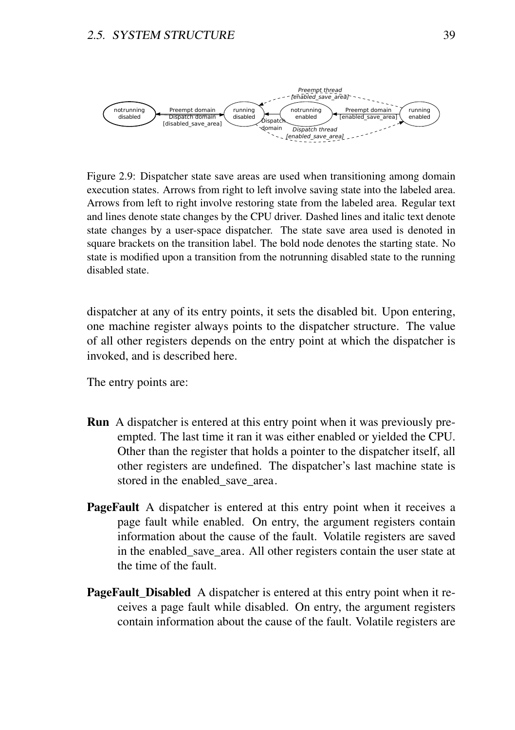

Figure 2.9: Dispatcher state save areas are used when transitioning among domain execution states. Arrows from right to left involve saving state into the labeled area. Arrows from left to right involve restoring state from the labeled area. Regular text and lines denote state changes by the CPU driver. Dashed lines and italic text denote state changes by a user-space dispatcher. The state save area used is denoted in square brackets on the transition label. The bold node denotes the starting state. No state is modified upon a transition from the notrunning disabled state to the running disabled state.

dispatcher at any of its entry points, it sets the disabled bit. Upon entering, one machine register always points to the dispatcher structure. The value of all other registers depends on the entry point at which the dispatcher is invoked, and is described here.

The entry points are:

- Run A dispatcher is entered at this entry point when it was previously preempted. The last time it ran it was either enabled or yielded the CPU. Other than the register that holds a pointer to the dispatcher itself, all other registers are undefined. The dispatcher's last machine state is stored in the enabled save area.
- PageFault A dispatcher is entered at this entry point when it receives a page fault while enabled. On entry, the argument registers contain information about the cause of the fault. Volatile registers are saved in the enabled save area. All other registers contain the user state at the time of the fault.
- PageFault\_Disabled A dispatcher is entered at this entry point when it receives a page fault while disabled. On entry, the argument registers contain information about the cause of the fault. Volatile registers are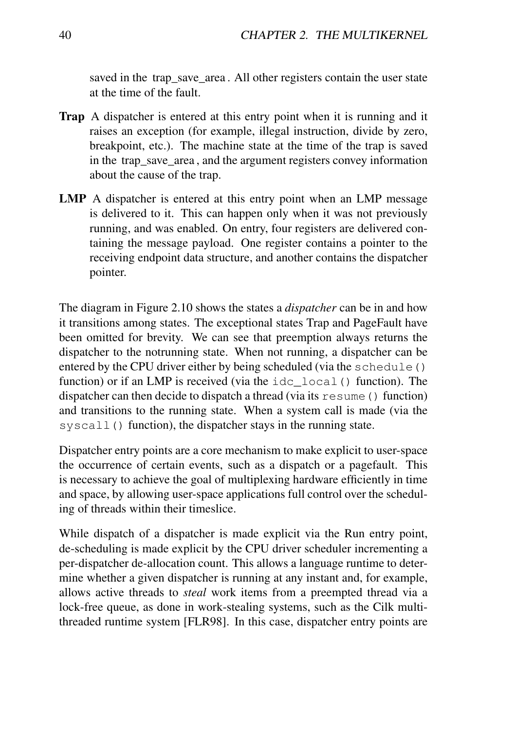saved in the trap save area. All other registers contain the user state at the time of the fault.

- Trap A dispatcher is entered at this entry point when it is running and it raises an exception (for example, illegal instruction, divide by zero, breakpoint, etc.). The machine state at the time of the trap is saved in the trap save area, and the argument registers convey information about the cause of the trap.
- LMP A dispatcher is entered at this entry point when an LMP message is delivered to it. This can happen only when it was not previously running, and was enabled. On entry, four registers are delivered containing the message payload. One register contains a pointer to the receiving endpoint data structure, and another contains the dispatcher pointer.

The diagram in Figure 2.10 shows the states a *dispatcher* can be in and how it transitions among states. The exceptional states Trap and PageFault have been omitted for brevity. We can see that preemption always returns the dispatcher to the notrunning state. When not running, a dispatcher can be entered by the CPU driver either by being scheduled (via the schedule() function) or if an LMP is received (via the idc local() function). The dispatcher can then decide to dispatch a thread (via its resume() function) and transitions to the running state. When a system call is made (via the syscall() function), the dispatcher stays in the running state.

Dispatcher entry points are a core mechanism to make explicit to user-space the occurrence of certain events, such as a dispatch or a pagefault. This is necessary to achieve the goal of multiplexing hardware efficiently in time and space, by allowing user-space applications full control over the scheduling of threads within their timeslice.

While dispatch of a dispatcher is made explicit via the Run entry point, de-scheduling is made explicit by the CPU driver scheduler incrementing a per-dispatcher de-allocation count. This allows a language runtime to determine whether a given dispatcher is running at any instant and, for example, allows active threads to *steal* work items from a preempted thread via a lock-free queue, as done in work-stealing systems, such as the Cilk multithreaded runtime system [FLR98]. In this case, dispatcher entry points are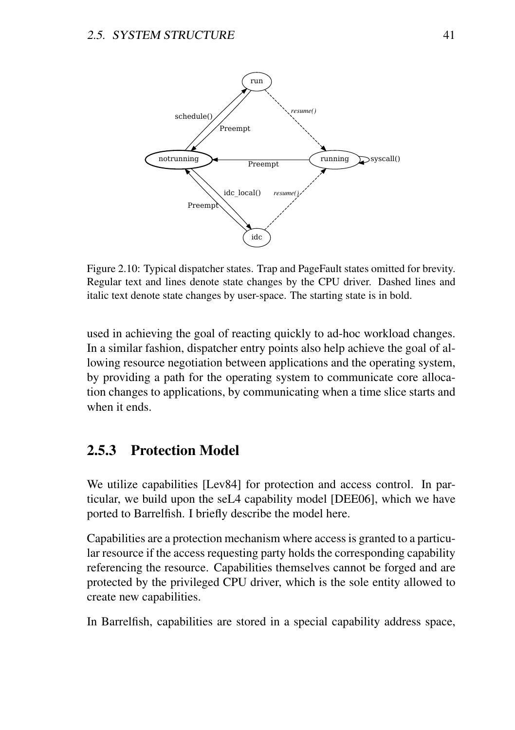

Figure 2.10: Typical dispatcher states. Trap and PageFault states omitted for brevity. Regular text and lines denote state changes by the CPU driver. Dashed lines and italic text denote state changes by user-space. The starting state is in bold.

used in achieving the goal of reacting quickly to ad-hoc workload changes. In a similar fashion, dispatcher entry points also help achieve the goal of allowing resource negotiation between applications and the operating system, by providing a path for the operating system to communicate core allocation changes to applications, by communicating when a time slice starts and when it ends.

# 2.5.3 Protection Model

We utilize capabilities [Lev84] for protection and access control. In particular, we build upon the seL4 capability model [DEE06], which we have ported to Barrelfish. I briefly describe the model here.

Capabilities are a protection mechanism where access is granted to a particular resource if the access requesting party holds the corresponding capability referencing the resource. Capabilities themselves cannot be forged and are protected by the privileged CPU driver, which is the sole entity allowed to create new capabilities.

In Barrelfish, capabilities are stored in a special capability address space,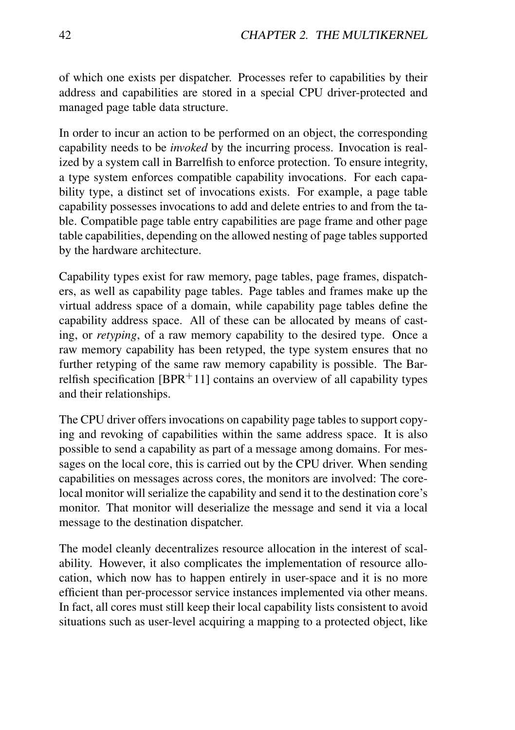of which one exists per dispatcher. Processes refer to capabilities by their address and capabilities are stored in a special CPU driver-protected and managed page table data structure.

In order to incur an action to be performed on an object, the corresponding capability needs to be *invoked* by the incurring process. Invocation is realized by a system call in Barrelfish to enforce protection. To ensure integrity, a type system enforces compatible capability invocations. For each capability type, a distinct set of invocations exists. For example, a page table capability possesses invocations to add and delete entries to and from the table. Compatible page table entry capabilities are page frame and other page table capabilities, depending on the allowed nesting of page tables supported by the hardware architecture.

Capability types exist for raw memory, page tables, page frames, dispatchers, as well as capability page tables. Page tables and frames make up the virtual address space of a domain, while capability page tables define the capability address space. All of these can be allocated by means of casting, or *retyping*, of a raw memory capability to the desired type. Once a raw memory capability has been retyped, the type system ensures that no further retyping of the same raw memory capability is possible. The Barrelfish specification  $[BPR+11]$  contains an overview of all capability types and their relationships.

The CPU driver offers invocations on capability page tables to support copying and revoking of capabilities within the same address space. It is also possible to send a capability as part of a message among domains. For messages on the local core, this is carried out by the CPU driver. When sending capabilities on messages across cores, the monitors are involved: The corelocal monitor will serialize the capability and send it to the destination core's monitor. That monitor will deserialize the message and send it via a local message to the destination dispatcher.

The model cleanly decentralizes resource allocation in the interest of scalability. However, it also complicates the implementation of resource allocation, which now has to happen entirely in user-space and it is no more efficient than per-processor service instances implemented via other means. In fact, all cores must still keep their local capability lists consistent to avoid situations such as user-level acquiring a mapping to a protected object, like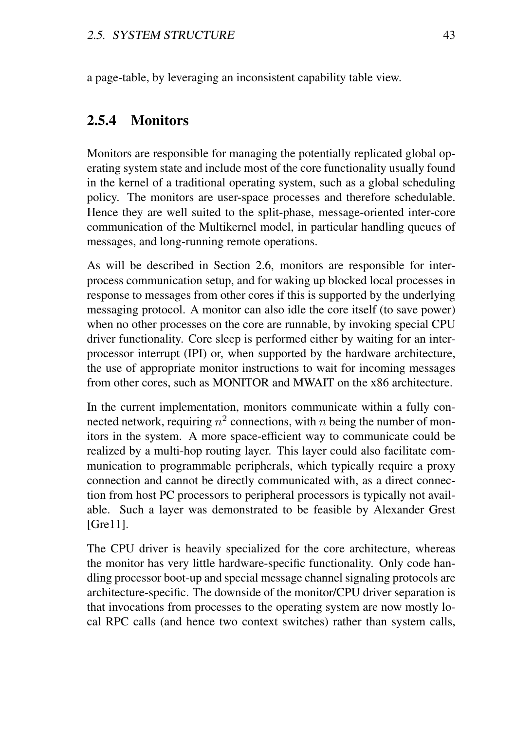a page-table, by leveraging an inconsistent capability table view.

### 2.5.4 Monitors

Monitors are responsible for managing the potentially replicated global operating system state and include most of the core functionality usually found in the kernel of a traditional operating system, such as a global scheduling policy. The monitors are user-space processes and therefore schedulable. Hence they are well suited to the split-phase, message-oriented inter-core communication of the Multikernel model, in particular handling queues of messages, and long-running remote operations.

As will be described in Section 2.6, monitors are responsible for interprocess communication setup, and for waking up blocked local processes in response to messages from other cores if this is supported by the underlying messaging protocol. A monitor can also idle the core itself (to save power) when no other processes on the core are runnable, by invoking special CPU driver functionality. Core sleep is performed either by waiting for an interprocessor interrupt (IPI) or, when supported by the hardware architecture, the use of appropriate monitor instructions to wait for incoming messages from other cores, such as MONITOR and MWAIT on the x86 architecture.

In the current implementation, monitors communicate within a fully connected network, requiring  $n^2$  connections, with n being the number of monitors in the system. A more space-efficient way to communicate could be realized by a multi-hop routing layer. This layer could also facilitate communication to programmable peripherals, which typically require a proxy connection and cannot be directly communicated with, as a direct connection from host PC processors to peripheral processors is typically not available. Such a layer was demonstrated to be feasible by Alexander Grest [Gre11].

The CPU driver is heavily specialized for the core architecture, whereas the monitor has very little hardware-specific functionality. Only code handling processor boot-up and special message channel signaling protocols are architecture-specific. The downside of the monitor/CPU driver separation is that invocations from processes to the operating system are now mostly local RPC calls (and hence two context switches) rather than system calls,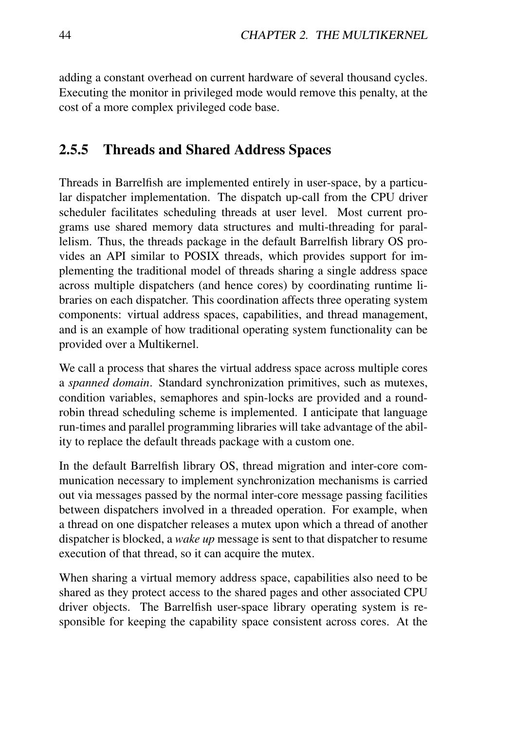adding a constant overhead on current hardware of several thousand cycles. Executing the monitor in privileged mode would remove this penalty, at the cost of a more complex privileged code base.

### 2.5.5 Threads and Shared Address Spaces

Threads in Barrelfish are implemented entirely in user-space, by a particular dispatcher implementation. The dispatch up-call from the CPU driver scheduler facilitates scheduling threads at user level. Most current programs use shared memory data structures and multi-threading for parallelism. Thus, the threads package in the default Barrelfish library OS provides an API similar to POSIX threads, which provides support for implementing the traditional model of threads sharing a single address space across multiple dispatchers (and hence cores) by coordinating runtime libraries on each dispatcher. This coordination affects three operating system components: virtual address spaces, capabilities, and thread management, and is an example of how traditional operating system functionality can be provided over a Multikernel.

We call a process that shares the virtual address space across multiple cores a *spanned domain*. Standard synchronization primitives, such as mutexes, condition variables, semaphores and spin-locks are provided and a roundrobin thread scheduling scheme is implemented. I anticipate that language run-times and parallel programming libraries will take advantage of the ability to replace the default threads package with a custom one.

In the default Barrelfish library OS, thread migration and inter-core communication necessary to implement synchronization mechanisms is carried out via messages passed by the normal inter-core message passing facilities between dispatchers involved in a threaded operation. For example, when a thread on one dispatcher releases a mutex upon which a thread of another dispatcher is blocked, a *wake up* message is sent to that dispatcher to resume execution of that thread, so it can acquire the mutex.

When sharing a virtual memory address space, capabilities also need to be shared as they protect access to the shared pages and other associated CPU driver objects. The Barrelfish user-space library operating system is responsible for keeping the capability space consistent across cores. At the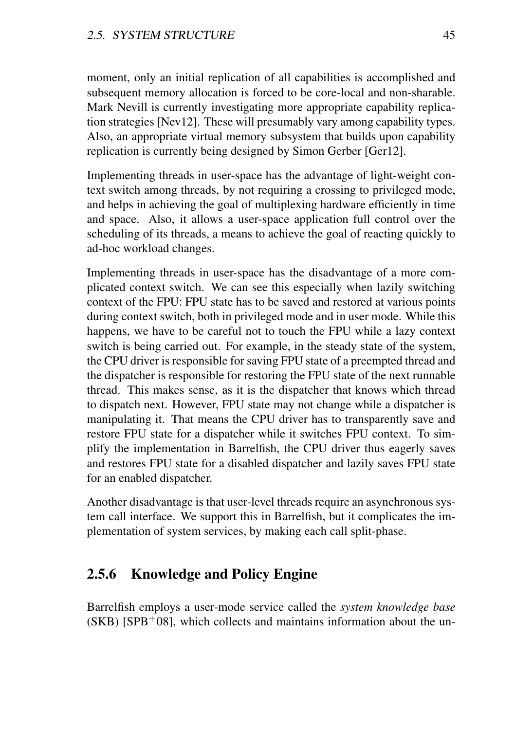moment, only an initial replication of all capabilities is accomplished and subsequent memory allocation is forced to be core-local and non-sharable. Mark Nevill is currently investigating more appropriate capability replication strategies [Nev12]. These will presumably vary among capability types. Also, an appropriate virtual memory subsystem that builds upon capability replication is currently being designed by Simon Gerber [Ger12].

Implementing threads in user-space has the advantage of light-weight context switch among threads, by not requiring a crossing to privileged mode, and helps in achieving the goal of multiplexing hardware efficiently in time and space. Also, it allows a user-space application full control over the scheduling of its threads, a means to achieve the goal of reacting quickly to ad-hoc workload changes.

Implementing threads in user-space has the disadvantage of a more complicated context switch. We can see this especially when lazily switching context of the FPU: FPU state has to be saved and restored at various points during context switch, both in privileged mode and in user mode. While this happens, we have to be careful not to touch the FPU while a lazy context switch is being carried out. For example, in the steady state of the system, the CPU driver is responsible for saving FPU state of a preempted thread and the dispatcher is responsible for restoring the FPU state of the next runnable thread. This makes sense, as it is the dispatcher that knows which thread to dispatch next. However, FPU state may not change while a dispatcher is manipulating it. That means the CPU driver has to transparently save and restore FPU state for a dispatcher while it switches FPU context. To simplify the implementation in Barrelfish, the CPU driver thus eagerly saves and restores FPU state for a disabled dispatcher and lazily saves FPU state for an enabled dispatcher.

Another disadvantage is that user-level threads require an asynchronous system call interface. We support this in Barrelfish, but it complicates the implementation of system services, by making each call split-phase.

# 2.5.6 Knowledge and Policy Engine

Barrelfish employs a user-mode service called the *system knowledge base*  $(SKB)$  [SPB<sup>+</sup>08], which collects and maintains information about the un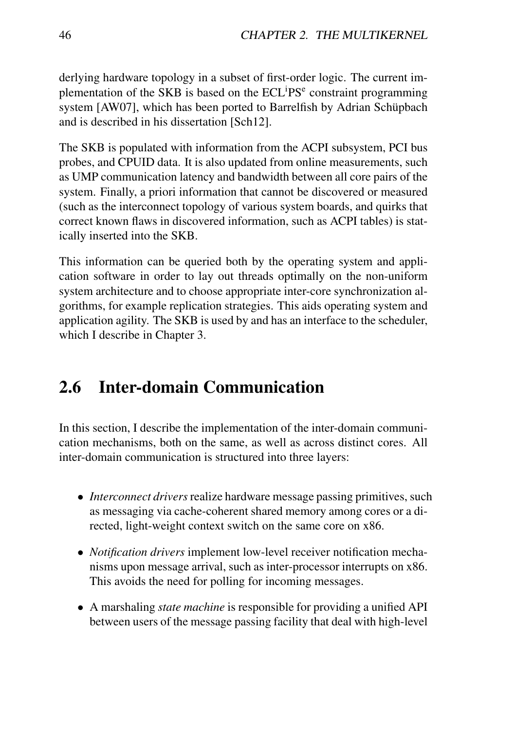derlying hardware topology in a subset of first-order logic. The current implementation of the SKB is based on the ECL<sup>i</sup>PS<sup>e</sup> constraint programming system [AW07], which has been ported to Barrelfish by Adrian Schüpbach and is described in his dissertation [Sch12].

The SKB is populated with information from the ACPI subsystem, PCI bus probes, and CPUID data. It is also updated from online measurements, such as UMP communication latency and bandwidth between all core pairs of the system. Finally, a priori information that cannot be discovered or measured (such as the interconnect topology of various system boards, and quirks that correct known flaws in discovered information, such as ACPI tables) is statically inserted into the SKB.

This information can be queried both by the operating system and application software in order to lay out threads optimally on the non-uniform system architecture and to choose appropriate inter-core synchronization algorithms, for example replication strategies. This aids operating system and application agility. The SKB is used by and has an interface to the scheduler, which I describe in Chapter 3.

# 2.6 Inter-domain Communication

In this section, I describe the implementation of the inter-domain communication mechanisms, both on the same, as well as across distinct cores. All inter-domain communication is structured into three layers:

- *Interconnect drivers* realize hardware message passing primitives, such as messaging via cache-coherent shared memory among cores or a directed, light-weight context switch on the same core on x86.
- *Notification drivers* implement low-level receiver notification mechanisms upon message arrival, such as inter-processor interrupts on x86. This avoids the need for polling for incoming messages.
- A marshaling *state machine* is responsible for providing a unified API between users of the message passing facility that deal with high-level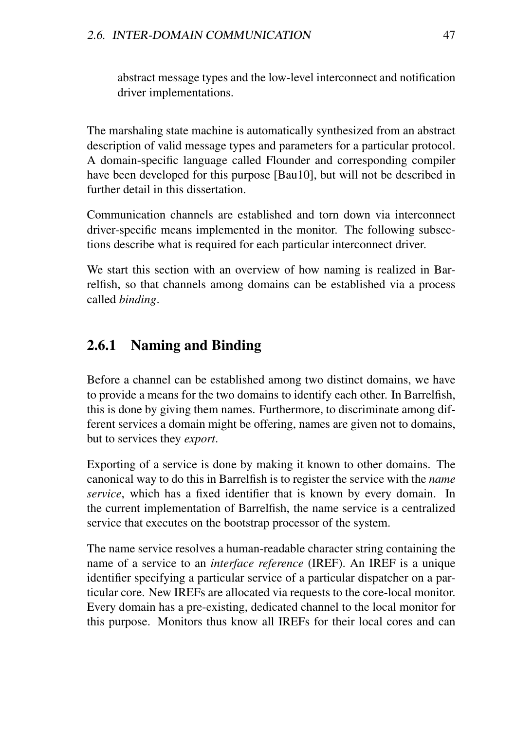abstract message types and the low-level interconnect and notification driver implementations.

The marshaling state machine is automatically synthesized from an abstract description of valid message types and parameters for a particular protocol. A domain-specific language called Flounder and corresponding compiler have been developed for this purpose [Bau10], but will not be described in further detail in this dissertation.

Communication channels are established and torn down via interconnect driver-specific means implemented in the monitor. The following subsections describe what is required for each particular interconnect driver.

We start this section with an overview of how naming is realized in Barrelfish, so that channels among domains can be established via a process called *binding*.

# 2.6.1 Naming and Binding

Before a channel can be established among two distinct domains, we have to provide a means for the two domains to identify each other. In Barrelfish, this is done by giving them names. Furthermore, to discriminate among different services a domain might be offering, names are given not to domains, but to services they *export*.

Exporting of a service is done by making it known to other domains. The canonical way to do this in Barrelfish is to register the service with the *name service*, which has a fixed identifier that is known by every domain. In the current implementation of Barrelfish, the name service is a centralized service that executes on the bootstrap processor of the system.

The name service resolves a human-readable character string containing the name of a service to an *interface reference* (IREF). An IREF is a unique identifier specifying a particular service of a particular dispatcher on a particular core. New IREFs are allocated via requests to the core-local monitor. Every domain has a pre-existing, dedicated channel to the local monitor for this purpose. Monitors thus know all IREFs for their local cores and can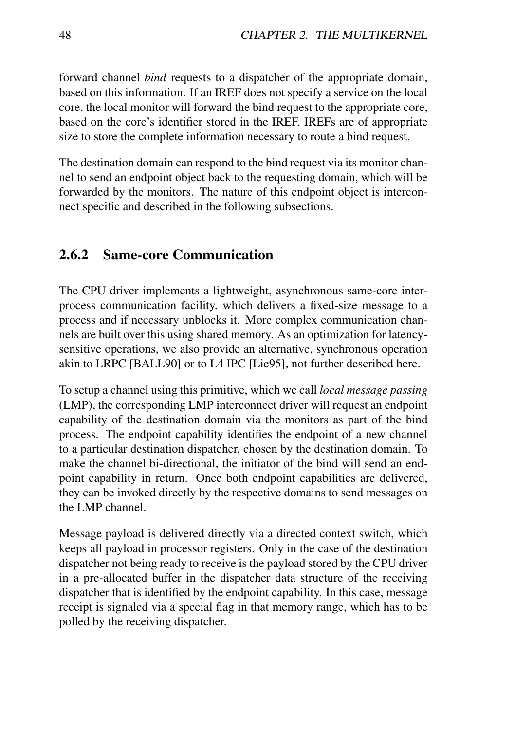forward channel *bind* requests to a dispatcher of the appropriate domain, based on this information. If an IREF does not specify a service on the local core, the local monitor will forward the bind request to the appropriate core, based on the core's identifier stored in the IREF. IREFs are of appropriate size to store the complete information necessary to route a bind request.

The destination domain can respond to the bind request via its monitor channel to send an endpoint object back to the requesting domain, which will be forwarded by the monitors. The nature of this endpoint object is interconnect specific and described in the following subsections.

### 2.6.2 Same-core Communication

The CPU driver implements a lightweight, asynchronous same-core interprocess communication facility, which delivers a fixed-size message to a process and if necessary unblocks it. More complex communication channels are built over this using shared memory. As an optimization for latencysensitive operations, we also provide an alternative, synchronous operation akin to LRPC [BALL90] or to L4 IPC [Lie95], not further described here.

To setup a channel using this primitive, which we call *local message passing* (LMP), the corresponding LMP interconnect driver will request an endpoint capability of the destination domain via the monitors as part of the bind process. The endpoint capability identifies the endpoint of a new channel to a particular destination dispatcher, chosen by the destination domain. To make the channel bi-directional, the initiator of the bind will send an endpoint capability in return. Once both endpoint capabilities are delivered, they can be invoked directly by the respective domains to send messages on the LMP channel.

Message payload is delivered directly via a directed context switch, which keeps all payload in processor registers. Only in the case of the destination dispatcher not being ready to receive is the payload stored by the CPU driver in a pre-allocated buffer in the dispatcher data structure of the receiving dispatcher that is identified by the endpoint capability. In this case, message receipt is signaled via a special flag in that memory range, which has to be polled by the receiving dispatcher.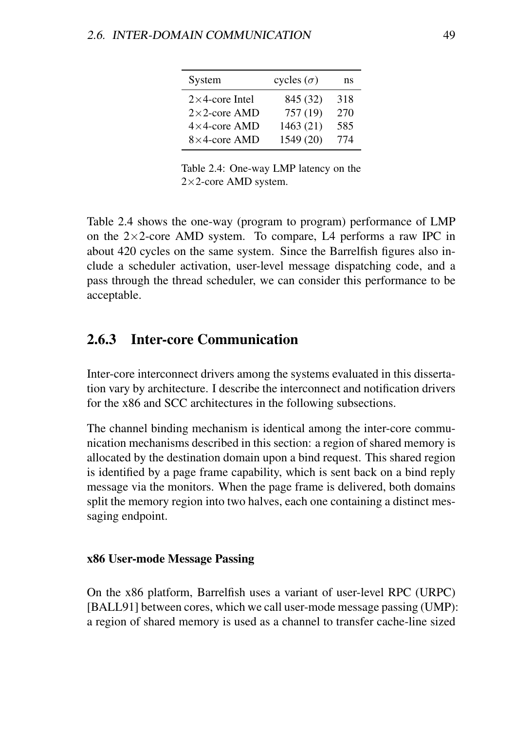| System                 | cycles $(\sigma)$ | ns  |
|------------------------|-------------------|-----|
| $2\times$ 4-core Intel | 845 (32)          | 318 |
| $2\times2$ -core AMD   | 757 (19)          | 270 |
| $4\times4$ -core AMD   | 1463 (21)         | 585 |
| $8\times4$ -core AMD   | 1549 (20)         | 774 |

Table 2.4: One-way LMP latency on the  $2\times2$ -core AMD system.

Table 2.4 shows the one-way (program to program) performance of LMP on the  $2\times2$ -core AMD system. To compare, L4 performs a raw IPC in about 420 cycles on the same system. Since the Barrelfish figures also include a scheduler activation, user-level message dispatching code, and a pass through the thread scheduler, we can consider this performance to be acceptable.

## 2.6.3 Inter-core Communication

Inter-core interconnect drivers among the systems evaluated in this dissertation vary by architecture. I describe the interconnect and notification drivers for the x86 and SCC architectures in the following subsections.

The channel binding mechanism is identical among the inter-core communication mechanisms described in this section: a region of shared memory is allocated by the destination domain upon a bind request. This shared region is identified by a page frame capability, which is sent back on a bind reply message via the monitors. When the page frame is delivered, both domains split the memory region into two halves, each one containing a distinct messaging endpoint.

#### x86 User-mode Message Passing

On the x86 platform, Barrelfish uses a variant of user-level RPC (URPC) [BALL91] between cores, which we call user-mode message passing (UMP): a region of shared memory is used as a channel to transfer cache-line sized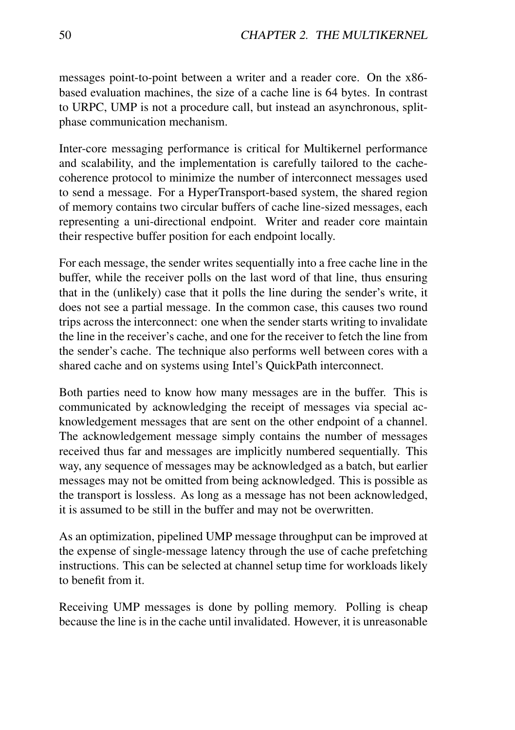messages point-to-point between a writer and a reader core. On the x86 based evaluation machines, the size of a cache line is 64 bytes. In contrast to URPC, UMP is not a procedure call, but instead an asynchronous, splitphase communication mechanism.

Inter-core messaging performance is critical for Multikernel performance and scalability, and the implementation is carefully tailored to the cachecoherence protocol to minimize the number of interconnect messages used to send a message. For a HyperTransport-based system, the shared region of memory contains two circular buffers of cache line-sized messages, each representing a uni-directional endpoint. Writer and reader core maintain their respective buffer position for each endpoint locally.

For each message, the sender writes sequentially into a free cache line in the buffer, while the receiver polls on the last word of that line, thus ensuring that in the (unlikely) case that it polls the line during the sender's write, it does not see a partial message. In the common case, this causes two round trips across the interconnect: one when the sender starts writing to invalidate the line in the receiver's cache, and one for the receiver to fetch the line from the sender's cache. The technique also performs well between cores with a shared cache and on systems using Intel's QuickPath interconnect.

Both parties need to know how many messages are in the buffer. This is communicated by acknowledging the receipt of messages via special acknowledgement messages that are sent on the other endpoint of a channel. The acknowledgement message simply contains the number of messages received thus far and messages are implicitly numbered sequentially. This way, any sequence of messages may be acknowledged as a batch, but earlier messages may not be omitted from being acknowledged. This is possible as the transport is lossless. As long as a message has not been acknowledged, it is assumed to be still in the buffer and may not be overwritten.

As an optimization, pipelined UMP message throughput can be improved at the expense of single-message latency through the use of cache prefetching instructions. This can be selected at channel setup time for workloads likely to benefit from it.

Receiving UMP messages is done by polling memory. Polling is cheap because the line is in the cache until invalidated. However, it is unreasonable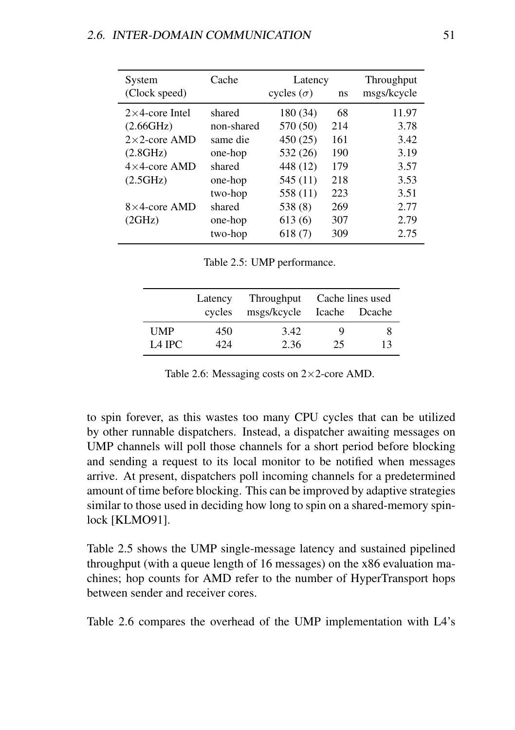| System                 | Cache      | Latency           |     | Throughput  |
|------------------------|------------|-------------------|-----|-------------|
| (Clock speed)          |            | cycles $(\sigma)$ | ns  | msgs/kcycle |
| $2\times$ 4-core Intel | shared     | 180 (34)          | 68  | 11.97       |
| (2.66GHz)              | non-shared | 570 (50)          | 214 | 3.78        |
| $2\times 2$ -core AMD  | same die   | 450 (25)          | 161 | 3.42        |
| (2.8GHz)               | one-hop    | 532 (26)          | 190 | 3.19        |
| $4\times4$ -core AMD   | shared     | 448 (12)          | 179 | 3.57        |
| (2.5GHz)               | one-hop    | 545 (11)          | 218 | 3.53        |
|                        | two-hop    | 558 (11)          | 223 | 3.51        |
| $8\times4$ -core AMD   | shared     | 538 (8)           | 269 | 2.77        |
| (2GHz)                 | one-hop    | 613(6)            | 307 | 2.79        |
|                        | two-hop    | 618(7)            | 309 | 2.75        |

Table 2.5: UMP performance.

|                    | Latency<br>cycles | Throughput<br>msgs/kcycle Icache Dcache | Cache lines used |    |
|--------------------|-------------------|-----------------------------------------|------------------|----|
| UMP                | 450               | 3.42                                    | 9                | x  |
| L <sub>4</sub> IPC | 424               | 2.36                                    | 25               | 13 |

Table 2.6: Messaging costs on  $2\times 2$ -core AMD.

to spin forever, as this wastes too many CPU cycles that can be utilized by other runnable dispatchers. Instead, a dispatcher awaiting messages on UMP channels will poll those channels for a short period before blocking and sending a request to its local monitor to be notified when messages arrive. At present, dispatchers poll incoming channels for a predetermined amount of time before blocking. This can be improved by adaptive strategies similar to those used in deciding how long to spin on a shared-memory spinlock [KLMO91].

Table 2.5 shows the UMP single-message latency and sustained pipelined throughput (with a queue length of 16 messages) on the x86 evaluation machines; hop counts for AMD refer to the number of HyperTransport hops between sender and receiver cores.

Table 2.6 compares the overhead of the UMP implementation with L4's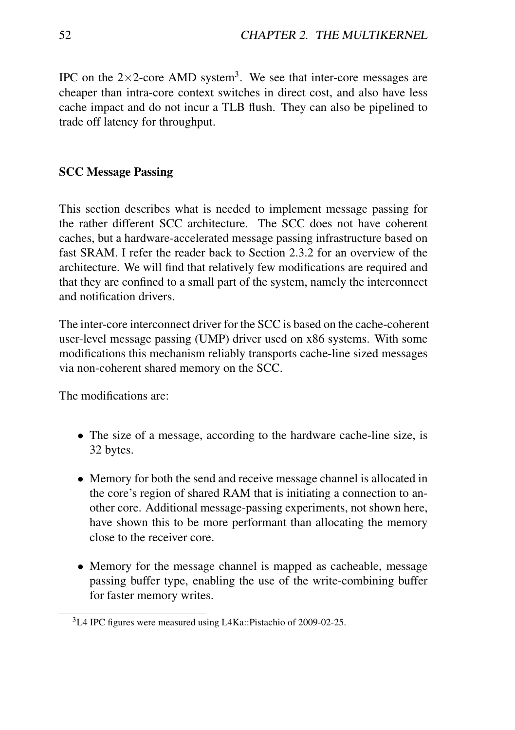IPC on the  $2\times2$ -core AMD system<sup>3</sup>. We see that inter-core messages are cheaper than intra-core context switches in direct cost, and also have less cache impact and do not incur a TLB flush. They can also be pipelined to trade off latency for throughput.

### SCC Message Passing

This section describes what is needed to implement message passing for the rather different SCC architecture. The SCC does not have coherent caches, but a hardware-accelerated message passing infrastructure based on fast SRAM. I refer the reader back to Section 2.3.2 for an overview of the architecture. We will find that relatively few modifications are required and that they are confined to a small part of the system, namely the interconnect and notification drivers.

The inter-core interconnect driver for the SCC is based on the cache-coherent user-level message passing (UMP) driver used on x86 systems. With some modifications this mechanism reliably transports cache-line sized messages via non-coherent shared memory on the SCC.

The modifications are:

- The size of a message, according to the hardware cache-line size, is 32 bytes.
- Memory for both the send and receive message channel is allocated in the core's region of shared RAM that is initiating a connection to another core. Additional message-passing experiments, not shown here, have shown this to be more performant than allocating the memory close to the receiver core.
- Memory for the message channel is mapped as cacheable, message passing buffer type, enabling the use of the write-combining buffer for faster memory writes.

<sup>3</sup>L4 IPC figures were measured using L4Ka::Pistachio of 2009-02-25.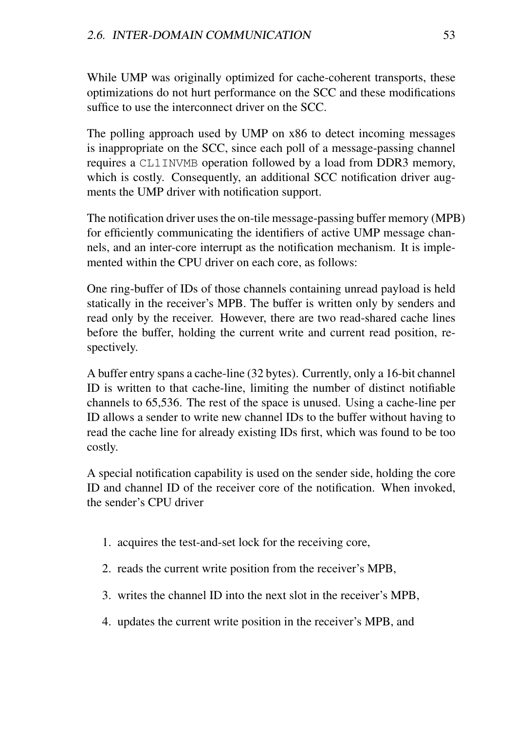While UMP was originally optimized for cache-coherent transports, these optimizations do not hurt performance on the SCC and these modifications suffice to use the interconnect driver on the SCC.

The polling approach used by UMP on x86 to detect incoming messages is inappropriate on the SCC, since each poll of a message-passing channel requires a CL1INVMB operation followed by a load from DDR3 memory, which is costly. Consequently, an additional SCC notification driver augments the UMP driver with notification support.

The notification driver uses the on-tile message-passing buffer memory (MPB) for efficiently communicating the identifiers of active UMP message channels, and an inter-core interrupt as the notification mechanism. It is implemented within the CPU driver on each core, as follows:

One ring-buffer of IDs of those channels containing unread payload is held statically in the receiver's MPB. The buffer is written only by senders and read only by the receiver. However, there are two read-shared cache lines before the buffer, holding the current write and current read position, respectively.

A buffer entry spans a cache-line (32 bytes). Currently, only a 16-bit channel ID is written to that cache-line, limiting the number of distinct notifiable channels to 65,536. The rest of the space is unused. Using a cache-line per ID allows a sender to write new channel IDs to the buffer without having to read the cache line for already existing IDs first, which was found to be too costly.

A special notification capability is used on the sender side, holding the core ID and channel ID of the receiver core of the notification. When invoked, the sender's CPU driver

- 1. acquires the test-and-set lock for the receiving core,
- 2. reads the current write position from the receiver's MPB,
- 3. writes the channel ID into the next slot in the receiver's MPB,
- 4. updates the current write position in the receiver's MPB, and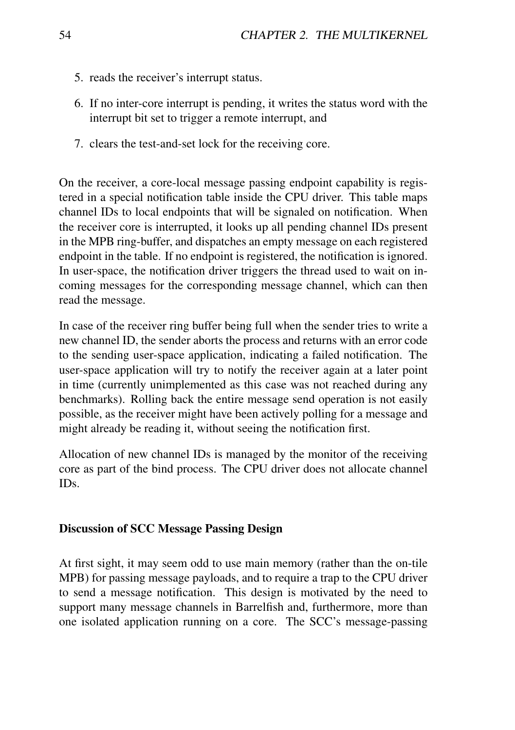- 5. reads the receiver's interrupt status.
- 6. If no inter-core interrupt is pending, it writes the status word with the interrupt bit set to trigger a remote interrupt, and
- 7. clears the test-and-set lock for the receiving core.

On the receiver, a core-local message passing endpoint capability is registered in a special notification table inside the CPU driver. This table maps channel IDs to local endpoints that will be signaled on notification. When the receiver core is interrupted, it looks up all pending channel IDs present in the MPB ring-buffer, and dispatches an empty message on each registered endpoint in the table. If no endpoint is registered, the notification is ignored. In user-space, the notification driver triggers the thread used to wait on incoming messages for the corresponding message channel, which can then read the message.

In case of the receiver ring buffer being full when the sender tries to write a new channel ID, the sender aborts the process and returns with an error code to the sending user-space application, indicating a failed notification. The user-space application will try to notify the receiver again at a later point in time (currently unimplemented as this case was not reached during any benchmarks). Rolling back the entire message send operation is not easily possible, as the receiver might have been actively polling for a message and might already be reading it, without seeing the notification first.

Allocation of new channel IDs is managed by the monitor of the receiving core as part of the bind process. The CPU driver does not allocate channel IDs.

#### Discussion of SCC Message Passing Design

At first sight, it may seem odd to use main memory (rather than the on-tile MPB) for passing message payloads, and to require a trap to the CPU driver to send a message notification. This design is motivated by the need to support many message channels in Barrelfish and, furthermore, more than one isolated application running on a core. The SCC's message-passing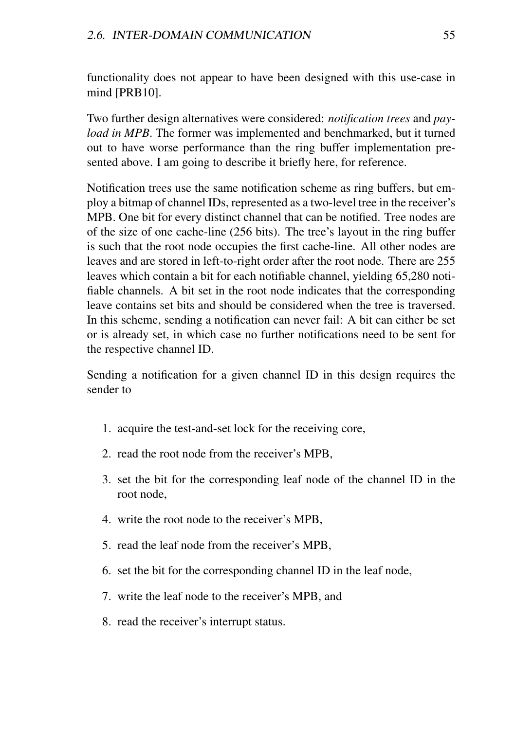functionality does not appear to have been designed with this use-case in mind [PRB10].

Two further design alternatives were considered: *notification trees* and *payload in MPB*. The former was implemented and benchmarked, but it turned out to have worse performance than the ring buffer implementation presented above. I am going to describe it briefly here, for reference.

Notification trees use the same notification scheme as ring buffers, but employ a bitmap of channel IDs, represented as a two-level tree in the receiver's MPB. One bit for every distinct channel that can be notified. Tree nodes are of the size of one cache-line (256 bits). The tree's layout in the ring buffer is such that the root node occupies the first cache-line. All other nodes are leaves and are stored in left-to-right order after the root node. There are 255 leaves which contain a bit for each notifiable channel, yielding 65,280 notifiable channels. A bit set in the root node indicates that the corresponding leave contains set bits and should be considered when the tree is traversed. In this scheme, sending a notification can never fail: A bit can either be set or is already set, in which case no further notifications need to be sent for the respective channel ID.

Sending a notification for a given channel ID in this design requires the sender to

- 1. acquire the test-and-set lock for the receiving core,
- 2. read the root node from the receiver's MPB,
- 3. set the bit for the corresponding leaf node of the channel ID in the root node,
- 4. write the root node to the receiver's MPB,
- 5. read the leaf node from the receiver's MPB,
- 6. set the bit for the corresponding channel ID in the leaf node,
- 7. write the leaf node to the receiver's MPB, and
- 8. read the receiver's interrupt status.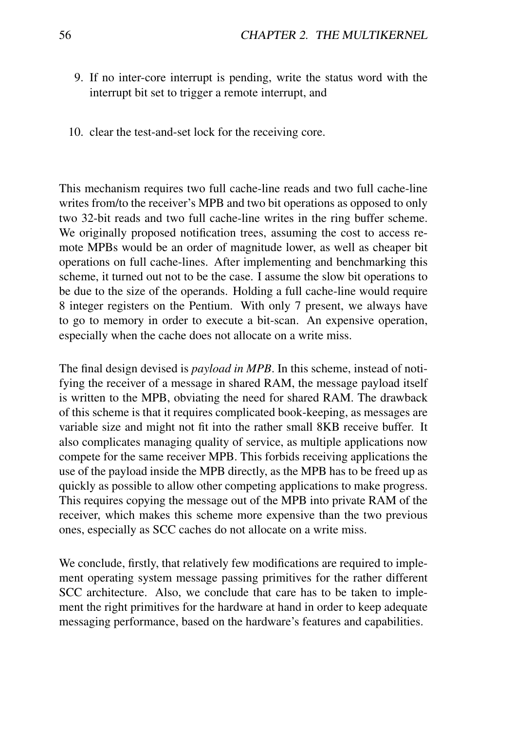- 9. If no inter-core interrupt is pending, write the status word with the interrupt bit set to trigger a remote interrupt, and
- 10. clear the test-and-set lock for the receiving core.

This mechanism requires two full cache-line reads and two full cache-line writes from/to the receiver's MPB and two bit operations as opposed to only two 32-bit reads and two full cache-line writes in the ring buffer scheme. We originally proposed notification trees, assuming the cost to access remote MPBs would be an order of magnitude lower, as well as cheaper bit operations on full cache-lines. After implementing and benchmarking this scheme, it turned out not to be the case. I assume the slow bit operations to be due to the size of the operands. Holding a full cache-line would require 8 integer registers on the Pentium. With only 7 present, we always have to go to memory in order to execute a bit-scan. An expensive operation, especially when the cache does not allocate on a write miss.

The final design devised is *payload in MPB*. In this scheme, instead of notifying the receiver of a message in shared RAM, the message payload itself is written to the MPB, obviating the need for shared RAM. The drawback of this scheme is that it requires complicated book-keeping, as messages are variable size and might not fit into the rather small 8KB receive buffer. It also complicates managing quality of service, as multiple applications now compete for the same receiver MPB. This forbids receiving applications the use of the payload inside the MPB directly, as the MPB has to be freed up as quickly as possible to allow other competing applications to make progress. This requires copying the message out of the MPB into private RAM of the receiver, which makes this scheme more expensive than the two previous ones, especially as SCC caches do not allocate on a write miss.

We conclude, firstly, that relatively few modifications are required to implement operating system message passing primitives for the rather different SCC architecture. Also, we conclude that care has to be taken to implement the right primitives for the hardware at hand in order to keep adequate messaging performance, based on the hardware's features and capabilities.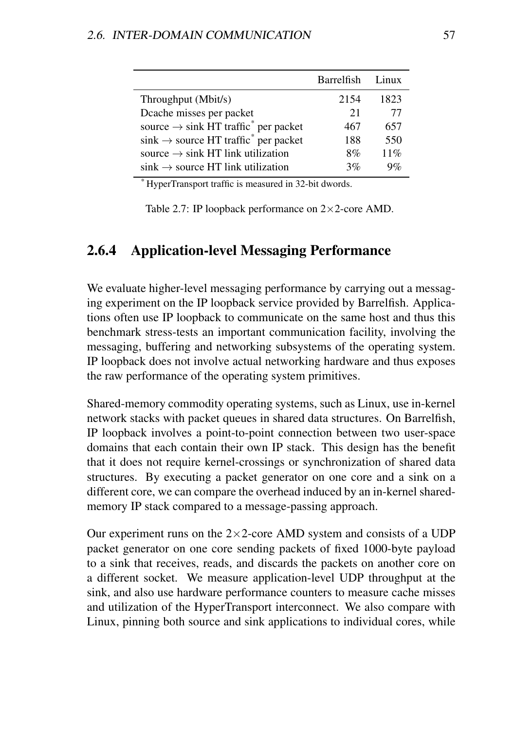|                                                              | Barrelfish Linux |       |
|--------------------------------------------------------------|------------------|-------|
| Throughput (Mbit/s)                                          | 2154             | 1823  |
| Deache misses per packet                                     | 21               | 77    |
| source $\rightarrow$ sink HT traffic <sup>*</sup> per packet | 467              | 657   |
| $\sin k \rightarrow$ source HT traffic $*$ per packet        | 188              | 550   |
| source $\rightarrow$ sink HT link utilization                | 8%               | 11%   |
| $\sin k \rightarrow$ source HT link utilization              | 3%               | $Q\%$ |

*\** HyperTransport traffic is measured in 32-bit dwords.

Table 2.7: IP loopback performance on 2×2-core AMD.

### 2.6.4 Application-level Messaging Performance

We evaluate higher-level messaging performance by carrying out a messaging experiment on the IP loopback service provided by Barrelfish. Applications often use IP loopback to communicate on the same host and thus this benchmark stress-tests an important communication facility, involving the messaging, buffering and networking subsystems of the operating system. IP loopback does not involve actual networking hardware and thus exposes the raw performance of the operating system primitives.

Shared-memory commodity operating systems, such as Linux, use in-kernel network stacks with packet queues in shared data structures. On Barrelfish, IP loopback involves a point-to-point connection between two user-space domains that each contain their own IP stack. This design has the benefit that it does not require kernel-crossings or synchronization of shared data structures. By executing a packet generator on one core and a sink on a different core, we can compare the overhead induced by an in-kernel sharedmemory IP stack compared to a message-passing approach.

Our experiment runs on the  $2\times2$ -core AMD system and consists of a UDP packet generator on one core sending packets of fixed 1000-byte payload to a sink that receives, reads, and discards the packets on another core on a different socket. We measure application-level UDP throughput at the sink, and also use hardware performance counters to measure cache misses and utilization of the HyperTransport interconnect. We also compare with Linux, pinning both source and sink applications to individual cores, while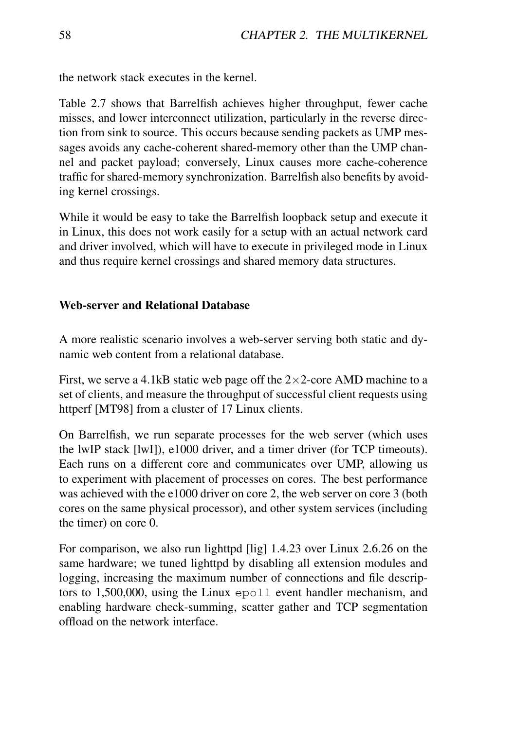the network stack executes in the kernel.

Table 2.7 shows that Barrelfish achieves higher throughput, fewer cache misses, and lower interconnect utilization, particularly in the reverse direction from sink to source. This occurs because sending packets as UMP messages avoids any cache-coherent shared-memory other than the UMP channel and packet payload; conversely, Linux causes more cache-coherence traffic for shared-memory synchronization. Barrelfish also benefits by avoiding kernel crossings.

While it would be easy to take the Barrelfish loopback setup and execute it in Linux, this does not work easily for a setup with an actual network card and driver involved, which will have to execute in privileged mode in Linux and thus require kernel crossings and shared memory data structures.

### Web-server and Relational Database

A more realistic scenario involves a web-server serving both static and dynamic web content from a relational database.

First, we serve a 4.1kB static web page off the  $2 \times 2$ -core AMD machine to a set of clients, and measure the throughput of successful client requests using httperf [MT98] from a cluster of 17 Linux clients.

On Barrelfish, we run separate processes for the web server (which uses the lwIP stack [lwI]), e1000 driver, and a timer driver (for TCP timeouts). Each runs on a different core and communicates over UMP, allowing us to experiment with placement of processes on cores. The best performance was achieved with the e1000 driver on core 2, the web server on core 3 (both cores on the same physical processor), and other system services (including the timer) on core 0.

For comparison, we also run lighttpd [lig] 1.4.23 over Linux 2.6.26 on the same hardware; we tuned lighttpd by disabling all extension modules and logging, increasing the maximum number of connections and file descriptors to 1,500,000, using the Linux epoll event handler mechanism, and enabling hardware check-summing, scatter gather and TCP segmentation offload on the network interface.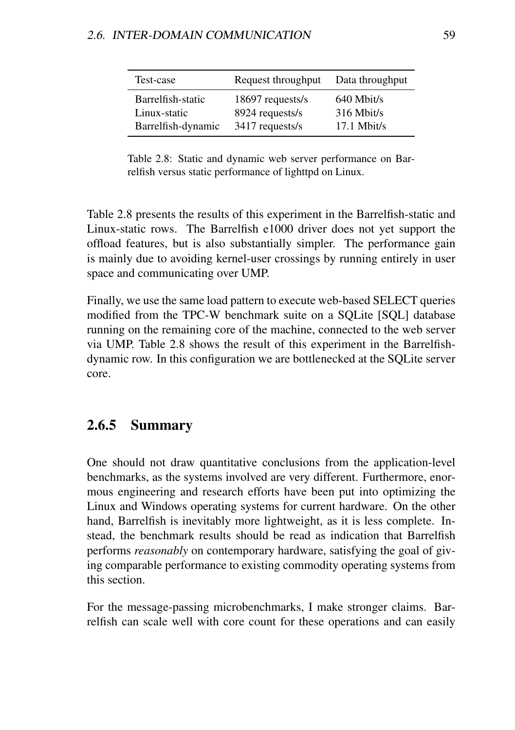| Test-case          | Request throughput | Data throughput |
|--------------------|--------------------|-----------------|
| Barrelfish-static  | 18697 requests/s   | $640$ Mbit/s    |
| Linux-static       | 8924 requests/s    | $316$ Mbit/s    |
| Barrelfish-dynamic | 3417 requests/s    | $17.1$ Mbit/s   |

Table 2.8: Static and dynamic web server performance on Barrelfish versus static performance of lighttpd on Linux.

Table 2.8 presents the results of this experiment in the Barrelfish-static and Linux-static rows. The Barrelfish e1000 driver does not yet support the offload features, but is also substantially simpler. The performance gain is mainly due to avoiding kernel-user crossings by running entirely in user space and communicating over UMP.

Finally, we use the same load pattern to execute web-based SELECT queries modified from the TPC-W benchmark suite on a SQLite [SQL] database running on the remaining core of the machine, connected to the web server via UMP. Table 2.8 shows the result of this experiment in the Barrelfishdynamic row. In this configuration we are bottlenecked at the SQLite server core.

### 2.6.5 Summary

One should not draw quantitative conclusions from the application-level benchmarks, as the systems involved are very different. Furthermore, enormous engineering and research efforts have been put into optimizing the Linux and Windows operating systems for current hardware. On the other hand, Barrelfish is inevitably more lightweight, as it is less complete. Instead, the benchmark results should be read as indication that Barrelfish performs *reasonably* on contemporary hardware, satisfying the goal of giving comparable performance to existing commodity operating systems from this section.

For the message-passing microbenchmarks, I make stronger claims. Barrelfish can scale well with core count for these operations and can easily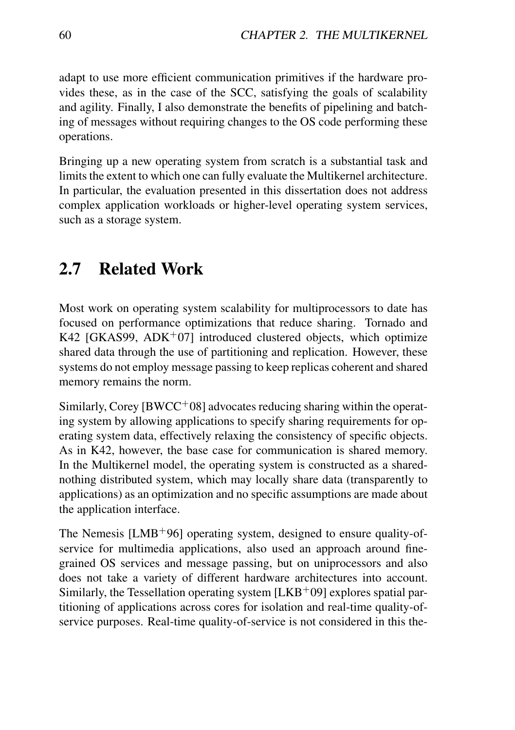adapt to use more efficient communication primitives if the hardware provides these, as in the case of the SCC, satisfying the goals of scalability and agility. Finally, I also demonstrate the benefits of pipelining and batching of messages without requiring changes to the OS code performing these operations.

Bringing up a new operating system from scratch is a substantial task and limits the extent to which one can fully evaluate the Multikernel architecture. In particular, the evaluation presented in this dissertation does not address complex application workloads or higher-level operating system services, such as a storage system.

# 2.7 Related Work

Most work on operating system scalability for multiprocessors to date has focused on performance optimizations that reduce sharing. Tornado and K42 [GKAS99, ADK<sup>+</sup>07] introduced clustered objects, which optimize shared data through the use of partitioning and replication. However, these systems do not employ message passing to keep replicas coherent and shared memory remains the norm.

Similarly, Corey  $[BWCC^+08]$  advocates reducing sharing within the operating system by allowing applications to specify sharing requirements for operating system data, effectively relaxing the consistency of specific objects. As in K42, however, the base case for communication is shared memory. In the Multikernel model, the operating system is constructed as a sharednothing distributed system, which may locally share data (transparently to applications) as an optimization and no specific assumptions are made about the application interface.

The Nemesis  $[LMB<sup>+</sup>96]$  operating system, designed to ensure quality-ofservice for multimedia applications, also used an approach around finegrained OS services and message passing, but on uniprocessors and also does not take a variety of different hardware architectures into account. Similarly, the Tessellation operating system  $[LRB<sup>+</sup>09]$  explores spatial partitioning of applications across cores for isolation and real-time quality-ofservice purposes. Real-time quality-of-service is not considered in this the-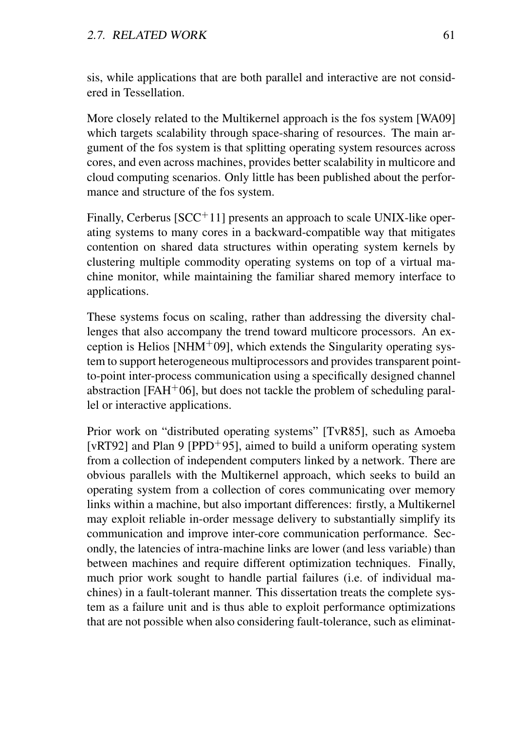sis, while applications that are both parallel and interactive are not considered in Tessellation.

More closely related to the Multikernel approach is the fos system [WA09] which targets scalability through space-sharing of resources. The main argument of the fos system is that splitting operating system resources across cores, and even across machines, provides better scalability in multicore and cloud computing scenarios. Only little has been published about the performance and structure of the fos system.

Finally, Cerberus  $[SCC^+11]$  presents an approach to scale UNIX-like operating systems to many cores in a backward-compatible way that mitigates contention on shared data structures within operating system kernels by clustering multiple commodity operating systems on top of a virtual machine monitor, while maintaining the familiar shared memory interface to applications.

These systems focus on scaling, rather than addressing the diversity challenges that also accompany the trend toward multicore processors. An exception is Helios [NHM+09], which extends the Singularity operating system to support heterogeneous multiprocessors and provides transparent pointto-point inter-process communication using a specifically designed channel abstraction [FAH<sup>+</sup>06], but does not tackle the problem of scheduling parallel or interactive applications.

Prior work on "distributed operating systems" [TvR85], such as Amoeba [vRT92] and Plan 9 [PPD+95], aimed to build a uniform operating system from a collection of independent computers linked by a network. There are obvious parallels with the Multikernel approach, which seeks to build an operating system from a collection of cores communicating over memory links within a machine, but also important differences: firstly, a Multikernel may exploit reliable in-order message delivery to substantially simplify its communication and improve inter-core communication performance. Secondly, the latencies of intra-machine links are lower (and less variable) than between machines and require different optimization techniques. Finally, much prior work sought to handle partial failures (i.e. of individual machines) in a fault-tolerant manner. This dissertation treats the complete system as a failure unit and is thus able to exploit performance optimizations that are not possible when also considering fault-tolerance, such as eliminat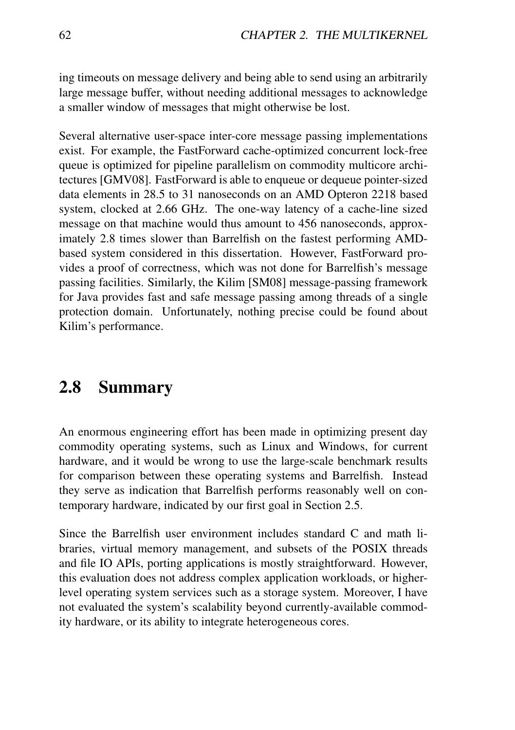ing timeouts on message delivery and being able to send using an arbitrarily large message buffer, without needing additional messages to acknowledge a smaller window of messages that might otherwise be lost.

Several alternative user-space inter-core message passing implementations exist. For example, the FastForward cache-optimized concurrent lock-free queue is optimized for pipeline parallelism on commodity multicore architectures [GMV08]. FastForward is able to enqueue or dequeue pointer-sized data elements in 28.5 to 31 nanoseconds on an AMD Opteron 2218 based system, clocked at 2.66 GHz. The one-way latency of a cache-line sized message on that machine would thus amount to 456 nanoseconds, approximately 2.8 times slower than Barrelfish on the fastest performing AMDbased system considered in this dissertation. However, FastForward provides a proof of correctness, which was not done for Barrelfish's message passing facilities. Similarly, the Kilim [SM08] message-passing framework for Java provides fast and safe message passing among threads of a single protection domain. Unfortunately, nothing precise could be found about Kilim's performance.

## 2.8 Summary

An enormous engineering effort has been made in optimizing present day commodity operating systems, such as Linux and Windows, for current hardware, and it would be wrong to use the large-scale benchmark results for comparison between these operating systems and Barrelfish. Instead they serve as indication that Barrelfish performs reasonably well on contemporary hardware, indicated by our first goal in Section 2.5.

Since the Barrelfish user environment includes standard C and math libraries, virtual memory management, and subsets of the POSIX threads and file IO APIs, porting applications is mostly straightforward. However, this evaluation does not address complex application workloads, or higherlevel operating system services such as a storage system. Moreover, I have not evaluated the system's scalability beyond currently-available commodity hardware, or its ability to integrate heterogeneous cores.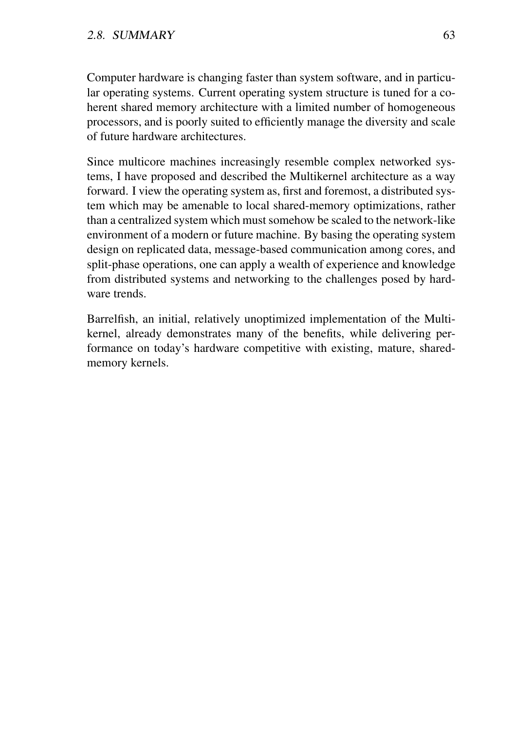Computer hardware is changing faster than system software, and in particular operating systems. Current operating system structure is tuned for a coherent shared memory architecture with a limited number of homogeneous processors, and is poorly suited to efficiently manage the diversity and scale of future hardware architectures.

Since multicore machines increasingly resemble complex networked systems, I have proposed and described the Multikernel architecture as a way forward. I view the operating system as, first and foremost, a distributed system which may be amenable to local shared-memory optimizations, rather than a centralized system which must somehow be scaled to the network-like environment of a modern or future machine. By basing the operating system design on replicated data, message-based communication among cores, and split-phase operations, one can apply a wealth of experience and knowledge from distributed systems and networking to the challenges posed by hardware trends.

Barrelfish, an initial, relatively unoptimized implementation of the Multikernel, already demonstrates many of the benefits, while delivering performance on today's hardware competitive with existing, mature, sharedmemory kernels.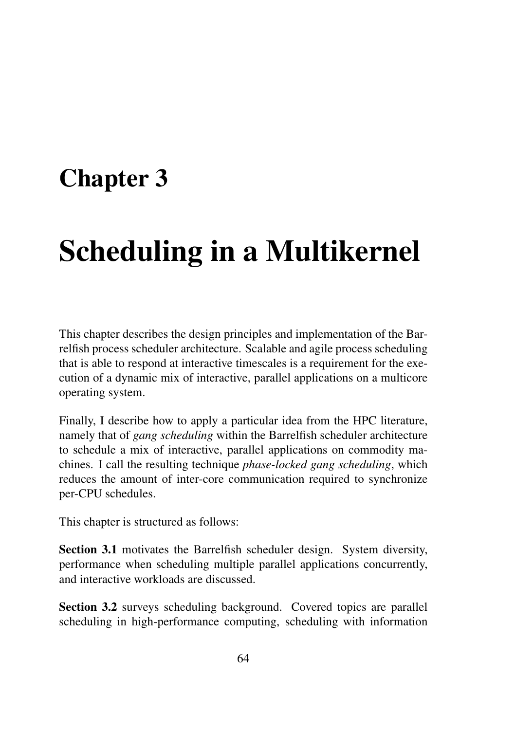## Chapter 3

# Scheduling in a Multikernel

This chapter describes the design principles and implementation of the Barrelfish process scheduler architecture. Scalable and agile process scheduling that is able to respond at interactive timescales is a requirement for the execution of a dynamic mix of interactive, parallel applications on a multicore operating system.

Finally, I describe how to apply a particular idea from the HPC literature, namely that of *gang scheduling* within the Barrelfish scheduler architecture to schedule a mix of interactive, parallel applications on commodity machines. I call the resulting technique *phase-locked gang scheduling*, which reduces the amount of inter-core communication required to synchronize per-CPU schedules.

This chapter is structured as follows:

Section 3.1 motivates the Barrelfish scheduler design. System diversity, performance when scheduling multiple parallel applications concurrently, and interactive workloads are discussed.

Section 3.2 surveys scheduling background. Covered topics are parallel scheduling in high-performance computing, scheduling with information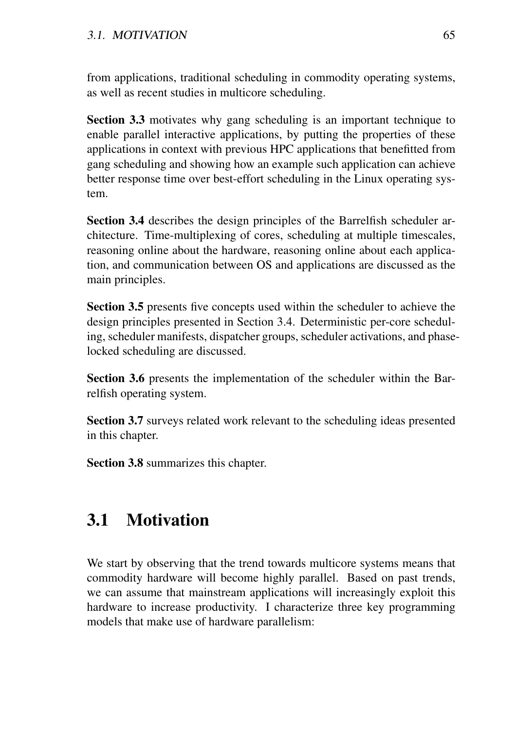from applications, traditional scheduling in commodity operating systems, as well as recent studies in multicore scheduling.

Section 3.3 motivates why gang scheduling is an important technique to enable parallel interactive applications, by putting the properties of these applications in context with previous HPC applications that benefitted from gang scheduling and showing how an example such application can achieve better response time over best-effort scheduling in the Linux operating system.

Section 3.4 describes the design principles of the Barrelfish scheduler architecture. Time-multiplexing of cores, scheduling at multiple timescales, reasoning online about the hardware, reasoning online about each application, and communication between OS and applications are discussed as the main principles.

Section 3.5 presents five concepts used within the scheduler to achieve the design principles presented in Section 3.4. Deterministic per-core scheduling, scheduler manifests, dispatcher groups, scheduler activations, and phaselocked scheduling are discussed.

Section 3.6 presents the implementation of the scheduler within the Barrelfish operating system.

Section 3.7 surveys related work relevant to the scheduling ideas presented in this chapter.

Section 3.8 summarizes this chapter.

## 3.1 Motivation

We start by observing that the trend towards multicore systems means that commodity hardware will become highly parallel. Based on past trends, we can assume that mainstream applications will increasingly exploit this hardware to increase productivity. I characterize three key programming models that make use of hardware parallelism: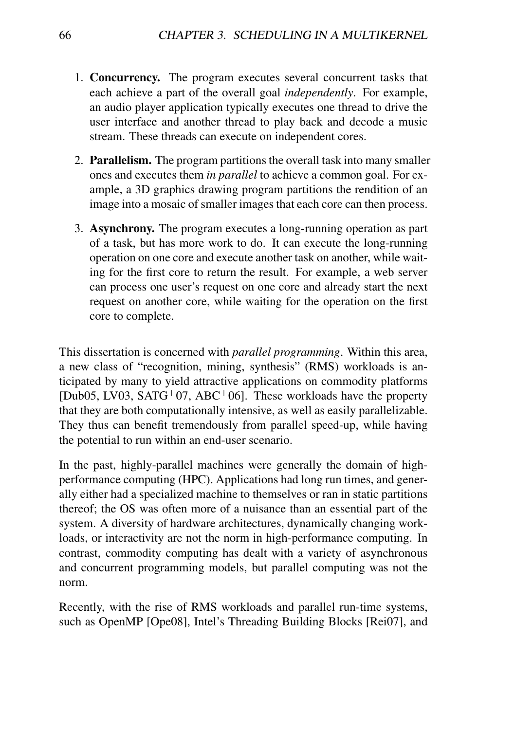- 1. Concurrency. The program executes several concurrent tasks that each achieve a part of the overall goal *independently*. For example, an audio player application typically executes one thread to drive the user interface and another thread to play back and decode a music stream. These threads can execute on independent cores.
- 2. Parallelism. The program partitions the overall task into many smaller ones and executes them *in parallel* to achieve a common goal. For example, a 3D graphics drawing program partitions the rendition of an image into a mosaic of smaller images that each core can then process.
- 3. Asynchrony. The program executes a long-running operation as part of a task, but has more work to do. It can execute the long-running operation on one core and execute another task on another, while waiting for the first core to return the result. For example, a web server can process one user's request on one core and already start the next request on another core, while waiting for the operation on the first core to complete.

This dissertation is concerned with *parallel programming*. Within this area, a new class of "recognition, mining, synthesis" (RMS) workloads is anticipated by many to yield attractive applications on commodity platforms  $[Dub05, LV03, SATG<sup>+</sup>07, ABC<sup>+</sup>06]$ . These workloads have the property that they are both computationally intensive, as well as easily parallelizable. They thus can benefit tremendously from parallel speed-up, while having the potential to run within an end-user scenario.

In the past, highly-parallel machines were generally the domain of highperformance computing (HPC). Applications had long run times, and generally either had a specialized machine to themselves or ran in static partitions thereof; the OS was often more of a nuisance than an essential part of the system. A diversity of hardware architectures, dynamically changing workloads, or interactivity are not the norm in high-performance computing. In contrast, commodity computing has dealt with a variety of asynchronous and concurrent programming models, but parallel computing was not the norm.

Recently, with the rise of RMS workloads and parallel run-time systems, such as OpenMP [Ope08], Intel's Threading Building Blocks [Rei07], and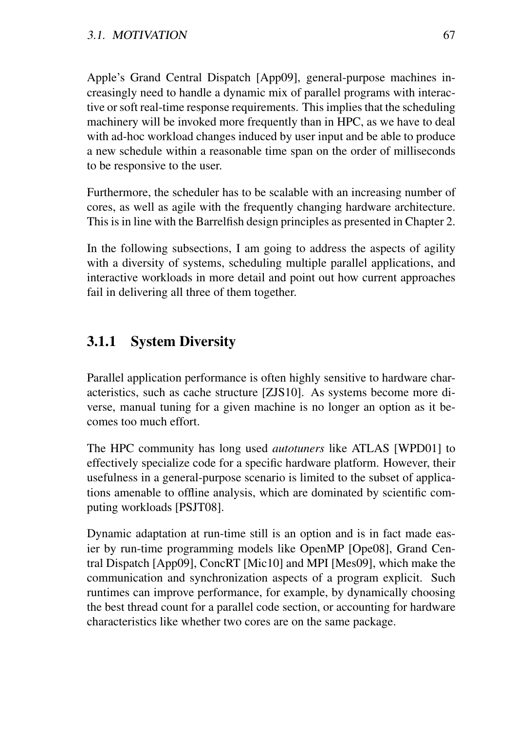Apple's Grand Central Dispatch [App09], general-purpose machines increasingly need to handle a dynamic mix of parallel programs with interactive or soft real-time response requirements. This implies that the scheduling machinery will be invoked more frequently than in HPC, as we have to deal with ad-hoc workload changes induced by user input and be able to produce a new schedule within a reasonable time span on the order of milliseconds to be responsive to the user.

Furthermore, the scheduler has to be scalable with an increasing number of cores, as well as agile with the frequently changing hardware architecture. This is in line with the Barrelfish design principles as presented in Chapter 2.

In the following subsections, I am going to address the aspects of agility with a diversity of systems, scheduling multiple parallel applications, and interactive workloads in more detail and point out how current approaches fail in delivering all three of them together.

## 3.1.1 System Diversity

Parallel application performance is often highly sensitive to hardware characteristics, such as cache structure [ZJS10]. As systems become more diverse, manual tuning for a given machine is no longer an option as it becomes too much effort.

The HPC community has long used *autotuners* like ATLAS [WPD01] to effectively specialize code for a specific hardware platform. However, their usefulness in a general-purpose scenario is limited to the subset of applications amenable to offline analysis, which are dominated by scientific computing workloads [PSJT08].

Dynamic adaptation at run-time still is an option and is in fact made easier by run-time programming models like OpenMP [Ope08], Grand Central Dispatch [App09], ConcRT [Mic10] and MPI [Mes09], which make the communication and synchronization aspects of a program explicit. Such runtimes can improve performance, for example, by dynamically choosing the best thread count for a parallel code section, or accounting for hardware characteristics like whether two cores are on the same package.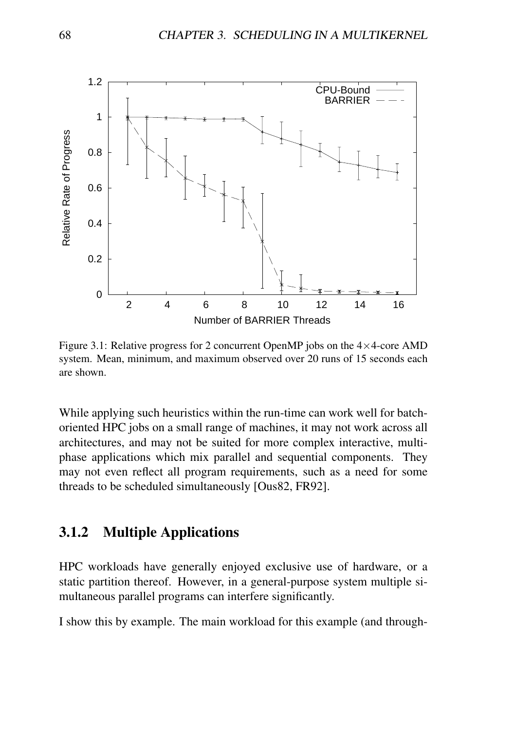

Figure 3.1: Relative progress for 2 concurrent OpenMP jobs on the  $4\times4$ -core AMD system. Mean, minimum, and maximum observed over 20 runs of 15 seconds each are shown.

While applying such heuristics within the run-time can work well for batchoriented HPC jobs on a small range of machines, it may not work across all architectures, and may not be suited for more complex interactive, multiphase applications which mix parallel and sequential components. They may not even reflect all program requirements, such as a need for some threads to be scheduled simultaneously [Ous82, FR92].

## 3.1.2 Multiple Applications

HPC workloads have generally enjoyed exclusive use of hardware, or a static partition thereof. However, in a general-purpose system multiple simultaneous parallel programs can interfere significantly.

I show this by example. The main workload for this example (and through-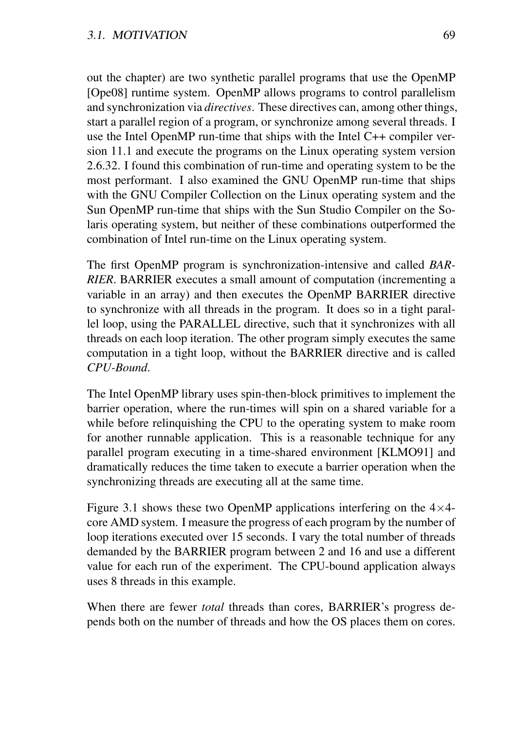out the chapter) are two synthetic parallel programs that use the OpenMP [Ope08] runtime system. OpenMP allows programs to control parallelism and synchronization via *directives*. These directives can, among other things, start a parallel region of a program, or synchronize among several threads. I use the Intel OpenMP run-time that ships with the Intel C++ compiler version 11.1 and execute the programs on the Linux operating system version 2.6.32. I found this combination of run-time and operating system to be the most performant. I also examined the GNU OpenMP run-time that ships with the GNU Compiler Collection on the Linux operating system and the Sun OpenMP run-time that ships with the Sun Studio Compiler on the Solaris operating system, but neither of these combinations outperformed the combination of Intel run-time on the Linux operating system.

The first OpenMP program is synchronization-intensive and called *BAR-RIER*. BARRIER executes a small amount of computation (incrementing a variable in an array) and then executes the OpenMP BARRIER directive to synchronize with all threads in the program. It does so in a tight parallel loop, using the PARALLEL directive, such that it synchronizes with all threads on each loop iteration. The other program simply executes the same computation in a tight loop, without the BARRIER directive and is called *CPU-Bound*.

The Intel OpenMP library uses spin-then-block primitives to implement the barrier operation, where the run-times will spin on a shared variable for a while before relinquishing the CPU to the operating system to make room for another runnable application. This is a reasonable technique for any parallel program executing in a time-shared environment [KLMO91] and dramatically reduces the time taken to execute a barrier operation when the synchronizing threads are executing all at the same time.

Figure 3.1 shows these two OpenMP applications interfering on the  $4\times4$ core AMD system. I measure the progress of each program by the number of loop iterations executed over 15 seconds. I vary the total number of threads demanded by the BARRIER program between 2 and 16 and use a different value for each run of the experiment. The CPU-bound application always uses 8 threads in this example.

When there are fewer *total* threads than cores, BARRIER's progress depends both on the number of threads and how the OS places them on cores.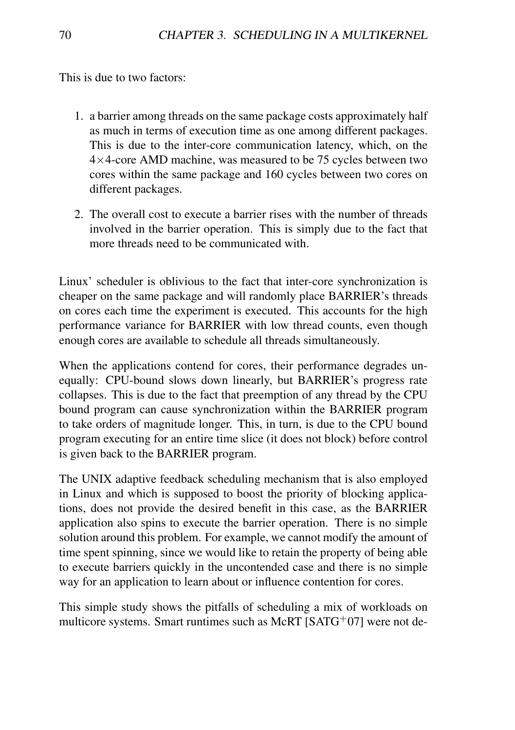This is due to two factors:

- 1. a barrier among threads on the same package costs approximately half as much in terms of execution time as one among different packages. This is due to the inter-core communication latency, which, on the  $4\times4$ -core AMD machine, was measured to be 75 cycles between two cores within the same package and 160 cycles between two cores on different packages.
- 2. The overall cost to execute a barrier rises with the number of threads involved in the barrier operation. This is simply due to the fact that more threads need to be communicated with.

Linux' scheduler is oblivious to the fact that inter-core synchronization is cheaper on the same package and will randomly place BARRIER's threads on cores each time the experiment is executed. This accounts for the high performance variance for BARRIER with low thread counts, even though enough cores are available to schedule all threads simultaneously.

When the applications contend for cores, their performance degrades unequally: CPU-bound slows down linearly, but BARRIER's progress rate collapses. This is due to the fact that preemption of any thread by the CPU bound program can cause synchronization within the BARRIER program to take orders of magnitude longer. This, in turn, is due to the CPU bound program executing for an entire time slice (it does not block) before control is given back to the BARRIER program.

The UNIX adaptive feedback scheduling mechanism that is also employed in Linux and which is supposed to boost the priority of blocking applications, does not provide the desired benefit in this case, as the BARRIER application also spins to execute the barrier operation. There is no simple solution around this problem. For example, we cannot modify the amount of time spent spinning, since we would like to retain the property of being able to execute barriers quickly in the uncontended case and there is no simple way for an application to learn about or influence contention for cores.

This simple study shows the pitfalls of scheduling a mix of workloads on multicore systems. Smart runtimes such as McRT  $[SATG<sup>+</sup>07]$  were not de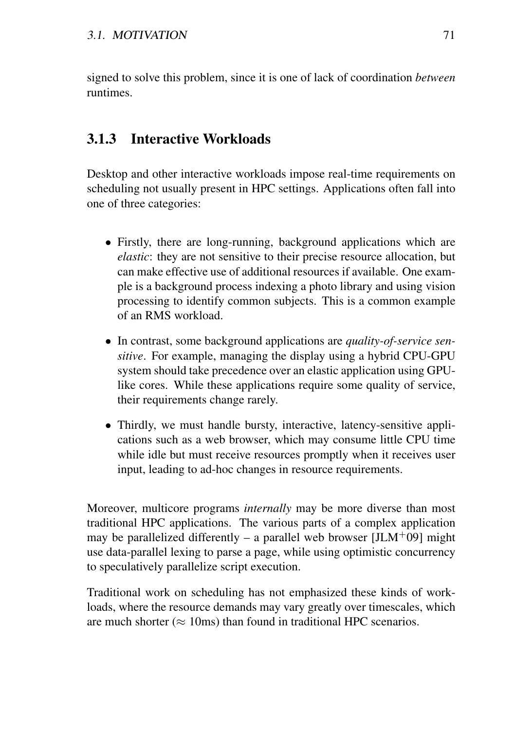signed to solve this problem, since it is one of lack of coordination *between* runtimes.

## 3.1.3 Interactive Workloads

Desktop and other interactive workloads impose real-time requirements on scheduling not usually present in HPC settings. Applications often fall into one of three categories:

- Firstly, there are long-running, background applications which are *elastic*: they are not sensitive to their precise resource allocation, but can make effective use of additional resources if available. One example is a background process indexing a photo library and using vision processing to identify common subjects. This is a common example of an RMS workload.
- In contrast, some background applications are *quality-of-service sensitive*. For example, managing the display using a hybrid CPU-GPU system should take precedence over an elastic application using GPUlike cores. While these applications require some quality of service, their requirements change rarely.
- Thirdly, we must handle bursty, interactive, latency-sensitive applications such as a web browser, which may consume little CPU time while idle but must receive resources promptly when it receives user input, leading to ad-hoc changes in resource requirements.

Moreover, multicore programs *internally* may be more diverse than most traditional HPC applications. The various parts of a complex application may be parallelized differently – a parallel web browser  $[JLM+09]$  might use data-parallel lexing to parse a page, while using optimistic concurrency to speculatively parallelize script execution.

Traditional work on scheduling has not emphasized these kinds of workloads, where the resource demands may vary greatly over timescales, which are much shorter ( $\approx$  10ms) than found in traditional HPC scenarios.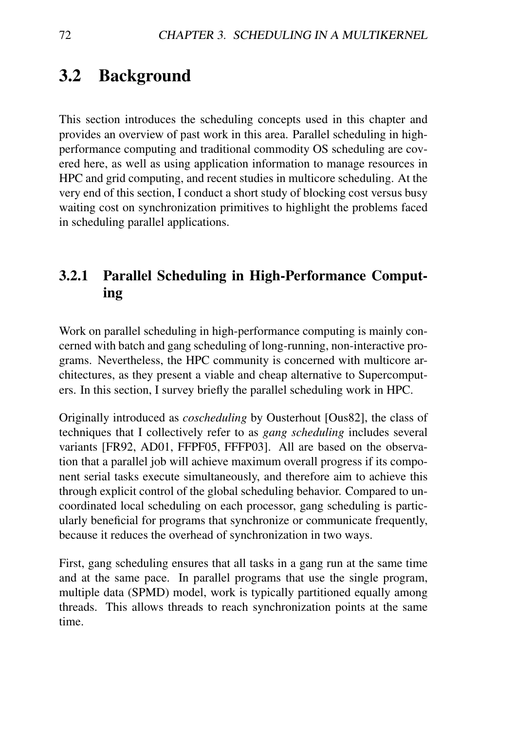## 3.2 Background

This section introduces the scheduling concepts used in this chapter and provides an overview of past work in this area. Parallel scheduling in highperformance computing and traditional commodity OS scheduling are covered here, as well as using application information to manage resources in HPC and grid computing, and recent studies in multicore scheduling. At the very end of this section, I conduct a short study of blocking cost versus busy waiting cost on synchronization primitives to highlight the problems faced in scheduling parallel applications.

## 3.2.1 Parallel Scheduling in High-Performance Computing

Work on parallel scheduling in high-performance computing is mainly concerned with batch and gang scheduling of long-running, non-interactive programs. Nevertheless, the HPC community is concerned with multicore architectures, as they present a viable and cheap alternative to Supercomputers. In this section, I survey briefly the parallel scheduling work in HPC.

Originally introduced as *coscheduling* by Ousterhout [Ous82], the class of techniques that I collectively refer to as *gang scheduling* includes several variants [FR92, AD01, FFPF05, FFFP03]. All are based on the observation that a parallel job will achieve maximum overall progress if its component serial tasks execute simultaneously, and therefore aim to achieve this through explicit control of the global scheduling behavior. Compared to uncoordinated local scheduling on each processor, gang scheduling is particularly beneficial for programs that synchronize or communicate frequently, because it reduces the overhead of synchronization in two ways.

First, gang scheduling ensures that all tasks in a gang run at the same time and at the same pace. In parallel programs that use the single program, multiple data (SPMD) model, work is typically partitioned equally among threads. This allows threads to reach synchronization points at the same time.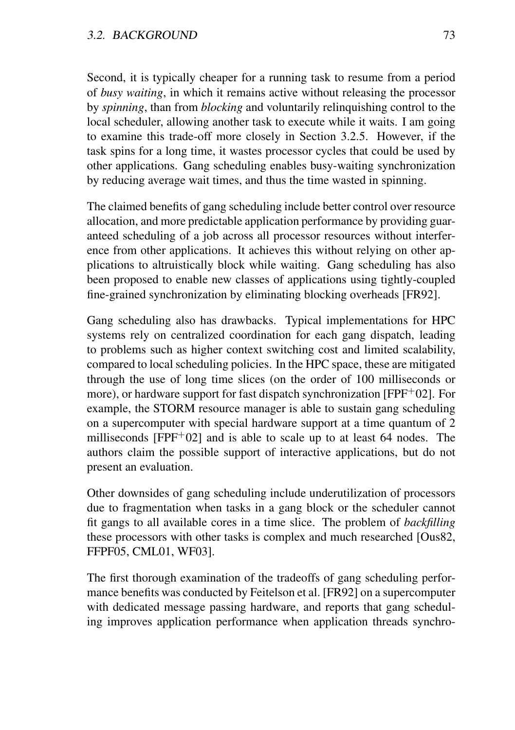Second, it is typically cheaper for a running task to resume from a period of *busy waiting*, in which it remains active without releasing the processor by *spinning*, than from *blocking* and voluntarily relinquishing control to the local scheduler, allowing another task to execute while it waits. I am going to examine this trade-off more closely in Section 3.2.5. However, if the task spins for a long time, it wastes processor cycles that could be used by other applications. Gang scheduling enables busy-waiting synchronization by reducing average wait times, and thus the time wasted in spinning.

The claimed benefits of gang scheduling include better control over resource allocation, and more predictable application performance by providing guaranteed scheduling of a job across all processor resources without interference from other applications. It achieves this without relying on other applications to altruistically block while waiting. Gang scheduling has also been proposed to enable new classes of applications using tightly-coupled fine-grained synchronization by eliminating blocking overheads [FR92].

Gang scheduling also has drawbacks. Typical implementations for HPC systems rely on centralized coordination for each gang dispatch, leading to problems such as higher context switching cost and limited scalability, compared to local scheduling policies. In the HPC space, these are mitigated through the use of long time slices (on the order of 100 milliseconds or more), or hardware support for fast dispatch synchronization [FPF<sup>+</sup>02]. For example, the STORM resource manager is able to sustain gang scheduling on a supercomputer with special hardware support at a time quantum of 2 milliseconds  $[FPF+02]$  and is able to scale up to at least 64 nodes. The authors claim the possible support of interactive applications, but do not present an evaluation.

Other downsides of gang scheduling include underutilization of processors due to fragmentation when tasks in a gang block or the scheduler cannot fit gangs to all available cores in a time slice. The problem of *backfilling* these processors with other tasks is complex and much researched [Ous82, FFPF05, CML01, WF03].

The first thorough examination of the tradeoffs of gang scheduling performance benefits was conducted by Feitelson et al. [FR92] on a supercomputer with dedicated message passing hardware, and reports that gang scheduling improves application performance when application threads synchro-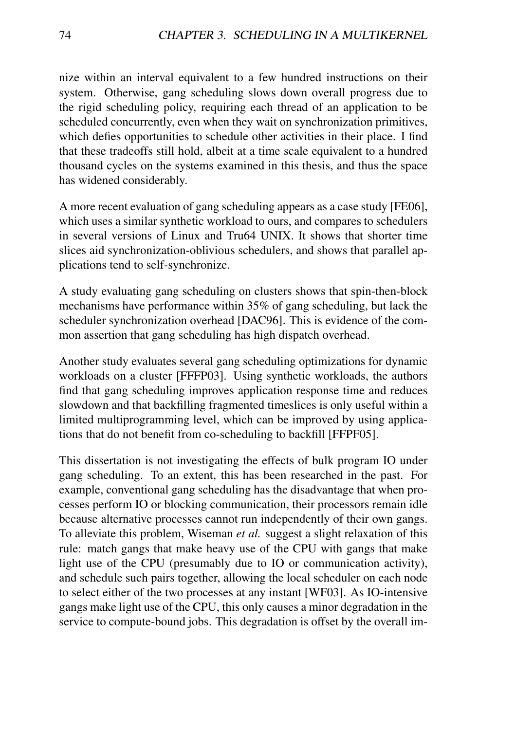nize within an interval equivalent to a few hundred instructions on their system. Otherwise, gang scheduling slows down overall progress due to the rigid scheduling policy, requiring each thread of an application to be scheduled concurrently, even when they wait on synchronization primitives, which defies opportunities to schedule other activities in their place. I find that these tradeoffs still hold, albeit at a time scale equivalent to a hundred thousand cycles on the systems examined in this thesis, and thus the space has widened considerably.

A more recent evaluation of gang scheduling appears as a case study [FE06], which uses a similar synthetic workload to ours, and compares to schedulers in several versions of Linux and Tru64 UNIX. It shows that shorter time slices aid synchronization-oblivious schedulers, and shows that parallel applications tend to self-synchronize.

A study evaluating gang scheduling on clusters shows that spin-then-block mechanisms have performance within 35% of gang scheduling, but lack the scheduler synchronization overhead [DAC96]. This is evidence of the common assertion that gang scheduling has high dispatch overhead.

Another study evaluates several gang scheduling optimizations for dynamic workloads on a cluster [FFFP03]. Using synthetic workloads, the authors find that gang scheduling improves application response time and reduces slowdown and that backfilling fragmented timeslices is only useful within a limited multiprogramming level, which can be improved by using applications that do not benefit from co-scheduling to backfill [FFPF05].

This dissertation is not investigating the effects of bulk program IO under gang scheduling. To an extent, this has been researched in the past. For example, conventional gang scheduling has the disadvantage that when processes perform IO or blocking communication, their processors remain idle because alternative processes cannot run independently of their own gangs. To alleviate this problem, Wiseman *et al.* suggest a slight relaxation of this rule: match gangs that make heavy use of the CPU with gangs that make light use of the CPU (presumably due to IO or communication activity), and schedule such pairs together, allowing the local scheduler on each node to select either of the two processes at any instant [WF03]. As IO-intensive gangs make light use of the CPU, this only causes a minor degradation in the service to compute-bound jobs. This degradation is offset by the overall im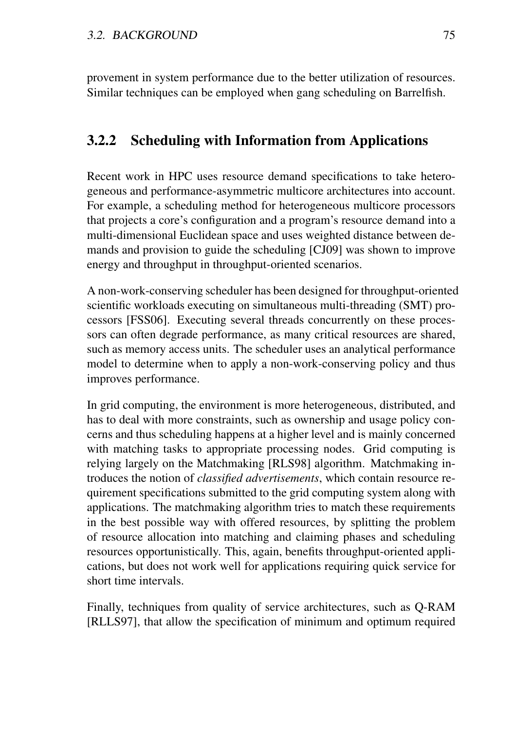provement in system performance due to the better utilization of resources. Similar techniques can be employed when gang scheduling on Barrelfish.

## 3.2.2 Scheduling with Information from Applications

Recent work in HPC uses resource demand specifications to take heterogeneous and performance-asymmetric multicore architectures into account. For example, a scheduling method for heterogeneous multicore processors that projects a core's configuration and a program's resource demand into a multi-dimensional Euclidean space and uses weighted distance between demands and provision to guide the scheduling [CJ09] was shown to improve energy and throughput in throughput-oriented scenarios.

A non-work-conserving scheduler has been designed for throughput-oriented scientific workloads executing on simultaneous multi-threading (SMT) processors [FSS06]. Executing several threads concurrently on these processors can often degrade performance, as many critical resources are shared, such as memory access units. The scheduler uses an analytical performance model to determine when to apply a non-work-conserving policy and thus improves performance.

In grid computing, the environment is more heterogeneous, distributed, and has to deal with more constraints, such as ownership and usage policy concerns and thus scheduling happens at a higher level and is mainly concerned with matching tasks to appropriate processing nodes. Grid computing is relying largely on the Matchmaking [RLS98] algorithm. Matchmaking introduces the notion of *classified advertisements*, which contain resource requirement specifications submitted to the grid computing system along with applications. The matchmaking algorithm tries to match these requirements in the best possible way with offered resources, by splitting the problem of resource allocation into matching and claiming phases and scheduling resources opportunistically. This, again, benefits throughput-oriented applications, but does not work well for applications requiring quick service for short time intervals.

Finally, techniques from quality of service architectures, such as Q-RAM [RLLS97], that allow the specification of minimum and optimum required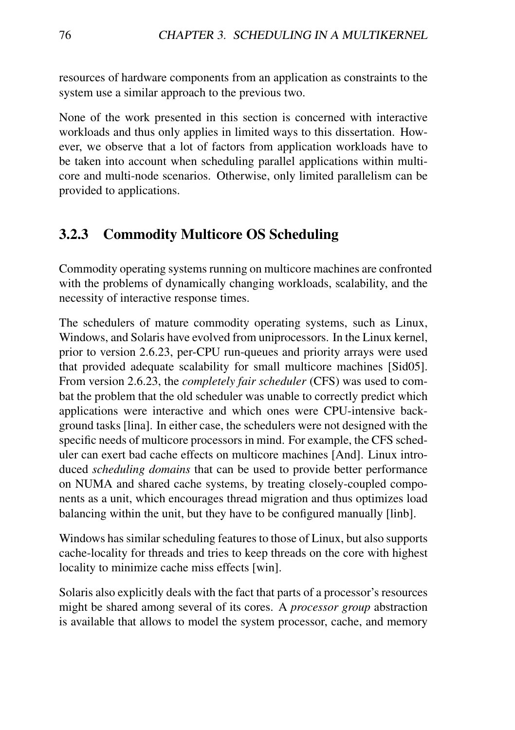resources of hardware components from an application as constraints to the system use a similar approach to the previous two.

None of the work presented in this section is concerned with interactive workloads and thus only applies in limited ways to this dissertation. However, we observe that a lot of factors from application workloads have to be taken into account when scheduling parallel applications within multicore and multi-node scenarios. Otherwise, only limited parallelism can be provided to applications.

## 3.2.3 Commodity Multicore OS Scheduling

Commodity operating systems running on multicore machines are confronted with the problems of dynamically changing workloads, scalability, and the necessity of interactive response times.

The schedulers of mature commodity operating systems, such as Linux, Windows, and Solaris have evolved from uniprocessors. In the Linux kernel, prior to version 2.6.23, per-CPU run-queues and priority arrays were used that provided adequate scalability for small multicore machines [Sid05]. From version 2.6.23, the *completely fair scheduler* (CFS) was used to combat the problem that the old scheduler was unable to correctly predict which applications were interactive and which ones were CPU-intensive background tasks [lina]. In either case, the schedulers were not designed with the specific needs of multicore processors in mind. For example, the CFS scheduler can exert bad cache effects on multicore machines [And]. Linux introduced *scheduling domains* that can be used to provide better performance on NUMA and shared cache systems, by treating closely-coupled components as a unit, which encourages thread migration and thus optimizes load balancing within the unit, but they have to be configured manually [linb].

Windows has similar scheduling features to those of Linux, but also supports cache-locality for threads and tries to keep threads on the core with highest locality to minimize cache miss effects [win].

Solaris also explicitly deals with the fact that parts of a processor's resources might be shared among several of its cores. A *processor group* abstraction is available that allows to model the system processor, cache, and memory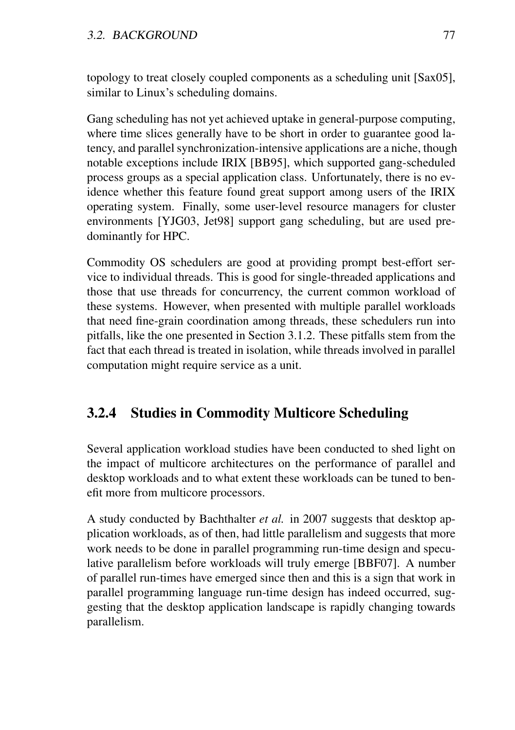topology to treat closely coupled components as a scheduling unit [Sax05], similar to Linux's scheduling domains.

Gang scheduling has not yet achieved uptake in general-purpose computing, where time slices generally have to be short in order to guarantee good latency, and parallel synchronization-intensive applications are a niche, though notable exceptions include IRIX [BB95], which supported gang-scheduled process groups as a special application class. Unfortunately, there is no evidence whether this feature found great support among users of the IRIX operating system. Finally, some user-level resource managers for cluster environments [YJG03, Jet98] support gang scheduling, but are used predominantly for HPC.

Commodity OS schedulers are good at providing prompt best-effort service to individual threads. This is good for single-threaded applications and those that use threads for concurrency, the current common workload of these systems. However, when presented with multiple parallel workloads that need fine-grain coordination among threads, these schedulers run into pitfalls, like the one presented in Section 3.1.2. These pitfalls stem from the fact that each thread is treated in isolation, while threads involved in parallel computation might require service as a unit.

## 3.2.4 Studies in Commodity Multicore Scheduling

Several application workload studies have been conducted to shed light on the impact of multicore architectures on the performance of parallel and desktop workloads and to what extent these workloads can be tuned to benefit more from multicore processors.

A study conducted by Bachthalter *et al.* in 2007 suggests that desktop application workloads, as of then, had little parallelism and suggests that more work needs to be done in parallel programming run-time design and speculative parallelism before workloads will truly emerge [BBF07]. A number of parallel run-times have emerged since then and this is a sign that work in parallel programming language run-time design has indeed occurred, suggesting that the desktop application landscape is rapidly changing towards parallelism.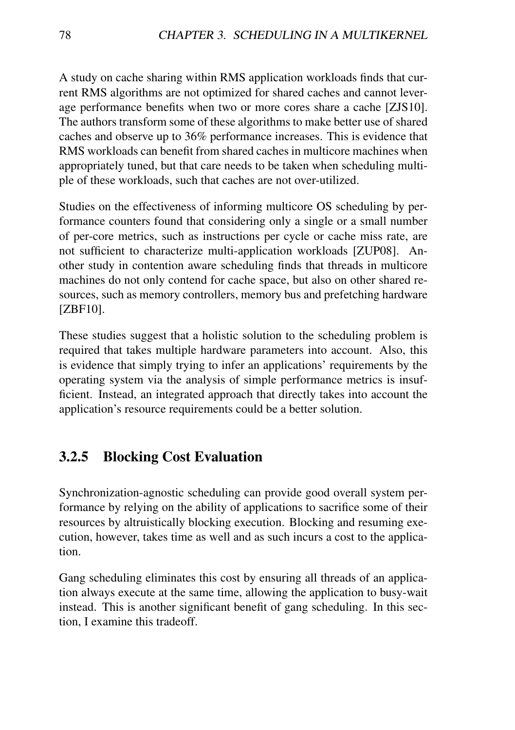A study on cache sharing within RMS application workloads finds that current RMS algorithms are not optimized for shared caches and cannot leverage performance benefits when two or more cores share a cache [ZJS10]. The authors transform some of these algorithms to make better use of shared caches and observe up to 36% performance increases. This is evidence that RMS workloads can benefit from shared caches in multicore machines when appropriately tuned, but that care needs to be taken when scheduling multiple of these workloads, such that caches are not over-utilized.

Studies on the effectiveness of informing multicore OS scheduling by performance counters found that considering only a single or a small number of per-core metrics, such as instructions per cycle or cache miss rate, are not sufficient to characterize multi-application workloads [ZUP08]. Another study in contention aware scheduling finds that threads in multicore machines do not only contend for cache space, but also on other shared resources, such as memory controllers, memory bus and prefetching hardware [ZBF10].

These studies suggest that a holistic solution to the scheduling problem is required that takes multiple hardware parameters into account. Also, this is evidence that simply trying to infer an applications' requirements by the operating system via the analysis of simple performance metrics is insufficient. Instead, an integrated approach that directly takes into account the application's resource requirements could be a better solution.

## 3.2.5 Blocking Cost Evaluation

Synchronization-agnostic scheduling can provide good overall system performance by relying on the ability of applications to sacrifice some of their resources by altruistically blocking execution. Blocking and resuming execution, however, takes time as well and as such incurs a cost to the application.

Gang scheduling eliminates this cost by ensuring all threads of an application always execute at the same time, allowing the application to busy-wait instead. This is another significant benefit of gang scheduling. In this section, I examine this tradeoff.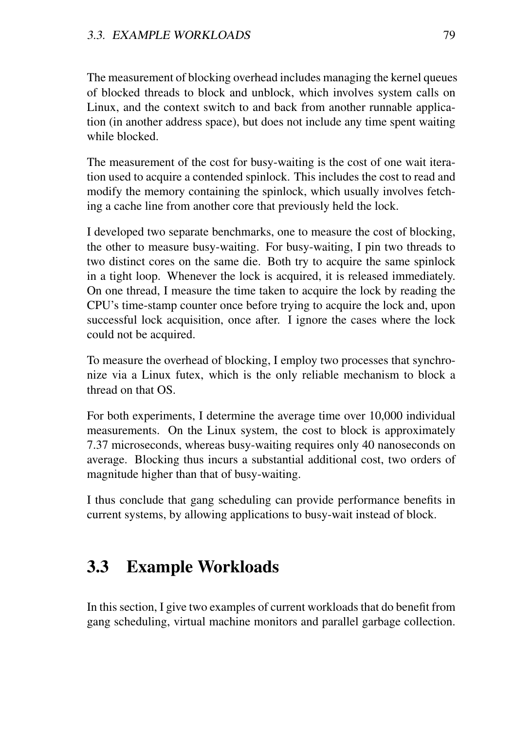The measurement of blocking overhead includes managing the kernel queues of blocked threads to block and unblock, which involves system calls on Linux, and the context switch to and back from another runnable application (in another address space), but does not include any time spent waiting while blocked.

The measurement of the cost for busy-waiting is the cost of one wait iteration used to acquire a contended spinlock. This includes the cost to read and modify the memory containing the spinlock, which usually involves fetching a cache line from another core that previously held the lock.

I developed two separate benchmarks, one to measure the cost of blocking, the other to measure busy-waiting. For busy-waiting, I pin two threads to two distinct cores on the same die. Both try to acquire the same spinlock in a tight loop. Whenever the lock is acquired, it is released immediately. On one thread, I measure the time taken to acquire the lock by reading the CPU's time-stamp counter once before trying to acquire the lock and, upon successful lock acquisition, once after. I ignore the cases where the lock could not be acquired.

To measure the overhead of blocking, I employ two processes that synchronize via a Linux futex, which is the only reliable mechanism to block a thread on that OS.

For both experiments, I determine the average time over 10,000 individual measurements. On the Linux system, the cost to block is approximately 7.37 microseconds, whereas busy-waiting requires only 40 nanoseconds on average. Blocking thus incurs a substantial additional cost, two orders of magnitude higher than that of busy-waiting.

I thus conclude that gang scheduling can provide performance benefits in current systems, by allowing applications to busy-wait instead of block.

## 3.3 Example Workloads

In this section, I give two examples of current workloads that do benefit from gang scheduling, virtual machine monitors and parallel garbage collection.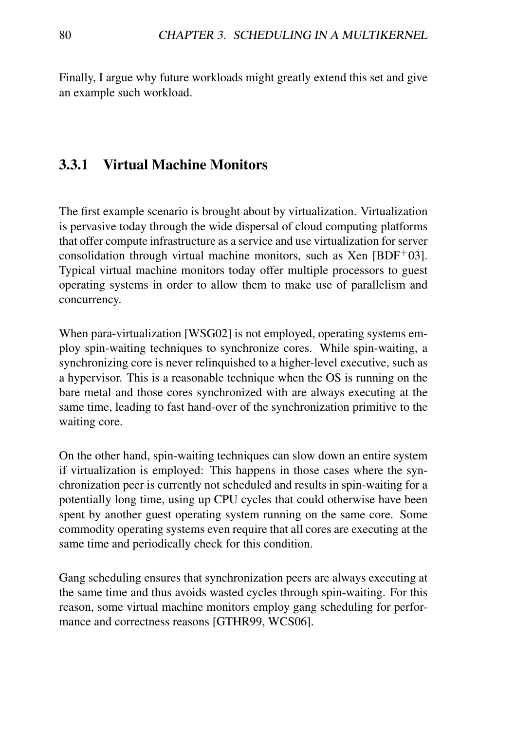Finally, I argue why future workloads might greatly extend this set and give an example such workload.

## 3.3.1 Virtual Machine Monitors

The first example scenario is brought about by virtualization. Virtualization is pervasive today through the wide dispersal of cloud computing platforms that offer compute infrastructure as a service and use virtualization for server consolidation through virtual machine monitors, such as Xen  $[BDF^+03]$ . Typical virtual machine monitors today offer multiple processors to guest operating systems in order to allow them to make use of parallelism and concurrency.

When para-virtualization [WSG02] is not employed, operating systems employ spin-waiting techniques to synchronize cores. While spin-waiting, a synchronizing core is never relinquished to a higher-level executive, such as a hypervisor. This is a reasonable technique when the OS is running on the bare metal and those cores synchronized with are always executing at the same time, leading to fast hand-over of the synchronization primitive to the waiting core.

On the other hand, spin-waiting techniques can slow down an entire system if virtualization is employed: This happens in those cases where the synchronization peer is currently not scheduled and results in spin-waiting for a potentially long time, using up CPU cycles that could otherwise have been spent by another guest operating system running on the same core. Some commodity operating systems even require that all cores are executing at the same time and periodically check for this condition.

Gang scheduling ensures that synchronization peers are always executing at the same time and thus avoids wasted cycles through spin-waiting. For this reason, some virtual machine monitors employ gang scheduling for performance and correctness reasons [GTHR99, WCS06].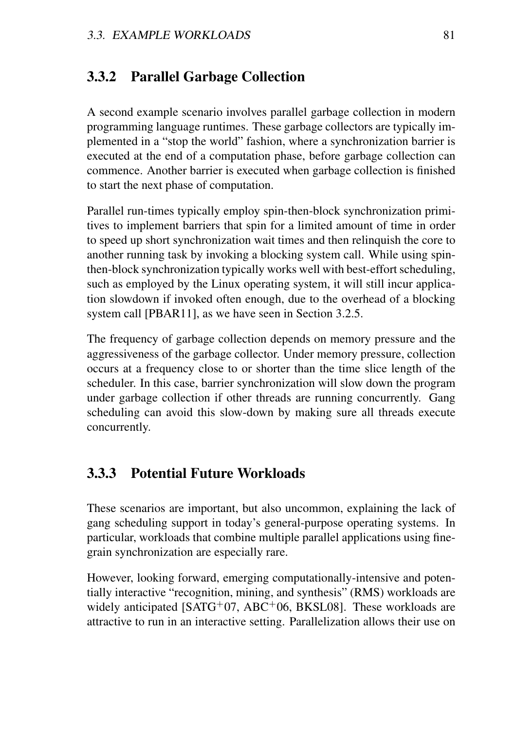## 3.3.2 Parallel Garbage Collection

A second example scenario involves parallel garbage collection in modern programming language runtimes. These garbage collectors are typically implemented in a "stop the world" fashion, where a synchronization barrier is executed at the end of a computation phase, before garbage collection can commence. Another barrier is executed when garbage collection is finished to start the next phase of computation.

Parallel run-times typically employ spin-then-block synchronization primitives to implement barriers that spin for a limited amount of time in order to speed up short synchronization wait times and then relinquish the core to another running task by invoking a blocking system call. While using spinthen-block synchronization typically works well with best-effort scheduling, such as employed by the Linux operating system, it will still incur application slowdown if invoked often enough, due to the overhead of a blocking system call [PBAR11], as we have seen in Section 3.2.5.

The frequency of garbage collection depends on memory pressure and the aggressiveness of the garbage collector. Under memory pressure, collection occurs at a frequency close to or shorter than the time slice length of the scheduler. In this case, barrier synchronization will slow down the program under garbage collection if other threads are running concurrently. Gang scheduling can avoid this slow-down by making sure all threads execute concurrently.

## 3.3.3 Potential Future Workloads

These scenarios are important, but also uncommon, explaining the lack of gang scheduling support in today's general-purpose operating systems. In particular, workloads that combine multiple parallel applications using finegrain synchronization are especially rare.

However, looking forward, emerging computationally-intensive and potentially interactive "recognition, mining, and synthesis" (RMS) workloads are widely anticipated [SATG<sup>+</sup>07, ABC<sup>+</sup>06, BKSL08]. These workloads are attractive to run in an interactive setting. Parallelization allows their use on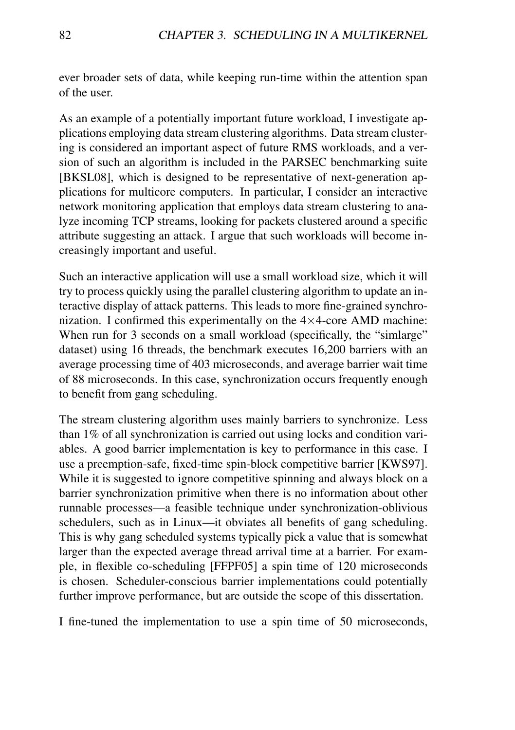ever broader sets of data, while keeping run-time within the attention span of the user.

As an example of a potentially important future workload, I investigate applications employing data stream clustering algorithms. Data stream clustering is considered an important aspect of future RMS workloads, and a version of such an algorithm is included in the PARSEC benchmarking suite [BKSL08], which is designed to be representative of next-generation applications for multicore computers. In particular, I consider an interactive network monitoring application that employs data stream clustering to analyze incoming TCP streams, looking for packets clustered around a specific attribute suggesting an attack. I argue that such workloads will become increasingly important and useful.

Such an interactive application will use a small workload size, which it will try to process quickly using the parallel clustering algorithm to update an interactive display of attack patterns. This leads to more fine-grained synchronization. I confirmed this experimentally on the  $4\times4$ -core AMD machine: When run for 3 seconds on a small workload (specifically, the "simlarge" dataset) using 16 threads, the benchmark executes 16,200 barriers with an average processing time of 403 microseconds, and average barrier wait time of 88 microseconds. In this case, synchronization occurs frequently enough to benefit from gang scheduling.

The stream clustering algorithm uses mainly barriers to synchronize. Less than 1% of all synchronization is carried out using locks and condition variables. A good barrier implementation is key to performance in this case. I use a preemption-safe, fixed-time spin-block competitive barrier [KWS97]. While it is suggested to ignore competitive spinning and always block on a barrier synchronization primitive when there is no information about other runnable processes—a feasible technique under synchronization-oblivious schedulers, such as in Linux—it obviates all benefits of gang scheduling. This is why gang scheduled systems typically pick a value that is somewhat larger than the expected average thread arrival time at a barrier. For example, in flexible co-scheduling [FFPF05] a spin time of 120 microseconds is chosen. Scheduler-conscious barrier implementations could potentially further improve performance, but are outside the scope of this dissertation.

I fine-tuned the implementation to use a spin time of 50 microseconds,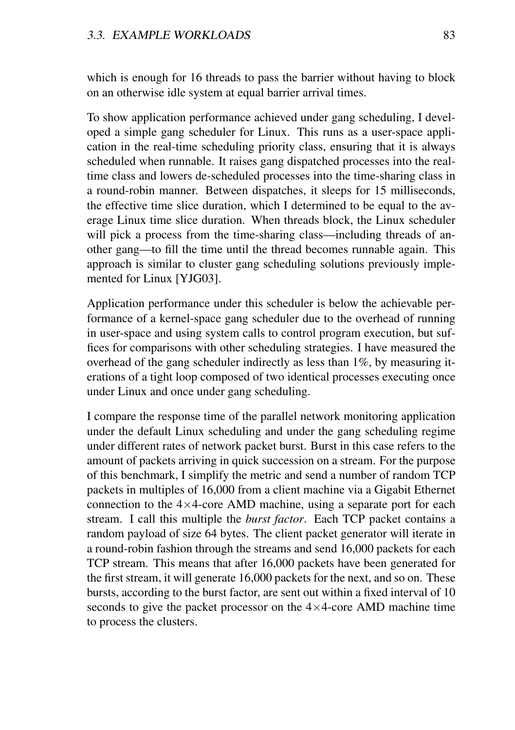which is enough for 16 threads to pass the barrier without having to block on an otherwise idle system at equal barrier arrival times.

To show application performance achieved under gang scheduling, I developed a simple gang scheduler for Linux. This runs as a user-space application in the real-time scheduling priority class, ensuring that it is always scheduled when runnable. It raises gang dispatched processes into the realtime class and lowers de-scheduled processes into the time-sharing class in a round-robin manner. Between dispatches, it sleeps for 15 milliseconds, the effective time slice duration, which I determined to be equal to the average Linux time slice duration. When threads block, the Linux scheduler will pick a process from the time-sharing class—including threads of another gang—to fill the time until the thread becomes runnable again. This approach is similar to cluster gang scheduling solutions previously implemented for Linux [YJG03].

Application performance under this scheduler is below the achievable performance of a kernel-space gang scheduler due to the overhead of running in user-space and using system calls to control program execution, but suffices for comparisons with other scheduling strategies. I have measured the overhead of the gang scheduler indirectly as less than 1%, by measuring iterations of a tight loop composed of two identical processes executing once under Linux and once under gang scheduling.

I compare the response time of the parallel network monitoring application under the default Linux scheduling and under the gang scheduling regime under different rates of network packet burst. Burst in this case refers to the amount of packets arriving in quick succession on a stream. For the purpose of this benchmark, I simplify the metric and send a number of random TCP packets in multiples of 16,000 from a client machine via a Gigabit Ethernet connection to the  $4\times4$ -core AMD machine, using a separate port for each stream. I call this multiple the *burst factor*. Each TCP packet contains a random payload of size 64 bytes. The client packet generator will iterate in a round-robin fashion through the streams and send 16,000 packets for each TCP stream. This means that after 16,000 packets have been generated for the first stream, it will generate 16,000 packets for the next, and so on. These bursts, according to the burst factor, are sent out within a fixed interval of 10 seconds to give the packet processor on the  $4 \times 4$ -core AMD machine time to process the clusters.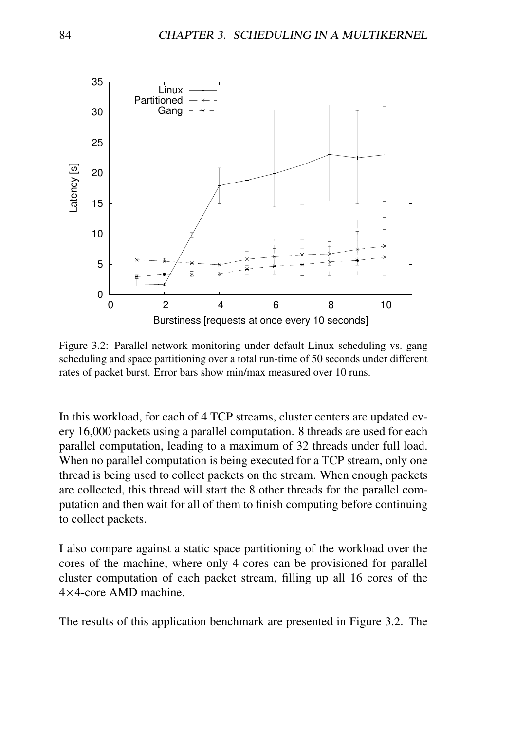

Figure 3.2: Parallel network monitoring under default Linux scheduling vs. gang scheduling and space partitioning over a total run-time of 50 seconds under different rates of packet burst. Error bars show min/max measured over 10 runs.

In this workload, for each of 4 TCP streams, cluster centers are updated every 16,000 packets using a parallel computation. 8 threads are used for each parallel computation, leading to a maximum of 32 threads under full load. When no parallel computation is being executed for a TCP stream, only one thread is being used to collect packets on the stream. When enough packets are collected, this thread will start the 8 other threads for the parallel computation and then wait for all of them to finish computing before continuing to collect packets.

I also compare against a static space partitioning of the workload over the cores of the machine, where only 4 cores can be provisioned for parallel cluster computation of each packet stream, filling up all 16 cores of the 4×4-core AMD machine.

The results of this application benchmark are presented in Figure 3.2. The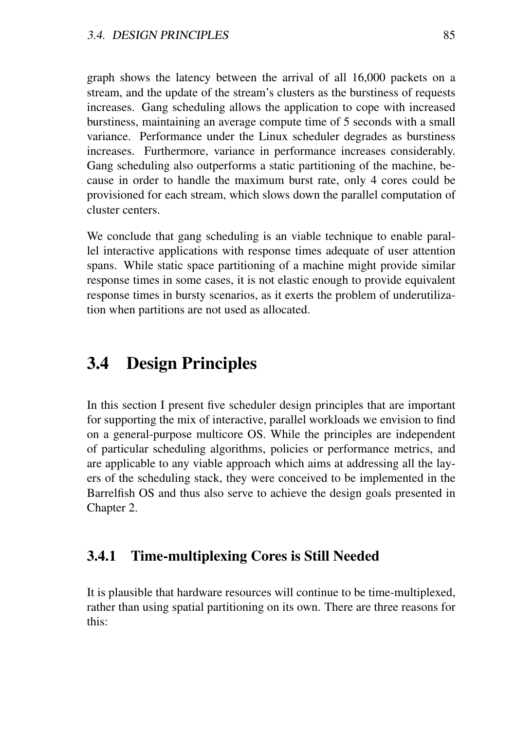graph shows the latency between the arrival of all 16,000 packets on a stream, and the update of the stream's clusters as the burstiness of requests increases. Gang scheduling allows the application to cope with increased burstiness, maintaining an average compute time of 5 seconds with a small variance. Performance under the Linux scheduler degrades as burstiness increases. Furthermore, variance in performance increases considerably. Gang scheduling also outperforms a static partitioning of the machine, because in order to handle the maximum burst rate, only 4 cores could be provisioned for each stream, which slows down the parallel computation of cluster centers.

We conclude that gang scheduling is an viable technique to enable parallel interactive applications with response times adequate of user attention spans. While static space partitioning of a machine might provide similar response times in some cases, it is not elastic enough to provide equivalent response times in bursty scenarios, as it exerts the problem of underutilization when partitions are not used as allocated.

## 3.4 Design Principles

In this section I present five scheduler design principles that are important for supporting the mix of interactive, parallel workloads we envision to find on a general-purpose multicore OS. While the principles are independent of particular scheduling algorithms, policies or performance metrics, and are applicable to any viable approach which aims at addressing all the layers of the scheduling stack, they were conceived to be implemented in the Barrelfish OS and thus also serve to achieve the design goals presented in Chapter 2.

#### 3.4.1 Time-multiplexing Cores is Still Needed

It is plausible that hardware resources will continue to be time-multiplexed, rather than using spatial partitioning on its own. There are three reasons for this: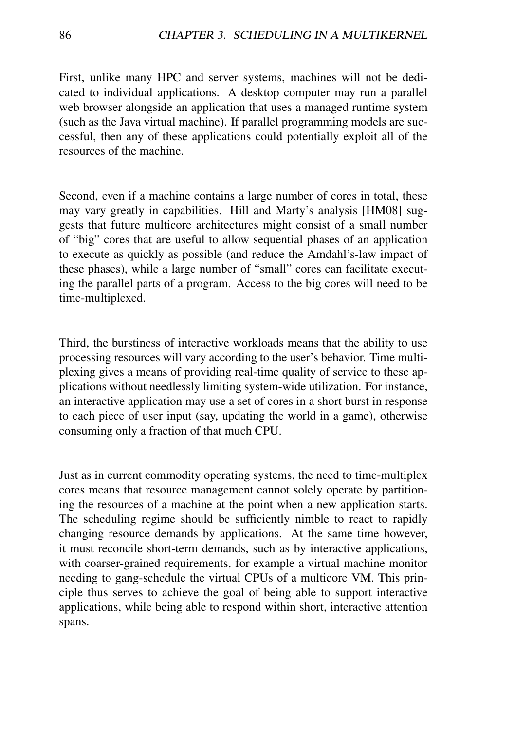First, unlike many HPC and server systems, machines will not be dedicated to individual applications. A desktop computer may run a parallel web browser alongside an application that uses a managed runtime system (such as the Java virtual machine). If parallel programming models are successful, then any of these applications could potentially exploit all of the resources of the machine.

Second, even if a machine contains a large number of cores in total, these may vary greatly in capabilities. Hill and Marty's analysis [HM08] suggests that future multicore architectures might consist of a small number of "big" cores that are useful to allow sequential phases of an application to execute as quickly as possible (and reduce the Amdahl's-law impact of these phases), while a large number of "small" cores can facilitate executing the parallel parts of a program. Access to the big cores will need to be time-multiplexed.

Third, the burstiness of interactive workloads means that the ability to use processing resources will vary according to the user's behavior. Time multiplexing gives a means of providing real-time quality of service to these applications without needlessly limiting system-wide utilization. For instance, an interactive application may use a set of cores in a short burst in response to each piece of user input (say, updating the world in a game), otherwise consuming only a fraction of that much CPU.

Just as in current commodity operating systems, the need to time-multiplex cores means that resource management cannot solely operate by partitioning the resources of a machine at the point when a new application starts. The scheduling regime should be sufficiently nimble to react to rapidly changing resource demands by applications. At the same time however, it must reconcile short-term demands, such as by interactive applications, with coarser-grained requirements, for example a virtual machine monitor needing to gang-schedule the virtual CPUs of a multicore VM. This principle thus serves to achieve the goal of being able to support interactive applications, while being able to respond within short, interactive attention spans.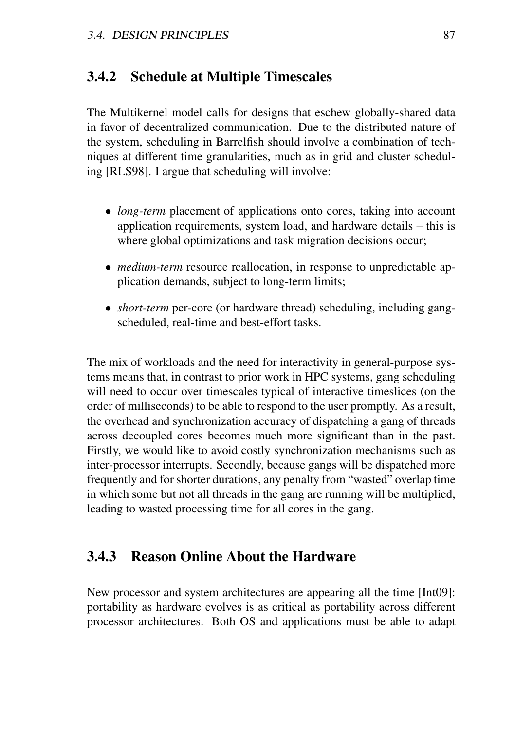#### 3.4.2 Schedule at Multiple Timescales

The Multikernel model calls for designs that eschew globally-shared data in favor of decentralized communication. Due to the distributed nature of the system, scheduling in Barrelfish should involve a combination of techniques at different time granularities, much as in grid and cluster scheduling [RLS98]. I argue that scheduling will involve:

- *long-term* placement of applications onto cores, taking into account application requirements, system load, and hardware details – this is where global optimizations and task migration decisions occur;
- *medium-term* resource reallocation, in response to unpredictable application demands, subject to long-term limits;
- *short-term* per-core (or hardware thread) scheduling, including gangscheduled, real-time and best-effort tasks.

The mix of workloads and the need for interactivity in general-purpose systems means that, in contrast to prior work in HPC systems, gang scheduling will need to occur over timescales typical of interactive timeslices (on the order of milliseconds) to be able to respond to the user promptly. As a result, the overhead and synchronization accuracy of dispatching a gang of threads across decoupled cores becomes much more significant than in the past. Firstly, we would like to avoid costly synchronization mechanisms such as inter-processor interrupts. Secondly, because gangs will be dispatched more frequently and for shorter durations, any penalty from "wasted" overlap time in which some but not all threads in the gang are running will be multiplied, leading to wasted processing time for all cores in the gang.

#### 3.4.3 Reason Online About the Hardware

New processor and system architectures are appearing all the time [Int09]: portability as hardware evolves is as critical as portability across different processor architectures. Both OS and applications must be able to adapt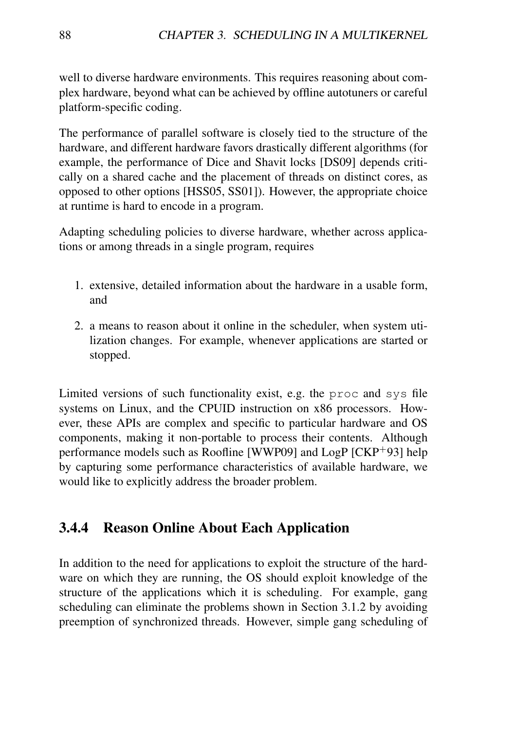well to diverse hardware environments. This requires reasoning about complex hardware, beyond what can be achieved by offline autotuners or careful platform-specific coding.

The performance of parallel software is closely tied to the structure of the hardware, and different hardware favors drastically different algorithms (for example, the performance of Dice and Shavit locks [DS09] depends critically on a shared cache and the placement of threads on distinct cores, as opposed to other options [HSS05, SS01]). However, the appropriate choice at runtime is hard to encode in a program.

Adapting scheduling policies to diverse hardware, whether across applications or among threads in a single program, requires

- 1. extensive, detailed information about the hardware in a usable form, and
- 2. a means to reason about it online in the scheduler, when system utilization changes. For example, whenever applications are started or stopped.

Limited versions of such functionality exist, e.g. the proc and sys file systems on Linux, and the CPUID instruction on x86 processors. However, these APIs are complex and specific to particular hardware and OS components, making it non-portable to process their contents. Although performance models such as Roofline [WWP09] and LogP [CKP<sup>+</sup>93] help by capturing some performance characteristics of available hardware, we would like to explicitly address the broader problem.

## 3.4.4 Reason Online About Each Application

In addition to the need for applications to exploit the structure of the hardware on which they are running, the OS should exploit knowledge of the structure of the applications which it is scheduling. For example, gang scheduling can eliminate the problems shown in Section 3.1.2 by avoiding preemption of synchronized threads. However, simple gang scheduling of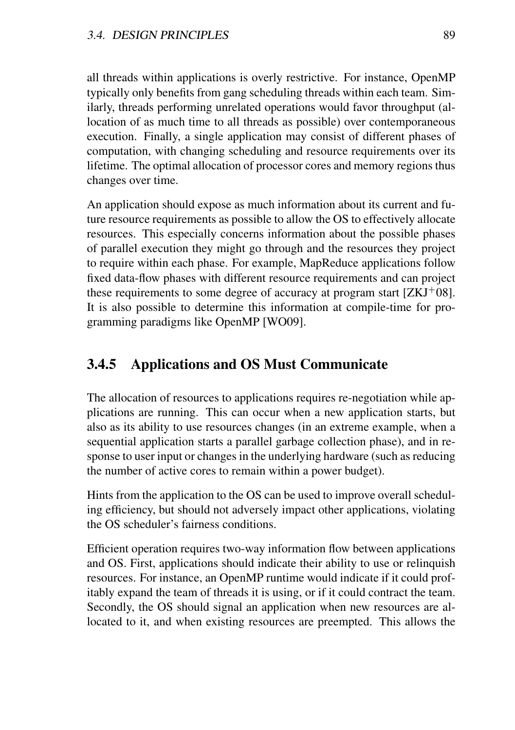all threads within applications is overly restrictive. For instance, OpenMP typically only benefits from gang scheduling threads within each team. Similarly, threads performing unrelated operations would favor throughput (allocation of as much time to all threads as possible) over contemporaneous execution. Finally, a single application may consist of different phases of computation, with changing scheduling and resource requirements over its lifetime. The optimal allocation of processor cores and memory regions thus changes over time.

An application should expose as much information about its current and future resource requirements as possible to allow the OS to effectively allocate resources. This especially concerns information about the possible phases of parallel execution they might go through and the resources they project to require within each phase. For example, MapReduce applications follow fixed data-flow phases with different resource requirements and can project these requirements to some degree of accuracy at program start  $[ZKJ^+08]$ . It is also possible to determine this information at compile-time for programming paradigms like OpenMP [WO09].

## 3.4.5 Applications and OS Must Communicate

The allocation of resources to applications requires re-negotiation while applications are running. This can occur when a new application starts, but also as its ability to use resources changes (in an extreme example, when a sequential application starts a parallel garbage collection phase), and in response to user input or changes in the underlying hardware (such as reducing the number of active cores to remain within a power budget).

Hints from the application to the OS can be used to improve overall scheduling efficiency, but should not adversely impact other applications, violating the OS scheduler's fairness conditions.

Efficient operation requires two-way information flow between applications and OS. First, applications should indicate their ability to use or relinquish resources. For instance, an OpenMP runtime would indicate if it could profitably expand the team of threads it is using, or if it could contract the team. Secondly, the OS should signal an application when new resources are allocated to it, and when existing resources are preempted. This allows the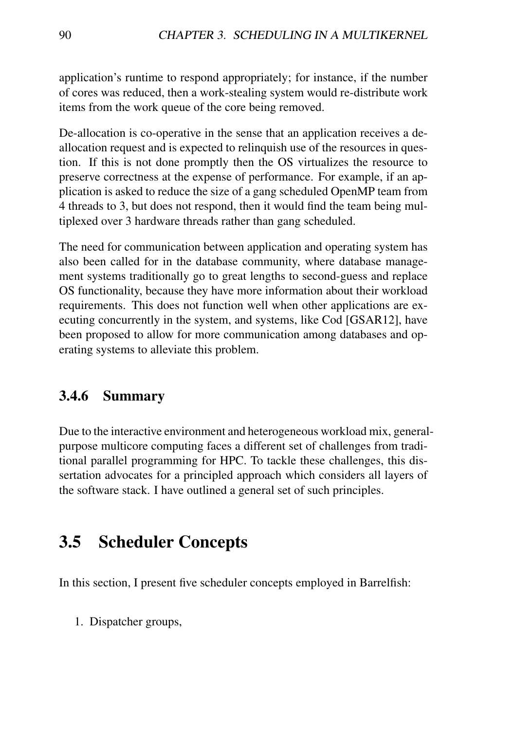application's runtime to respond appropriately; for instance, if the number of cores was reduced, then a work-stealing system would re-distribute work items from the work queue of the core being removed.

De-allocation is co-operative in the sense that an application receives a deallocation request and is expected to relinquish use of the resources in question. If this is not done promptly then the OS virtualizes the resource to preserve correctness at the expense of performance. For example, if an application is asked to reduce the size of a gang scheduled OpenMP team from 4 threads to 3, but does not respond, then it would find the team being multiplexed over 3 hardware threads rather than gang scheduled.

The need for communication between application and operating system has also been called for in the database community, where database management systems traditionally go to great lengths to second-guess and replace OS functionality, because they have more information about their workload requirements. This does not function well when other applications are executing concurrently in the system, and systems, like Cod [GSAR12], have been proposed to allow for more communication among databases and operating systems to alleviate this problem.

## 3.4.6 Summary

Due to the interactive environment and heterogeneous workload mix, generalpurpose multicore computing faces a different set of challenges from traditional parallel programming for HPC. To tackle these challenges, this dissertation advocates for a principled approach which considers all layers of the software stack. I have outlined a general set of such principles.

## 3.5 Scheduler Concepts

In this section, I present five scheduler concepts employed in Barrelfish:

1. Dispatcher groups,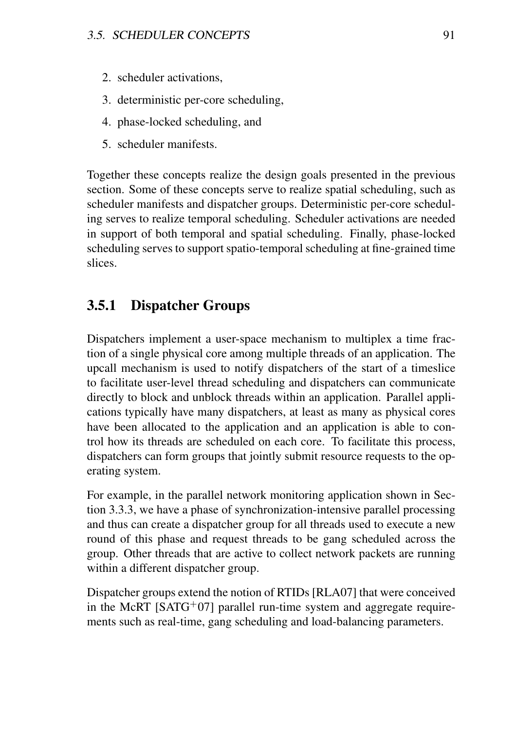- 2. scheduler activations,
- 3. deterministic per-core scheduling,
- 4. phase-locked scheduling, and
- 5. scheduler manifests.

Together these concepts realize the design goals presented in the previous section. Some of these concepts serve to realize spatial scheduling, such as scheduler manifests and dispatcher groups. Deterministic per-core scheduling serves to realize temporal scheduling. Scheduler activations are needed in support of both temporal and spatial scheduling. Finally, phase-locked scheduling serves to support spatio-temporal scheduling at fine-grained time slices.

## 3.5.1 Dispatcher Groups

Dispatchers implement a user-space mechanism to multiplex a time fraction of a single physical core among multiple threads of an application. The upcall mechanism is used to notify dispatchers of the start of a timeslice to facilitate user-level thread scheduling and dispatchers can communicate directly to block and unblock threads within an application. Parallel applications typically have many dispatchers, at least as many as physical cores have been allocated to the application and an application is able to control how its threads are scheduled on each core. To facilitate this process, dispatchers can form groups that jointly submit resource requests to the operating system.

For example, in the parallel network monitoring application shown in Section 3.3.3, we have a phase of synchronization-intensive parallel processing and thus can create a dispatcher group for all threads used to execute a new round of this phase and request threads to be gang scheduled across the group. Other threads that are active to collect network packets are running within a different dispatcher group.

Dispatcher groups extend the notion of RTIDs [RLA07] that were conceived in the McRT  $[SATG<sup>+</sup>07]$  parallel run-time system and aggregate requirements such as real-time, gang scheduling and load-balancing parameters.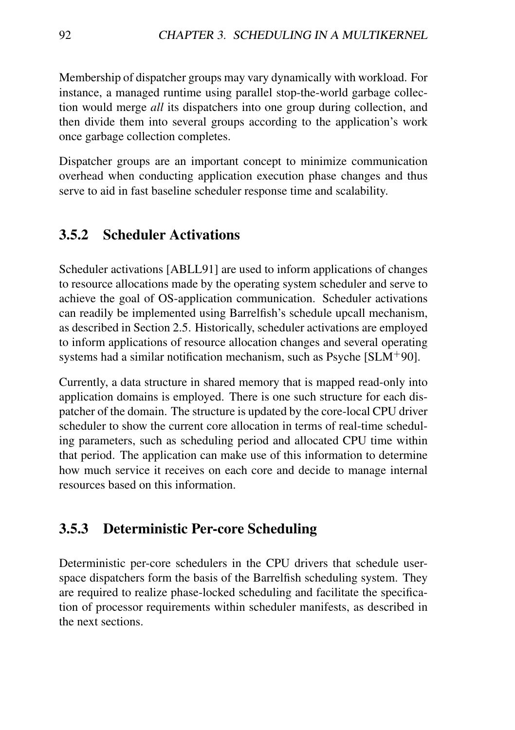Membership of dispatcher groups may vary dynamically with workload. For instance, a managed runtime using parallel stop-the-world garbage collection would merge *all* its dispatchers into one group during collection, and then divide them into several groups according to the application's work once garbage collection completes.

Dispatcher groups are an important concept to minimize communication overhead when conducting application execution phase changes and thus serve to aid in fast baseline scheduler response time and scalability.

#### 3.5.2 Scheduler Activations

Scheduler activations [ABLL91] are used to inform applications of changes to resource allocations made by the operating system scheduler and serve to achieve the goal of OS-application communication. Scheduler activations can readily be implemented using Barrelfish's schedule upcall mechanism, as described in Section 2.5. Historically, scheduler activations are employed to inform applications of resource allocation changes and several operating systems had a similar notification mechanism, such as Psyche [SLM<sup>+</sup>90].

Currently, a data structure in shared memory that is mapped read-only into application domains is employed. There is one such structure for each dispatcher of the domain. The structure is updated by the core-local CPU driver scheduler to show the current core allocation in terms of real-time scheduling parameters, such as scheduling period and allocated CPU time within that period. The application can make use of this information to determine how much service it receives on each core and decide to manage internal resources based on this information.

#### 3.5.3 Deterministic Per-core Scheduling

Deterministic per-core schedulers in the CPU drivers that schedule userspace dispatchers form the basis of the Barrelfish scheduling system. They are required to realize phase-locked scheduling and facilitate the specification of processor requirements within scheduler manifests, as described in the next sections.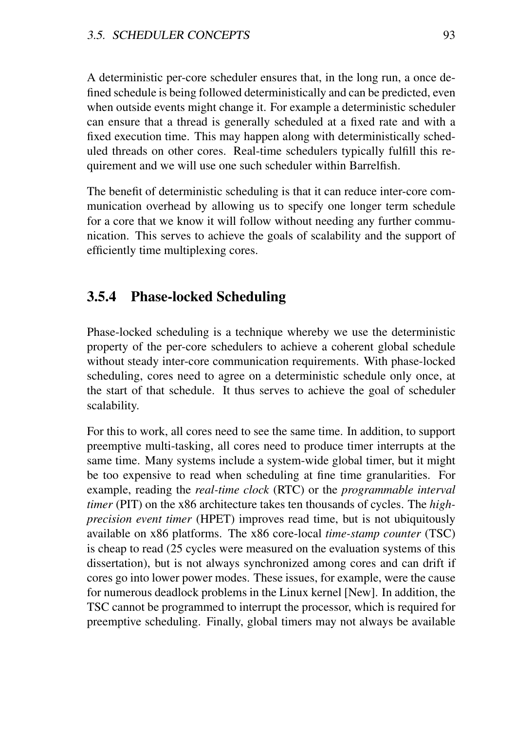A deterministic per-core scheduler ensures that, in the long run, a once defined schedule is being followed deterministically and can be predicted, even when outside events might change it. For example a deterministic scheduler can ensure that a thread is generally scheduled at a fixed rate and with a fixed execution time. This may happen along with deterministically scheduled threads on other cores. Real-time schedulers typically fulfill this requirement and we will use one such scheduler within Barrelfish.

The benefit of deterministic scheduling is that it can reduce inter-core communication overhead by allowing us to specify one longer term schedule for a core that we know it will follow without needing any further communication. This serves to achieve the goals of scalability and the support of efficiently time multiplexing cores.

#### 3.5.4 Phase-locked Scheduling

Phase-locked scheduling is a technique whereby we use the deterministic property of the per-core schedulers to achieve a coherent global schedule without steady inter-core communication requirements. With phase-locked scheduling, cores need to agree on a deterministic schedule only once, at the start of that schedule. It thus serves to achieve the goal of scheduler scalability.

For this to work, all cores need to see the same time. In addition, to support preemptive multi-tasking, all cores need to produce timer interrupts at the same time. Many systems include a system-wide global timer, but it might be too expensive to read when scheduling at fine time granularities. For example, reading the *real-time clock* (RTC) or the *programmable interval timer* (PIT) on the x86 architecture takes ten thousands of cycles. The *highprecision event timer* (HPET) improves read time, but is not ubiquitously available on x86 platforms. The x86 core-local *time-stamp counter* (TSC) is cheap to read (25 cycles were measured on the evaluation systems of this dissertation), but is not always synchronized among cores and can drift if cores go into lower power modes. These issues, for example, were the cause for numerous deadlock problems in the Linux kernel [New]. In addition, the TSC cannot be programmed to interrupt the processor, which is required for preemptive scheduling. Finally, global timers may not always be available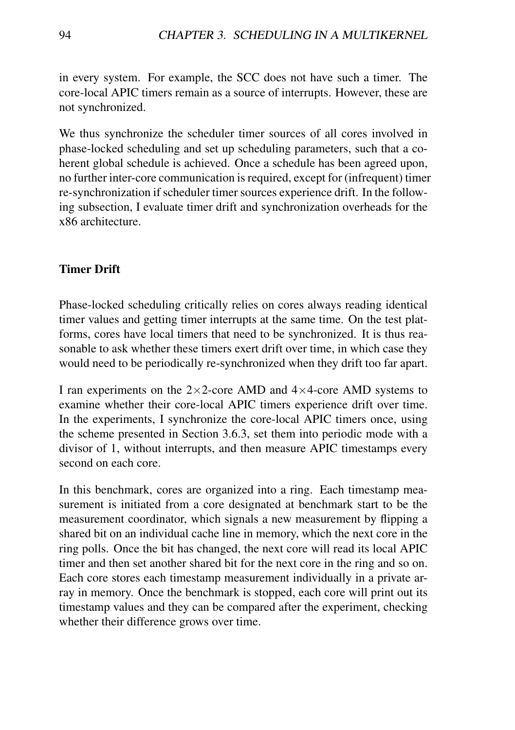in every system. For example, the SCC does not have such a timer. The core-local APIC timers remain as a source of interrupts. However, these are not synchronized.

We thus synchronize the scheduler timer sources of all cores involved in phase-locked scheduling and set up scheduling parameters, such that a coherent global schedule is achieved. Once a schedule has been agreed upon, no further inter-core communication is required, except for (infrequent) timer re-synchronization if scheduler timer sources experience drift. In the following subsection, I evaluate timer drift and synchronization overheads for the x86 architecture.

#### Timer Drift

Phase-locked scheduling critically relies on cores always reading identical timer values and getting timer interrupts at the same time. On the test platforms, cores have local timers that need to be synchronized. It is thus reasonable to ask whether these timers exert drift over time, in which case they would need to be periodically re-synchronized when they drift too far apart.

I ran experiments on the  $2\times2$ -core AMD and  $4\times4$ -core AMD systems to examine whether their core-local APIC timers experience drift over time. In the experiments, I synchronize the core-local APIC timers once, using the scheme presented in Section 3.6.3, set them into periodic mode with a divisor of 1, without interrupts, and then measure APIC timestamps every second on each core.

In this benchmark, cores are organized into a ring. Each timestamp measurement is initiated from a core designated at benchmark start to be the measurement coordinator, which signals a new measurement by flipping a shared bit on an individual cache line in memory, which the next core in the ring polls. Once the bit has changed, the next core will read its local APIC timer and then set another shared bit for the next core in the ring and so on. Each core stores each timestamp measurement individually in a private array in memory. Once the benchmark is stopped, each core will print out its timestamp values and they can be compared after the experiment, checking whether their difference grows over time.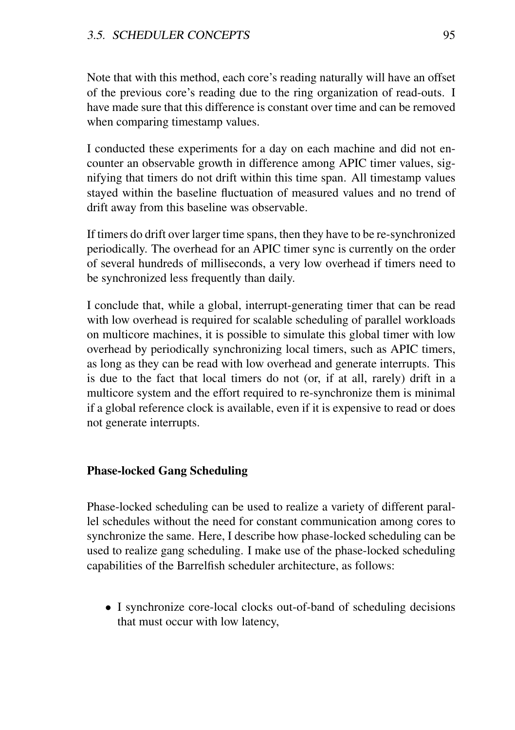#### 3.5. SCHEDULER CONCEPTS 95

Note that with this method, each core's reading naturally will have an offset of the previous core's reading due to the ring organization of read-outs. I have made sure that this difference is constant over time and can be removed when comparing timestamp values.

I conducted these experiments for a day on each machine and did not encounter an observable growth in difference among APIC timer values, signifying that timers do not drift within this time span. All timestamp values stayed within the baseline fluctuation of measured values and no trend of drift away from this baseline was observable.

If timers do drift over larger time spans, then they have to be re-synchronized periodically. The overhead for an APIC timer sync is currently on the order of several hundreds of milliseconds, a very low overhead if timers need to be synchronized less frequently than daily.

I conclude that, while a global, interrupt-generating timer that can be read with low overhead is required for scalable scheduling of parallel workloads on multicore machines, it is possible to simulate this global timer with low overhead by periodically synchronizing local timers, such as APIC timers, as long as they can be read with low overhead and generate interrupts. This is due to the fact that local timers do not (or, if at all, rarely) drift in a multicore system and the effort required to re-synchronize them is minimal if a global reference clock is available, even if it is expensive to read or does not generate interrupts.

#### Phase-locked Gang Scheduling

Phase-locked scheduling can be used to realize a variety of different parallel schedules without the need for constant communication among cores to synchronize the same. Here, I describe how phase-locked scheduling can be used to realize gang scheduling. I make use of the phase-locked scheduling capabilities of the Barrelfish scheduler architecture, as follows:

• I synchronize core-local clocks out-of-band of scheduling decisions that must occur with low latency,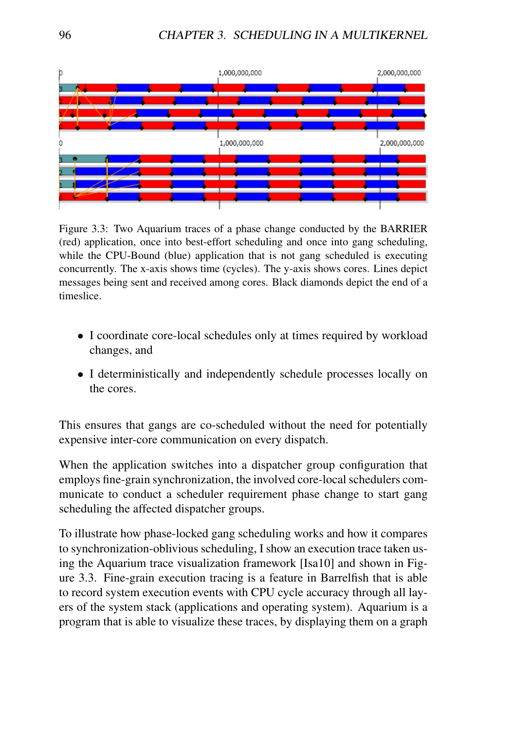

Figure 3.3: Two Aquarium traces of a phase change conducted by the BARRIER (red) application, once into best-effort scheduling and once into gang scheduling, while the CPU-Bound (blue) application that is not gang scheduled is executing concurrently. The x-axis shows time (cycles). The y-axis shows cores. Lines depict messages being sent and received among cores. Black diamonds depict the end of a timeslice.

- I coordinate core-local schedules only at times required by workload changes, and
- I deterministically and independently schedule processes locally on the cores.

This ensures that gangs are co-scheduled without the need for potentially expensive inter-core communication on every dispatch.

When the application switches into a dispatcher group configuration that employs fine-grain synchronization, the involved core-local schedulers communicate to conduct a scheduler requirement phase change to start gang scheduling the affected dispatcher groups.

To illustrate how phase-locked gang scheduling works and how it compares to synchronization-oblivious scheduling, I show an execution trace taken using the Aquarium trace visualization framework [Isa10] and shown in Figure 3.3. Fine-grain execution tracing is a feature in Barrelfish that is able to record system execution events with CPU cycle accuracy through all layers of the system stack (applications and operating system). Aquarium is a program that is able to visualize these traces, by displaying them on a graph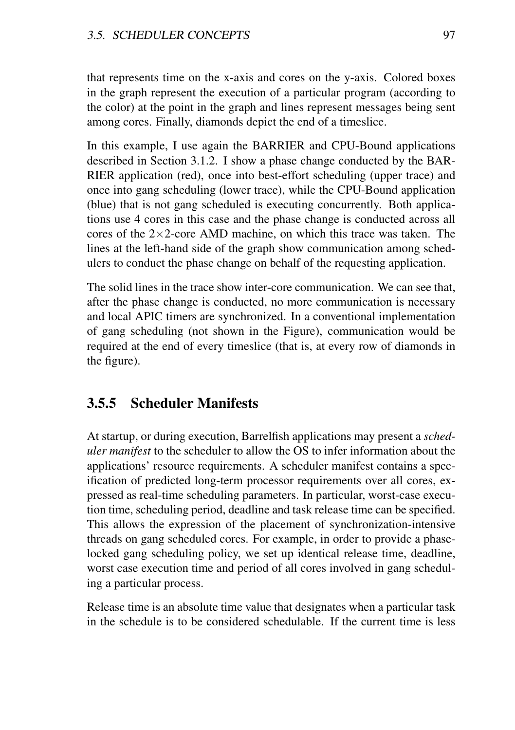that represents time on the x-axis and cores on the y-axis. Colored boxes in the graph represent the execution of a particular program (according to the color) at the point in the graph and lines represent messages being sent among cores. Finally, diamonds depict the end of a timeslice.

In this example, I use again the BARRIER and CPU-Bound applications described in Section 3.1.2. I show a phase change conducted by the BAR-RIER application (red), once into best-effort scheduling (upper trace) and once into gang scheduling (lower trace), while the CPU-Bound application (blue) that is not gang scheduled is executing concurrently. Both applications use 4 cores in this case and the phase change is conducted across all cores of the  $2\times2$ -core AMD machine, on which this trace was taken. The lines at the left-hand side of the graph show communication among schedulers to conduct the phase change on behalf of the requesting application.

The solid lines in the trace show inter-core communication. We can see that, after the phase change is conducted, no more communication is necessary and local APIC timers are synchronized. In a conventional implementation of gang scheduling (not shown in the Figure), communication would be required at the end of every timeslice (that is, at every row of diamonds in the figure).

#### 3.5.5 Scheduler Manifests

At startup, or during execution, Barrelfish applications may present a *scheduler manifest* to the scheduler to allow the OS to infer information about the applications' resource requirements. A scheduler manifest contains a specification of predicted long-term processor requirements over all cores, expressed as real-time scheduling parameters. In particular, worst-case execution time, scheduling period, deadline and task release time can be specified. This allows the expression of the placement of synchronization-intensive threads on gang scheduled cores. For example, in order to provide a phaselocked gang scheduling policy, we set up identical release time, deadline, worst case execution time and period of all cores involved in gang scheduling a particular process.

Release time is an absolute time value that designates when a particular task in the schedule is to be considered schedulable. If the current time is less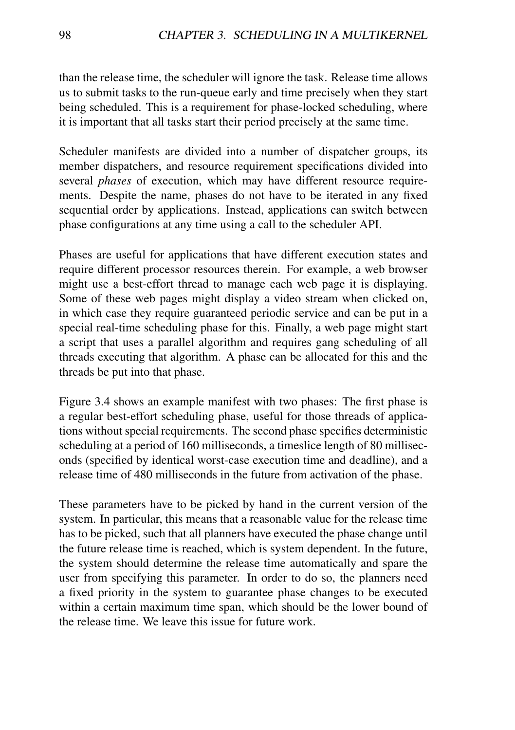than the release time, the scheduler will ignore the task. Release time allows us to submit tasks to the run-queue early and time precisely when they start being scheduled. This is a requirement for phase-locked scheduling, where it is important that all tasks start their period precisely at the same time.

Scheduler manifests are divided into a number of dispatcher groups, its member dispatchers, and resource requirement specifications divided into several *phases* of execution, which may have different resource requirements. Despite the name, phases do not have to be iterated in any fixed sequential order by applications. Instead, applications can switch between phase configurations at any time using a call to the scheduler API.

Phases are useful for applications that have different execution states and require different processor resources therein. For example, a web browser might use a best-effort thread to manage each web page it is displaying. Some of these web pages might display a video stream when clicked on, in which case they require guaranteed periodic service and can be put in a special real-time scheduling phase for this. Finally, a web page might start a script that uses a parallel algorithm and requires gang scheduling of all threads executing that algorithm. A phase can be allocated for this and the threads be put into that phase.

Figure 3.4 shows an example manifest with two phases: The first phase is a regular best-effort scheduling phase, useful for those threads of applications without special requirements. The second phase specifies deterministic scheduling at a period of 160 milliseconds, a timeslice length of 80 milliseconds (specified by identical worst-case execution time and deadline), and a release time of 480 milliseconds in the future from activation of the phase.

These parameters have to be picked by hand in the current version of the system. In particular, this means that a reasonable value for the release time has to be picked, such that all planners have executed the phase change until the future release time is reached, which is system dependent. In the future, the system should determine the release time automatically and spare the user from specifying this parameter. In order to do so, the planners need a fixed priority in the system to guarantee phase changes to be executed within a certain maximum time span, which should be the lower bound of the release time. We leave this issue for future work.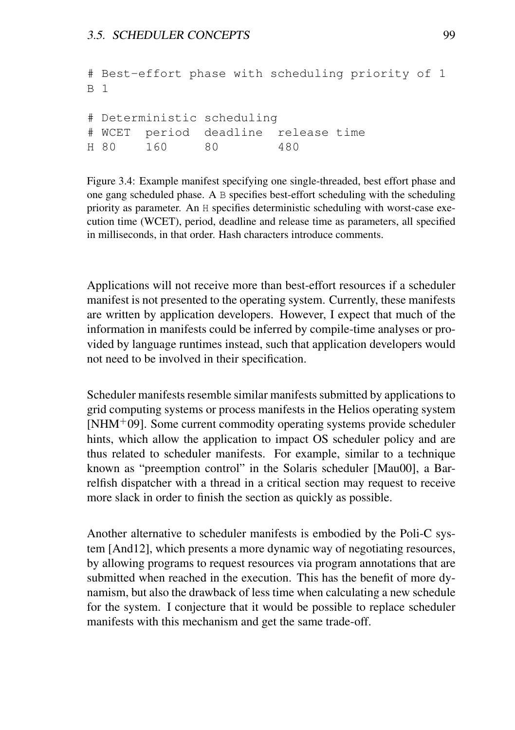```
# Best-effort phase with scheduling priority of 1
B 1
# Deterministic scheduling
# WCET period deadline release time
H 80 160 80 480
```
Figure 3.4: Example manifest specifying one single-threaded, best effort phase and one gang scheduled phase. A B specifies best-effort scheduling with the scheduling priority as parameter. An H specifies deterministic scheduling with worst-case execution time (WCET), period, deadline and release time as parameters, all specified in milliseconds, in that order. Hash characters introduce comments.

Applications will not receive more than best-effort resources if a scheduler manifest is not presented to the operating system. Currently, these manifests are written by application developers. However, I expect that much of the information in manifests could be inferred by compile-time analyses or provided by language runtimes instead, such that application developers would not need to be involved in their specification.

Scheduler manifests resemble similar manifests submitted by applications to grid computing systems or process manifests in the Helios operating system  $[NHM+09]$ . Some current commodity operating systems provide scheduler hints, which allow the application to impact OS scheduler policy and are thus related to scheduler manifests. For example, similar to a technique known as "preemption control" in the Solaris scheduler [Mau00], a Barrelfish dispatcher with a thread in a critical section may request to receive more slack in order to finish the section as quickly as possible.

Another alternative to scheduler manifests is embodied by the Poli-C system [And12], which presents a more dynamic way of negotiating resources, by allowing programs to request resources via program annotations that are submitted when reached in the execution. This has the benefit of more dynamism, but also the drawback of less time when calculating a new schedule for the system. I conjecture that it would be possible to replace scheduler manifests with this mechanism and get the same trade-off.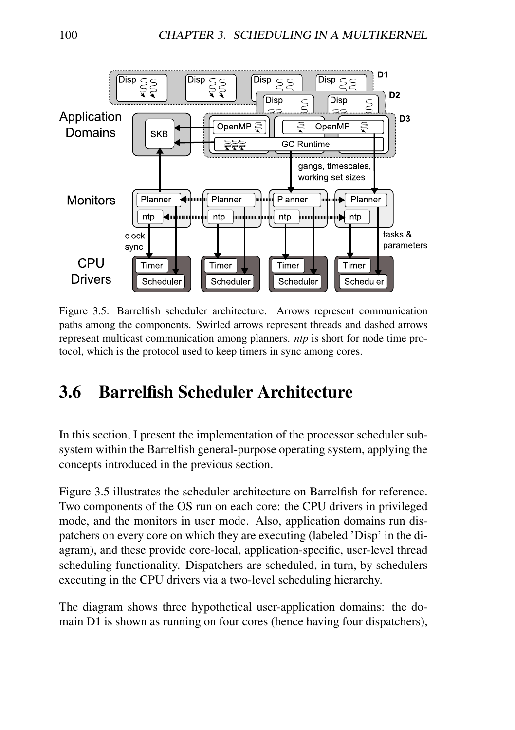

Figure 3.5: Barrelfish scheduler architecture. Arrows represent communication paths among the components. Swirled arrows represent threads and dashed arrows represent multicast communication among planners. *ntp* is short for node time protocol, which is the protocol used to keep timers in sync among cores.

# 3.6 Barrelfish Scheduler Architecture

In this section, I present the implementation of the processor scheduler subsystem within the Barrelfish general-purpose operating system, applying the concepts introduced in the previous section.

Figure 3.5 illustrates the scheduler architecture on Barrelfish for reference. Two components of the OS run on each core: the CPU drivers in privileged mode, and the monitors in user mode. Also, application domains run dispatchers on every core on which they are executing (labeled 'Disp' in the diagram), and these provide core-local, application-specific, user-level thread scheduling functionality. Dispatchers are scheduled, in turn, by schedulers executing in the CPU drivers via a two-level scheduling hierarchy.

The diagram shows three hypothetical user-application domains: the domain D1 is shown as running on four cores (hence having four dispatchers),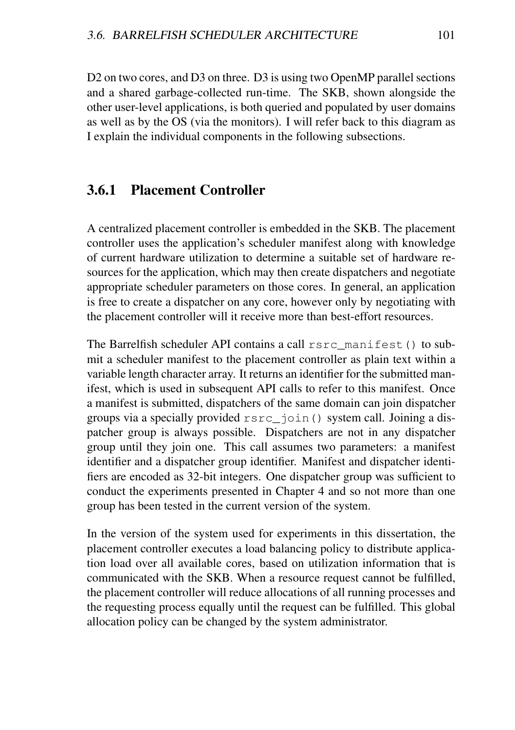D<sub>2</sub> on two cores, and D<sub>3</sub> on three. D<sub>3</sub> is using two OpenMP parallel sections and a shared garbage-collected run-time. The SKB, shown alongside the other user-level applications, is both queried and populated by user domains as well as by the OS (via the monitors). I will refer back to this diagram as I explain the individual components in the following subsections.

#### 3.6.1 Placement Controller

A centralized placement controller is embedded in the SKB. The placement controller uses the application's scheduler manifest along with knowledge of current hardware utilization to determine a suitable set of hardware resources for the application, which may then create dispatchers and negotiate appropriate scheduler parameters on those cores. In general, an application is free to create a dispatcher on any core, however only by negotiating with the placement controller will it receive more than best-effort resources.

The Barrelfish scheduler API contains a call rsrc\_manifest() to submit a scheduler manifest to the placement controller as plain text within a variable length character array. It returns an identifier for the submitted manifest, which is used in subsequent API calls to refer to this manifest. Once a manifest is submitted, dispatchers of the same domain can join dispatcher groups via a specially provided rsrc\_join() system call. Joining a dispatcher group is always possible. Dispatchers are not in any dispatcher group until they join one. This call assumes two parameters: a manifest identifier and a dispatcher group identifier. Manifest and dispatcher identifiers are encoded as 32-bit integers. One dispatcher group was sufficient to conduct the experiments presented in Chapter 4 and so not more than one group has been tested in the current version of the system.

In the version of the system used for experiments in this dissertation, the placement controller executes a load balancing policy to distribute application load over all available cores, based on utilization information that is communicated with the SKB. When a resource request cannot be fulfilled, the placement controller will reduce allocations of all running processes and the requesting process equally until the request can be fulfilled. This global allocation policy can be changed by the system administrator.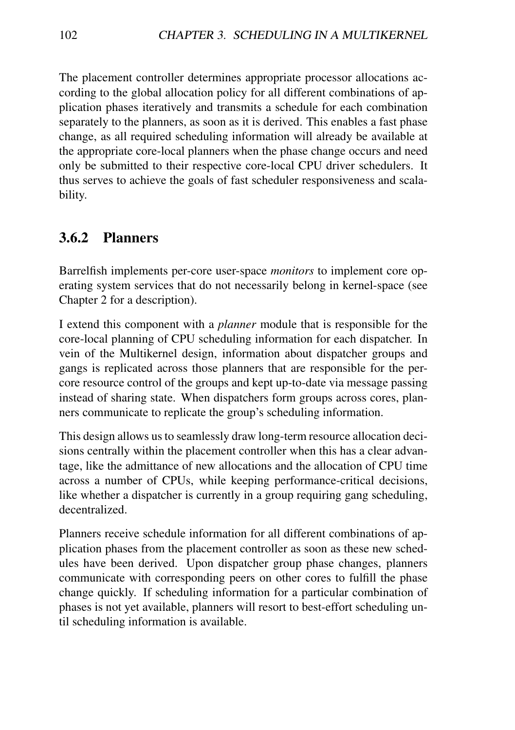The placement controller determines appropriate processor allocations according to the global allocation policy for all different combinations of application phases iteratively and transmits a schedule for each combination separately to the planners, as soon as it is derived. This enables a fast phase change, as all required scheduling information will already be available at the appropriate core-local planners when the phase change occurs and need only be submitted to their respective core-local CPU driver schedulers. It thus serves to achieve the goals of fast scheduler responsiveness and scalability.

#### 3.6.2 Planners

Barrelfish implements per-core user-space *monitors* to implement core operating system services that do not necessarily belong in kernel-space (see Chapter 2 for a description).

I extend this component with a *planner* module that is responsible for the core-local planning of CPU scheduling information for each dispatcher. In vein of the Multikernel design, information about dispatcher groups and gangs is replicated across those planners that are responsible for the percore resource control of the groups and kept up-to-date via message passing instead of sharing state. When dispatchers form groups across cores, planners communicate to replicate the group's scheduling information.

This design allows us to seamlessly draw long-term resource allocation decisions centrally within the placement controller when this has a clear advantage, like the admittance of new allocations and the allocation of CPU time across a number of CPUs, while keeping performance-critical decisions, like whether a dispatcher is currently in a group requiring gang scheduling, decentralized.

Planners receive schedule information for all different combinations of application phases from the placement controller as soon as these new schedules have been derived. Upon dispatcher group phase changes, planners communicate with corresponding peers on other cores to fulfill the phase change quickly. If scheduling information for a particular combination of phases is not yet available, planners will resort to best-effort scheduling until scheduling information is available.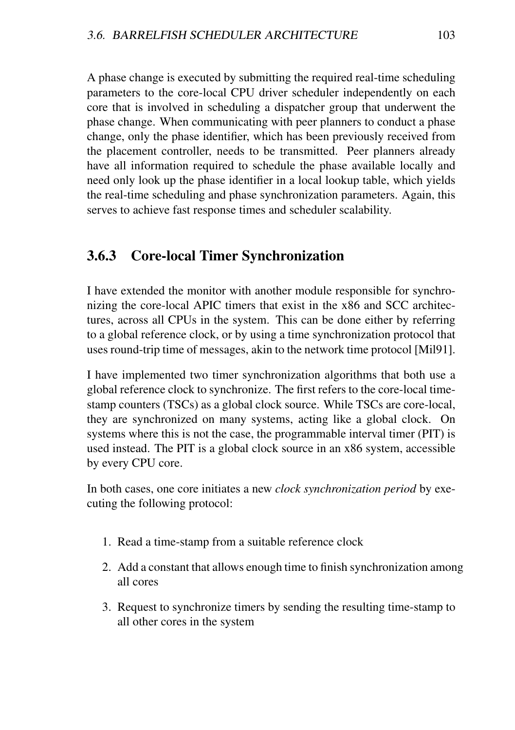A phase change is executed by submitting the required real-time scheduling parameters to the core-local CPU driver scheduler independently on each core that is involved in scheduling a dispatcher group that underwent the phase change. When communicating with peer planners to conduct a phase change, only the phase identifier, which has been previously received from the placement controller, needs to be transmitted. Peer planners already have all information required to schedule the phase available locally and need only look up the phase identifier in a local lookup table, which yields the real-time scheduling and phase synchronization parameters. Again, this serves to achieve fast response times and scheduler scalability.

#### 3.6.3 Core-local Timer Synchronization

I have extended the monitor with another module responsible for synchronizing the core-local APIC timers that exist in the x86 and SCC architectures, across all CPUs in the system. This can be done either by referring to a global reference clock, or by using a time synchronization protocol that uses round-trip time of messages, akin to the network time protocol [Mil91].

I have implemented two timer synchronization algorithms that both use a global reference clock to synchronize. The first refers to the core-local timestamp counters (TSCs) as a global clock source. While TSCs are core-local, they are synchronized on many systems, acting like a global clock. On systems where this is not the case, the programmable interval timer (PIT) is used instead. The PIT is a global clock source in an x86 system, accessible by every CPU core.

In both cases, one core initiates a new *clock synchronization period* by executing the following protocol:

- 1. Read a time-stamp from a suitable reference clock
- 2. Add a constant that allows enough time to finish synchronization among all cores
- 3. Request to synchronize timers by sending the resulting time-stamp to all other cores in the system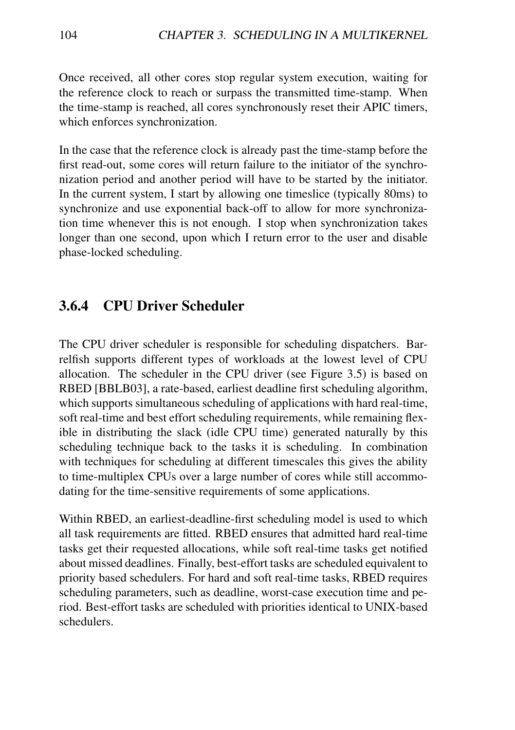Once received, all other cores stop regular system execution, waiting for the reference clock to reach or surpass the transmitted time-stamp. When the time-stamp is reached, all cores synchronously reset their APIC timers, which enforces synchronization.

In the case that the reference clock is already past the time-stamp before the first read-out, some cores will return failure to the initiator of the synchronization period and another period will have to be started by the initiator. In the current system, I start by allowing one timeslice (typically 80ms) to synchronize and use exponential back-off to allow for more synchronization time whenever this is not enough. I stop when synchronization takes longer than one second, upon which I return error to the user and disable phase-locked scheduling.

#### 3.6.4 CPU Driver Scheduler

The CPU driver scheduler is responsible for scheduling dispatchers. Barrelfish supports different types of workloads at the lowest level of CPU allocation. The scheduler in the CPU driver (see Figure 3.5) is based on RBED [BBLB03], a rate-based, earliest deadline first scheduling algorithm, which supports simultaneous scheduling of applications with hard real-time, soft real-time and best effort scheduling requirements, while remaining flexible in distributing the slack (idle CPU time) generated naturally by this scheduling technique back to the tasks it is scheduling. In combination with techniques for scheduling at different timescales this gives the ability to time-multiplex CPUs over a large number of cores while still accommodating for the time-sensitive requirements of some applications.

Within RBED, an earliest-deadline-first scheduling model is used to which all task requirements are fitted. RBED ensures that admitted hard real-time tasks get their requested allocations, while soft real-time tasks get notified about missed deadlines. Finally, best-effort tasks are scheduled equivalent to priority based schedulers. For hard and soft real-time tasks, RBED requires scheduling parameters, such as deadline, worst-case execution time and period. Best-effort tasks are scheduled with priorities identical to UNIX-based schedulers.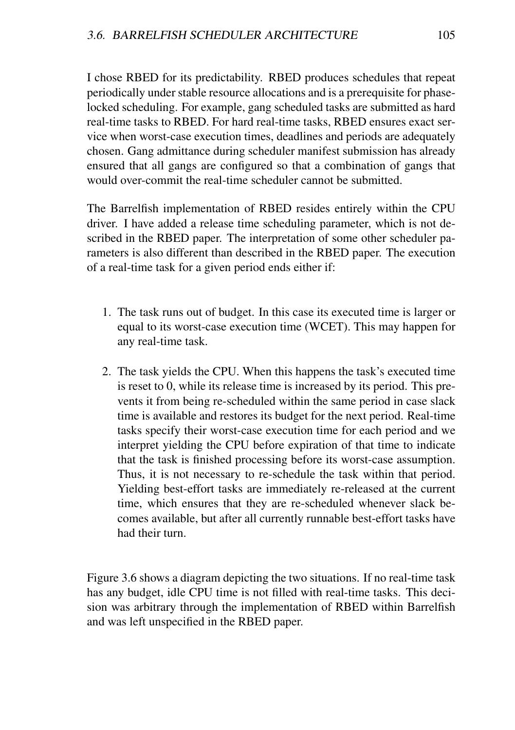I chose RBED for its predictability. RBED produces schedules that repeat periodically under stable resource allocations and is a prerequisite for phaselocked scheduling. For example, gang scheduled tasks are submitted as hard real-time tasks to RBED. For hard real-time tasks, RBED ensures exact service when worst-case execution times, deadlines and periods are adequately chosen. Gang admittance during scheduler manifest submission has already ensured that all gangs are configured so that a combination of gangs that would over-commit the real-time scheduler cannot be submitted.

The Barrelfish implementation of RBED resides entirely within the CPU driver. I have added a release time scheduling parameter, which is not described in the RBED paper. The interpretation of some other scheduler parameters is also different than described in the RBED paper. The execution of a real-time task for a given period ends either if:

- 1. The task runs out of budget. In this case its executed time is larger or equal to its worst-case execution time (WCET). This may happen for any real-time task.
- 2. The task yields the CPU. When this happens the task's executed time is reset to 0, while its release time is increased by its period. This prevents it from being re-scheduled within the same period in case slack time is available and restores its budget for the next period. Real-time tasks specify their worst-case execution time for each period and we interpret yielding the CPU before expiration of that time to indicate that the task is finished processing before its worst-case assumption. Thus, it is not necessary to re-schedule the task within that period. Yielding best-effort tasks are immediately re-released at the current time, which ensures that they are re-scheduled whenever slack becomes available, but after all currently runnable best-effort tasks have had their turn.

Figure 3.6 shows a diagram depicting the two situations. If no real-time task has any budget, idle CPU time is not filled with real-time tasks. This decision was arbitrary through the implementation of RBED within Barrelfish and was left unspecified in the RBED paper.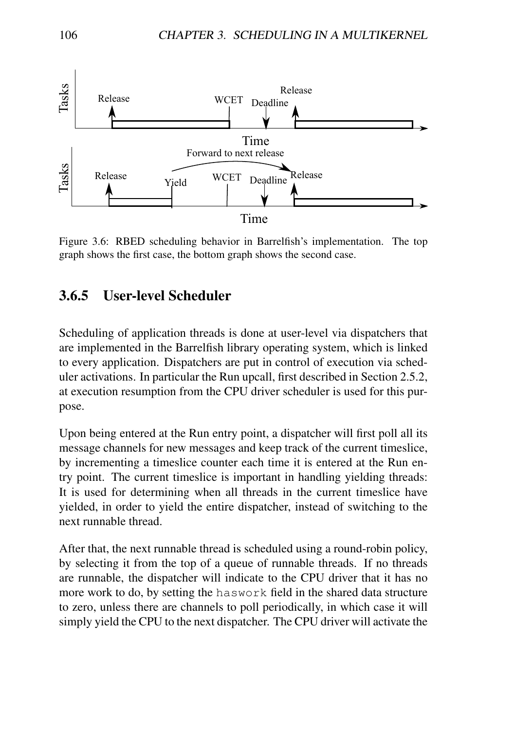

Figure 3.6: RBED scheduling behavior in Barrelfish's implementation. The top graph shows the first case, the bottom graph shows the second case.

#### 3.6.5 User-level Scheduler

Scheduling of application threads is done at user-level via dispatchers that are implemented in the Barrelfish library operating system, which is linked to every application. Dispatchers are put in control of execution via scheduler activations. In particular the Run upcall, first described in Section 2.5.2, at execution resumption from the CPU driver scheduler is used for this purpose.

Upon being entered at the Run entry point, a dispatcher will first poll all its message channels for new messages and keep track of the current timeslice, by incrementing a timeslice counter each time it is entered at the Run entry point. The current timeslice is important in handling yielding threads: It is used for determining when all threads in the current timeslice have yielded, in order to yield the entire dispatcher, instead of switching to the next runnable thread.

After that, the next runnable thread is scheduled using a round-robin policy, by selecting it from the top of a queue of runnable threads. If no threads are runnable, the dispatcher will indicate to the CPU driver that it has no more work to do, by setting the haswork field in the shared data structure to zero, unless there are channels to poll periodically, in which case it will simply yield the CPU to the next dispatcher. The CPU driver will activate the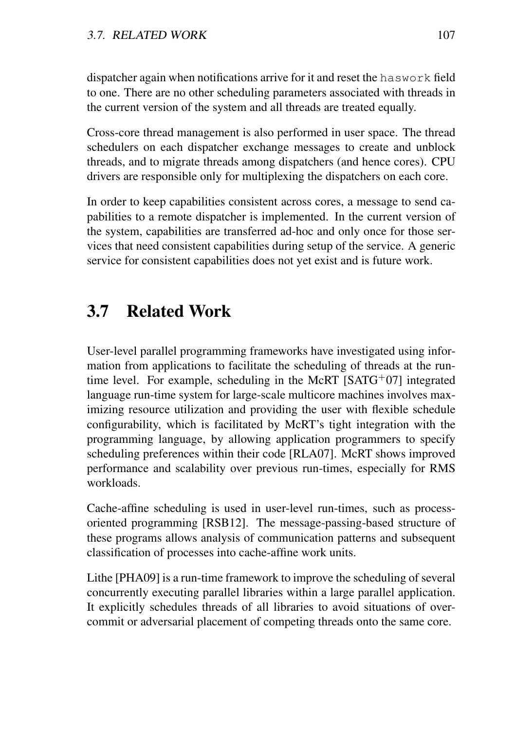dispatcher again when notifications arrive for it and reset the haswork field to one. There are no other scheduling parameters associated with threads in the current version of the system and all threads are treated equally.

Cross-core thread management is also performed in user space. The thread schedulers on each dispatcher exchange messages to create and unblock threads, and to migrate threads among dispatchers (and hence cores). CPU drivers are responsible only for multiplexing the dispatchers on each core.

In order to keep capabilities consistent across cores, a message to send capabilities to a remote dispatcher is implemented. In the current version of the system, capabilities are transferred ad-hoc and only once for those services that need consistent capabilities during setup of the service. A generic service for consistent capabilities does not yet exist and is future work.

# 3.7 Related Work

User-level parallel programming frameworks have investigated using information from applications to facilitate the scheduling of threads at the runtime level. For example, scheduling in the McRT  $[SATG<sup>+</sup>07]$  integrated language run-time system for large-scale multicore machines involves maximizing resource utilization and providing the user with flexible schedule configurability, which is facilitated by McRT's tight integration with the programming language, by allowing application programmers to specify scheduling preferences within their code [RLA07]. McRT shows improved performance and scalability over previous run-times, especially for RMS workloads.

Cache-affine scheduling is used in user-level run-times, such as processoriented programming [RSB12]. The message-passing-based structure of these programs allows analysis of communication patterns and subsequent classification of processes into cache-affine work units.

Lithe [PHA09] is a run-time framework to improve the scheduling of several concurrently executing parallel libraries within a large parallel application. It explicitly schedules threads of all libraries to avoid situations of overcommit or adversarial placement of competing threads onto the same core.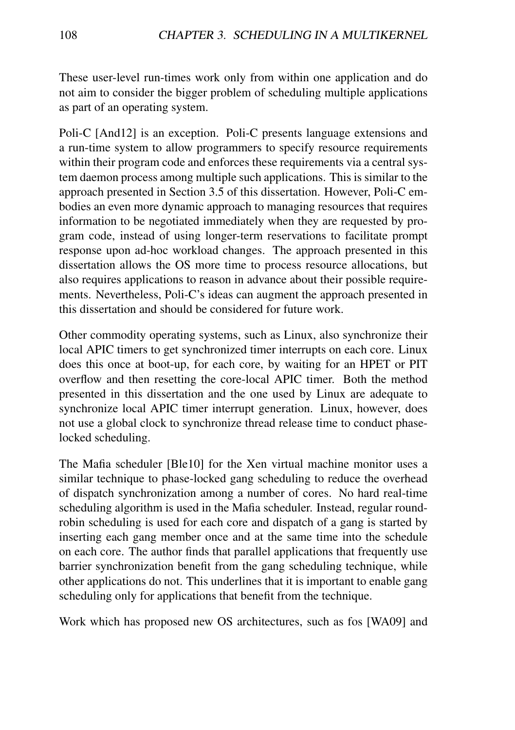These user-level run-times work only from within one application and do not aim to consider the bigger problem of scheduling multiple applications as part of an operating system.

Poli-C [And12] is an exception. Poli-C presents language extensions and a run-time system to allow programmers to specify resource requirements within their program code and enforces these requirements via a central system daemon process among multiple such applications. This is similar to the approach presented in Section 3.5 of this dissertation. However, Poli-C embodies an even more dynamic approach to managing resources that requires information to be negotiated immediately when they are requested by program code, instead of using longer-term reservations to facilitate prompt response upon ad-hoc workload changes. The approach presented in this dissertation allows the OS more time to process resource allocations, but also requires applications to reason in advance about their possible requirements. Nevertheless, Poli-C's ideas can augment the approach presented in this dissertation and should be considered for future work.

Other commodity operating systems, such as Linux, also synchronize their local APIC timers to get synchronized timer interrupts on each core. Linux does this once at boot-up, for each core, by waiting for an HPET or PIT overflow and then resetting the core-local APIC timer. Both the method presented in this dissertation and the one used by Linux are adequate to synchronize local APIC timer interrupt generation. Linux, however, does not use a global clock to synchronize thread release time to conduct phaselocked scheduling.

The Mafia scheduler [Ble10] for the Xen virtual machine monitor uses a similar technique to phase-locked gang scheduling to reduce the overhead of dispatch synchronization among a number of cores. No hard real-time scheduling algorithm is used in the Mafia scheduler. Instead, regular roundrobin scheduling is used for each core and dispatch of a gang is started by inserting each gang member once and at the same time into the schedule on each core. The author finds that parallel applications that frequently use barrier synchronization benefit from the gang scheduling technique, while other applications do not. This underlines that it is important to enable gang scheduling only for applications that benefit from the technique.

Work which has proposed new OS architectures, such as fos [WA09] and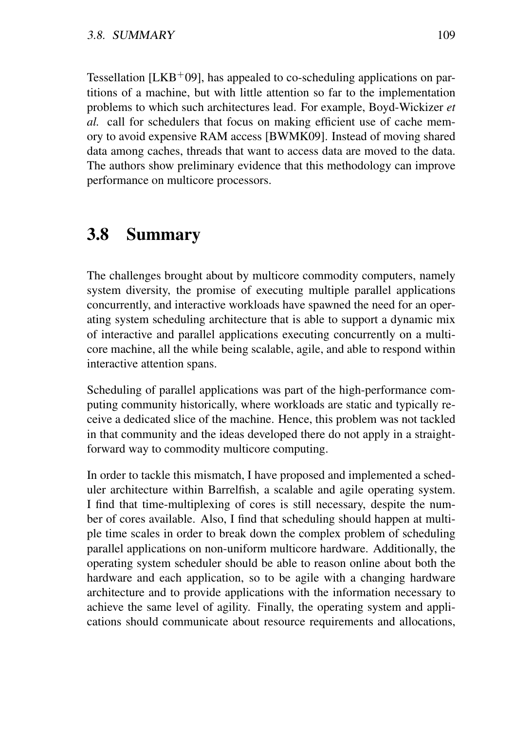Tessellation  $[LKB<sup>+</sup>09]$ , has appealed to co-scheduling applications on partitions of a machine, but with little attention so far to the implementation problems to which such architectures lead. For example, Boyd-Wickizer *et al.* call for schedulers that focus on making efficient use of cache memory to avoid expensive RAM access [BWMK09]. Instead of moving shared data among caches, threads that want to access data are moved to the data. The authors show preliminary evidence that this methodology can improve performance on multicore processors.

### 3.8 Summary

The challenges brought about by multicore commodity computers, namely system diversity, the promise of executing multiple parallel applications concurrently, and interactive workloads have spawned the need for an operating system scheduling architecture that is able to support a dynamic mix of interactive and parallel applications executing concurrently on a multicore machine, all the while being scalable, agile, and able to respond within interactive attention spans.

Scheduling of parallel applications was part of the high-performance computing community historically, where workloads are static and typically receive a dedicated slice of the machine. Hence, this problem was not tackled in that community and the ideas developed there do not apply in a straightforward way to commodity multicore computing.

In order to tackle this mismatch, I have proposed and implemented a scheduler architecture within Barrelfish, a scalable and agile operating system. I find that time-multiplexing of cores is still necessary, despite the number of cores available. Also, I find that scheduling should happen at multiple time scales in order to break down the complex problem of scheduling parallel applications on non-uniform multicore hardware. Additionally, the operating system scheduler should be able to reason online about both the hardware and each application, so to be agile with a changing hardware architecture and to provide applications with the information necessary to achieve the same level of agility. Finally, the operating system and applications should communicate about resource requirements and allocations,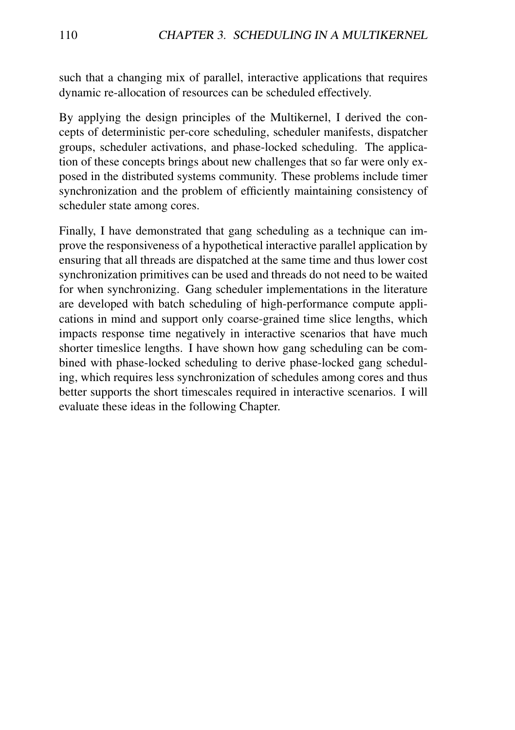such that a changing mix of parallel, interactive applications that requires dynamic re-allocation of resources can be scheduled effectively.

By applying the design principles of the Multikernel, I derived the concepts of deterministic per-core scheduling, scheduler manifests, dispatcher groups, scheduler activations, and phase-locked scheduling. The application of these concepts brings about new challenges that so far were only exposed in the distributed systems community. These problems include timer synchronization and the problem of efficiently maintaining consistency of scheduler state among cores.

Finally, I have demonstrated that gang scheduling as a technique can improve the responsiveness of a hypothetical interactive parallel application by ensuring that all threads are dispatched at the same time and thus lower cost synchronization primitives can be used and threads do not need to be waited for when synchronizing. Gang scheduler implementations in the literature are developed with batch scheduling of high-performance compute applications in mind and support only coarse-grained time slice lengths, which impacts response time negatively in interactive scenarios that have much shorter timeslice lengths. I have shown how gang scheduling can be combined with phase-locked scheduling to derive phase-locked gang scheduling, which requires less synchronization of schedules among cores and thus better supports the short timescales required in interactive scenarios. I will evaluate these ideas in the following Chapter.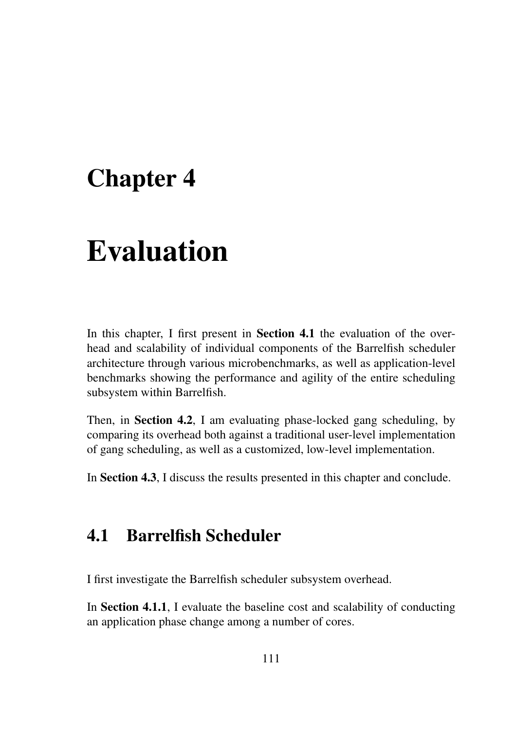# Chapter 4

# Evaluation

In this chapter. I first present in **Section 4.1** the evaluation of the overhead and scalability of individual components of the Barrelfish scheduler architecture through various microbenchmarks, as well as application-level benchmarks showing the performance and agility of the entire scheduling subsystem within Barrelfish.

Then, in Section 4.2, I am evaluating phase-locked gang scheduling, by comparing its overhead both against a traditional user-level implementation of gang scheduling, as well as a customized, low-level implementation.

In Section 4.3, I discuss the results presented in this chapter and conclude.

## 4.1 Barrelfish Scheduler

I first investigate the Barrelfish scheduler subsystem overhead.

In Section 4.1.1, I evaluate the baseline cost and scalability of conducting an application phase change among a number of cores.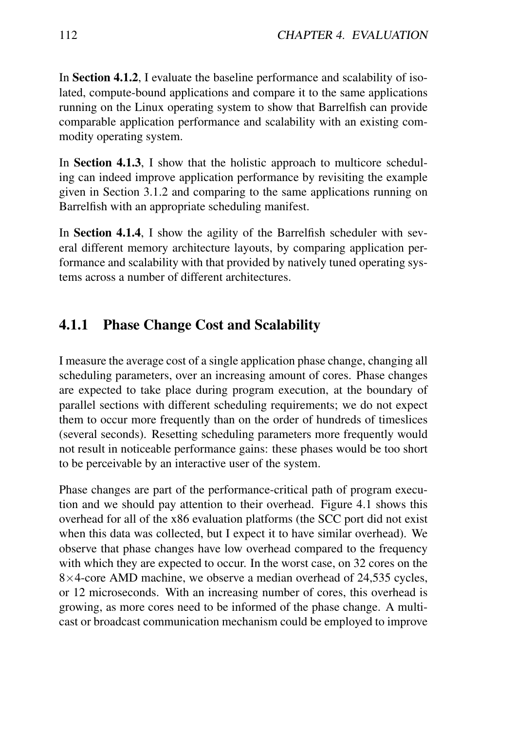In Section 4.1.2, I evaluate the baseline performance and scalability of isolated, compute-bound applications and compare it to the same applications running on the Linux operating system to show that Barrelfish can provide comparable application performance and scalability with an existing commodity operating system.

In Section 4.1.3, I show that the holistic approach to multicore scheduling can indeed improve application performance by revisiting the example given in Section 3.1.2 and comparing to the same applications running on Barrelfish with an appropriate scheduling manifest.

In Section 4.1.4, I show the agility of the Barrelfish scheduler with several different memory architecture layouts, by comparing application performance and scalability with that provided by natively tuned operating systems across a number of different architectures.

#### 4.1.1 Phase Change Cost and Scalability

I measure the average cost of a single application phase change, changing all scheduling parameters, over an increasing amount of cores. Phase changes are expected to take place during program execution, at the boundary of parallel sections with different scheduling requirements; we do not expect them to occur more frequently than on the order of hundreds of timeslices (several seconds). Resetting scheduling parameters more frequently would not result in noticeable performance gains: these phases would be too short to be perceivable by an interactive user of the system.

Phase changes are part of the performance-critical path of program execution and we should pay attention to their overhead. Figure 4.1 shows this overhead for all of the x86 evaluation platforms (the SCC port did not exist when this data was collected, but I expect it to have similar overhead). We observe that phase changes have low overhead compared to the frequency with which they are expected to occur. In the worst case, on 32 cores on the 8×4-core AMD machine, we observe a median overhead of 24,535 cycles, or 12 microseconds. With an increasing number of cores, this overhead is growing, as more cores need to be informed of the phase change. A multicast or broadcast communication mechanism could be employed to improve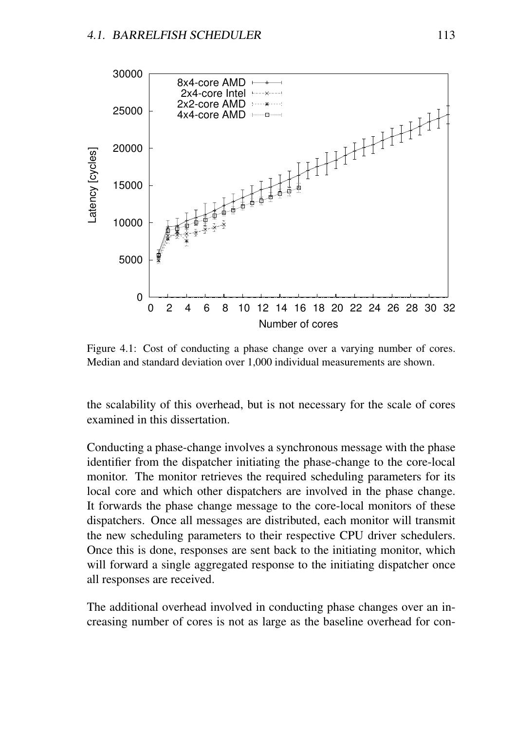

Figure 4.1: Cost of conducting a phase change over a varying number of cores. Median and standard deviation over 1,000 individual measurements are shown.

the scalability of this overhead, but is not necessary for the scale of cores examined in this dissertation.

Conducting a phase-change involves a synchronous message with the phase identifier from the dispatcher initiating the phase-change to the core-local monitor. The monitor retrieves the required scheduling parameters for its local core and which other dispatchers are involved in the phase change. It forwards the phase change message to the core-local monitors of these dispatchers. Once all messages are distributed, each monitor will transmit the new scheduling parameters to their respective CPU driver schedulers. Once this is done, responses are sent back to the initiating monitor, which will forward a single aggregated response to the initiating dispatcher once all responses are received.

The additional overhead involved in conducting phase changes over an increasing number of cores is not as large as the baseline overhead for con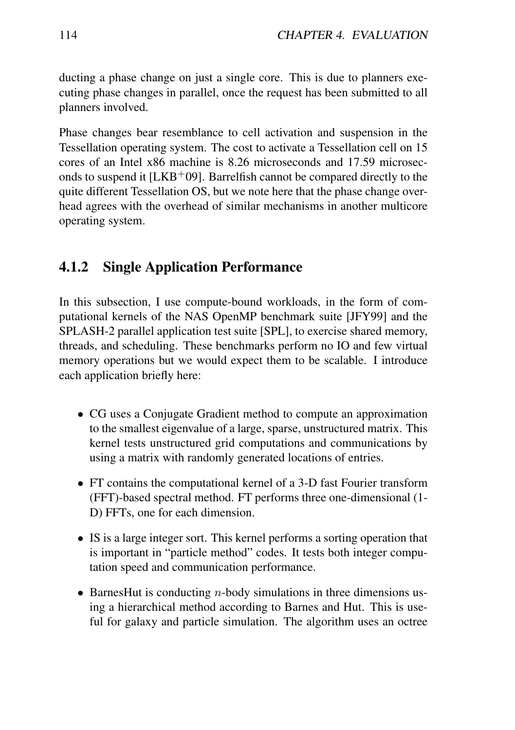ducting a phase change on just a single core. This is due to planners executing phase changes in parallel, once the request has been submitted to all planners involved.

Phase changes bear resemblance to cell activation and suspension in the Tessellation operating system. The cost to activate a Tessellation cell on 15 cores of an Intel x86 machine is 8.26 microseconds and 17.59 microseconds to suspend it  $[LKB^+09]$ . Barrelfish cannot be compared directly to the quite different Tessellation OS, but we note here that the phase change overhead agrees with the overhead of similar mechanisms in another multicore operating system.

#### 4.1.2 Single Application Performance

In this subsection, I use compute-bound workloads, in the form of computational kernels of the NAS OpenMP benchmark suite [JFY99] and the SPLASH-2 parallel application test suite [SPL], to exercise shared memory, threads, and scheduling. These benchmarks perform no IO and few virtual memory operations but we would expect them to be scalable. I introduce each application briefly here:

- CG uses a Conjugate Gradient method to compute an approximation to the smallest eigenvalue of a large, sparse, unstructured matrix. This kernel tests unstructured grid computations and communications by using a matrix with randomly generated locations of entries.
- FT contains the computational kernel of a 3-D fast Fourier transform (FFT)-based spectral method. FT performs three one-dimensional (1- D) FFTs, one for each dimension.
- IS is a large integer sort. This kernel performs a sorting operation that is important in "particle method" codes. It tests both integer computation speed and communication performance.
- BarnesHut is conducting  $n$ -body simulations in three dimensions using a hierarchical method according to Barnes and Hut. This is useful for galaxy and particle simulation. The algorithm uses an octree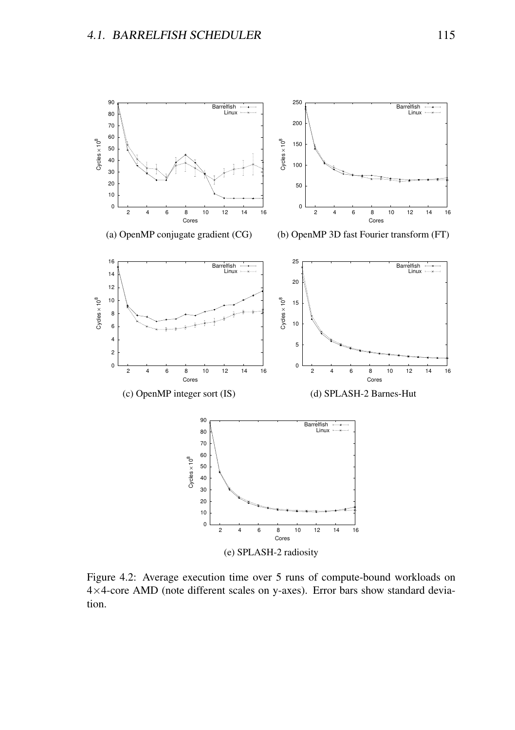

Figure 4.2: Average execution time over 5 runs of compute-bound workloads on ×4-core AMD (note different scales on y-axes). Error bars show standard deviation.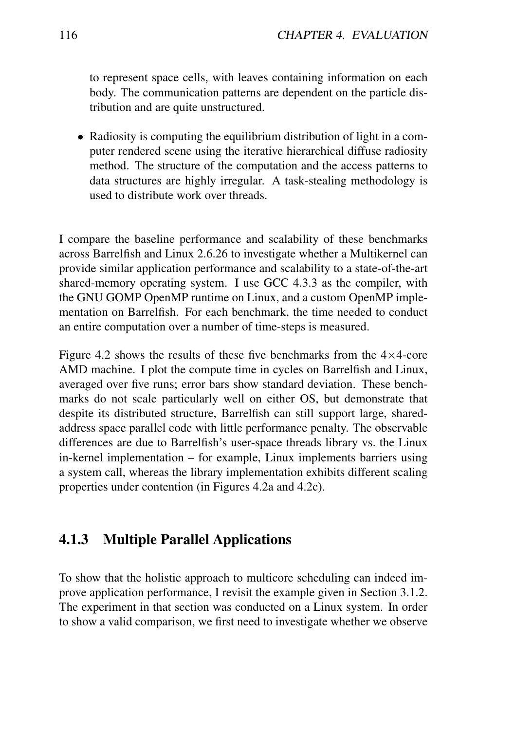to represent space cells, with leaves containing information on each body. The communication patterns are dependent on the particle distribution and are quite unstructured.

• Radiosity is computing the equilibrium distribution of light in a computer rendered scene using the iterative hierarchical diffuse radiosity method. The structure of the computation and the access patterns to data structures are highly irregular. A task-stealing methodology is used to distribute work over threads.

I compare the baseline performance and scalability of these benchmarks across Barrelfish and Linux 2.6.26 to investigate whether a Multikernel can provide similar application performance and scalability to a state-of-the-art shared-memory operating system. I use GCC 4.3.3 as the compiler, with the GNU GOMP OpenMP runtime on Linux, and a custom OpenMP implementation on Barrelfish. For each benchmark, the time needed to conduct an entire computation over a number of time-steps is measured.

Figure 4.2 shows the results of these five benchmarks from the  $4\times4$ -core AMD machine. I plot the compute time in cycles on Barrelfish and Linux, averaged over five runs; error bars show standard deviation. These benchmarks do not scale particularly well on either OS, but demonstrate that despite its distributed structure, Barrelfish can still support large, sharedaddress space parallel code with little performance penalty. The observable differences are due to Barrelfish's user-space threads library vs. the Linux in-kernel implementation – for example, Linux implements barriers using a system call, whereas the library implementation exhibits different scaling properties under contention (in Figures 4.2a and 4.2c).

#### 4.1.3 Multiple Parallel Applications

To show that the holistic approach to multicore scheduling can indeed improve application performance, I revisit the example given in Section 3.1.2. The experiment in that section was conducted on a Linux system. In order to show a valid comparison, we first need to investigate whether we observe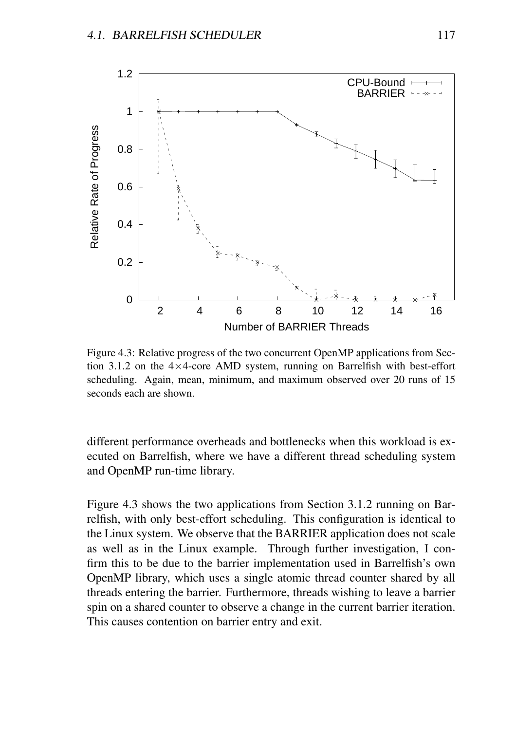

Figure 4.3: Relative progress of the two concurrent OpenMP applications from Section 3.1.2 on the 4×4-core AMD system, running on Barrelfish with best-effort scheduling. Again, mean, minimum, and maximum observed over 20 runs of 15 seconds each are shown.

different performance overheads and bottlenecks when this workload is executed on Barrelfish, where we have a different thread scheduling system and OpenMP run-time library.

Figure 4.3 shows the two applications from Section 3.1.2 running on Barrelfish, with only best-effort scheduling. This configuration is identical to the Linux system. We observe that the BARRIER application does not scale as well as in the Linux example. Through further investigation, I confirm this to be due to the barrier implementation used in Barrelfish's own OpenMP library, which uses a single atomic thread counter shared by all threads entering the barrier. Furthermore, threads wishing to leave a barrier spin on a shared counter to observe a change in the current barrier iteration. This causes contention on barrier entry and exit.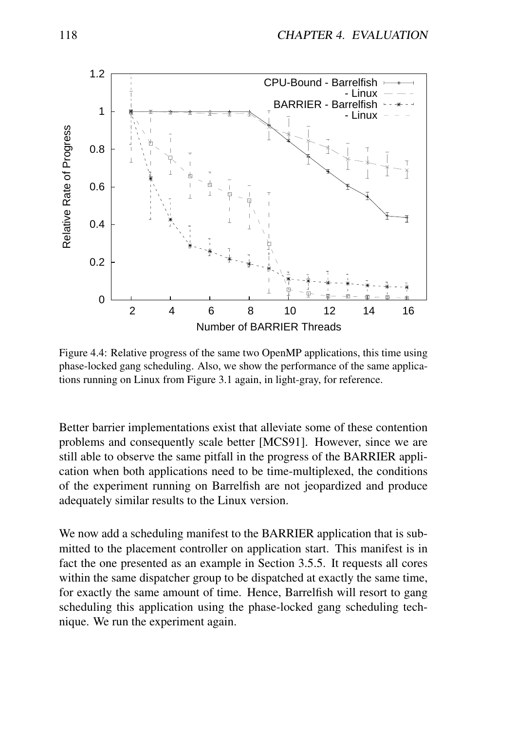

Figure 4.4: Relative progress of the same two OpenMP applications, this time using phase-locked gang scheduling. Also, we show the performance of the same applications running on Linux from Figure 3.1 again, in light-gray, for reference.

Better barrier implementations exist that alleviate some of these contention problems and consequently scale better [MCS91]. However, since we are still able to observe the same pitfall in the progress of the BARRIER application when both applications need to be time-multiplexed, the conditions of the experiment running on Barrelfish are not jeopardized and produce adequately similar results to the Linux version.

We now add a scheduling manifest to the BARRIER application that is submitted to the placement controller on application start. This manifest is in fact the one presented as an example in Section 3.5.5. It requests all cores within the same dispatcher group to be dispatched at exactly the same time, for exactly the same amount of time. Hence, Barrelfish will resort to gang scheduling this application using the phase-locked gang scheduling technique. We run the experiment again.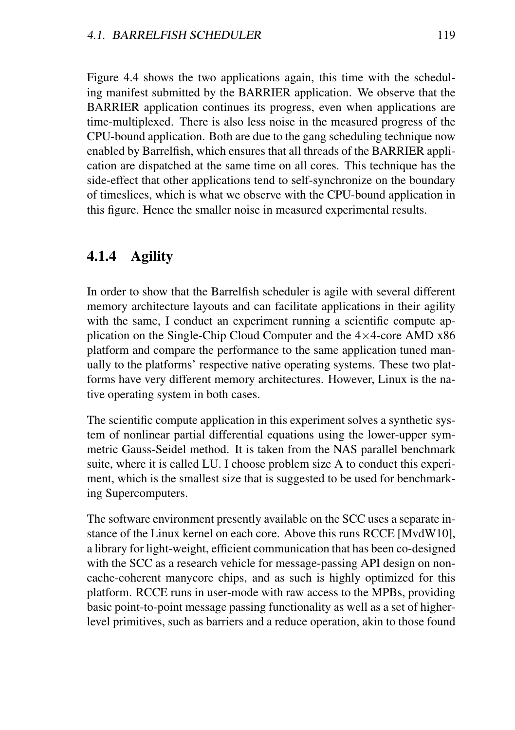Figure 4.4 shows the two applications again, this time with the scheduling manifest submitted by the BARRIER application. We observe that the BARRIER application continues its progress, even when applications are time-multiplexed. There is also less noise in the measured progress of the CPU-bound application. Both are due to the gang scheduling technique now enabled by Barrelfish, which ensures that all threads of the BARRIER application are dispatched at the same time on all cores. This technique has the side-effect that other applications tend to self-synchronize on the boundary of timeslices, which is what we observe with the CPU-bound application in this figure. Hence the smaller noise in measured experimental results.

#### 4.1.4 Agility

In order to show that the Barrelfish scheduler is agile with several different memory architecture layouts and can facilitate applications in their agility with the same, I conduct an experiment running a scientific compute application on the Single-Chip Cloud Computer and the  $4\times4$ -core AMD x86 platform and compare the performance to the same application tuned manually to the platforms' respective native operating systems. These two platforms have very different memory architectures. However, Linux is the native operating system in both cases.

The scientific compute application in this experiment solves a synthetic system of nonlinear partial differential equations using the lower-upper symmetric Gauss-Seidel method. It is taken from the NAS parallel benchmark suite, where it is called LU. I choose problem size A to conduct this experiment, which is the smallest size that is suggested to be used for benchmarking Supercomputers.

The software environment presently available on the SCC uses a separate instance of the Linux kernel on each core. Above this runs RCCE [MvdW10], a library for light-weight, efficient communication that has been co-designed with the SCC as a research vehicle for message-passing API design on noncache-coherent manycore chips, and as such is highly optimized for this platform. RCCE runs in user-mode with raw access to the MPBs, providing basic point-to-point message passing functionality as well as a set of higherlevel primitives, such as barriers and a reduce operation, akin to those found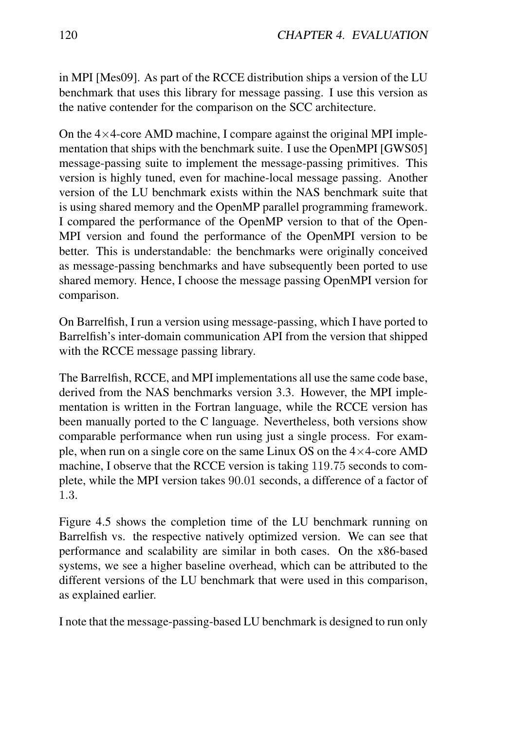in MPI [Mes09]. As part of the RCCE distribution ships a version of the LU benchmark that uses this library for message passing. I use this version as the native contender for the comparison on the SCC architecture.

On the  $4\times4$ -core AMD machine, I compare against the original MPI implementation that ships with the benchmark suite. I use the OpenMPI [GWS05] message-passing suite to implement the message-passing primitives. This version is highly tuned, even for machine-local message passing. Another version of the LU benchmark exists within the NAS benchmark suite that is using shared memory and the OpenMP parallel programming framework. I compared the performance of the OpenMP version to that of the Open-MPI version and found the performance of the OpenMPI version to be better. This is understandable: the benchmarks were originally conceived as message-passing benchmarks and have subsequently been ported to use shared memory. Hence, I choose the message passing OpenMPI version for comparison.

On Barrelfish, I run a version using message-passing, which I have ported to Barrelfish's inter-domain communication API from the version that shipped with the RCCE message passing library.

The Barrelfish, RCCE, and MPI implementations all use the same code base, derived from the NAS benchmarks version 3.3. However, the MPI implementation is written in the Fortran language, while the RCCE version has been manually ported to the C language. Nevertheless, both versions show comparable performance when run using just a single process. For example, when run on a single core on the same Linux OS on the  $4\times4$ -core AMD machine, I observe that the RCCE version is taking 119.75 seconds to complete, while the MPI version takes 90.01 seconds, a difference of a factor of 1.3.

Figure 4.5 shows the completion time of the LU benchmark running on Barrelfish vs. the respective natively optimized version. We can see that performance and scalability are similar in both cases. On the x86-based systems, we see a higher baseline overhead, which can be attributed to the different versions of the LU benchmark that were used in this comparison, as explained earlier.

I note that the message-passing-based LU benchmark is designed to run only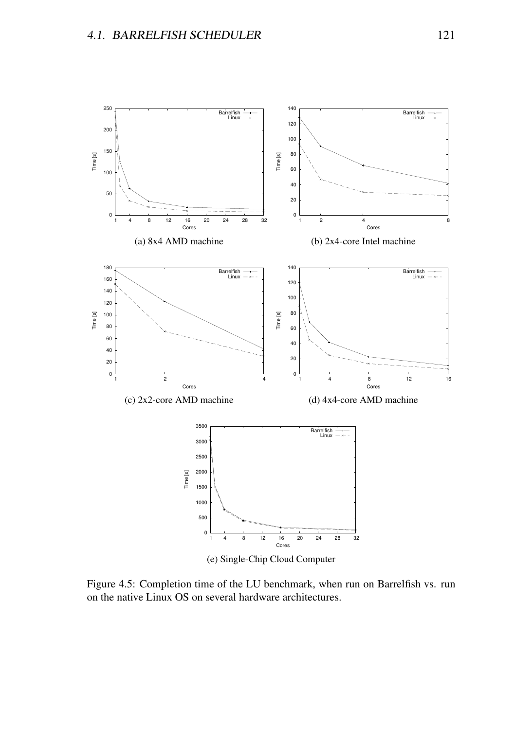

(e) Single-Chip Cloud Computer

Figure 4.5: Completion time of the LU benchmark, when run on Barrelfish vs. run on the native Linux OS on several hardware architectures.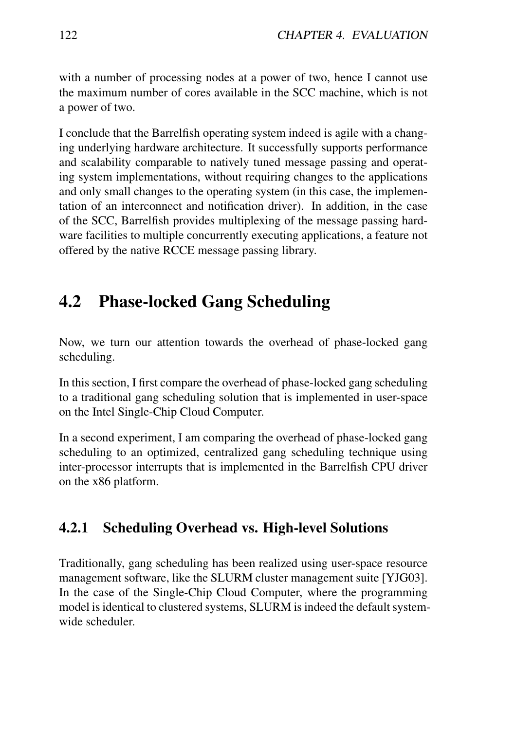with a number of processing nodes at a power of two, hence I cannot use the maximum number of cores available in the SCC machine, which is not a power of two.

I conclude that the Barrelfish operating system indeed is agile with a changing underlying hardware architecture. It successfully supports performance and scalability comparable to natively tuned message passing and operating system implementations, without requiring changes to the applications and only small changes to the operating system (in this case, the implementation of an interconnect and notification driver). In addition, in the case of the SCC, Barrelfish provides multiplexing of the message passing hardware facilities to multiple concurrently executing applications, a feature not offered by the native RCCE message passing library.

# 4.2 Phase-locked Gang Scheduling

Now, we turn our attention towards the overhead of phase-locked gang scheduling.

In this section, I first compare the overhead of phase-locked gang scheduling to a traditional gang scheduling solution that is implemented in user-space on the Intel Single-Chip Cloud Computer.

In a second experiment, I am comparing the overhead of phase-locked gang scheduling to an optimized, centralized gang scheduling technique using inter-processor interrupts that is implemented in the Barrelfish CPU driver on the x86 platform.

#### 4.2.1 Scheduling Overhead vs. High-level Solutions

Traditionally, gang scheduling has been realized using user-space resource management software, like the SLURM cluster management suite [YJG03]. In the case of the Single-Chip Cloud Computer, where the programming model is identical to clustered systems, SLURM is indeed the default systemwide scheduler.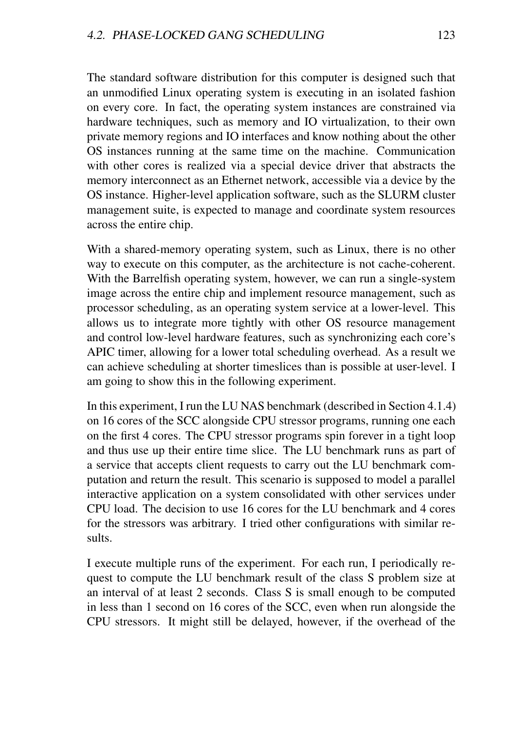The standard software distribution for this computer is designed such that an unmodified Linux operating system is executing in an isolated fashion on every core. In fact, the operating system instances are constrained via hardware techniques, such as memory and IO virtualization, to their own private memory regions and IO interfaces and know nothing about the other OS instances running at the same time on the machine. Communication with other cores is realized via a special device driver that abstracts the memory interconnect as an Ethernet network, accessible via a device by the OS instance. Higher-level application software, such as the SLURM cluster management suite, is expected to manage and coordinate system resources across the entire chip.

With a shared-memory operating system, such as Linux, there is no other way to execute on this computer, as the architecture is not cache-coherent. With the Barrelfish operating system, however, we can run a single-system image across the entire chip and implement resource management, such as processor scheduling, as an operating system service at a lower-level. This allows us to integrate more tightly with other OS resource management and control low-level hardware features, such as synchronizing each core's APIC timer, allowing for a lower total scheduling overhead. As a result we can achieve scheduling at shorter timeslices than is possible at user-level. I am going to show this in the following experiment.

In this experiment, I run the LU NAS benchmark (described in Section 4.1.4) on 16 cores of the SCC alongside CPU stressor programs, running one each on the first 4 cores. The CPU stressor programs spin forever in a tight loop and thus use up their entire time slice. The LU benchmark runs as part of a service that accepts client requests to carry out the LU benchmark computation and return the result. This scenario is supposed to model a parallel interactive application on a system consolidated with other services under CPU load. The decision to use 16 cores for the LU benchmark and 4 cores for the stressors was arbitrary. I tried other configurations with similar results.

I execute multiple runs of the experiment. For each run, I periodically request to compute the LU benchmark result of the class S problem size at an interval of at least 2 seconds. Class S is small enough to be computed in less than 1 second on 16 cores of the SCC, even when run alongside the CPU stressors. It might still be delayed, however, if the overhead of the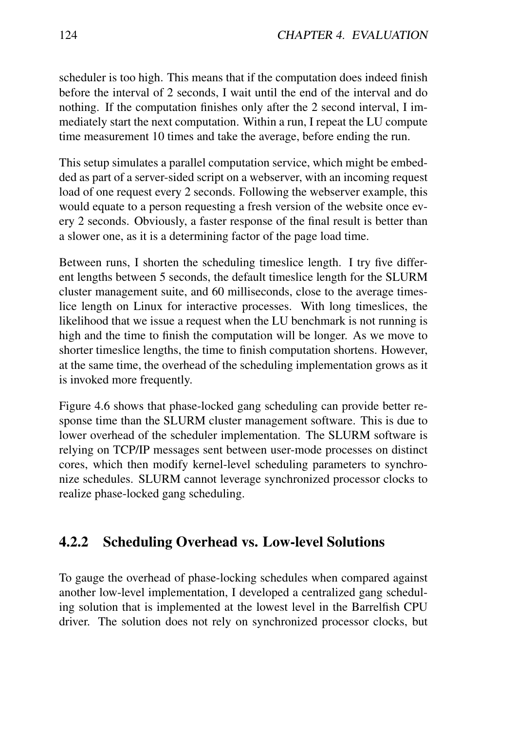scheduler is too high. This means that if the computation does indeed finish before the interval of 2 seconds, I wait until the end of the interval and do nothing. If the computation finishes only after the 2 second interval, I immediately start the next computation. Within a run, I repeat the LU compute time measurement 10 times and take the average, before ending the run.

This setup simulates a parallel computation service, which might be embedded as part of a server-sided script on a webserver, with an incoming request load of one request every 2 seconds. Following the webserver example, this would equate to a person requesting a fresh version of the website once every 2 seconds. Obviously, a faster response of the final result is better than a slower one, as it is a determining factor of the page load time.

Between runs, I shorten the scheduling timeslice length. I try five different lengths between 5 seconds, the default timeslice length for the SLURM cluster management suite, and 60 milliseconds, close to the average timeslice length on Linux for interactive processes. With long timeslices, the likelihood that we issue a request when the LU benchmark is not running is high and the time to finish the computation will be longer. As we move to shorter timeslice lengths, the time to finish computation shortens. However, at the same time, the overhead of the scheduling implementation grows as it is invoked more frequently.

Figure 4.6 shows that phase-locked gang scheduling can provide better response time than the SLURM cluster management software. This is due to lower overhead of the scheduler implementation. The SLURM software is relying on TCP/IP messages sent between user-mode processes on distinct cores, which then modify kernel-level scheduling parameters to synchronize schedules. SLURM cannot leverage synchronized processor clocks to realize phase-locked gang scheduling.

#### 4.2.2 Scheduling Overhead vs. Low-level Solutions

To gauge the overhead of phase-locking schedules when compared against another low-level implementation, I developed a centralized gang scheduling solution that is implemented at the lowest level in the Barrelfish CPU driver. The solution does not rely on synchronized processor clocks, but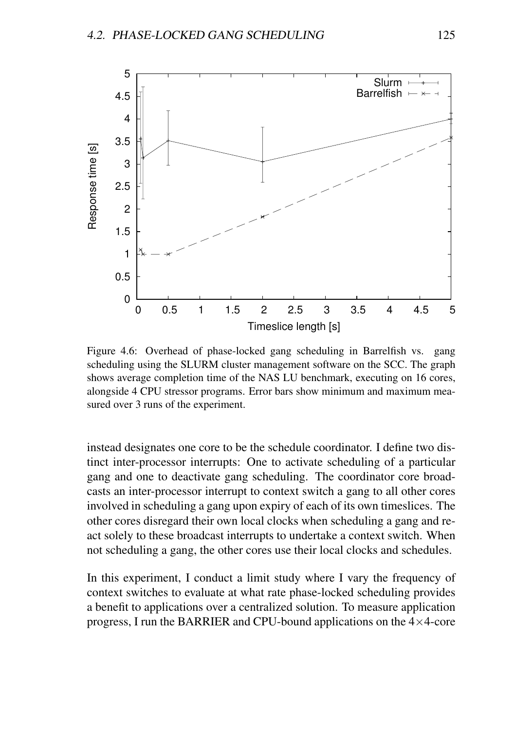

Figure 4.6: Overhead of phase-locked gang scheduling in Barrelfish vs. gang scheduling using the SLURM cluster management software on the SCC. The graph shows average completion time of the NAS LU benchmark, executing on 16 cores, alongside 4 CPU stressor programs. Error bars show minimum and maximum measured over 3 runs of the experiment.

instead designates one core to be the schedule coordinator. I define two distinct inter-processor interrupts: One to activate scheduling of a particular gang and one to deactivate gang scheduling. The coordinator core broadcasts an inter-processor interrupt to context switch a gang to all other cores involved in scheduling a gang upon expiry of each of its own timeslices. The other cores disregard their own local clocks when scheduling a gang and react solely to these broadcast interrupts to undertake a context switch. When not scheduling a gang, the other cores use their local clocks and schedules.

In this experiment, I conduct a limit study where I vary the frequency of context switches to evaluate at what rate phase-locked scheduling provides a benefit to applications over a centralized solution. To measure application progress, I run the BARRIER and CPU-bound applications on the  $4\times4$ -core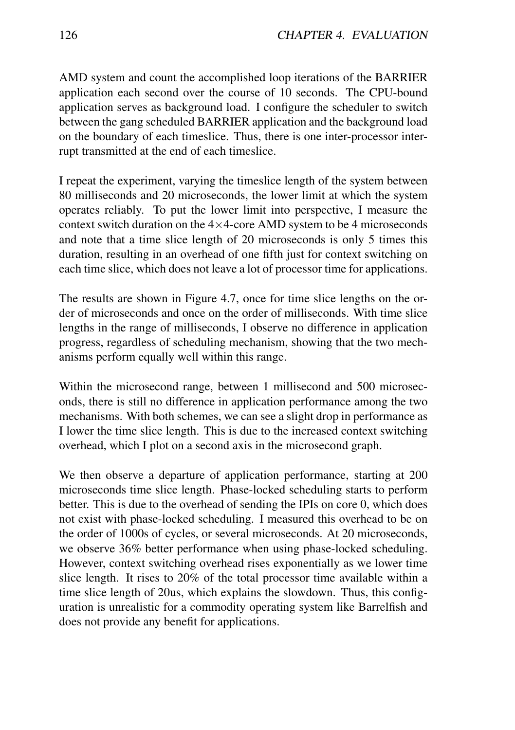AMD system and count the accomplished loop iterations of the BARRIER application each second over the course of 10 seconds. The CPU-bound application serves as background load. I configure the scheduler to switch between the gang scheduled BARRIER application and the background load on the boundary of each timeslice. Thus, there is one inter-processor interrupt transmitted at the end of each timeslice.

I repeat the experiment, varying the timeslice length of the system between 80 milliseconds and 20 microseconds, the lower limit at which the system operates reliably. To put the lower limit into perspective, I measure the context switch duration on the  $4\times4$ -core AMD system to be 4 microseconds and note that a time slice length of 20 microseconds is only 5 times this duration, resulting in an overhead of one fifth just for context switching on each time slice, which does not leave a lot of processor time for applications.

The results are shown in Figure 4.7, once for time slice lengths on the order of microseconds and once on the order of milliseconds. With time slice lengths in the range of milliseconds, I observe no difference in application progress, regardless of scheduling mechanism, showing that the two mechanisms perform equally well within this range.

Within the microsecond range, between 1 millisecond and 500 microseconds, there is still no difference in application performance among the two mechanisms. With both schemes, we can see a slight drop in performance as I lower the time slice length. This is due to the increased context switching overhead, which I plot on a second axis in the microsecond graph.

We then observe a departure of application performance, starting at 200 microseconds time slice length. Phase-locked scheduling starts to perform better. This is due to the overhead of sending the IPIs on core 0, which does not exist with phase-locked scheduling. I measured this overhead to be on the order of 1000s of cycles, or several microseconds. At 20 microseconds, we observe 36% better performance when using phase-locked scheduling. However, context switching overhead rises exponentially as we lower time slice length. It rises to 20% of the total processor time available within a time slice length of 20us, which explains the slowdown. Thus, this configuration is unrealistic for a commodity operating system like Barrelfish and does not provide any benefit for applications.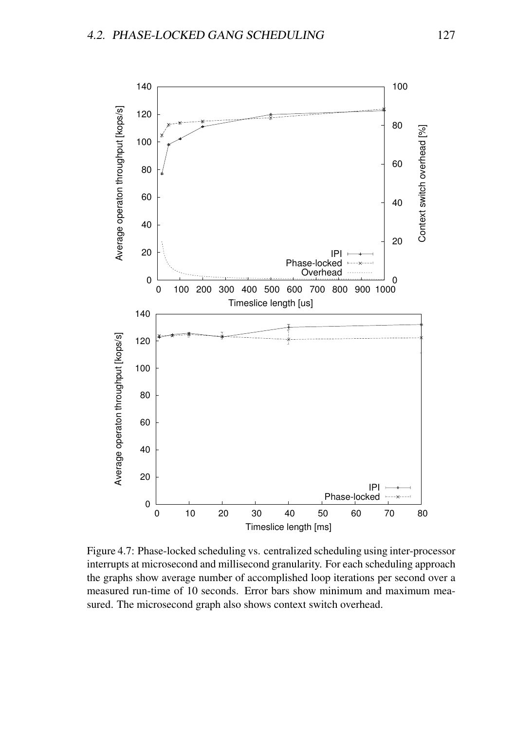

Figure 4.7: Phase-locked scheduling vs. centralized scheduling using inter-processor interrupts at microsecond and millisecond granularity. For each scheduling approach the graphs show average number of accomplished loop iterations per second over a measured run-time of 10 seconds. Error bars show minimum and maximum measured. The microsecond graph also shows context switch overhead.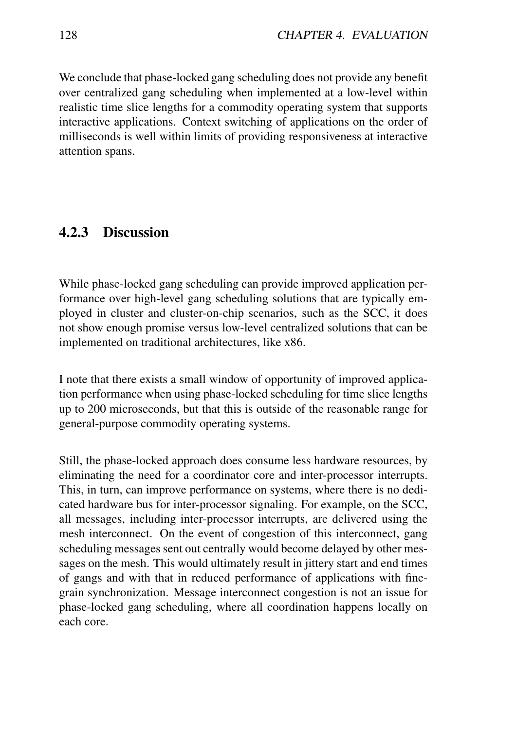We conclude that phase-locked gang scheduling does not provide any benefit over centralized gang scheduling when implemented at a low-level within realistic time slice lengths for a commodity operating system that supports interactive applications. Context switching of applications on the order of milliseconds is well within limits of providing responsiveness at interactive attention spans.

#### 4.2.3 Discussion

While phase-locked gang scheduling can provide improved application performance over high-level gang scheduling solutions that are typically employed in cluster and cluster-on-chip scenarios, such as the SCC, it does not show enough promise versus low-level centralized solutions that can be implemented on traditional architectures, like x86.

I note that there exists a small window of opportunity of improved application performance when using phase-locked scheduling for time slice lengths up to 200 microseconds, but that this is outside of the reasonable range for general-purpose commodity operating systems.

Still, the phase-locked approach does consume less hardware resources, by eliminating the need for a coordinator core and inter-processor interrupts. This, in turn, can improve performance on systems, where there is no dedicated hardware bus for inter-processor signaling. For example, on the SCC, all messages, including inter-processor interrupts, are delivered using the mesh interconnect. On the event of congestion of this interconnect, gang scheduling messages sent out centrally would become delayed by other messages on the mesh. This would ultimately result in jittery start and end times of gangs and with that in reduced performance of applications with finegrain synchronization. Message interconnect congestion is not an issue for phase-locked gang scheduling, where all coordination happens locally on each core.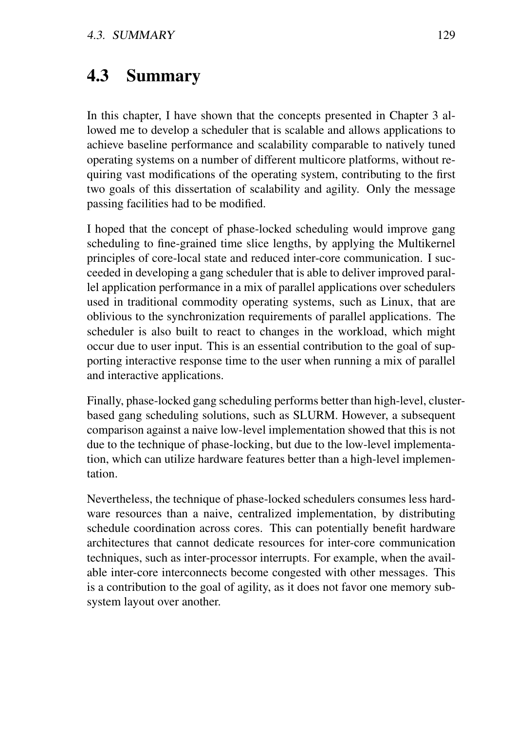## 4.3 Summary

In this chapter, I have shown that the concepts presented in Chapter 3 allowed me to develop a scheduler that is scalable and allows applications to achieve baseline performance and scalability comparable to natively tuned operating systems on a number of different multicore platforms, without requiring vast modifications of the operating system, contributing to the first two goals of this dissertation of scalability and agility. Only the message passing facilities had to be modified.

I hoped that the concept of phase-locked scheduling would improve gang scheduling to fine-grained time slice lengths, by applying the Multikernel principles of core-local state and reduced inter-core communication. I succeeded in developing a gang scheduler that is able to deliver improved parallel application performance in a mix of parallel applications over schedulers used in traditional commodity operating systems, such as Linux, that are oblivious to the synchronization requirements of parallel applications. The scheduler is also built to react to changes in the workload, which might occur due to user input. This is an essential contribution to the goal of supporting interactive response time to the user when running a mix of parallel and interactive applications.

Finally, phase-locked gang scheduling performs better than high-level, clusterbased gang scheduling solutions, such as SLURM. However, a subsequent comparison against a naive low-level implementation showed that this is not due to the technique of phase-locking, but due to the low-level implementation, which can utilize hardware features better than a high-level implementation.

Nevertheless, the technique of phase-locked schedulers consumes less hardware resources than a naive, centralized implementation, by distributing schedule coordination across cores. This can potentially benefit hardware architectures that cannot dedicate resources for inter-core communication techniques, such as inter-processor interrupts. For example, when the available inter-core interconnects become congested with other messages. This is a contribution to the goal of agility, as it does not favor one memory subsystem layout over another.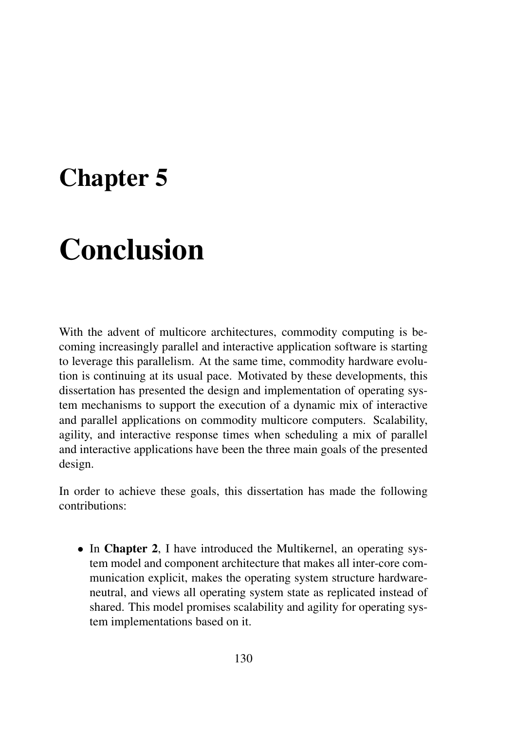# Chapter 5

# Conclusion

With the advent of multicore architectures, commodity computing is becoming increasingly parallel and interactive application software is starting to leverage this parallelism. At the same time, commodity hardware evolution is continuing at its usual pace. Motivated by these developments, this dissertation has presented the design and implementation of operating system mechanisms to support the execution of a dynamic mix of interactive and parallel applications on commodity multicore computers. Scalability, agility, and interactive response times when scheduling a mix of parallel and interactive applications have been the three main goals of the presented design.

In order to achieve these goals, this dissertation has made the following contributions:

• In Chapter 2, I have introduced the Multikernel, an operating system model and component architecture that makes all inter-core communication explicit, makes the operating system structure hardwareneutral, and views all operating system state as replicated instead of shared. This model promises scalability and agility for operating system implementations based on it.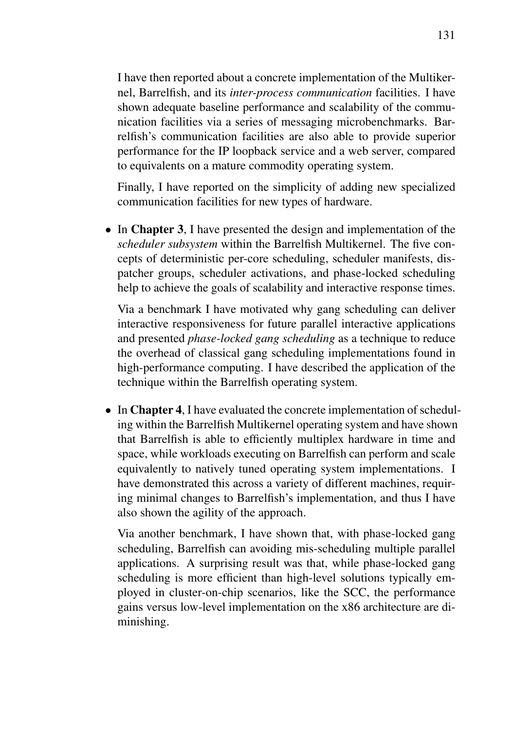I have then reported about a concrete implementation of the Multikernel, Barrelfish, and its *inter-process communication* facilities. I have shown adequate baseline performance and scalability of the communication facilities via a series of messaging microbenchmarks. Barrelfish's communication facilities are also able to provide superior performance for the IP loopback service and a web server, compared to equivalents on a mature commodity operating system.

Finally, I have reported on the simplicity of adding new specialized communication facilities for new types of hardware.

• In Chapter 3, I have presented the design and implementation of the *scheduler subsystem* within the Barrelfish Multikernel. The five concepts of deterministic per-core scheduling, scheduler manifests, dispatcher groups, scheduler activations, and phase-locked scheduling help to achieve the goals of scalability and interactive response times.

Via a benchmark I have motivated why gang scheduling can deliver interactive responsiveness for future parallel interactive applications and presented *phase-locked gang scheduling* as a technique to reduce the overhead of classical gang scheduling implementations found in high-performance computing. I have described the application of the technique within the Barrelfish operating system.

• In Chapter 4, I have evaluated the concrete implementation of scheduling within the Barrelfish Multikernel operating system and have shown that Barrelfish is able to efficiently multiplex hardware in time and space, while workloads executing on Barrelfish can perform and scale equivalently to natively tuned operating system implementations. I have demonstrated this across a variety of different machines, requiring minimal changes to Barrelfish's implementation, and thus I have also shown the agility of the approach.

Via another benchmark, I have shown that, with phase-locked gang scheduling, Barrelfish can avoiding mis-scheduling multiple parallel applications. A surprising result was that, while phase-locked gang scheduling is more efficient than high-level solutions typically employed in cluster-on-chip scenarios, like the SCC, the performance gains versus low-level implementation on the x86 architecture are diminishing.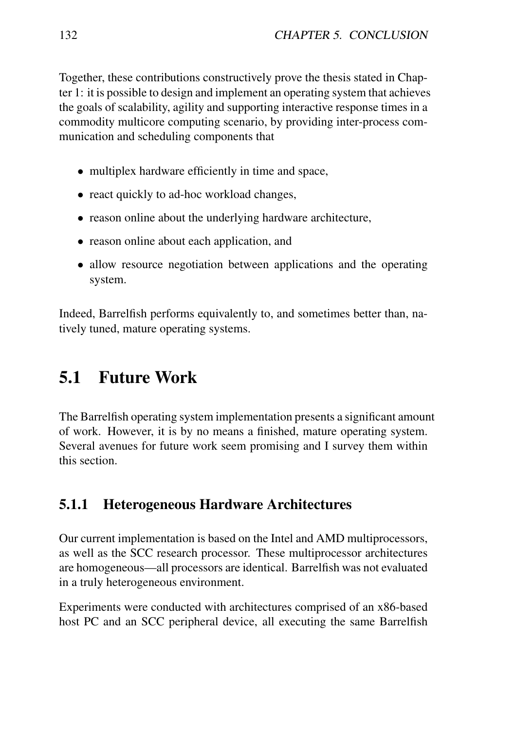Together, these contributions constructively prove the thesis stated in Chapter 1: it is possible to design and implement an operating system that achieves the goals of scalability, agility and supporting interactive response times in a commodity multicore computing scenario, by providing inter-process communication and scheduling components that

- multiplex hardware efficiently in time and space,
- react quickly to ad-hoc workload changes,
- reason online about the underlying hardware architecture,
- reason online about each application, and
- allow resource negotiation between applications and the operating system.

Indeed, Barrelfish performs equivalently to, and sometimes better than, natively tuned, mature operating systems.

## 5.1 Future Work

The Barrelfish operating system implementation presents a significant amount of work. However, it is by no means a finished, mature operating system. Several avenues for future work seem promising and I survey them within this section.

#### 5.1.1 Heterogeneous Hardware Architectures

Our current implementation is based on the Intel and AMD multiprocessors, as well as the SCC research processor. These multiprocessor architectures are homogeneous—all processors are identical. Barrelfish was not evaluated in a truly heterogeneous environment.

Experiments were conducted with architectures comprised of an x86-based host PC and an SCC peripheral device, all executing the same Barrelfish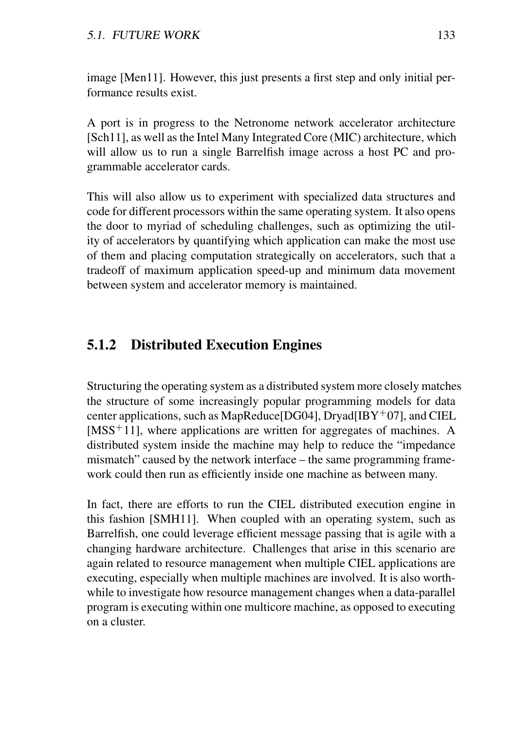image [Men11]. However, this just presents a first step and only initial performance results exist.

A port is in progress to the Netronome network accelerator architecture [Sch11], as well as the Intel Many Integrated Core (MIC) architecture, which will allow us to run a single Barrelfish image across a host PC and programmable accelerator cards.

This will also allow us to experiment with specialized data structures and code for different processors within the same operating system. It also opens the door to myriad of scheduling challenges, such as optimizing the utility of accelerators by quantifying which application can make the most use of them and placing computation strategically on accelerators, such that a tradeoff of maximum application speed-up and minimum data movement between system and accelerator memory is maintained.

#### 5.1.2 Distributed Execution Engines

Structuring the operating system as a distributed system more closely matches the structure of some increasingly popular programming models for data center applications, such as MapReduce [DG04], Dryad  $[BF^+07]$ , and CIEL  $[MSS<sup>+</sup>11]$ , where applications are written for aggregates of machines. A distributed system inside the machine may help to reduce the "impedance mismatch" caused by the network interface – the same programming framework could then run as efficiently inside one machine as between many.

In fact, there are efforts to run the CIEL distributed execution engine in this fashion [SMH11]. When coupled with an operating system, such as Barrelfish, one could leverage efficient message passing that is agile with a changing hardware architecture. Challenges that arise in this scenario are again related to resource management when multiple CIEL applications are executing, especially when multiple machines are involved. It is also worthwhile to investigate how resource management changes when a data-parallel program is executing within one multicore machine, as opposed to executing on a cluster.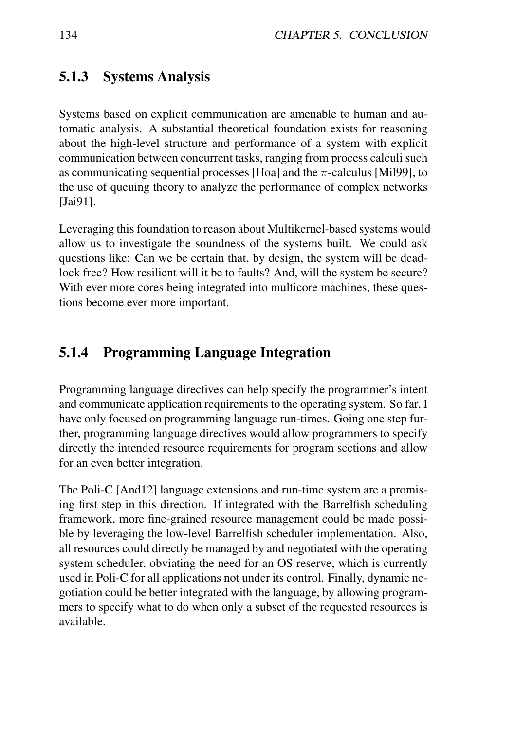### 5.1.3 Systems Analysis

Systems based on explicit communication are amenable to human and automatic analysis. A substantial theoretical foundation exists for reasoning about the high-level structure and performance of a system with explicit communication between concurrent tasks, ranging from process calculi such as communicating sequential processes [Hoa] and the  $\pi$ -calculus [Mil99], to the use of queuing theory to analyze the performance of complex networks [Jai91].

Leveraging this foundation to reason about Multikernel-based systems would allow us to investigate the soundness of the systems built. We could ask questions like: Can we be certain that, by design, the system will be deadlock free? How resilient will it be to faults? And, will the system be secure? With ever more cores being integrated into multicore machines, these questions become ever more important.

## 5.1.4 Programming Language Integration

Programming language directives can help specify the programmer's intent and communicate application requirements to the operating system. So far, I have only focused on programming language run-times. Going one step further, programming language directives would allow programmers to specify directly the intended resource requirements for program sections and allow for an even better integration.

The Poli-C [And12] language extensions and run-time system are a promising first step in this direction. If integrated with the Barrelfish scheduling framework, more fine-grained resource management could be made possible by leveraging the low-level Barrelfish scheduler implementation. Also, all resources could directly be managed by and negotiated with the operating system scheduler, obviating the need for an OS reserve, which is currently used in Poli-C for all applications not under its control. Finally, dynamic negotiation could be better integrated with the language, by allowing programmers to specify what to do when only a subset of the requested resources is available.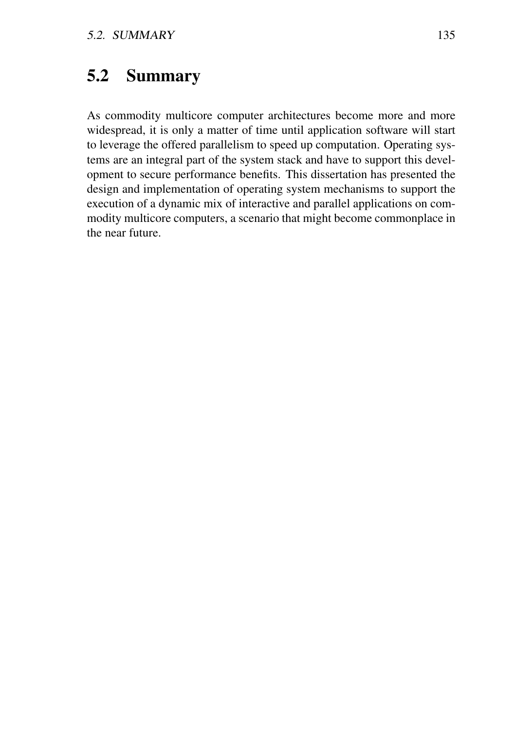# 5.2 Summary

As commodity multicore computer architectures become more and more widespread, it is only a matter of time until application software will start to leverage the offered parallelism to speed up computation. Operating systems are an integral part of the system stack and have to support this development to secure performance benefits. This dissertation has presented the design and implementation of operating system mechanisms to support the execution of a dynamic mix of interactive and parallel applications on commodity multicore computers, a scenario that might become commonplace in the near future.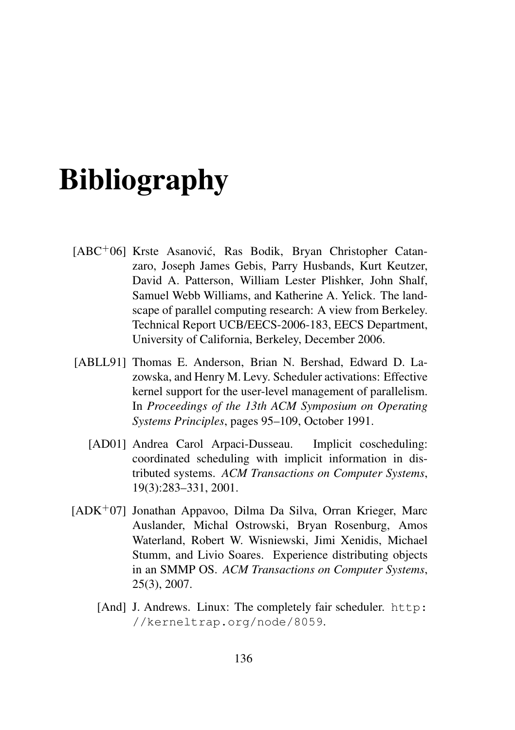# Bibliography

- [ABC+06] Krste Asanović, Ras Bodik, Bryan Christopher Catanzaro, Joseph James Gebis, Parry Husbands, Kurt Keutzer, David A. Patterson, William Lester Plishker, John Shalf, Samuel Webb Williams, and Katherine A. Yelick. The landscape of parallel computing research: A view from Berkeley. Technical Report UCB/EECS-2006-183, EECS Department, University of California, Berkeley, December 2006.
- [ABLL91] Thomas E. Anderson, Brian N. Bershad, Edward D. Lazowska, and Henry M. Levy. Scheduler activations: Effective kernel support for the user-level management of parallelism. In *Proceedings of the 13th ACM Symposium on Operating Systems Principles*, pages 95–109, October 1991.
	- [AD01] Andrea Carol Arpaci-Dusseau. Implicit coscheduling: coordinated scheduling with implicit information in distributed systems. *ACM Transactions on Computer Systems*, 19(3):283–331, 2001.
- [ADK<sup>+</sup>07] Jonathan Appavoo, Dilma Da Silva, Orran Krieger, Marc Auslander, Michal Ostrowski, Bryan Rosenburg, Amos Waterland, Robert W. Wisniewski, Jimi Xenidis, Michael Stumm, and Livio Soares. Experience distributing objects in an SMMP OS. *ACM Transactions on Computer Systems*, 25(3), 2007.
	- [And] J. Andrews. Linux: The completely fair scheduler. http: //kerneltrap.org/node/8059.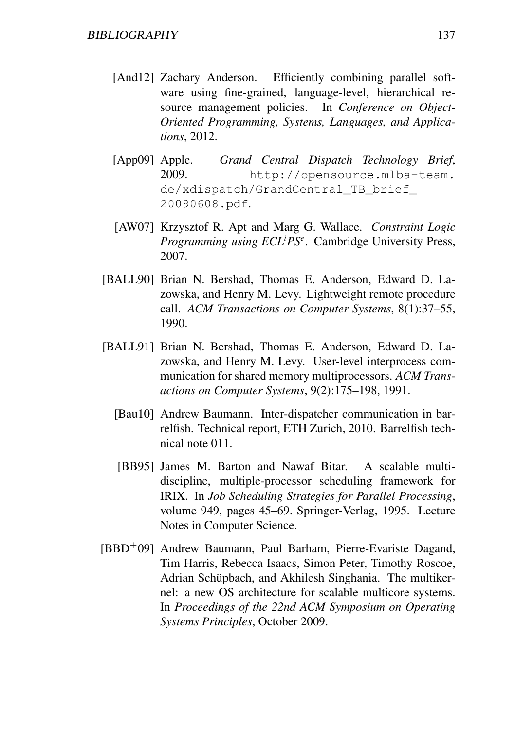- [And12] Zachary Anderson. Efficiently combining parallel software using fine-grained, language-level, hierarchical resource management policies. In *Conference on Object-Oriented Programming, Systems, Languages, and Applications*, 2012.
- [App09] Apple. *Grand Central Dispatch Technology Brief*, 2009. http://opensource.mlba-team. de/xdispatch/GrandCentral\_TB\_brief\_ 20090608.pdf.
- [AW07] Krzysztof R. Apt and Marg G. Wallace. *Constraint Logic Programming using ECL<sup>i</sup>PS<sup>e</sup>* . Cambridge University Press, 2007.
- [BALL90] Brian N. Bershad, Thomas E. Anderson, Edward D. Lazowska, and Henry M. Levy. Lightweight remote procedure call. *ACM Transactions on Computer Systems*, 8(1):37–55, 1990.
- [BALL91] Brian N. Bershad, Thomas E. Anderson, Edward D. Lazowska, and Henry M. Levy. User-level interprocess communication for shared memory multiprocessors. *ACM Transactions on Computer Systems*, 9(2):175–198, 1991.
	- [Bau10] Andrew Baumann. Inter-dispatcher communication in barrelfish. Technical report, ETH Zurich, 2010. Barrelfish technical note 011.
	- [BB95] James M. Barton and Nawaf Bitar. A scalable multidiscipline, multiple-processor scheduling framework for IRIX. In *Job Scheduling Strategies for Parallel Processing*, volume 949, pages 45–69. Springer-Verlag, 1995. Lecture Notes in Computer Science.
- [BBD<sup>+</sup>09] Andrew Baumann, Paul Barham, Pierre-Evariste Dagand, Tim Harris, Rebecca Isaacs, Simon Peter, Timothy Roscoe, Adrian Schüpbach, and Akhilesh Singhania. The multikernel: a new OS architecture for scalable multicore systems. In *Proceedings of the 22nd ACM Symposium on Operating Systems Principles*, October 2009.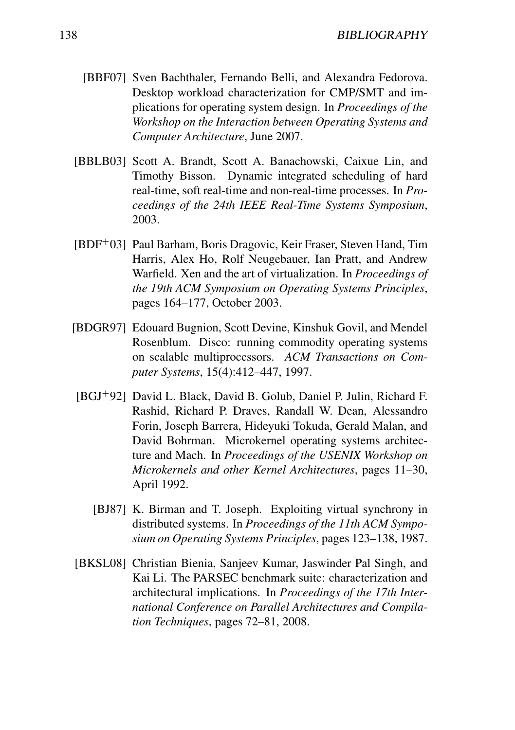- [BBF07] Sven Bachthaler, Fernando Belli, and Alexandra Fedorova. Desktop workload characterization for CMP/SMT and implications for operating system design. In *Proceedings of the Workshop on the Interaction between Operating Systems and Computer Architecture*, June 2007.
- [BBLB03] Scott A. Brandt, Scott A. Banachowski, Caixue Lin, and Timothy Bisson. Dynamic integrated scheduling of hard real-time, soft real-time and non-real-time processes. In *Proceedings of the 24th IEEE Real-Time Systems Symposium*, 2003.
- [BDF<sup>+</sup>03] Paul Barham, Boris Dragovic, Keir Fraser, Steven Hand, Tim Harris, Alex Ho, Rolf Neugebauer, Ian Pratt, and Andrew Warfield. Xen and the art of virtualization. In *Proceedings of the 19th ACM Symposium on Operating Systems Principles*, pages 164–177, October 2003.
- [BDGR97] Edouard Bugnion, Scott Devine, Kinshuk Govil, and Mendel Rosenblum. Disco: running commodity operating systems on scalable multiprocessors. *ACM Transactions on Computer Systems*, 15(4):412–447, 1997.
- [BGJ<sup>+</sup>92] David L. Black, David B. Golub, Daniel P. Julin, Richard F. Rashid, Richard P. Draves, Randall W. Dean, Alessandro Forin, Joseph Barrera, Hideyuki Tokuda, Gerald Malan, and David Bohrman. Microkernel operating systems architecture and Mach. In *Proceedings of the USENIX Workshop on Microkernels and other Kernel Architectures*, pages 11–30, April 1992.
	- [BJ87] K. Birman and T. Joseph. Exploiting virtual synchrony in distributed systems. In *Proceedings of the 11th ACM Symposium on Operating Systems Principles*, pages 123–138, 1987.
- [BKSL08] Christian Bienia, Sanjeev Kumar, Jaswinder Pal Singh, and Kai Li. The PARSEC benchmark suite: characterization and architectural implications. In *Proceedings of the 17th International Conference on Parallel Architectures and Compilation Techniques*, pages 72–81, 2008.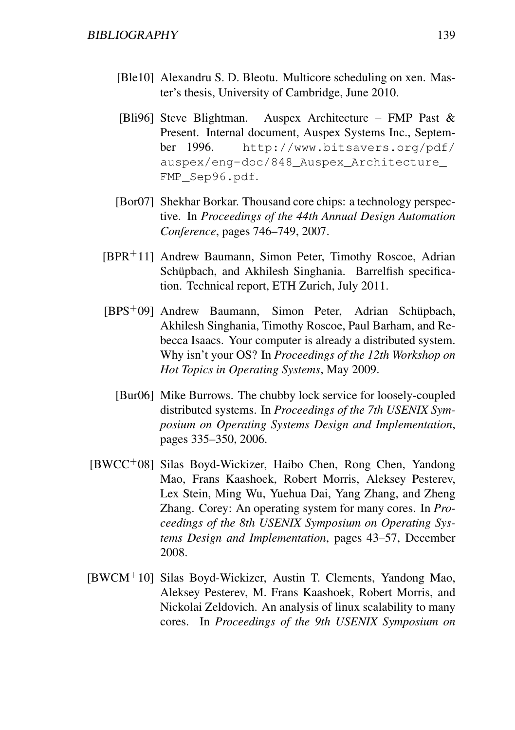- [Ble10] Alexandru S. D. Bleotu. Multicore scheduling on xen. Master's thesis, University of Cambridge, June 2010.
- [Bli96] Steve Blightman. Auspex Architecture FMP Past & Present. Internal document, Auspex Systems Inc., September 1996. http://www.bitsavers.org/pdf/ auspex/eng-doc/848\_Auspex\_Architecture\_ FMP\_Sep96.pdf.
- [Bor07] Shekhar Borkar. Thousand core chips: a technology perspective. In *Proceedings of the 44th Annual Design Automation Conference*, pages 746–749, 2007.
- [BPR<sup>+</sup>11] Andrew Baumann, Simon Peter, Timothy Roscoe, Adrian Schüpbach, and Akhilesh Singhania. Barrelfish specification. Technical report, ETH Zurich, July 2011.
- [BPS<sup>+</sup>09] Andrew Baumann, Simon Peter, Adrian Schüpbach, Akhilesh Singhania, Timothy Roscoe, Paul Barham, and Rebecca Isaacs. Your computer is already a distributed system. Why isn't your OS? In *Proceedings of the 12th Workshop on Hot Topics in Operating Systems*, May 2009.
	- [Bur06] Mike Burrows. The chubby lock service for loosely-coupled distributed systems. In *Proceedings of the 7th USENIX Symposium on Operating Systems Design and Implementation*, pages 335–350, 2006.
- $[BWCC<sup>+</sup>08]$  Silas Boyd-Wickizer, Haibo Chen, Rong Chen, Yandong Mao, Frans Kaashoek, Robert Morris, Aleksey Pesterev, Lex Stein, Ming Wu, Yuehua Dai, Yang Zhang, and Zheng Zhang. Corey: An operating system for many cores. In *Proceedings of the 8th USENIX Symposium on Operating Systems Design and Implementation*, pages 43–57, December 2008.
- [BWCM<sup>+</sup>10] Silas Boyd-Wickizer, Austin T. Clements, Yandong Mao, Aleksey Pesterev, M. Frans Kaashoek, Robert Morris, and Nickolai Zeldovich. An analysis of linux scalability to many cores. In *Proceedings of the 9th USENIX Symposium on*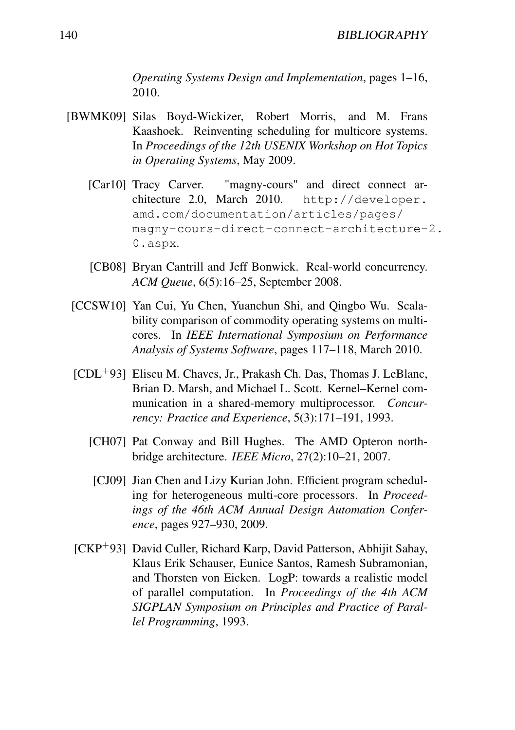*Operating Systems Design and Implementation*, pages 1–16, 2010.

- [BWMK09] Silas Boyd-Wickizer, Robert Morris, and M. Frans Kaashoek. Reinventing scheduling for multicore systems. In *Proceedings of the 12th USENIX Workshop on Hot Topics in Operating Systems*, May 2009.
	- [Car10] Tracy Carver. "magny-cours" and direct connect architecture 2.0, March 2010. http://developer. amd.com/documentation/articles/pages/ magny-cours-direct-connect-architecture-2. 0.aspx.
	- [CB08] Bryan Cantrill and Jeff Bonwick. Real-world concurrency. *ACM Queue*, 6(5):16–25, September 2008.
- [CCSW10] Yan Cui, Yu Chen, Yuanchun Shi, and Qingbo Wu. Scalability comparison of commodity operating systems on multicores. In *IEEE International Symposium on Performance Analysis of Systems Software*, pages 117–118, March 2010.
- [CDL<sup>+</sup>93] Eliseu M. Chaves, Jr., Prakash Ch. Das, Thomas J. LeBlanc, Brian D. Marsh, and Michael L. Scott. Kernel–Kernel communication in a shared-memory multiprocessor. *Concurrency: Practice and Experience*, 5(3):171–191, 1993.
	- [CH07] Pat Conway and Bill Hughes. The AMD Opteron northbridge architecture. *IEEE Micro*, 27(2):10–21, 2007.
	- [CJ09] Jian Chen and Lizy Kurian John. Efficient program scheduling for heterogeneous multi-core processors. In *Proceedings of the 46th ACM Annual Design Automation Conference*, pages 927–930, 2009.
- [CKP<sup>+</sup>93] David Culler, Richard Karp, David Patterson, Abhijit Sahay, Klaus Erik Schauser, Eunice Santos, Ramesh Subramonian, and Thorsten von Eicken. LogP: towards a realistic model of parallel computation. In *Proceedings of the 4th ACM SIGPLAN Symposium on Principles and Practice of Parallel Programming*, 1993.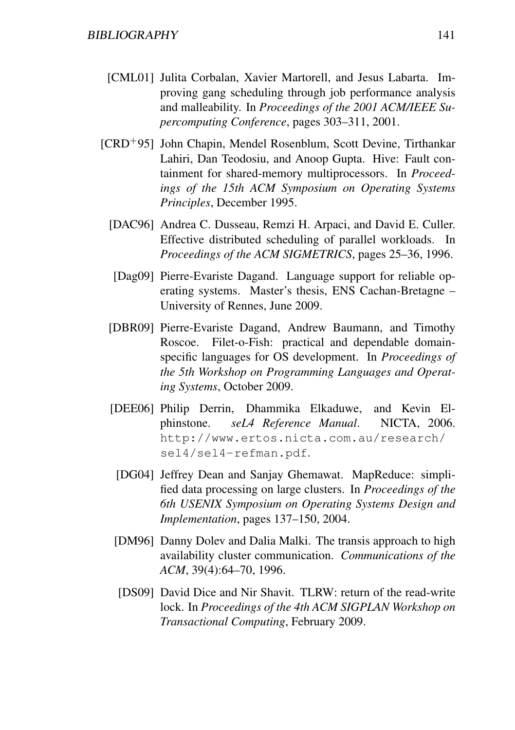- [CML01] Julita Corbalan, Xavier Martorell, and Jesus Labarta. Improving gang scheduling through job performance analysis and malleability. In *Proceedings of the 2001 ACM/IEEE Supercomputing Conference*, pages 303–311, 2001.
- [CRD<sup>+</sup>95] John Chapin, Mendel Rosenblum, Scott Devine, Tirthankar Lahiri, Dan Teodosiu, and Anoop Gupta. Hive: Fault containment for shared-memory multiprocessors. In *Proceedings of the 15th ACM Symposium on Operating Systems Principles*, December 1995.
	- [DAC96] Andrea C. Dusseau, Remzi H. Arpaci, and David E. Culler. Effective distributed scheduling of parallel workloads. In *Proceedings of the ACM SIGMETRICS*, pages 25–36, 1996.
	- [Dag09] Pierre-Evariste Dagand. Language support for reliable operating systems. Master's thesis, ENS Cachan-Bretagne – University of Rennes, June 2009.
	- [DBR09] Pierre-Evariste Dagand, Andrew Baumann, and Timothy Roscoe. Filet-o-Fish: practical and dependable domainspecific languages for OS development. In *Proceedings of the 5th Workshop on Programming Languages and Operating Systems*, October 2009.
	- [DEE06] Philip Derrin, Dhammika Elkaduwe, and Kevin Elphinstone. *seL4 Reference Manual*. NICTA, 2006. http://www.ertos.nicta.com.au/research/ sel4/sel4-refman.pdf.
		- [DG04] Jeffrey Dean and Sanjay Ghemawat. MapReduce: simplified data processing on large clusters. In *Proceedings of the 6th USENIX Symposium on Operating Systems Design and Implementation*, pages 137–150, 2004.
	- [DM96] Danny Dolev and Dalia Malki. The transis approach to high availability cluster communication. *Communications of the ACM*, 39(4):64–70, 1996.
	- [DS09] David Dice and Nir Shavit. TLRW: return of the read-write lock. In *Proceedings of the 4th ACM SIGPLAN Workshop on Transactional Computing*, February 2009.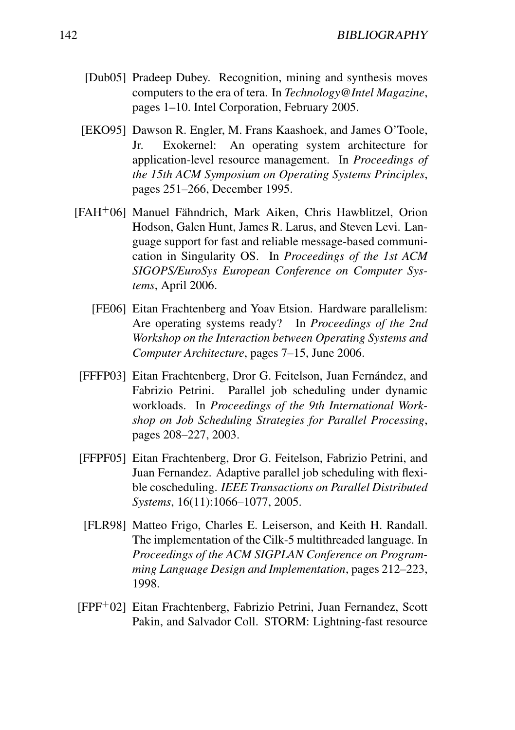- [Dub05] Pradeep Dubey. Recognition, mining and synthesis moves computers to the era of tera. In *Technology@Intel Magazine*, pages 1–10. Intel Corporation, February 2005.
- [EKO95] Dawson R. Engler, M. Frans Kaashoek, and James O'Toole, Jr. Exokernel: An operating system architecture for application-level resource management. In *Proceedings of the 15th ACM Symposium on Operating Systems Principles*, pages 251–266, December 1995.
- [FAH<sup>+</sup>06] Manuel Fähndrich, Mark Aiken, Chris Hawblitzel, Orion Hodson, Galen Hunt, James R. Larus, and Steven Levi. Language support for fast and reliable message-based communication in Singularity OS. In *Proceedings of the 1st ACM SIGOPS/EuroSys European Conference on Computer Systems*, April 2006.
	- [FE06] Eitan Frachtenberg and Yoav Etsion. Hardware parallelism: Are operating systems ready? In *Proceedings of the 2nd Workshop on the Interaction between Operating Systems and Computer Architecture*, pages 7–15, June 2006.
	- [FFFP03] Eitan Frachtenberg, Dror G. Feitelson, Juan Fernández, and Fabrizio Petrini. Parallel job scheduling under dynamic workloads. In *Proceedings of the 9th International Workshop on Job Scheduling Strategies for Parallel Processing*, pages 208–227, 2003.
	- [FFPF05] Eitan Frachtenberg, Dror G. Feitelson, Fabrizio Petrini, and Juan Fernandez. Adaptive parallel job scheduling with flexible coscheduling. *IEEE Transactions on Parallel Distributed Systems*, 16(11):1066–1077, 2005.
	- [FLR98] Matteo Frigo, Charles E. Leiserson, and Keith H. Randall. The implementation of the Cilk-5 multithreaded language. In *Proceedings of the ACM SIGPLAN Conference on Programming Language Design and Implementation*, pages 212–223, 1998.
- [FPF<sup>+</sup>02] Eitan Frachtenberg, Fabrizio Petrini, Juan Fernandez, Scott Pakin, and Salvador Coll. STORM: Lightning-fast resource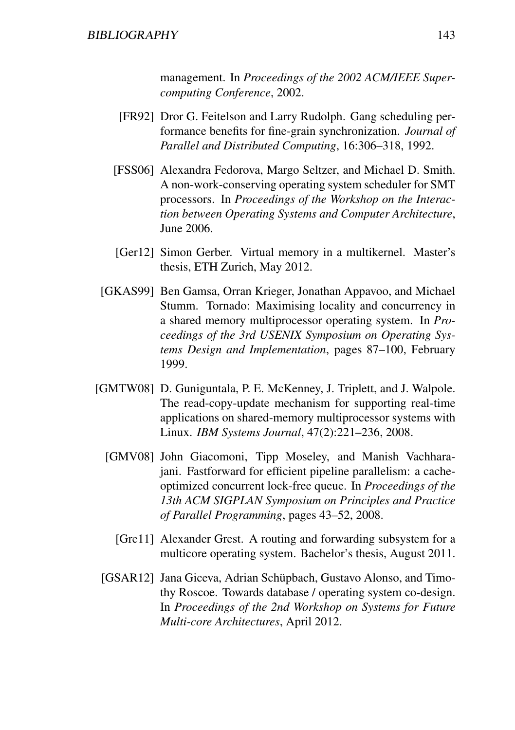management. In *Proceedings of the 2002 ACM/IEEE Supercomputing Conference*, 2002.

- [FR92] Dror G. Feitelson and Larry Rudolph. Gang scheduling performance benefits for fine-grain synchronization. *Journal of Parallel and Distributed Computing*, 16:306–318, 1992.
- [FSS06] Alexandra Fedorova, Margo Seltzer, and Michael D. Smith. A non-work-conserving operating system scheduler for SMT processors. In *Proceedings of the Workshop on the Interaction between Operating Systems and Computer Architecture*, June 2006.
- [Ger12] Simon Gerber. Virtual memory in a multikernel. Master's thesis, ETH Zurich, May 2012.
- [GKAS99] Ben Gamsa, Orran Krieger, Jonathan Appavoo, and Michael Stumm. Tornado: Maximising locality and concurrency in a shared memory multiprocessor operating system. In *Proceedings of the 3rd USENIX Symposium on Operating Systems Design and Implementation*, pages 87–100, February 1999.
- [GMTW08] D. Guniguntala, P. E. McKenney, J. Triplett, and J. Walpole. The read-copy-update mechanism for supporting real-time applications on shared-memory multiprocessor systems with Linux. *IBM Systems Journal*, 47(2):221–236, 2008.
	- [GMV08] John Giacomoni, Tipp Moseley, and Manish Vachharajani. Fastforward for efficient pipeline parallelism: a cacheoptimized concurrent lock-free queue. In *Proceedings of the 13th ACM SIGPLAN Symposium on Principles and Practice of Parallel Programming*, pages 43–52, 2008.
		- [Gre11] Alexander Grest. A routing and forwarding subsystem for a multicore operating system. Bachelor's thesis, August 2011.
	- [GSAR12] Jana Giceva, Adrian Schüpbach, Gustavo Alonso, and Timothy Roscoe. Towards database / operating system co-design. In *Proceedings of the 2nd Workshop on Systems for Future Multi-core Architectures*, April 2012.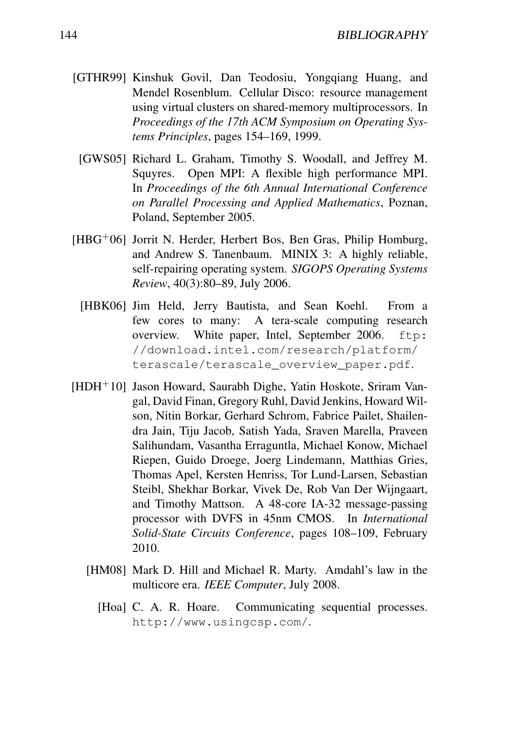- [GTHR99] Kinshuk Govil, Dan Teodosiu, Yongqiang Huang, and Mendel Rosenblum. Cellular Disco: resource management using virtual clusters on shared-memory multiprocessors. In *Proceedings of the 17th ACM Symposium on Operating Systems Principles*, pages 154–169, 1999.
	- [GWS05] Richard L. Graham, Timothy S. Woodall, and Jeffrey M. Squyres. Open MPI: A flexible high performance MPI. In *Proceedings of the 6th Annual International Conference on Parallel Processing and Applied Mathematics*, Poznan, Poland, September 2005.
- [HBG<sup>+</sup>06] Jorrit N. Herder, Herbert Bos, Ben Gras, Philip Homburg, and Andrew S. Tanenbaum. MINIX 3: A highly reliable, self-repairing operating system. *SIGOPS Operating Systems Review*, 40(3):80–89, July 2006.
	- [HBK06] Jim Held, Jerry Bautista, and Sean Koehl. From a few cores to many: A tera-scale computing research overview. White paper, Intel, September 2006. ftp: //download.intel.com/research/platform/ terascale/terascale\_overview\_paper.pdf.
- [HDH<sup>+</sup>10] Jason Howard, Saurabh Dighe, Yatin Hoskote, Sriram Vangal, David Finan, Gregory Ruhl, David Jenkins, Howard Wilson, Nitin Borkar, Gerhard Schrom, Fabrice Pailet, Shailendra Jain, Tiju Jacob, Satish Yada, Sraven Marella, Praveen Salihundam, Vasantha Erraguntla, Michael Konow, Michael Riepen, Guido Droege, Joerg Lindemann, Matthias Gries, Thomas Apel, Kersten Henriss, Tor Lund-Larsen, Sebastian Steibl, Shekhar Borkar, Vivek De, Rob Van Der Wijngaart, and Timothy Mattson. A 48-core IA-32 message-passing processor with DVFS in 45nm CMOS. In *International Solid-State Circuits Conference*, pages 108–109, February 2010.
	- [HM08] Mark D. Hill and Michael R. Marty. Amdahl's law in the multicore era. *IEEE Computer*, July 2008.
		- [Hoa] C. A. R. Hoare. Communicating sequential processes. http://www.usingcsp.com/.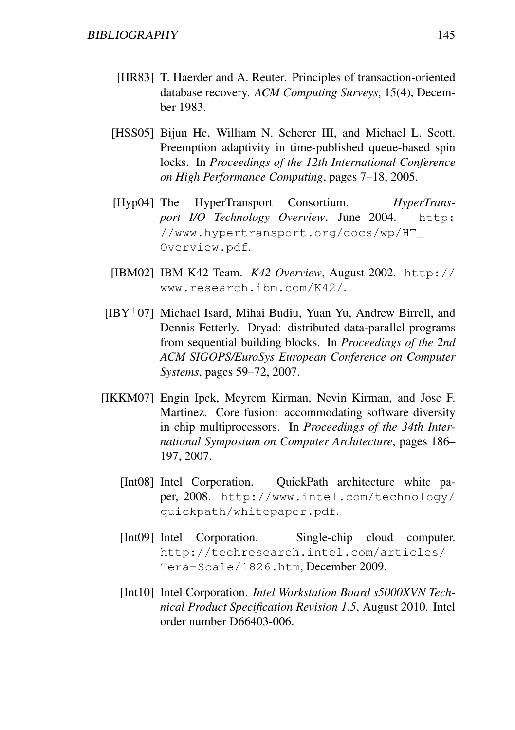- [HR83] T. Haerder and A. Reuter. Principles of transaction-oriented database recovery. *ACM Computing Surveys*, 15(4), December 1983.
- [HSS05] Bijun He, William N. Scherer III, and Michael L. Scott. Preemption adaptivity in time-published queue-based spin locks. In *Proceedings of the 12th International Conference on High Performance Computing*, pages 7–18, 2005.
- [Hyp04] The HyperTransport Consortium. *HyperTransport I/O Technology Overview*, June 2004. http: //www.hypertransport.org/docs/wp/HT\_ Overview.pdf.
- [IBM02] IBM K42 Team. *K42 Overview*, August 2002. http:// www.research.ibm.com/K42/.
- $[IBY<sup>+</sup>07]$  Michael Isard, Mihai Budiu, Yuan Yu, Andrew Birrell, and Dennis Fetterly. Dryad: distributed data-parallel programs from sequential building blocks. In *Proceedings of the 2nd ACM SIGOPS/EuroSys European Conference on Computer Systems*, pages 59–72, 2007.
- [IKKM07] Engin Ipek, Meyrem Kirman, Nevin Kirman, and Jose F. Martinez. Core fusion: accommodating software diversity in chip multiprocessors. In *Proceedings of the 34th International Symposium on Computer Architecture*, pages 186– 197, 2007.
	- [Int08] Intel Corporation. QuickPath architecture white paper, 2008. http://www.intel.com/technology/ quickpath/whitepaper.pdf.
	- [Int09] Intel Corporation. Single-chip cloud computer. http://techresearch.intel.com/articles/ Tera-Scale/1826.htm, December 2009.
	- [Int10] Intel Corporation. *Intel Workstation Board s5000XVN Technical Product Specification Revision 1.5*, August 2010. Intel order number D66403-006.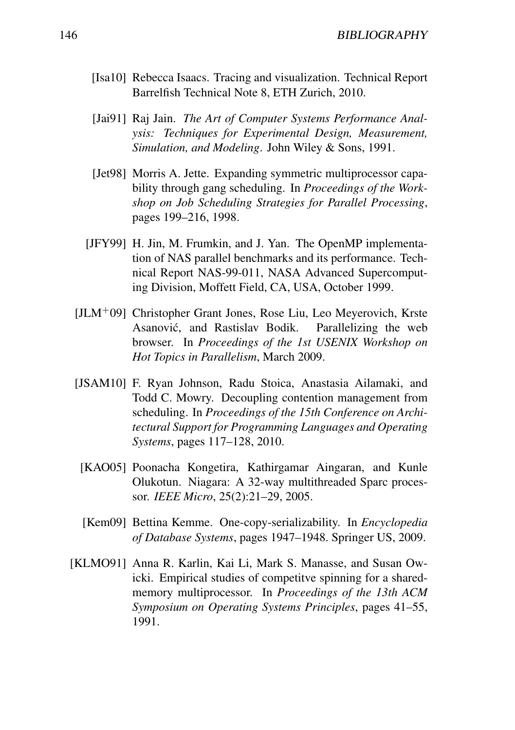- [Isa10] Rebecca Isaacs. Tracing and visualization. Technical Report Barrelfish Technical Note 8, ETH Zurich, 2010.
- [Jai91] Raj Jain. *The Art of Computer Systems Performance Analysis: Techniques for Experimental Design, Measurement, Simulation, and Modeling*. John Wiley & Sons, 1991.
- [Jet98] Morris A. Jette. Expanding symmetric multiprocessor capability through gang scheduling. In *Proceedings of the Workshop on Job Scheduling Strategies for Parallel Processing*, pages 199–216, 1998.
- [JFY99] H. Jin, M. Frumkin, and J. Yan. The OpenMP implementation of NAS parallel benchmarks and its performance. Technical Report NAS-99-011, NASA Advanced Supercomputing Division, Moffett Field, CA, USA, October 1999.
- $[JLM+09]$  Christopher Grant Jones, Rose Liu, Leo Meyerovich, Krste Asanovic, and Rastislav Bodik. Parallelizing the web ´ browser. In *Proceedings of the 1st USENIX Workshop on Hot Topics in Parallelism*, March 2009.
- [JSAM10] F. Ryan Johnson, Radu Stoica, Anastasia Ailamaki, and Todd C. Mowry. Decoupling contention management from scheduling. In *Proceedings of the 15th Conference on Architectural Support for Programming Languages and Operating Systems*, pages 117–128, 2010.
- [KAO05] Poonacha Kongetira, Kathirgamar Aingaran, and Kunle Olukotun. Niagara: A 32-way multithreaded Sparc processor. *IEEE Micro*, 25(2):21–29, 2005.
- [Kem09] Bettina Kemme. One-copy-serializability. In *Encyclopedia of Database Systems*, pages 1947–1948. Springer US, 2009.
- [KLMO91] Anna R. Karlin, Kai Li, Mark S. Manasse, and Susan Owicki. Empirical studies of competitve spinning for a sharedmemory multiprocessor. In *Proceedings of the 13th ACM Symposium on Operating Systems Principles*, pages 41–55, 1991.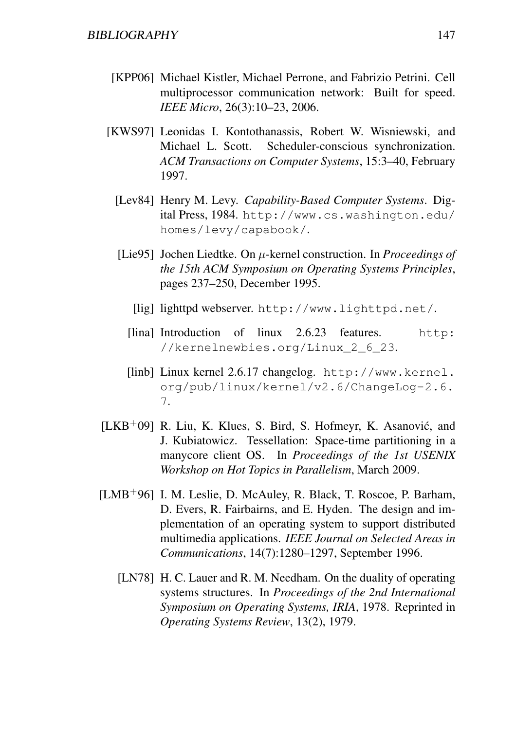- [KPP06] Michael Kistler, Michael Perrone, and Fabrizio Petrini. Cell multiprocessor communication network: Built for speed. *IEEE Micro*, 26(3):10–23, 2006.
- [KWS97] Leonidas I. Kontothanassis, Robert W. Wisniewski, and Michael L. Scott. Scheduler-conscious synchronization. *ACM Transactions on Computer Systems*, 15:3–40, February 1997.
	- [Lev84] Henry M. Levy. *Capability-Based Computer Systems*. Digital Press, 1984. http://www.cs.washington.edu/ homes/levy/capabook/.
	- [Lie95] Jochen Liedtke. On µ-kernel construction. In *Proceedings of the 15th ACM Symposium on Operating Systems Principles*, pages 237–250, December 1995.
		- [lig] lighttpd webserver. http://www.lighttpd.net/.
		- [lina] Introduction of linux 2.6.23 features. http: //kernelnewbies.org/Linux\_2\_6\_23.
		- [linb] Linux kernel 2.6.17 changelog. http://www.kernel. org/pub/linux/kernel/v2.6/ChangeLog-2.6. 7.
- $[LKB<sup>+</sup>09]$  R. Liu, K. Klues, S. Bird, S. Hofmeyr, K. Asanović, and J. Kubiatowicz. Tessellation: Space-time partitioning in a manycore client OS. In *Proceedings of the 1st USENIX Workshop on Hot Topics in Parallelism*, March 2009.
- [LMB<sup>+</sup>96] I. M. Leslie, D. McAuley, R. Black, T. Roscoe, P. Barham, D. Evers, R. Fairbairns, and E. Hyden. The design and implementation of an operating system to support distributed multimedia applications. *IEEE Journal on Selected Areas in Communications*, 14(7):1280–1297, September 1996.
	- [LN78] H. C. Lauer and R. M. Needham. On the duality of operating systems structures. In *Proceedings of the 2nd International Symposium on Operating Systems, IRIA*, 1978. Reprinted in *Operating Systems Review*, 13(2), 1979.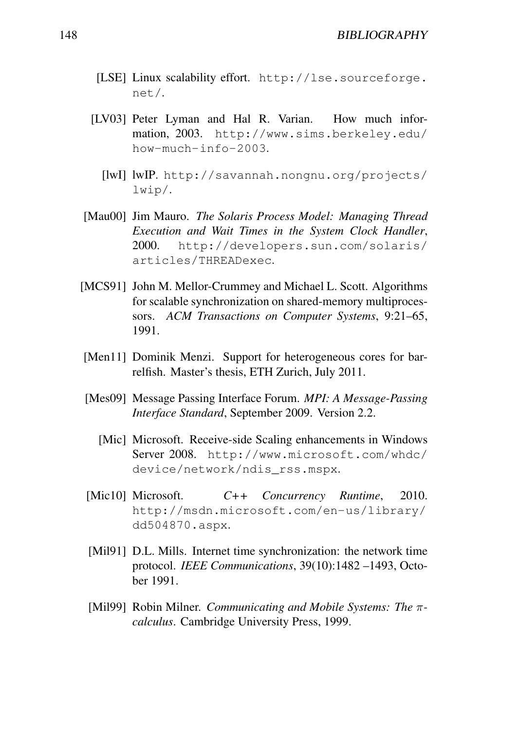- [LSE] Linux scalability effort. http://lse.sourceforge. net/.
- [LV03] Peter Lyman and Hal R. Varian. How much information, 2003. http://www.sims.berkeley.edu/ how-much-info-2003.
	- [lwI] lwIP. http://savannah.nongnu.org/projects/ lwip/.
- [Mau00] Jim Mauro. *The Solaris Process Model: Managing Thread Execution and Wait Times in the System Clock Handler*, 2000. http://developers.sun.com/solaris/ articles/THREADexec.
- [MCS91] John M. Mellor-Crummey and Michael L. Scott. Algorithms for scalable synchronization on shared-memory multiprocessors. *ACM Transactions on Computer Systems*, 9:21–65, 1991.
- [Men11] Dominik Menzi. Support for heterogeneous cores for barrelfish. Master's thesis, ETH Zurich, July 2011.
- [Mes09] Message Passing Interface Forum. *MPI: A Message-Passing Interface Standard*, September 2009. Version 2.2.
	- [Mic] Microsoft. Receive-side Scaling enhancements in Windows Server 2008. http://www.microsoft.com/whdc/ device/network/ndis\_rss.mspx.
- [Mic10] Microsoft. *C++ Concurrency Runtime*, 2010. http://msdn.microsoft.com/en-us/library/ dd504870.aspx.
- [Mil91] D.L. Mills. Internet time synchronization: the network time protocol. *IEEE Communications*, 39(10):1482 –1493, October 1991.
- [Mil99] Robin Milner. *Communicating and Mobile Systems: The* π*calculus*. Cambridge University Press, 1999.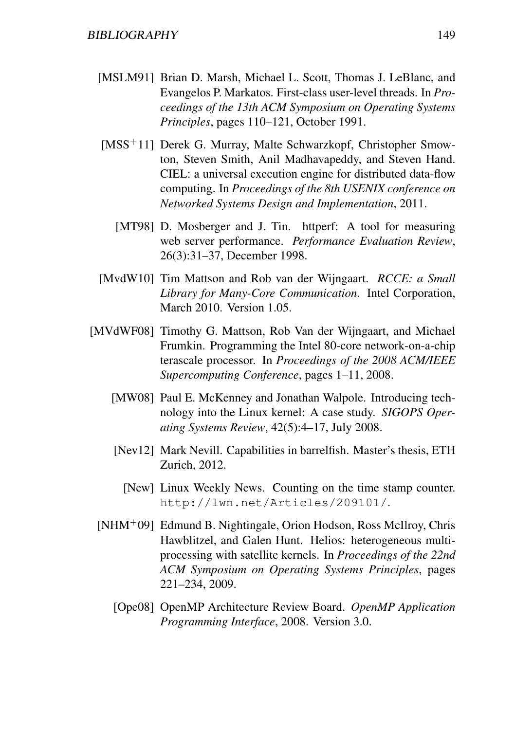- [MSLM91] Brian D. Marsh, Michael L. Scott, Thomas J. LeBlanc, and Evangelos P. Markatos. First-class user-level threads. In *Proceedings of the 13th ACM Symposium on Operating Systems Principles*, pages 110–121, October 1991.
- [MSS<sup>+</sup>11] Derek G. Murray, Malte Schwarzkopf, Christopher Smowton, Steven Smith, Anil Madhavapeddy, and Steven Hand. CIEL: a universal execution engine for distributed data-flow computing. In *Proceedings of the 8th USENIX conference on Networked Systems Design and Implementation*, 2011.
	- [MT98] D. Mosberger and J. Tin. httperf: A tool for measuring web server performance. *Performance Evaluation Review*, 26(3):31–37, December 1998.
- [MvdW10] Tim Mattson and Rob van der Wijngaart. *RCCE: a Small Library for Many-Core Communication*. Intel Corporation, March 2010. Version 1.05.
- [MVdWF08] Timothy G. Mattson, Rob Van der Wijngaart, and Michael Frumkin. Programming the Intel 80-core network-on-a-chip terascale processor. In *Proceedings of the 2008 ACM/IEEE Supercomputing Conference*, pages 1–11, 2008.
	- [MW08] Paul E. McKenney and Jonathan Walpole. Introducing technology into the Linux kernel: A case study. *SIGOPS Operating Systems Review*, 42(5):4–17, July 2008.
	- [Nev12] Mark Nevill. Capabilities in barrelfish. Master's thesis, ETH Zurich, 2012.
		- [New] Linux Weekly News. Counting on the time stamp counter. http://lwn.net/Articles/209101/.
	- [NHM<sup>+</sup>09] Edmund B. Nightingale, Orion Hodson, Ross McIlroy, Chris Hawblitzel, and Galen Hunt. Helios: heterogeneous multiprocessing with satellite kernels. In *Proceedings of the 22nd ACM Symposium on Operating Systems Principles*, pages 221–234, 2009.
		- [Ope08] OpenMP Architecture Review Board. *OpenMP Application Programming Interface*, 2008. Version 3.0.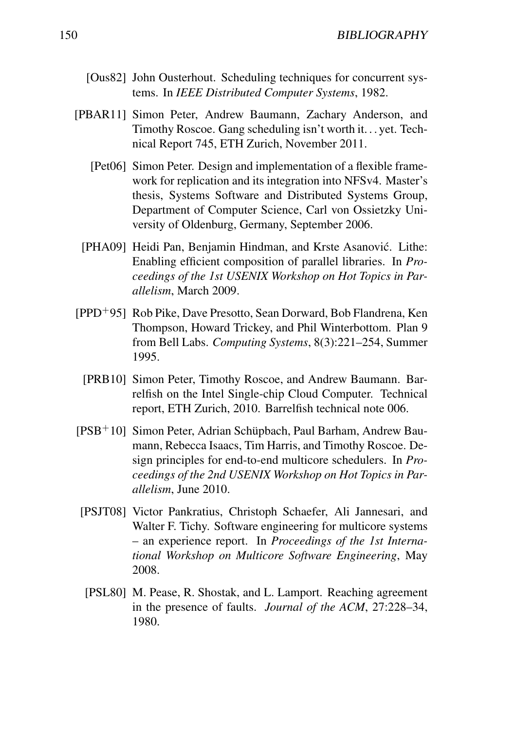- [Ous82] John Ousterhout. Scheduling techniques for concurrent systems. In *IEEE Distributed Computer Systems*, 1982.
- [PBAR11] Simon Peter, Andrew Baumann, Zachary Anderson, and Timothy Roscoe. Gang scheduling isn't worth it. . . yet. Technical Report 745, ETH Zurich, November 2011.
	- [Pet06] Simon Peter. Design and implementation of a flexible framework for replication and its integration into NFSv4. Master's thesis, Systems Software and Distributed Systems Group, Department of Computer Science, Carl von Ossietzky University of Oldenburg, Germany, September 2006.
	- [PHA09] Heidi Pan, Benjamin Hindman, and Krste Asanović. Lithe: Enabling efficient composition of parallel libraries. In *Proceedings of the 1st USENIX Workshop on Hot Topics in Parallelism*, March 2009.
- [PPD<sup>+</sup>95] Rob Pike, Dave Presotto, Sean Dorward, Bob Flandrena, Ken Thompson, Howard Trickey, and Phil Winterbottom. Plan 9 from Bell Labs. *Computing Systems*, 8(3):221–254, Summer 1995.
- [PRB10] Simon Peter, Timothy Roscoe, and Andrew Baumann. Barrelfish on the Intel Single-chip Cloud Computer. Technical report, ETH Zurich, 2010. Barrelfish technical note 006.
- [PSB<sup>+</sup>10] Simon Peter, Adrian Schüpbach, Paul Barham, Andrew Baumann, Rebecca Isaacs, Tim Harris, and Timothy Roscoe. Design principles for end-to-end multicore schedulers. In *Proceedings of the 2nd USENIX Workshop on Hot Topics in Parallelism*, June 2010.
- [PSJT08] Victor Pankratius, Christoph Schaefer, Ali Jannesari, and Walter F. Tichy. Software engineering for multicore systems – an experience report. In *Proceedings of the 1st International Workshop on Multicore Software Engineering*, May 2008.
- [PSL80] M. Pease, R. Shostak, and L. Lamport. Reaching agreement in the presence of faults. *Journal of the ACM*, 27:228–34, 1980.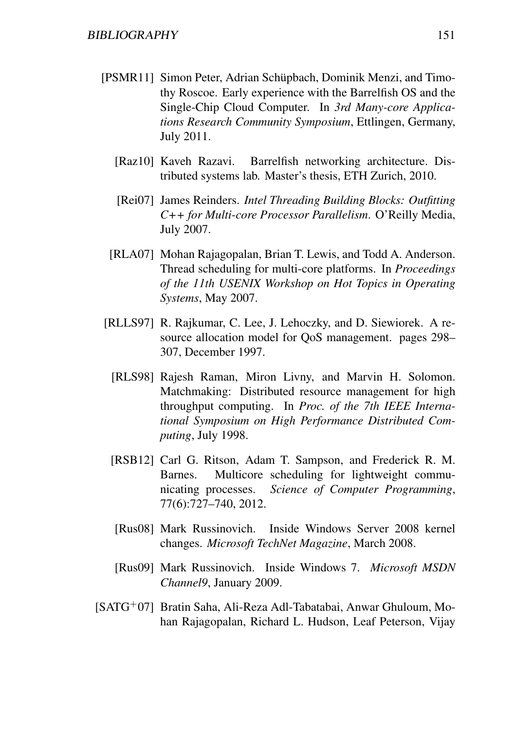- [PSMR11] Simon Peter, Adrian Schüpbach, Dominik Menzi, and Timothy Roscoe. Early experience with the Barrelfish OS and the Single-Chip Cloud Computer. In *3rd Many-core Applications Research Community Symposium*, Ettlingen, Germany, July 2011.
	- [Raz10] Kaveh Razavi. Barrelfish networking architecture. Distributed systems lab. Master's thesis, ETH Zurich, 2010.
	- [Rei07] James Reinders. *Intel Threading Building Blocks: Outfitting C++ for Multi-core Processor Parallelism*. O'Reilly Media, July 2007.
	- [RLA07] Mohan Rajagopalan, Brian T. Lewis, and Todd A. Anderson. Thread scheduling for multi-core platforms. In *Proceedings of the 11th USENIX Workshop on Hot Topics in Operating Systems*, May 2007.
- [RLLS97] R. Rajkumar, C. Lee, J. Lehoczky, and D. Siewiorek. A resource allocation model for QoS management. pages 298– 307, December 1997.
	- [RLS98] Rajesh Raman, Miron Livny, and Marvin H. Solomon. Matchmaking: Distributed resource management for high throughput computing. In *Proc. of the 7th IEEE International Symposium on High Performance Distributed Computing*, July 1998.
	- [RSB12] Carl G. Ritson, Adam T. Sampson, and Frederick R. M. Barnes. Multicore scheduling for lightweight communicating processes. *Science of Computer Programming*, 77(6):727–740, 2012.
		- [Rus08] Mark Russinovich. Inside Windows Server 2008 kernel changes. *Microsoft TechNet Magazine*, March 2008.
	- [Rus09] Mark Russinovich. Inside Windows 7. *Microsoft MSDN Channel9*, January 2009.
- [SATG<sup>+</sup>07] Bratin Saha, Ali-Reza Adl-Tabatabai, Anwar Ghuloum, Mohan Rajagopalan, Richard L. Hudson, Leaf Peterson, Vijay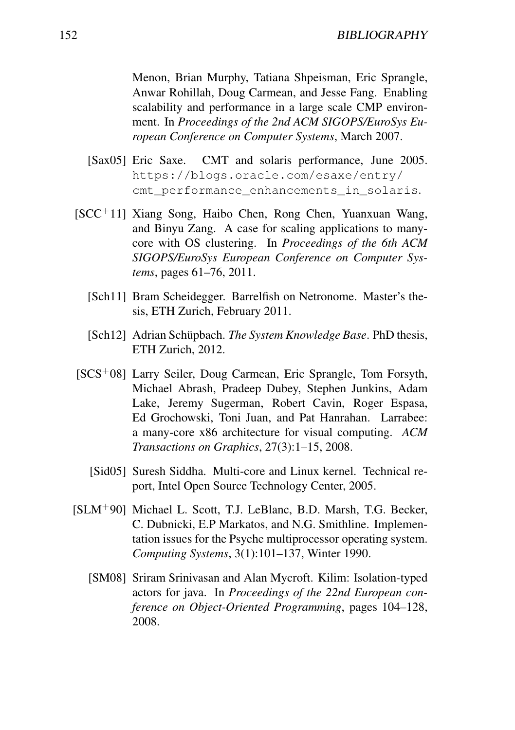Menon, Brian Murphy, Tatiana Shpeisman, Eric Sprangle, Anwar Rohillah, Doug Carmean, and Jesse Fang. Enabling scalability and performance in a large scale CMP environment. In *Proceedings of the 2nd ACM SIGOPS/EuroSys European Conference on Computer Systems*, March 2007.

- [Sax05] Eric Saxe. CMT and solaris performance, June 2005. https://blogs.oracle.com/esaxe/entry/ cmt performance enhancements in solaris.
- [SCC<sup>+</sup>11] Xiang Song, Haibo Chen, Rong Chen, Yuanxuan Wang, and Binyu Zang. A case for scaling applications to manycore with OS clustering. In *Proceedings of the 6th ACM SIGOPS/EuroSys European Conference on Computer Systems*, pages 61–76, 2011.
	- [Sch11] Bram Scheidegger. Barrelfish on Netronome. Master's thesis, ETH Zurich, February 2011.
	- [Sch12] Adrian Schüpbach. *The System Knowledge Base*. PhD thesis, ETH Zurich, 2012.
- [SCS<sup>+</sup>08] Larry Seiler, Doug Carmean, Eric Sprangle, Tom Forsyth, Michael Abrash, Pradeep Dubey, Stephen Junkins, Adam Lake, Jeremy Sugerman, Robert Cavin, Roger Espasa, Ed Grochowski, Toni Juan, and Pat Hanrahan. Larrabee: a many-core x86 architecture for visual computing. *ACM Transactions on Graphics*, 27(3):1–15, 2008.
	- [Sid05] Suresh Siddha. Multi-core and Linux kernel. Technical report, Intel Open Source Technology Center, 2005.
- [SLM<sup>+</sup>90] Michael L. Scott, T.J. LeBlanc, B.D. Marsh, T.G. Becker, C. Dubnicki, E.P Markatos, and N.G. Smithline. Implementation issues for the Psyche multiprocessor operating system. *Computing Systems*, 3(1):101–137, Winter 1990.
	- [SM08] Sriram Srinivasan and Alan Mycroft. Kilim: Isolation-typed actors for java. In *Proceedings of the 22nd European conference on Object-Oriented Programming*, pages 104–128, 2008.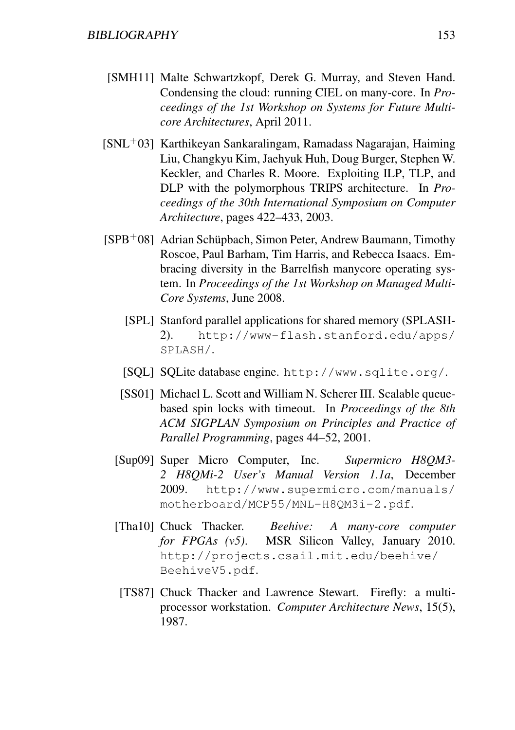- [SMH11] Malte Schwartzkopf, Derek G. Murray, and Steven Hand. Condensing the cloud: running CIEL on many-core. In *Proceedings of the 1st Workshop on Systems for Future Multicore Architectures*, April 2011.
- $[SNL+03]$  Karthikeyan Sankaralingam, Ramadass Nagarajan, Haiming Liu, Changkyu Kim, Jaehyuk Huh, Doug Burger, Stephen W. Keckler, and Charles R. Moore. Exploiting ILP, TLP, and DLP with the polymorphous TRIPS architecture. In *Proceedings of the 30th International Symposium on Computer Architecture*, pages 422–433, 2003.
- [SPB<sup>+</sup>08] Adrian Schüpbach, Simon Peter, Andrew Baumann, Timothy Roscoe, Paul Barham, Tim Harris, and Rebecca Isaacs. Embracing diversity in the Barrelfish manycore operating system. In *Proceedings of the 1st Workshop on Managed Multi-Core Systems*, June 2008.
	- [SPL] Stanford parallel applications for shared memory (SPLASH-2). http://www-flash.stanford.edu/apps/ SPLASH/.
	- [SQL] SQLite database engine. http://www.sqlite.org/.
	- [SS01] Michael L. Scott and William N. Scherer III. Scalable queuebased spin locks with timeout. In *Proceedings of the 8th ACM SIGPLAN Symposium on Principles and Practice of Parallel Programming*, pages 44–52, 2001.
	- [Sup09] Super Micro Computer, Inc. *Supermicro H8QM3- 2 H8QMi-2 User's Manual Version 1.1a*, December 2009. http://www.supermicro.com/manuals/ motherboard/MCP55/MNL-H8QM3i-2.pdf.
	- [Tha10] Chuck Thacker. *Beehive: A many-core computer for FPGAs (v5)*. MSR Silicon Valley, January 2010. http://projects.csail.mit.edu/beehive/ BeehiveV5.pdf.
	- [TS87] Chuck Thacker and Lawrence Stewart. Firefly: a multiprocessor workstation. *Computer Architecture News*, 15(5), 1987.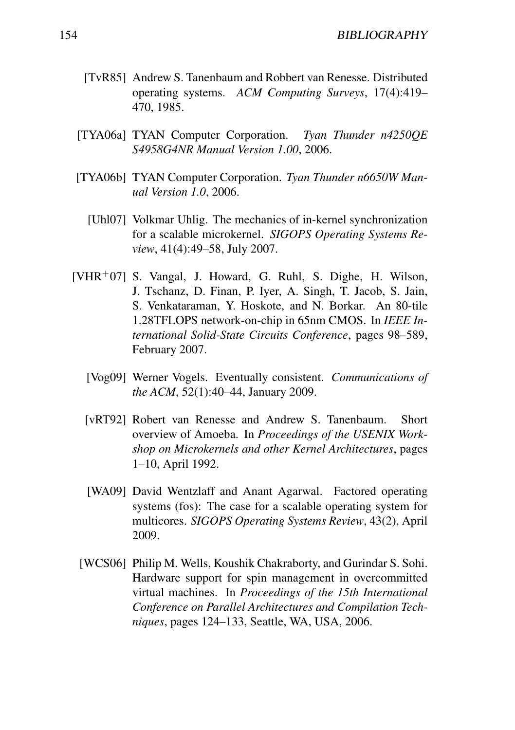- [TvR85] Andrew S. Tanenbaum and Robbert van Renesse. Distributed operating systems. *ACM Computing Surveys*, 17(4):419– 470, 1985.
- [TYA06a] TYAN Computer Corporation. *Tyan Thunder n4250QE S4958G4NR Manual Version 1.00*, 2006.
- [TYA06b] TYAN Computer Corporation. *Tyan Thunder n6650W Manual Version 1.0*, 2006.
	- [Uhl07] Volkmar Uhlig. The mechanics of in-kernel synchronization for a scalable microkernel. *SIGOPS Operating Systems Review*, 41(4):49–58, July 2007.
- $[VHR<sup>+</sup>07]$  S. Vangal, J. Howard, G. Ruhl, S. Dighe, H. Wilson, J. Tschanz, D. Finan, P. Iyer, A. Singh, T. Jacob, S. Jain, S. Venkataraman, Y. Hoskote, and N. Borkar. An 80-tile 1.28TFLOPS network-on-chip in 65nm CMOS. In *IEEE International Solid-State Circuits Conference*, pages 98–589, February 2007.
	- [Vog09] Werner Vogels. Eventually consistent. *Communications of the ACM*, 52(1):40–44, January 2009.
	- [vRT92] Robert van Renesse and Andrew S. Tanenbaum. Short overview of Amoeba. In *Proceedings of the USENIX Workshop on Microkernels and other Kernel Architectures*, pages 1–10, April 1992.
	- [WA09] David Wentzlaff and Anant Agarwal. Factored operating systems (fos): The case for a scalable operating system for multicores. *SIGOPS Operating Systems Review*, 43(2), April 2009.
	- [WCS06] Philip M. Wells, Koushik Chakraborty, and Gurindar S. Sohi. Hardware support for spin management in overcommitted virtual machines. In *Proceedings of the 15th International Conference on Parallel Architectures and Compilation Techniques*, pages 124–133, Seattle, WA, USA, 2006.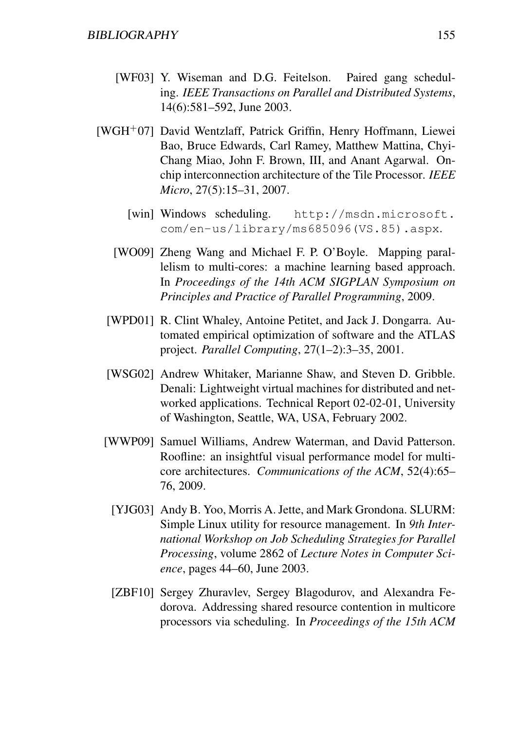- [WF03] Y. Wiseman and D.G. Feitelson. Paired gang scheduling. *IEEE Transactions on Parallel and Distributed Systems*, 14(6):581–592, June 2003.
- [WGH<sup>+</sup>07] David Wentzlaff, Patrick Griffin, Henry Hoffmann, Liewei Bao, Bruce Edwards, Carl Ramey, Matthew Mattina, Chyi-Chang Miao, John F. Brown, III, and Anant Agarwal. Onchip interconnection architecture of the Tile Processor. *IEEE Micro*, 27(5):15–31, 2007.
	- [win] Windows scheduling. http://msdn.microsoft. com/en-us/library/ms685096(VS.85).aspx.
	- [WO09] Zheng Wang and Michael F. P. O'Boyle. Mapping parallelism to multi-cores: a machine learning based approach. In *Proceedings of the 14th ACM SIGPLAN Symposium on Principles and Practice of Parallel Programming*, 2009.
	- [WPD01] R. Clint Whaley, Antoine Petitet, and Jack J. Dongarra. Automated empirical optimization of software and the ATLAS project. *Parallel Computing*, 27(1–2):3–35, 2001.
	- [WSG02] Andrew Whitaker, Marianne Shaw, and Steven D. Gribble. Denali: Lightweight virtual machines for distributed and networked applications. Technical Report 02-02-01, University of Washington, Seattle, WA, USA, February 2002.
	- [WWP09] Samuel Williams, Andrew Waterman, and David Patterson. Roofline: an insightful visual performance model for multicore architectures. *Communications of the ACM*, 52(4):65– 76, 2009.
		- [YJG03] Andy B. Yoo, Morris A. Jette, and Mark Grondona. SLURM: Simple Linux utility for resource management. In *9th International Workshop on Job Scheduling Strategies for Parallel Processing*, volume 2862 of *Lecture Notes in Computer Science*, pages 44–60, June 2003.
		- [ZBF10] Sergey Zhuravlev, Sergey Blagodurov, and Alexandra Fedorova. Addressing shared resource contention in multicore processors via scheduling. In *Proceedings of the 15th ACM*